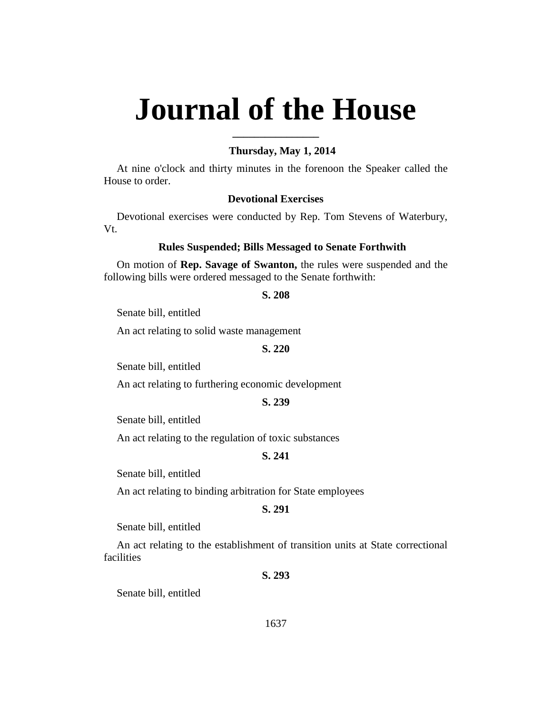# **Journal of the House**

**\_\_\_\_\_\_\_\_\_\_\_\_\_\_\_\_**

# **Thursday, May 1, 2014**

At nine o'clock and thirty minutes in the forenoon the Speaker called the House to order.

# **Devotional Exercises**

Devotional exercises were conducted by Rep. Tom Stevens of Waterbury, Vt.

### **Rules Suspended; Bills Messaged to Senate Forthwith**

On motion of **Rep. Savage of Swanton,** the rules were suspended and the following bills were ordered messaged to the Senate forthwith:

#### **S. 208**

Senate bill, entitled

An act relating to solid waste management

#### **S. 220**

Senate bill, entitled

An act relating to furthering economic development

**S. 239**

Senate bill, entitled

An act relating to the regulation of toxic substances

# **S. 241**

Senate bill, entitled

An act relating to binding arbitration for State employees

#### **S. 291**

Senate bill, entitled

An act relating to the establishment of transition units at State correctional facilities

#### **S. 293**

Senate bill, entitled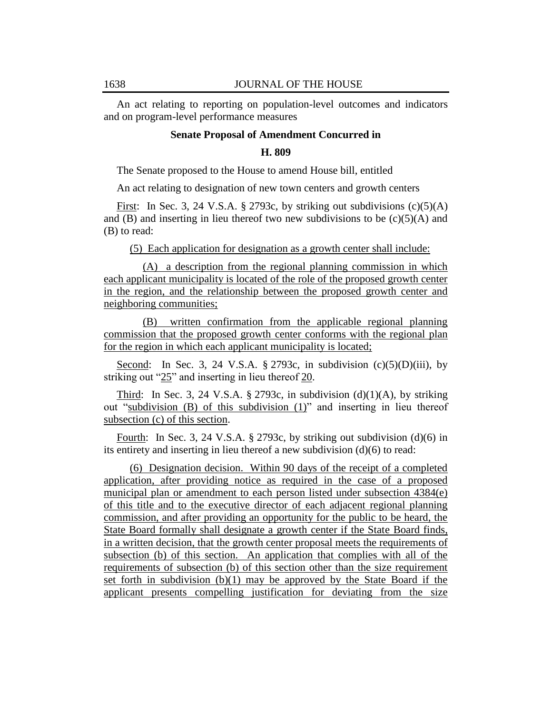An act relating to reporting on population-level outcomes and indicators and on program-level performance measures

# **Senate Proposal of Amendment Concurred in**

#### **H. 809**

The Senate proposed to the House to amend House bill, entitled

An act relating to designation of new town centers and growth centers

First: In Sec. 3, 24 V.S.A. § 2793c, by striking out subdivisions  $(c)(5)(A)$ and  $(B)$  and inserting in lieu thereof two new subdivisions to be  $(c)(5)(A)$  and (B) to read:

(5) Each application for designation as a growth center shall include:

(A) a description from the regional planning commission in which each applicant municipality is located of the role of the proposed growth center in the region, and the relationship between the proposed growth center and neighboring communities;

(B) written confirmation from the applicable regional planning commission that the proposed growth center conforms with the regional plan for the region in which each applicant municipality is located;

Second: In Sec. 3, 24 V.S.A. § 2793c, in subdivision  $(c)(5)(D)(iii)$ , by striking out "25" and inserting in lieu thereof 20.

Third: In Sec. 3, 24 V.S.A. § 2793c, in subdivision  $(d)(1)(A)$ , by striking out "subdivision  $(B)$  of this subdivision  $(1)$ " and inserting in lieu thereof subsection (c) of this section.

Fourth: In Sec. 3, 24 V.S.A. § 2793c, by striking out subdivision (d)(6) in its entirety and inserting in lieu thereof a new subdivision (d)(6) to read:

(6) Designation decision. Within 90 days of the receipt of a completed application, after providing notice as required in the case of a proposed municipal plan or amendment to each person listed under subsection 4384(e) of this title and to the executive director of each adjacent regional planning commission, and after providing an opportunity for the public to be heard, the State Board formally shall designate a growth center if the State Board finds, in a written decision, that the growth center proposal meets the requirements of subsection (b) of this section. An application that complies with all of the requirements of subsection (b) of this section other than the size requirement set forth in subdivision (b)(1) may be approved by the State Board if the applicant presents compelling justification for deviating from the size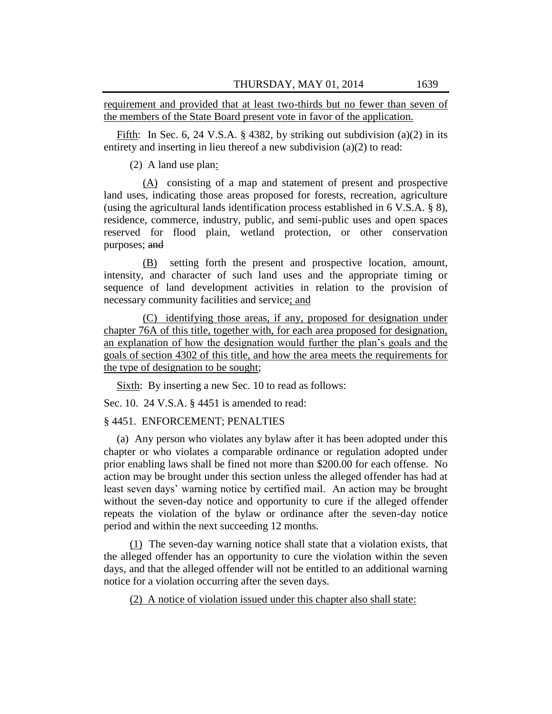requirement and provided that at least two-thirds but no fewer than seven of the members of the State Board present vote in favor of the application.

Fifth: In Sec. 6, 24 V.S.A. § 4382, by striking out subdivision (a)(2) in its entirety and inserting in lieu thereof a new subdivision (a)(2) to read:

(2) A land use plan:

(A) consisting of a map and statement of present and prospective land uses, indicating those areas proposed for forests, recreation, agriculture (using the agricultural lands identification process established in 6 V.S.A. § 8), residence, commerce, industry, public, and semi-public uses and open spaces reserved for flood plain, wetland protection, or other conservation purposes; and

(B) setting forth the present and prospective location, amount, intensity, and character of such land uses and the appropriate timing or sequence of land development activities in relation to the provision of necessary community facilities and service; and

(C) identifying those areas, if any, proposed for designation under chapter 76A of this title, together with, for each area proposed for designation, an explanation of how the designation would further the plan's goals and the goals of section 4302 of this title, and how the area meets the requirements for the type of designation to be sought;

Sixth: By inserting a new Sec. 10 to read as follows:

Sec. 10. 24 V.S.A. § 4451 is amended to read:

# § 4451. ENFORCEMENT; PENALTIES

(a) Any person who violates any bylaw after it has been adopted under this chapter or who violates a comparable ordinance or regulation adopted under prior enabling laws shall be fined not more than \$200.00 for each offense. No action may be brought under this section unless the alleged offender has had at least seven days' warning notice by certified mail. An action may be brought without the seven-day notice and opportunity to cure if the alleged offender repeats the violation of the bylaw or ordinance after the seven-day notice period and within the next succeeding 12 months.

(1) The seven-day warning notice shall state that a violation exists, that the alleged offender has an opportunity to cure the violation within the seven days, and that the alleged offender will not be entitled to an additional warning notice for a violation occurring after the seven days.

(2) A notice of violation issued under this chapter also shall state: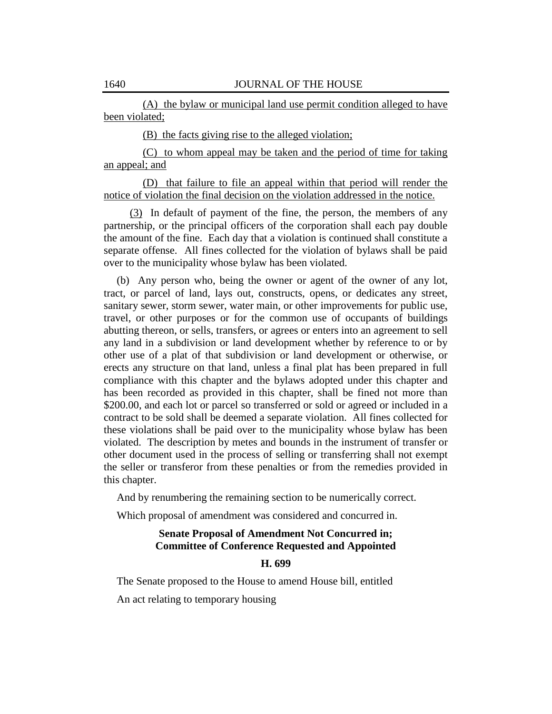(A) the bylaw or municipal land use permit condition alleged to have been violated;

(B) the facts giving rise to the alleged violation;

(C) to whom appeal may be taken and the period of time for taking an appeal; and

(D) that failure to file an appeal within that period will render the notice of violation the final decision on the violation addressed in the notice.

(3) In default of payment of the fine, the person, the members of any partnership, or the principal officers of the corporation shall each pay double the amount of the fine. Each day that a violation is continued shall constitute a separate offense. All fines collected for the violation of bylaws shall be paid over to the municipality whose bylaw has been violated.

(b) Any person who, being the owner or agent of the owner of any lot, tract, or parcel of land, lays out, constructs, opens, or dedicates any street, sanitary sewer, storm sewer, water main, or other improvements for public use, travel, or other purposes or for the common use of occupants of buildings abutting thereon, or sells, transfers, or agrees or enters into an agreement to sell any land in a subdivision or land development whether by reference to or by other use of a plat of that subdivision or land development or otherwise, or erects any structure on that land, unless a final plat has been prepared in full compliance with this chapter and the bylaws adopted under this chapter and has been recorded as provided in this chapter, shall be fined not more than \$200.00, and each lot or parcel so transferred or sold or agreed or included in a contract to be sold shall be deemed a separate violation. All fines collected for these violations shall be paid over to the municipality whose bylaw has been violated. The description by metes and bounds in the instrument of transfer or other document used in the process of selling or transferring shall not exempt the seller or transferor from these penalties or from the remedies provided in this chapter.

And by renumbering the remaining section to be numerically correct.

Which proposal of amendment was considered and concurred in.

# **Senate Proposal of Amendment Not Concurred in; Committee of Conference Requested and Appointed**

#### **H. 699**

The Senate proposed to the House to amend House bill, entitled

An act relating to temporary housing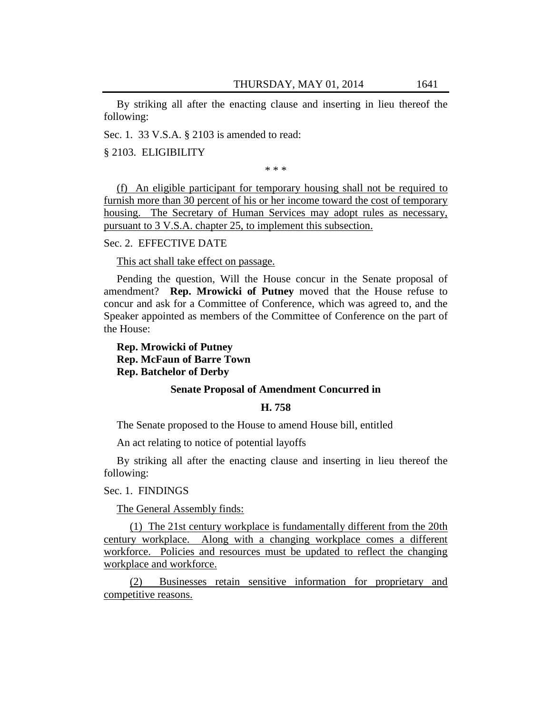By striking all after the enacting clause and inserting in lieu thereof the following:

Sec. 1. 33 V.S.A. § 2103 is amended to read:

§ 2103. ELIGIBILITY

\* \* \*

(f) An eligible participant for temporary housing shall not be required to furnish more than 30 percent of his or her income toward the cost of temporary housing. The Secretary of Human Services may adopt rules as necessary, pursuant to 3 V.S.A. chapter 25, to implement this subsection.

# Sec. 2. EFFECTIVE DATE

This act shall take effect on passage.

Pending the question, Will the House concur in the Senate proposal of amendment? **Rep. Mrowicki of Putney** moved that the House refuse to concur and ask for a Committee of Conference, which was agreed to, and the Speaker appointed as members of the Committee of Conference on the part of the House:

**Rep. Mrowicki of Putney Rep. McFaun of Barre Town Rep. Batchelor of Derby**

#### **Senate Proposal of Amendment Concurred in**

#### **H. 758**

The Senate proposed to the House to amend House bill, entitled

An act relating to notice of potential layoffs

By striking all after the enacting clause and inserting in lieu thereof the following:

Sec. 1. FINDINGS

The General Assembly finds:

(1) The 21st century workplace is fundamentally different from the 20th century workplace. Along with a changing workplace comes a different workforce. Policies and resources must be updated to reflect the changing workplace and workforce.

(2) Businesses retain sensitive information for proprietary and competitive reasons.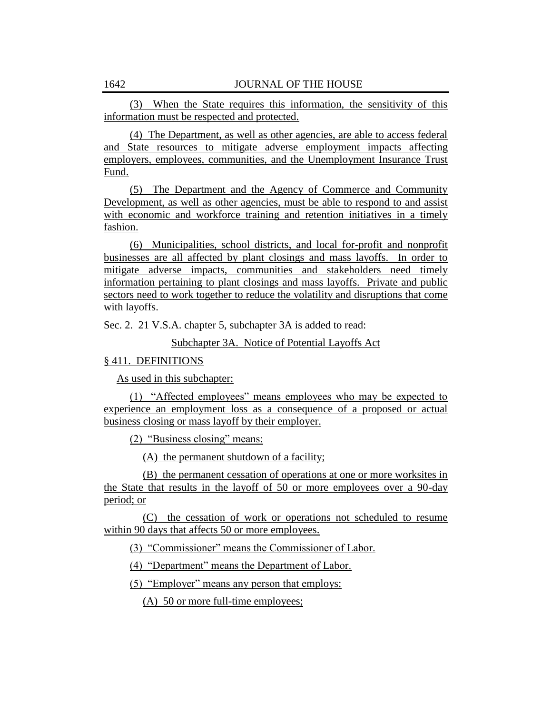(3) When the State requires this information, the sensitivity of this information must be respected and protected.

(4) The Department, as well as other agencies, are able to access federal and State resources to mitigate adverse employment impacts affecting employers, employees, communities, and the Unemployment Insurance Trust Fund.

(5) The Department and the Agency of Commerce and Community Development, as well as other agencies, must be able to respond to and assist with economic and workforce training and retention initiatives in a timely fashion.

(6) Municipalities, school districts, and local for-profit and nonprofit businesses are all affected by plant closings and mass layoffs. In order to mitigate adverse impacts, communities and stakeholders need timely information pertaining to plant closings and mass layoffs. Private and public sectors need to work together to reduce the volatility and disruptions that come with layoffs.

Sec. 2. 21 V.S.A. chapter 5, subchapter 3A is added to read:

Subchapter 3A. Notice of Potential Layoffs Act

# § 411. DEFINITIONS

As used in this subchapter:

(1) "Affected employees" means employees who may be expected to experience an employment loss as a consequence of a proposed or actual business closing or mass layoff by their employer.

 $(2)$  "Business closing" means:

(A) the permanent shutdown of a facility;

(B) the permanent cessation of operations at one or more worksites in the State that results in the layoff of 50 or more employees over a 90-day period; or

(C) the cessation of work or operations not scheduled to resume within 90 days that affects 50 or more employees.

(3) "Commissioner" means the Commissioner of Labor.

(4) "Department" means the Department of Labor.

 $(5)$  "Employer" means any person that employs:

(A) 50 or more full-time employees;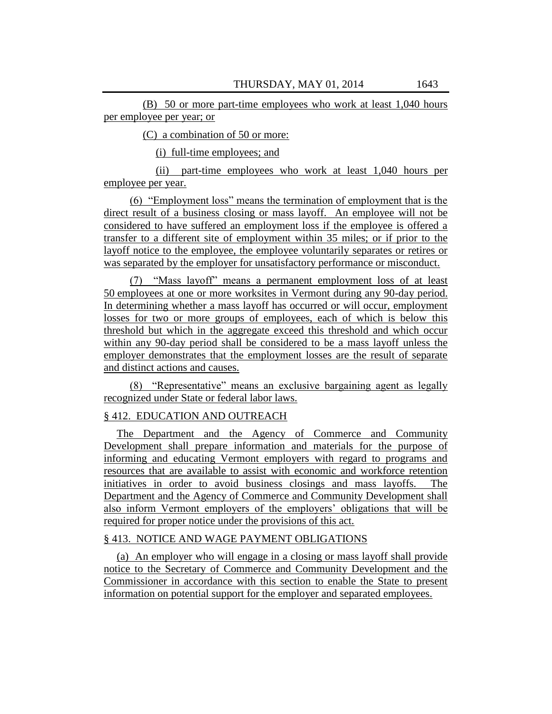(B) 50 or more part-time employees who work at least 1,040 hours per employee per year; or

(C) a combination of 50 or more:

(i) full-time employees; and

(ii) part-time employees who work at least 1,040 hours per employee per year.

(6) ―Employment loss‖ means the termination of employment that is the direct result of a business closing or mass layoff. An employee will not be considered to have suffered an employment loss if the employee is offered a transfer to a different site of employment within 35 miles; or if prior to the layoff notice to the employee, the employee voluntarily separates or retires or was separated by the employer for unsatisfactory performance or misconduct.

(7) "Mass layoff" means a permanent employment loss of at least 50 employees at one or more worksites in Vermont during any 90-day period. In determining whether a mass layoff has occurred or will occur, employment losses for two or more groups of employees, each of which is below this threshold but which in the aggregate exceed this threshold and which occur within any 90-day period shall be considered to be a mass layoff unless the employer demonstrates that the employment losses are the result of separate and distinct actions and causes.

(8) "Representative" means an exclusive bargaining agent as legally recognized under State or federal labor laws.

### § 412. EDUCATION AND OUTREACH

The Department and the Agency of Commerce and Community Development shall prepare information and materials for the purpose of informing and educating Vermont employers with regard to programs and resources that are available to assist with economic and workforce retention initiatives in order to avoid business closings and mass layoffs. The Department and the Agency of Commerce and Community Development shall also inform Vermont employers of the employers' obligations that will be required for proper notice under the provisions of this act.

#### § 413. NOTICE AND WAGE PAYMENT OBLIGATIONS

(a) An employer who will engage in a closing or mass layoff shall provide notice to the Secretary of Commerce and Community Development and the Commissioner in accordance with this section to enable the State to present information on potential support for the employer and separated employees.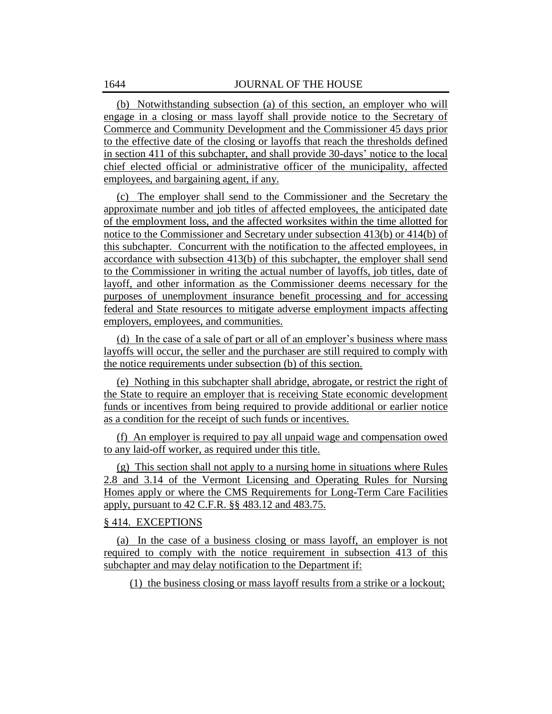(b) Notwithstanding subsection (a) of this section, an employer who will engage in a closing or mass layoff shall provide notice to the Secretary of Commerce and Community Development and the Commissioner 45 days prior to the effective date of the closing or layoffs that reach the thresholds defined in section 411 of this subchapter, and shall provide 30-days' notice to the local chief elected official or administrative officer of the municipality, affected employees, and bargaining agent, if any.

(c) The employer shall send to the Commissioner and the Secretary the approximate number and job titles of affected employees, the anticipated date of the employment loss, and the affected worksites within the time allotted for notice to the Commissioner and Secretary under subsection 413(b) or 414(b) of this subchapter. Concurrent with the notification to the affected employees, in accordance with subsection 413(b) of this subchapter, the employer shall send to the Commissioner in writing the actual number of layoffs, job titles, date of layoff, and other information as the Commissioner deems necessary for the purposes of unemployment insurance benefit processing and for accessing federal and State resources to mitigate adverse employment impacts affecting employers, employees, and communities.

(d) In the case of a sale of part or all of an employer's business where mass layoffs will occur, the seller and the purchaser are still required to comply with the notice requirements under subsection (b) of this section.

(e) Nothing in this subchapter shall abridge, abrogate, or restrict the right of the State to require an employer that is receiving State economic development funds or incentives from being required to provide additional or earlier notice as a condition for the receipt of such funds or incentives.

(f) An employer is required to pay all unpaid wage and compensation owed to any laid-off worker, as required under this title.

(g) This section shall not apply to a nursing home in situations where Rules 2.8 and 3.14 of the Vermont Licensing and Operating Rules for Nursing Homes apply or where the CMS Requirements for Long-Term Care Facilities apply, pursuant to 42 C.F.R. §§ 483.12 and 483.75.

# § 414. EXCEPTIONS

(a) In the case of a business closing or mass layoff, an employer is not required to comply with the notice requirement in subsection 413 of this subchapter and may delay notification to the Department if:

(1) the business closing or mass layoff results from a strike or a lockout;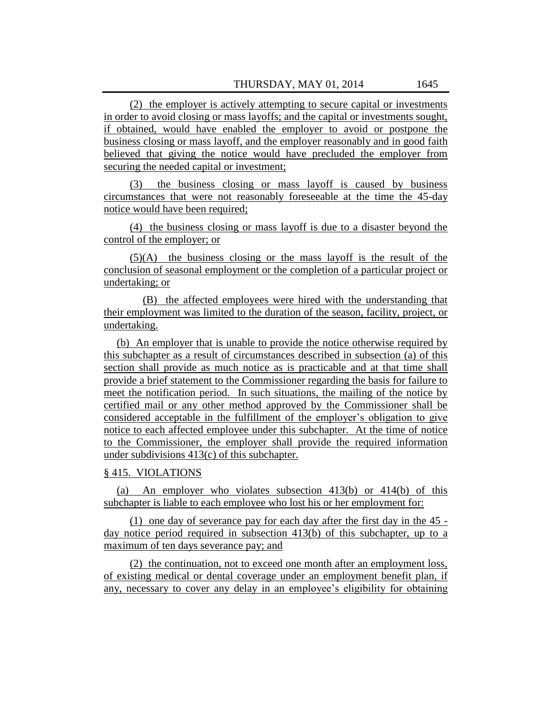(2) the employer is actively attempting to secure capital or investments in order to avoid closing or mass layoffs; and the capital or investments sought, if obtained, would have enabled the employer to avoid or postpone the business closing or mass layoff, and the employer reasonably and in good faith believed that giving the notice would have precluded the employer from securing the needed capital or investment;

(3) the business closing or mass layoff is caused by business circumstances that were not reasonably foreseeable at the time the 45-day notice would have been required;

(4) the business closing or mass layoff is due to a disaster beyond the control of the employer; or

(5)(A) the business closing or the mass layoff is the result of the conclusion of seasonal employment or the completion of a particular project or undertaking; or

(B) the affected employees were hired with the understanding that their employment was limited to the duration of the season, facility, project, or undertaking.

(b) An employer that is unable to provide the notice otherwise required by this subchapter as a result of circumstances described in subsection (a) of this section shall provide as much notice as is practicable and at that time shall provide a brief statement to the Commissioner regarding the basis for failure to meet the notification period. In such situations, the mailing of the notice by certified mail or any other method approved by the Commissioner shall be considered acceptable in the fulfillment of the employer's obligation to give notice to each affected employee under this subchapter. At the time of notice to the Commissioner, the employer shall provide the required information under subdivisions 413(c) of this subchapter.

#### § 415. VIOLATIONS

(a) An employer who violates subsection 413(b) or 414(b) of this subchapter is liable to each employee who lost his or her employment for:

(1) one day of severance pay for each day after the first day in the 45 day notice period required in subsection 413(b) of this subchapter, up to a maximum of ten days severance pay; and

(2) the continuation, not to exceed one month after an employment loss, of existing medical or dental coverage under an employment benefit plan, if any, necessary to cover any delay in an employee's eligibility for obtaining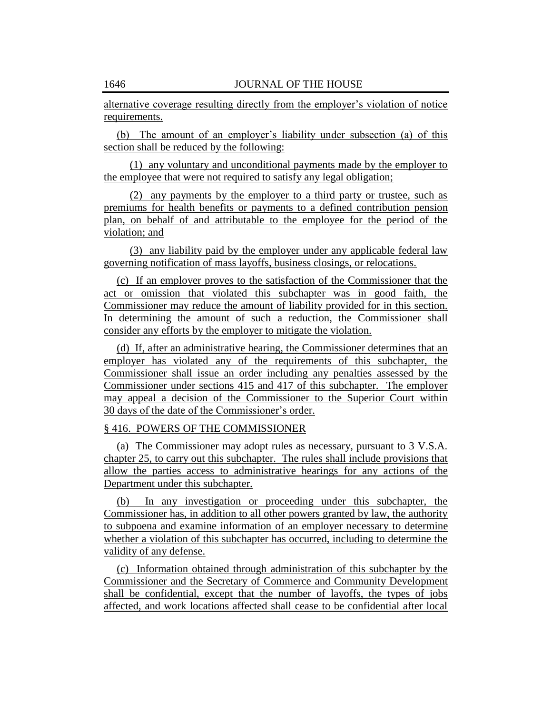alternative coverage resulting directly from the employer's violation of notice requirements.

(b) The amount of an employer's liability under subsection (a) of this section shall be reduced by the following:

(1) any voluntary and unconditional payments made by the employer to the employee that were not required to satisfy any legal obligation;

(2) any payments by the employer to a third party or trustee, such as premiums for health benefits or payments to a defined contribution pension plan, on behalf of and attributable to the employee for the period of the violation; and

(3) any liability paid by the employer under any applicable federal law governing notification of mass layoffs, business closings, or relocations.

(c) If an employer proves to the satisfaction of the Commissioner that the act or omission that violated this subchapter was in good faith, the Commissioner may reduce the amount of liability provided for in this section. In determining the amount of such a reduction, the Commissioner shall consider any efforts by the employer to mitigate the violation.

(d) If, after an administrative hearing, the Commissioner determines that an employer has violated any of the requirements of this subchapter, the Commissioner shall issue an order including any penalties assessed by the Commissioner under sections 415 and 417 of this subchapter. The employer may appeal a decision of the Commissioner to the Superior Court within 30 days of the date of the Commissioner's order.

# § 416. POWERS OF THE COMMISSIONER

(a) The Commissioner may adopt rules as necessary, pursuant to 3 V.S.A. chapter 25, to carry out this subchapter. The rules shall include provisions that allow the parties access to administrative hearings for any actions of the Department under this subchapter.

(b) In any investigation or proceeding under this subchapter, the Commissioner has, in addition to all other powers granted by law, the authority to subpoena and examine information of an employer necessary to determine whether a violation of this subchapter has occurred, including to determine the validity of any defense.

(c) Information obtained through administration of this subchapter by the Commissioner and the Secretary of Commerce and Community Development shall be confidential, except that the number of layoffs, the types of jobs affected, and work locations affected shall cease to be confidential after local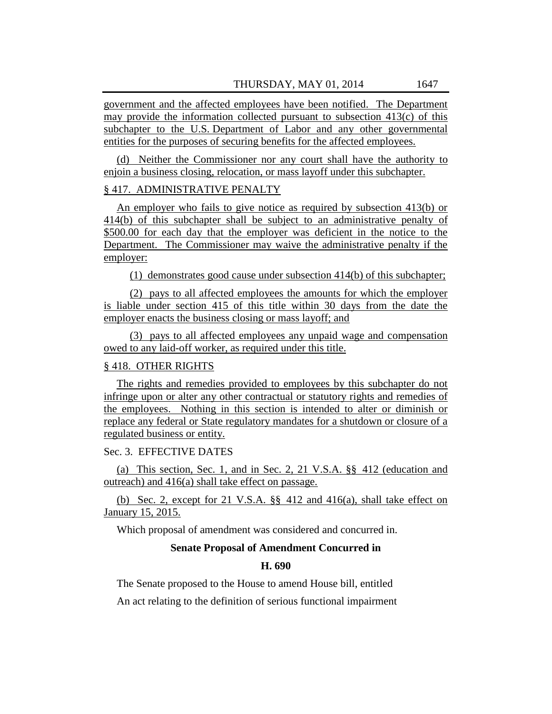government and the affected employees have been notified. The Department may provide the information collected pursuant to subsection 413(c) of this subchapter to the U.S. Department of Labor and any other governmental entities for the purposes of securing benefits for the affected employees.

(d) Neither the Commissioner nor any court shall have the authority to enjoin a business closing, relocation, or mass layoff under this subchapter.

# § 417. ADMINISTRATIVE PENALTY

An employer who fails to give notice as required by subsection 413(b) or 414(b) of this subchapter shall be subject to an administrative penalty of \$500.00 for each day that the employer was deficient in the notice to the Department. The Commissioner may waive the administrative penalty if the employer:

(1) demonstrates good cause under subsection 414(b) of this subchapter;

(2) pays to all affected employees the amounts for which the employer is liable under section 415 of this title within 30 days from the date the employer enacts the business closing or mass layoff; and

(3) pays to all affected employees any unpaid wage and compensation owed to any laid-off worker, as required under this title.

# § 418. OTHER RIGHTS

The rights and remedies provided to employees by this subchapter do not infringe upon or alter any other contractual or statutory rights and remedies of the employees. Nothing in this section is intended to alter or diminish or replace any federal or State regulatory mandates for a shutdown or closure of a regulated business or entity.

# Sec. 3. EFFECTIVE DATES

(a) This section, Sec. 1, and in Sec. 2, 21 V.S.A. §§ 412 (education and outreach) and 416(a) shall take effect on passage.

(b) Sec. 2, except for 21 V.S.A. §§ 412 and 416(a), shall take effect on January 15, 2015.

Which proposal of amendment was considered and concurred in.

### **Senate Proposal of Amendment Concurred in**

#### **H. 690**

The Senate proposed to the House to amend House bill, entitled

An act relating to the definition of serious functional impairment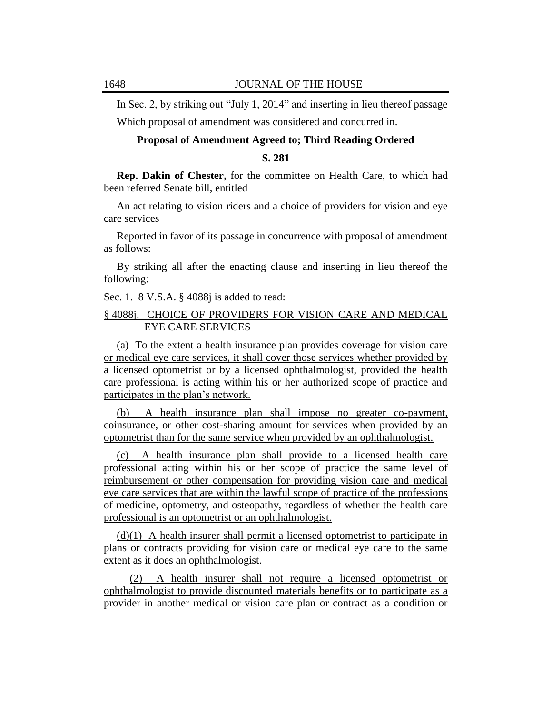In Sec. 2, by striking out "July 1, 2014" and inserting in lieu thereof passage

Which proposal of amendment was considered and concurred in.

# **Proposal of Amendment Agreed to; Third Reading Ordered**

#### **S. 281**

**Rep. Dakin of Chester,** for the committee on Health Care, to which had been referred Senate bill, entitled

An act relating to vision riders and a choice of providers for vision and eye care services

Reported in favor of its passage in concurrence with proposal of amendment as follows:

By striking all after the enacting clause and inserting in lieu thereof the following:

Sec. 1. 8 V.S.A. § 4088j is added to read:

# § 4088j. CHOICE OF PROVIDERS FOR VISION CARE AND MEDICAL EYE CARE SERVICES

(a) To the extent a health insurance plan provides coverage for vision care or medical eye care services, it shall cover those services whether provided by a licensed optometrist or by a licensed ophthalmologist, provided the health care professional is acting within his or her authorized scope of practice and participates in the plan's network.

(b) A health insurance plan shall impose no greater co-payment, coinsurance, or other cost-sharing amount for services when provided by an optometrist than for the same service when provided by an ophthalmologist.

(c) A health insurance plan shall provide to a licensed health care professional acting within his or her scope of practice the same level of reimbursement or other compensation for providing vision care and medical eye care services that are within the lawful scope of practice of the professions of medicine, optometry, and osteopathy, regardless of whether the health care professional is an optometrist or an ophthalmologist.

(d)(1) A health insurer shall permit a licensed optometrist to participate in plans or contracts providing for vision care or medical eye care to the same extent as it does an ophthalmologist.

(2) A health insurer shall not require a licensed optometrist or ophthalmologist to provide discounted materials benefits or to participate as a provider in another medical or vision care plan or contract as a condition or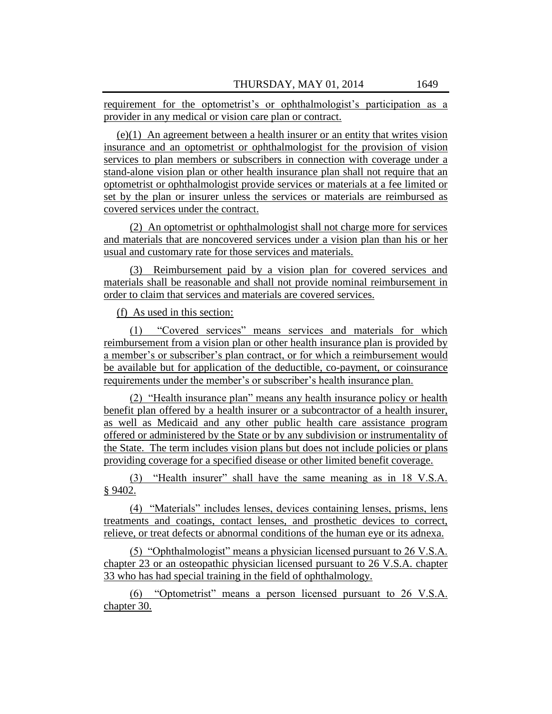requirement for the optometrist's or ophthalmologist's participation as a provider in any medical or vision care plan or contract.

(e)(1) An agreement between a health insurer or an entity that writes vision insurance and an optometrist or ophthalmologist for the provision of vision services to plan members or subscribers in connection with coverage under a stand-alone vision plan or other health insurance plan shall not require that an optometrist or ophthalmologist provide services or materials at a fee limited or set by the plan or insurer unless the services or materials are reimbursed as covered services under the contract.

(2) An optometrist or ophthalmologist shall not charge more for services and materials that are noncovered services under a vision plan than his or her usual and customary rate for those services and materials.

(3) Reimbursement paid by a vision plan for covered services and materials shall be reasonable and shall not provide nominal reimbursement in order to claim that services and materials are covered services.

(f) As used in this section:

(1) ―Covered services‖ means services and materials for which reimbursement from a vision plan or other health insurance plan is provided by a member's or subscriber's plan contract, or for which a reimbursement would be available but for application of the deductible, co-payment, or coinsurance requirements under the member's or subscriber's health insurance plan.

(2) "Health insurance plan" means any health insurance policy or health benefit plan offered by a health insurer or a subcontractor of a health insurer, as well as Medicaid and any other public health care assistance program offered or administered by the State or by any subdivision or instrumentality of the State. The term includes vision plans but does not include policies or plans providing coverage for a specified disease or other limited benefit coverage.

(3) "Health insurer" shall have the same meaning as in 18 V.S.A. § 9402.

(4) 
"Materials" includes lenses, devices containing lenses, prisms, lens treatments and coatings, contact lenses, and prosthetic devices to correct, relieve, or treat defects or abnormal conditions of the human eye or its adnexa.

(5) "Ophthalmologist" means a physician licensed pursuant to  $26$  V.S.A. chapter 23 or an osteopathic physician licensed pursuant to 26 V.S.A. chapter 33 who has had special training in the field of ophthalmology.

 $(6)$  "Optometrist" means a person licensed pursuant to 26 V.S.A. chapter 30.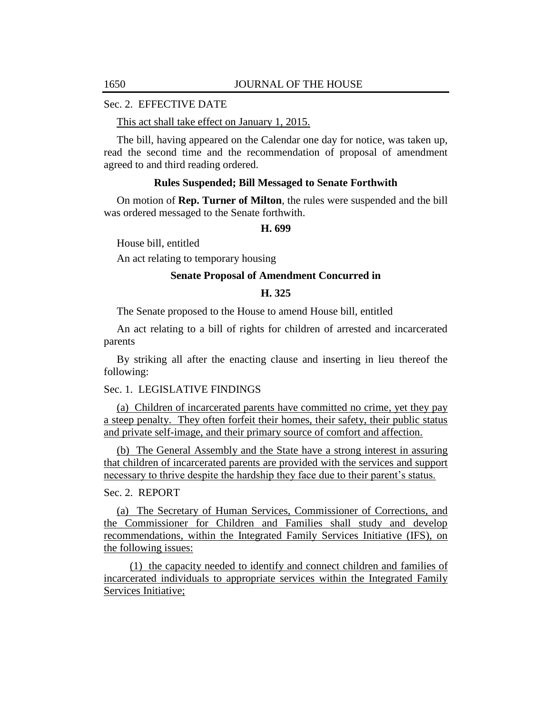# Sec. 2. EFFECTIVE DATE

### This act shall take effect on January 1, 2015.

The bill, having appeared on the Calendar one day for notice, was taken up, read the second time and the recommendation of proposal of amendment agreed to and third reading ordered.

#### **Rules Suspended; Bill Messaged to Senate Forthwith**

On motion of **Rep. Turner of Milton**, the rules were suspended and the bill was ordered messaged to the Senate forthwith.

#### **H. 699**

House bill, entitled

An act relating to temporary housing

# **Senate Proposal of Amendment Concurred in**

# **H. 325**

The Senate proposed to the House to amend House bill, entitled

An act relating to a bill of rights for children of arrested and incarcerated parents

By striking all after the enacting clause and inserting in lieu thereof the following:

# Sec. 1. LEGISLATIVE FINDINGS

(a) Children of incarcerated parents have committed no crime, yet they pay a steep penalty. They often forfeit their homes, their safety, their public status and private self-image, and their primary source of comfort and affection.

(b) The General Assembly and the State have a strong interest in assuring that children of incarcerated parents are provided with the services and support necessary to thrive despite the hardship they face due to their parent's status.

# Sec. 2. REPORT

(a) The Secretary of Human Services, Commissioner of Corrections, and the Commissioner for Children and Families shall study and develop recommendations, within the Integrated Family Services Initiative (IFS), on the following issues:

(1) the capacity needed to identify and connect children and families of incarcerated individuals to appropriate services within the Integrated Family Services Initiative;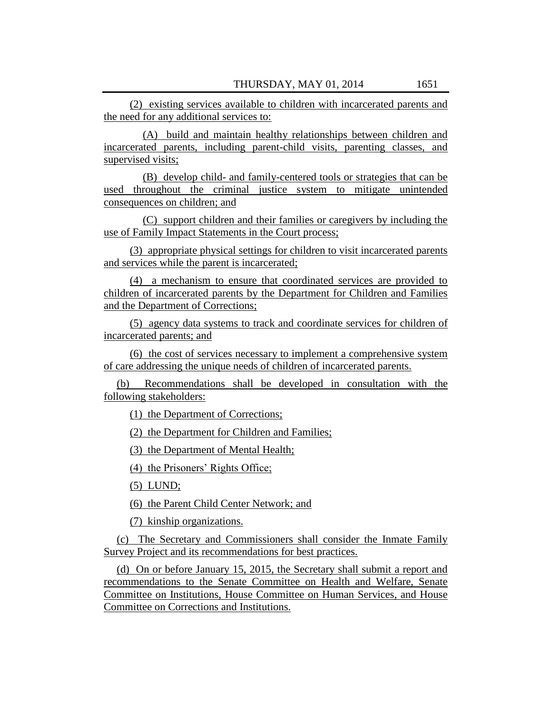(2) existing services available to children with incarcerated parents and the need for any additional services to:

(A) build and maintain healthy relationships between children and incarcerated parents, including parent-child visits, parenting classes, and supervised visits;

(B) develop child- and family-centered tools or strategies that can be used throughout the criminal justice system to mitigate unintended consequences on children; and

(C) support children and their families or caregivers by including the use of Family Impact Statements in the Court process;

(3) appropriate physical settings for children to visit incarcerated parents and services while the parent is incarcerated;

(4) a mechanism to ensure that coordinated services are provided to children of incarcerated parents by the Department for Children and Families and the Department of Corrections;

(5) agency data systems to track and coordinate services for children of incarcerated parents; and

(6) the cost of services necessary to implement a comprehensive system of care addressing the unique needs of children of incarcerated parents.

(b) Recommendations shall be developed in consultation with the following stakeholders:

(1) the Department of Corrections;

(2) the Department for Children and Families;

(3) the Department of Mental Health;

(4) the Prisoners' Rights Office;

(5) LUND;

(6) the Parent Child Center Network; and

(7) kinship organizations.

(c) The Secretary and Commissioners shall consider the Inmate Family Survey Project and its recommendations for best practices.

(d) On or before January 15, 2015, the Secretary shall submit a report and recommendations to the Senate Committee on Health and Welfare, Senate Committee on Institutions, House Committee on Human Services, and House Committee on Corrections and Institutions.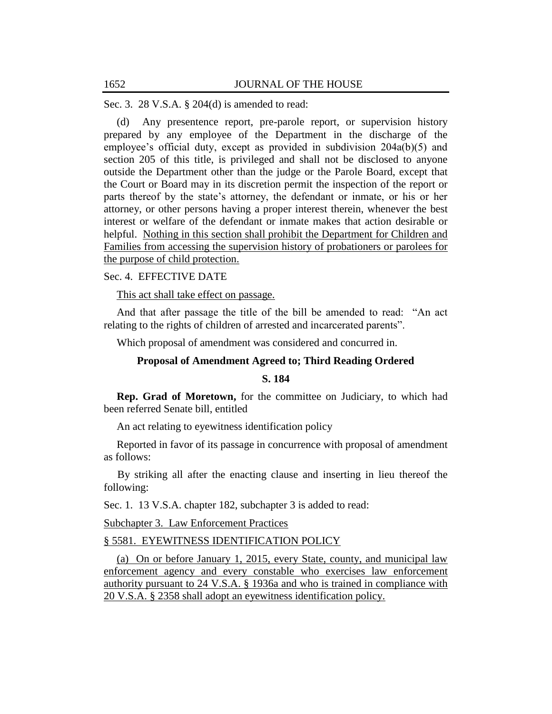Sec. 3. 28 V.S.A. § 204(d) is amended to read:

(d) Any presentence report, pre-parole report, or supervision history prepared by any employee of the Department in the discharge of the employee's official duty, except as provided in subdivision 204a(b)(5) and section 205 of this title, is privileged and shall not be disclosed to anyone outside the Department other than the judge or the Parole Board, except that the Court or Board may in its discretion permit the inspection of the report or parts thereof by the state's attorney, the defendant or inmate, or his or her attorney, or other persons having a proper interest therein, whenever the best interest or welfare of the defendant or inmate makes that action desirable or helpful. Nothing in this section shall prohibit the Department for Children and Families from accessing the supervision history of probationers or parolees for the purpose of child protection.

#### Sec. 4. EFFECTIVE DATE

This act shall take effect on passage.

And that after passage the title of the bill be amended to read: "An act relating to the rights of children of arrested and incarcerated parents".

Which proposal of amendment was considered and concurred in.

### **Proposal of Amendment Agreed to; Third Reading Ordered**

#### **S. 184**

**Rep. Grad of Moretown,** for the committee on Judiciary, to which had been referred Senate bill, entitled

An act relating to eyewitness identification policy

Reported in favor of its passage in concurrence with proposal of amendment as follows:

 By striking all after the enacting clause and inserting in lieu thereof the following:

Sec. 1. 13 V.S.A. chapter 182, subchapter 3 is added to read:

Subchapter 3. Law Enforcement Practices

#### § 5581. EYEWITNESS IDENTIFICATION POLICY

(a) On or before January 1, 2015, every State, county, and municipal law enforcement agency and every constable who exercises law enforcement authority pursuant to 24 V.S.A. § 1936a and who is trained in compliance with 20 V.S.A. § 2358 shall adopt an eyewitness identification policy.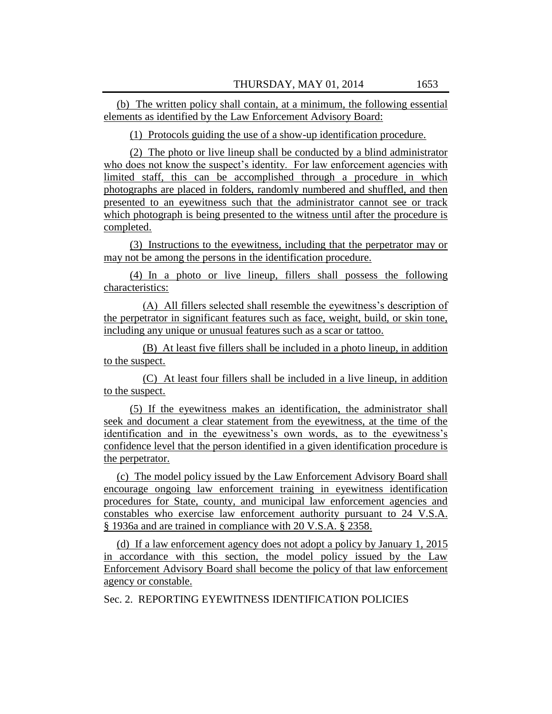(b) The written policy shall contain, at a minimum, the following essential elements as identified by the Law Enforcement Advisory Board:

(1) Protocols guiding the use of a show-up identification procedure.

(2) The photo or live lineup shall be conducted by a blind administrator who does not know the suspect's identity. For law enforcement agencies with limited staff, this can be accomplished through a procedure in which photographs are placed in folders, randomly numbered and shuffled, and then presented to an eyewitness such that the administrator cannot see or track which photograph is being presented to the witness until after the procedure is completed.

(3) Instructions to the eyewitness, including that the perpetrator may or may not be among the persons in the identification procedure.

(4) In a photo or live lineup, fillers shall possess the following characteristics:

(A) All fillers selected shall resemble the eyewitness's description of the perpetrator in significant features such as face, weight, build, or skin tone, including any unique or unusual features such as a scar or tattoo.

(B) At least five fillers shall be included in a photo lineup, in addition to the suspect.

(C) At least four fillers shall be included in a live lineup, in addition to the suspect.

(5) If the eyewitness makes an identification, the administrator shall seek and document a clear statement from the eyewitness, at the time of the identification and in the eyewitness's own words, as to the eyewitness's confidence level that the person identified in a given identification procedure is the perpetrator.

(c) The model policy issued by the Law Enforcement Advisory Board shall encourage ongoing law enforcement training in eyewitness identification procedures for State, county, and municipal law enforcement agencies and constables who exercise law enforcement authority pursuant to 24 V.S.A. § 1936a and are trained in compliance with 20 V.S.A. § 2358.

(d) If a law enforcement agency does not adopt a policy by January 1, 2015 in accordance with this section, the model policy issued by the Law Enforcement Advisory Board shall become the policy of that law enforcement agency or constable.

Sec. 2. REPORTING EYEWITNESS IDENTIFICATION POLICIES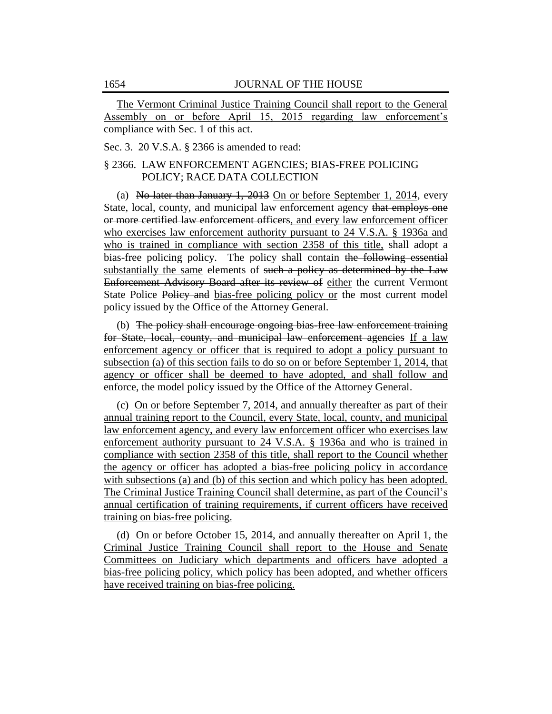The Vermont Criminal Justice Training Council shall report to the General Assembly on or before April 15, 2015 regarding law enforcement's compliance with Sec. 1 of this act.

Sec. 3. 20 V.S.A. § 2366 is amended to read:

# § 2366. LAW ENFORCEMENT AGENCIES; BIAS-FREE POLICING POLICY; RACE DATA COLLECTION

(a) No later than January 1, 2013 On or before September 1, 2014, every State, local, county, and municipal law enforcement agency that employs one or more certified law enforcement officers, and every law enforcement officer who exercises law enforcement authority pursuant to 24 V.S.A. § 1936a and who is trained in compliance with section 2358 of this title, shall adopt a bias-free policing policy. The policy shall contain the following essential substantially the same elements of such a policy as determined by the Law Enforcement Advisory Board after its review of either the current Vermont State Police Policy and bias-free policing policy or the most current model policy issued by the Office of the Attorney General.

(b) The policy shall encourage ongoing bias-free law enforcement training for State, local, county, and municipal law enforcement agencies If a law enforcement agency or officer that is required to adopt a policy pursuant to subsection (a) of this section fails to do so on or before September 1, 2014, that agency or officer shall be deemed to have adopted, and shall follow and enforce, the model policy issued by the Office of the Attorney General.

(c) On or before September 7, 2014, and annually thereafter as part of their annual training report to the Council, every State, local, county, and municipal law enforcement agency, and every law enforcement officer who exercises law enforcement authority pursuant to 24 V.S.A. § 1936a and who is trained in compliance with section 2358 of this title, shall report to the Council whether the agency or officer has adopted a bias-free policing policy in accordance with subsections (a) and (b) of this section and which policy has been adopted. The Criminal Justice Training Council shall determine, as part of the Council's annual certification of training requirements, if current officers have received training on bias-free policing.

(d) On or before October 15, 2014, and annually thereafter on April 1, the Criminal Justice Training Council shall report to the House and Senate Committees on Judiciary which departments and officers have adopted a bias-free policing policy, which policy has been adopted, and whether officers have received training on bias-free policing.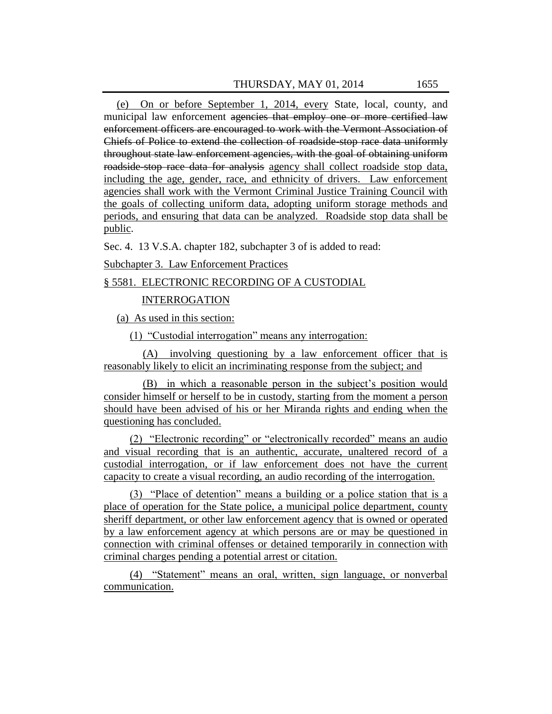(e) On or before September 1, 2014, every State, local, county, and municipal law enforcement agencies that employ one or more certified law enforcement officers are encouraged to work with the Vermont Association of Chiefs of Police to extend the collection of roadside-stop race data uniformly throughout state law enforcement agencies, with the goal of obtaining uniform roadside-stop race data for analysis agency shall collect roadside stop data, including the age, gender, race, and ethnicity of drivers. Law enforcement agencies shall work with the Vermont Criminal Justice Training Council with the goals of collecting uniform data, adopting uniform storage methods and periods, and ensuring that data can be analyzed. Roadside stop data shall be public.

Sec. 4. 13 V.S.A. chapter 182, subchapter 3 of is added to read:

Subchapter 3. Law Enforcement Practices

§ 5581. ELECTRONIC RECORDING OF A CUSTODIAL

#### INTERROGATION

(a) As used in this section:

 $(1)$  "Custodial interrogation" means any interrogation:

(A) involving questioning by a law enforcement officer that is reasonably likely to elicit an incriminating response from the subject; and

(B) in which a reasonable person in the subject's position would consider himself or herself to be in custody, starting from the moment a person should have been advised of his or her Miranda rights and ending when the questioning has concluded.

(2) "Electronic recording" or "electronically recorded" means an audio and visual recording that is an authentic, accurate, unaltered record of a custodial interrogation, or if law enforcement does not have the current capacity to create a visual recording, an audio recording of the interrogation.

(3) "Place of detention" means a building or a police station that is a place of operation for the State police, a municipal police department, county sheriff department, or other law enforcement agency that is owned or operated by a law enforcement agency at which persons are or may be questioned in connection with criminal offenses or detained temporarily in connection with criminal charges pending a potential arrest or citation.

(4) "Statement" means an oral, written, sign language, or nonverbal communication.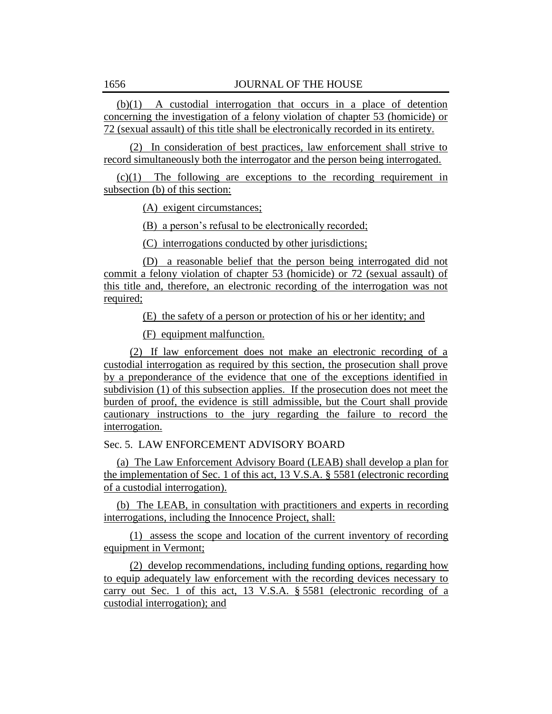(b)(1) A custodial interrogation that occurs in a place of detention concerning the investigation of a felony violation of chapter 53 (homicide) or 72 (sexual assault) of this title shall be electronically recorded in its entirety.

(2) In consideration of best practices, law enforcement shall strive to record simultaneously both the interrogator and the person being interrogated.

(c)(1) The following are exceptions to the recording requirement in subsection (b) of this section:

(A) exigent circumstances;

(B) a person's refusal to be electronically recorded;

(C) interrogations conducted by other jurisdictions;

(D) a reasonable belief that the person being interrogated did not commit a felony violation of chapter 53 (homicide) or 72 (sexual assault) of this title and, therefore, an electronic recording of the interrogation was not required;

(E) the safety of a person or protection of his or her identity; and

(F) equipment malfunction.

(2) If law enforcement does not make an electronic recording of a custodial interrogation as required by this section, the prosecution shall prove by a preponderance of the evidence that one of the exceptions identified in subdivision (1) of this subsection applies. If the prosecution does not meet the burden of proof, the evidence is still admissible, but the Court shall provide cautionary instructions to the jury regarding the failure to record the interrogation.

Sec. 5. LAW ENFORCEMENT ADVISORY BOARD

(a) The Law Enforcement Advisory Board (LEAB) shall develop a plan for the implementation of Sec. 1 of this act, 13 V.S.A. § 5581 (electronic recording of a custodial interrogation).

(b) The LEAB, in consultation with practitioners and experts in recording interrogations, including the Innocence Project, shall:

(1) assess the scope and location of the current inventory of recording equipment in Vermont;

(2) develop recommendations, including funding options, regarding how to equip adequately law enforcement with the recording devices necessary to carry out Sec. 1 of this act, 13 V.S.A. § 5581 (electronic recording of a custodial interrogation); and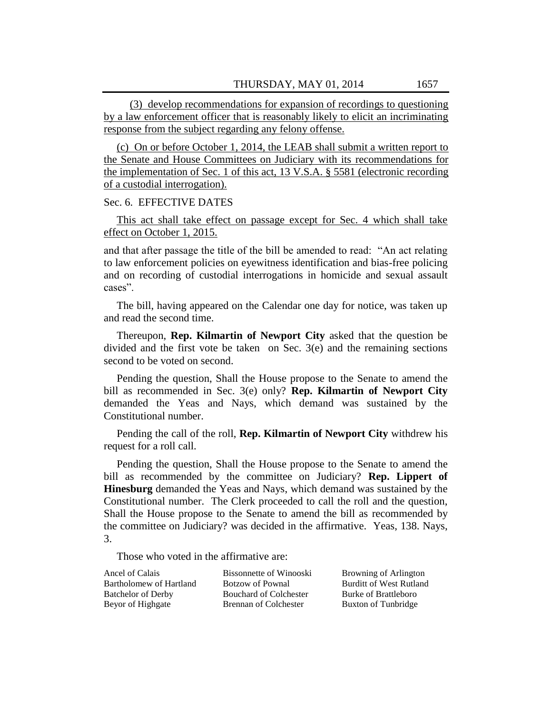(3) develop recommendations for expansion of recordings to questioning by a law enforcement officer that is reasonably likely to elicit an incriminating response from the subject regarding any felony offense.

(c) On or before October 1, 2014, the LEAB shall submit a written report to the Senate and House Committees on Judiciary with its recommendations for the implementation of Sec. 1 of this act, 13 V.S.A. § 5581 (electronic recording of a custodial interrogation).

#### Sec. 6. EFFECTIVE DATES

This act shall take effect on passage except for Sec. 4 which shall take effect on October 1, 2015.

and that after passage the title of the bill be amended to read: "An act relating to law enforcement policies on eyewitness identification and bias-free policing and on recording of custodial interrogations in homicide and sexual assault cases".

The bill, having appeared on the Calendar one day for notice, was taken up and read the second time.

Thereupon, **Rep. Kilmartin of Newport City** asked that the question be divided and the first vote be taken on Sec. 3(e) and the remaining sections second to be voted on second.

Pending the question, Shall the House propose to the Senate to amend the bill as recommended in Sec. 3(e) only? **Rep. Kilmartin of Newport City** demanded the Yeas and Nays, which demand was sustained by the Constitutional number.

Pending the call of the roll, **Rep. Kilmartin of Newport City** withdrew his request for a roll call.

Pending the question, Shall the House propose to the Senate to amend the bill as recommended by the committee on Judiciary? **Rep. Lippert of Hinesburg** demanded the Yeas and Nays, which demand was sustained by the Constitutional number. The Clerk proceeded to call the roll and the question, Shall the House propose to the Senate to amend the bill as recommended by the committee on Judiciary? was decided in the affirmative. Yeas, 138. Nays, 3.

Those who voted in the affirmative are:

Ancel of Calais Bartholomew of Hartland Batchelor of Derby Beyor of Highgate

Bissonnette of Winooski Botzow of Pownal Bouchard of Colchester Brennan of Colchester

Browning of Arlington Burditt of West Rutland Burke of Brattleboro Buxton of Tunbridge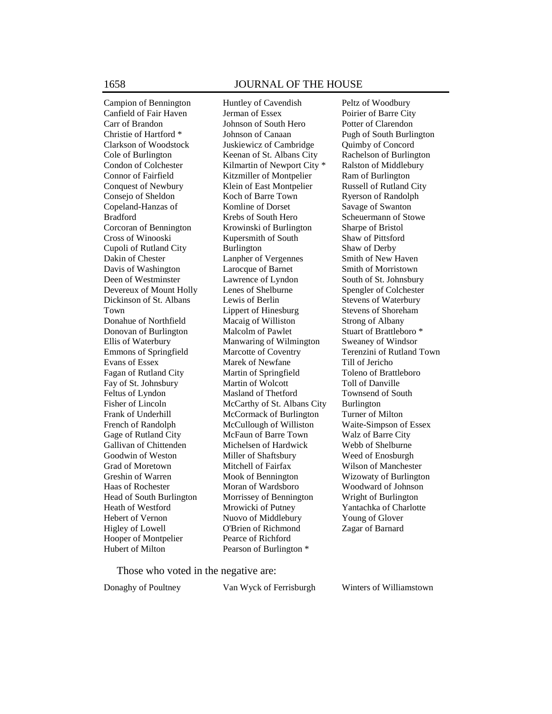Campion of Bennington Canfield of Fair Haven Carr of Brandon Christie of Hartford \* Clarkson of Woodstock Cole of Burlington Condon of Colchester Connor of Fairfield Conquest of Newbury Consejo of Sheldon Copeland-Hanzas of Bradford Corcoran of Bennington Cross of Winooski Cupoli of Rutland City Dakin of Chester Davis of Washington Deen of Westminster Devereux of Mount Holly Dickinson of St. Albans Town Donahue of Northfield Donovan of Burlington Ellis of Waterbury Emmons of Springfield Evans of Essex Fagan of Rutland City Fay of St. Johnsbury Feltus of Lyndon Fisher of Lincoln Frank of Underhill French of Randolph Gage of Rutland City Gallivan of Chittenden Goodwin of Weston Grad of Moretown Greshin of Warren Haas of Rochester Head of South Burlington Heath of Westford Hebert of Vernon Higley of Lowell Hooper of Montpelier Hubert of Milton

Huntley of Cavendish Jerman of Essex Johnson of South Hero Johnson of Canaan Juskiewicz of Cambridge Keenan of St. Albans City Kilmartin of Newport City \* Kitzmiller of Montpelier Klein of East Montpelier Koch of Barre Town Komline of Dorset Krebs of South Hero Krowinski of Burlington Kupersmith of South Burlington Lanpher of Vergennes Larocque of Barnet Lawrence of Lyndon Lenes of Shelburne Lewis of Berlin Lippert of Hinesburg Macaig of Williston Malcolm of Pawlet Manwaring of Wilmington Marcotte of Coventry Marek of Newfane Martin of Springfield Martin of Wolcott Masland of Thetford McCarthy of St. Albans City McCormack of Burlington McCullough of Williston McFaun of Barre Town Michelsen of Hardwick Miller of Shaftsbury Mitchell of Fairfax Mook of Bennington Moran of Wardsboro Morrissey of Bennington Mrowicki of Putney Nuovo of Middlebury O'Brien of Richmond Pearce of Richford Pearson of Burlington \*

Peltz of Woodbury Poirier of Barre City Potter of Clarendon Pugh of South Burlington Quimby of Concord Rachelson of Burlington Ralston of Middlebury Ram of Burlington Russell of Rutland City Ryerson of Randolph Savage of Swanton Scheuermann of Stowe Sharpe of Bristol Shaw of Pittsford Shaw of Derby Smith of New Haven Smith of Morristown South of St. Johnsbury Spengler of Colchester Stevens of Waterbury Stevens of Shoreham Strong of Albany Stuart of Brattleboro \* Sweaney of Windsor Terenzini of Rutland Town Till of Jericho Toleno of Brattleboro Toll of Danville Townsend of South Burlington Turner of Milton Waite-Simpson of Essex Walz of Barre City Webb of Shelburne Weed of Enosburgh Wilson of Manchester Wizowaty of Burlington Woodward of Johnson Wright of Burlington Yantachka of Charlotte Young of Glover Zagar of Barnard

Those who voted in the negative are:

Donaghy of Poultney Van Wyck of Ferrisburgh Winters of Williamstown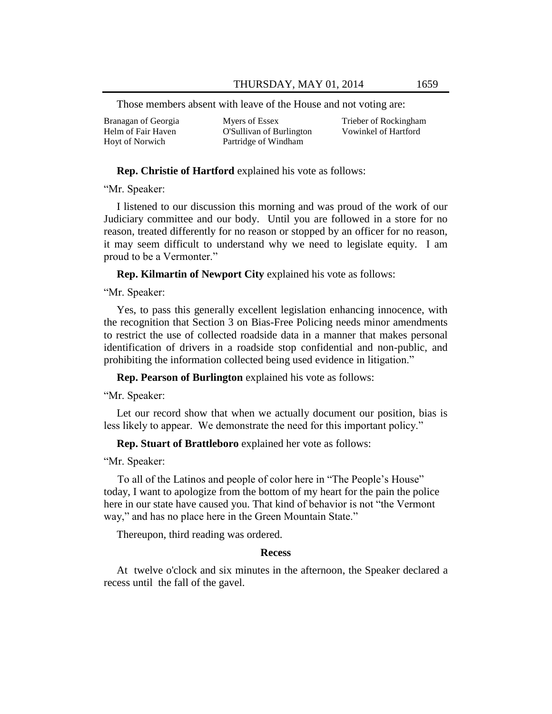Those members absent with leave of the House and not voting are:

| Branagan of Georgia    | Myers of Essex           | Trieber of Rockingham |
|------------------------|--------------------------|-----------------------|
| Helm of Fair Haven     | O'Sullivan of Burlington | Vowinkel of Hartford  |
| <b>Hove of Norwich</b> | Partridge of Windham     |                       |

#### **Rep. Christie of Hartford** explained his vote as follows:

―Mr. Speaker:

I listened to our discussion this morning and was proud of the work of our Judiciary committee and our body. Until you are followed in a store for no reason, treated differently for no reason or stopped by an officer for no reason, it may seem difficult to understand why we need to legislate equity. I am proud to be a Vermonter."

**Rep. Kilmartin of Newport City** explained his vote as follows:

―Mr. Speaker:

Yes, to pass this generally excellent legislation enhancing innocence, with the recognition that Section 3 on Bias-Free Policing needs minor amendments to restrict the use of collected roadside data in a manner that makes personal identification of drivers in a roadside stop confidential and non-public, and prohibiting the information collected being used evidence in litigation."

**Rep. Pearson of Burlington** explained his vote as follows:

―Mr. Speaker:

Let our record show that when we actually document our position, bias is less likely to appear. We demonstrate the need for this important policy."

**Rep. Stuart of Brattleboro** explained her vote as follows:

―Mr. Speaker:

To all of the Latinos and people of color here in "The People's House" today, I want to apologize from the bottom of my heart for the pain the police here in our state have caused you. That kind of behavior is not "the Vermont" way," and has no place here in the Green Mountain State."

Thereupon, third reading was ordered.

#### **Recess**

At twelve o'clock and six minutes in the afternoon, the Speaker declared a recess until the fall of the gavel.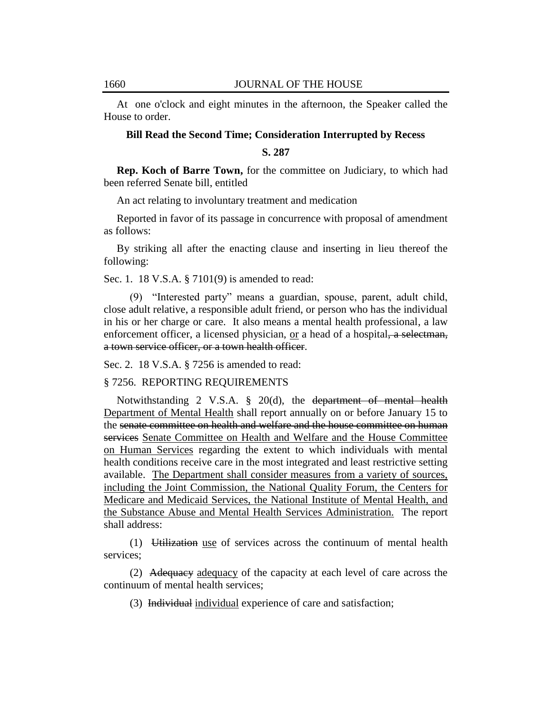At one o'clock and eight minutes in the afternoon, the Speaker called the House to order.

#### **Bill Read the Second Time; Consideration Interrupted by Recess**

#### **S. 287**

**Rep. Koch of Barre Town,** for the committee on Judiciary, to which had been referred Senate bill, entitled

An act relating to involuntary treatment and medication

Reported in favor of its passage in concurrence with proposal of amendment as follows:

By striking all after the enacting clause and inserting in lieu thereof the following:

Sec. 1. 18 V.S.A. § 7101(9) is amended to read:

(9) "Interested party" means a guardian, spouse, parent, adult child, close adult relative, a responsible adult friend, or person who has the individual in his or her charge or care. It also means a mental health professional, a law enforcement officer, a licensed physician, or a head of a hospital, a selectman, a town service officer, or a town health officer.

Sec. 2. 18 V.S.A. § 7256 is amended to read:

#### § 7256. REPORTING REQUIREMENTS

Notwithstanding 2 V.S.A. § 20(d), the department of mental health Department of Mental Health shall report annually on or before January 15 to the senate committee on health and welfare and the house committee on human services Senate Committee on Health and Welfare and the House Committee on Human Services regarding the extent to which individuals with mental health conditions receive care in the most integrated and least restrictive setting available. The Department shall consider measures from a variety of sources, including the Joint Commission, the National Quality Forum, the Centers for Medicare and Medicaid Services, the National Institute of Mental Health, and the Substance Abuse and Mental Health Services Administration. The report shall address:

(1) Utilization use of services across the continuum of mental health services;

(2) Adequacy adequacy of the capacity at each level of care across the continuum of mental health services;

(3) Individual individual experience of care and satisfaction;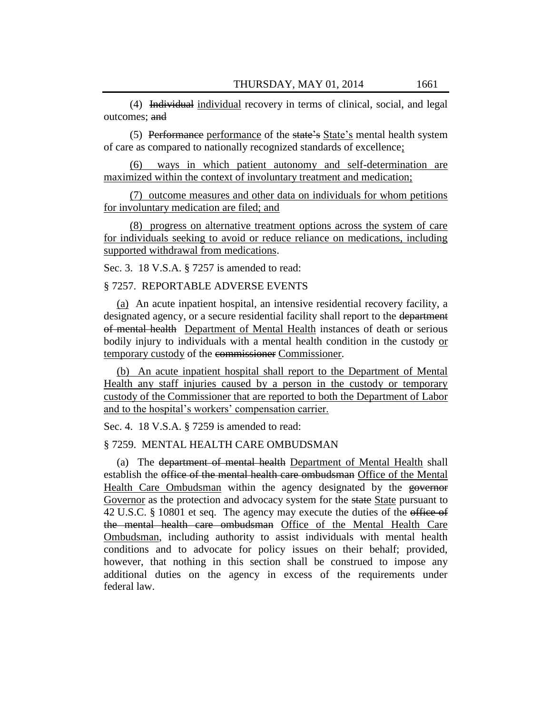(4) Individual individual recovery in terms of clinical, social, and legal outcomes; and

(5) Performance performance of the state's State's mental health system of care as compared to nationally recognized standards of excellence;

ways in which patient autonomy and self-determination are maximized within the context of involuntary treatment and medication;

(7) outcome measures and other data on individuals for whom petitions for involuntary medication are filed; and

(8) progress on alternative treatment options across the system of care for individuals seeking to avoid or reduce reliance on medications, including supported withdrawal from medications.

Sec. 3. 18 V.S.A. § 7257 is amended to read:

§ 7257. REPORTABLE ADVERSE EVENTS

(a) An acute inpatient hospital, an intensive residential recovery facility, a designated agency, or a secure residential facility shall report to the department of mental health Department of Mental Health instances of death or serious bodily injury to individuals with a mental health condition in the custody or temporary custody of the commissioner Commissioner.

(b) An acute inpatient hospital shall report to the Department of Mental Health any staff injuries caused by a person in the custody or temporary custody of the Commissioner that are reported to both the Department of Labor and to the hospital's workers' compensation carrier.

Sec. 4. 18 V.S.A. § 7259 is amended to read:

#### § 7259. MENTAL HEALTH CARE OMBUDSMAN

(a) The department of mental health Department of Mental Health shall establish the office of the mental health care ombudsman Office of the Mental Health Care Ombudsman within the agency designated by the governor Governor as the protection and advocacy system for the state State pursuant to 42 U.S.C. § 10801 et seq. The agency may execute the duties of the office of the mental health care ombudsman Office of the Mental Health Care Ombudsman, including authority to assist individuals with mental health conditions and to advocate for policy issues on their behalf; provided, however, that nothing in this section shall be construed to impose any additional duties on the agency in excess of the requirements under federal law.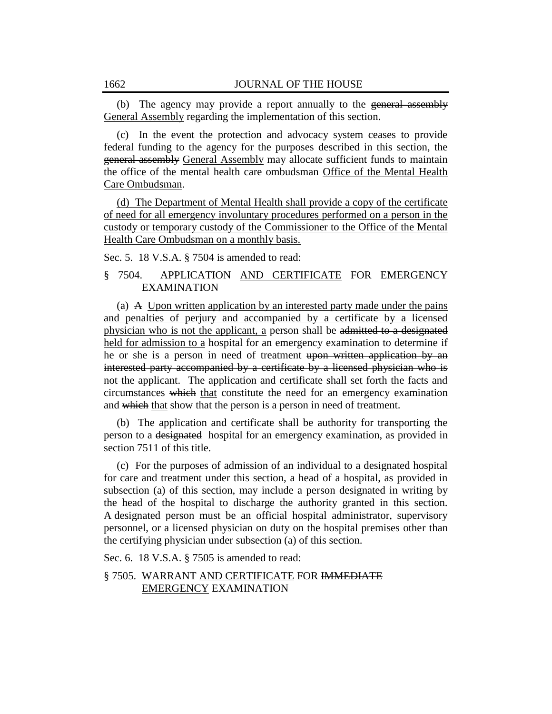(b) The agency may provide a report annually to the general assembly General Assembly regarding the implementation of this section.

(c) In the event the protection and advocacy system ceases to provide federal funding to the agency for the purposes described in this section, the general assembly General Assembly may allocate sufficient funds to maintain the office of the mental health care ombudsman Office of the Mental Health Care Ombudsman.

(d) The Department of Mental Health shall provide a copy of the certificate of need for all emergency involuntary procedures performed on a person in the custody or temporary custody of the Commissioner to the Office of the Mental Health Care Ombudsman on a monthly basis.

Sec. 5. 18 V.S.A. § 7504 is amended to read:

# § 7504. APPLICATION AND CERTIFICATE FOR EMERGENCY EXAMINATION

(a) A Upon written application by an interested party made under the pains and penalties of perjury and accompanied by a certificate by a licensed physician who is not the applicant, a person shall be admitted to a designated held for admission to a hospital for an emergency examination to determine if he or she is a person in need of treatment upon written application by an interested party accompanied by a certificate by a licensed physician who is not the applicant. The application and certificate shall set forth the facts and circumstances which that constitute the need for an emergency examination and which that show that the person is a person in need of treatment.

(b) The application and certificate shall be authority for transporting the person to a designated hospital for an emergency examination, as provided in section 7511 of this title.

(c) For the purposes of admission of an individual to a designated hospital for care and treatment under this section, a head of a hospital, as provided in subsection (a) of this section, may include a person designated in writing by the head of the hospital to discharge the authority granted in this section. A designated person must be an official hospital administrator, supervisory personnel, or a licensed physician on duty on the hospital premises other than the certifying physician under subsection (a) of this section.

Sec. 6. 18 V.S.A. § 7505 is amended to read:

# § 7505. WARRANT AND CERTIFICATE FOR IMMEDIATE EMERGENCY EXAMINATION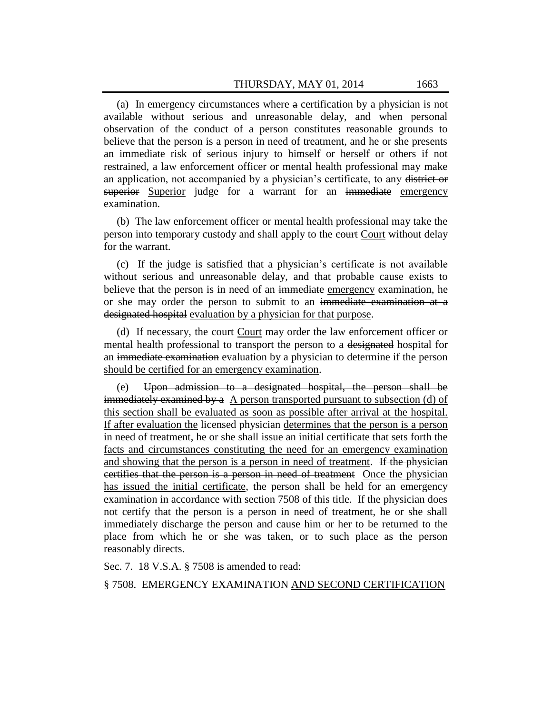(a) In emergency circumstances where a certification by a physician is not available without serious and unreasonable delay, and when personal observation of the conduct of a person constitutes reasonable grounds to believe that the person is a person in need of treatment, and he or she presents an immediate risk of serious injury to himself or herself or others if not restrained, a law enforcement officer or mental health professional may make an application, not accompanied by a physician's certificate, to any district or superior Superior judge for a warrant for an immediate emergency examination.

(b) The law enforcement officer or mental health professional may take the person into temporary custody and shall apply to the equal Court without delay for the warrant.

(c) If the judge is satisfied that a physician's certificate is not available without serious and unreasonable delay, and that probable cause exists to believe that the person is in need of an immediate emergency examination, he or she may order the person to submit to an immediate examination at a designated hospital evaluation by a physician for that purpose.

(d) If necessary, the court Court may order the law enforcement officer or mental health professional to transport the person to a designated hospital for an immediate examination evaluation by a physician to determine if the person should be certified for an emergency examination.

(e) Upon admission to a designated hospital, the person shall be immediately examined by  $\alpha$  A person transported pursuant to subsection (d) of this section shall be evaluated as soon as possible after arrival at the hospital. If after evaluation the licensed physician determines that the person is a person in need of treatment, he or she shall issue an initial certificate that sets forth the facts and circumstances constituting the need for an emergency examination and showing that the person is a person in need of treatment. If the physician certifies that the person is a person in need of treatment Once the physician has issued the initial certificate, the person shall be held for an emergency examination in accordance with section 7508 of this title. If the physician does not certify that the person is a person in need of treatment, he or she shall immediately discharge the person and cause him or her to be returned to the place from which he or she was taken, or to such place as the person reasonably directs.

Sec. 7. 18 V.S.A. § 7508 is amended to read:

§ 7508. EMERGENCY EXAMINATION AND SECOND CERTIFICATION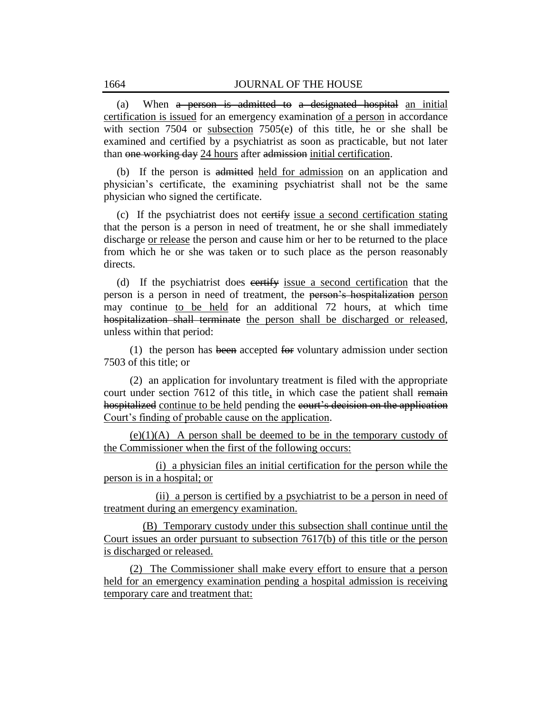(a) When a person is admitted to a designated hospital an initial certification is issued for an emergency examination of a person in accordance with section 7504 or subsection 7505(e) of this title, he or she shall be examined and certified by a psychiatrist as soon as practicable, but not later than one working day 24 hours after admission initial certification.

(b) If the person is admitted held for admission on an application and physician's certificate, the examining psychiatrist shall not be the same physician who signed the certificate.

(c) If the psychiatrist does not certify issue a second certification stating that the person is a person in need of treatment, he or she shall immediately discharge or release the person and cause him or her to be returned to the place from which he or she was taken or to such place as the person reasonably directs.

(d) If the psychiatrist does certify issue a second certification that the person is a person in need of treatment, the person's hospitalization person may continue to be held for an additional 72 hours, at which time hospitalization shall terminate the person shall be discharged or released, unless within that period:

(1) the person has been accepted for voluntary admission under section 7503 of this title; or

(2) an application for involuntary treatment is filed with the appropriate court under section 7612 of this title, in which case the patient shall remain hospitalized continue to be held pending the court's decision on the application Court's finding of probable cause on the application.

 $(e)(1)(A)$  A person shall be deemed to be in the temporary custody of the Commissioner when the first of the following occurs:

(i) a physician files an initial certification for the person while the person is in a hospital; or

(ii) a person is certified by a psychiatrist to be a person in need of treatment during an emergency examination.

(B) Temporary custody under this subsection shall continue until the Court issues an order pursuant to subsection 7617(b) of this title or the person is discharged or released.

(2) The Commissioner shall make every effort to ensure that a person held for an emergency examination pending a hospital admission is receiving temporary care and treatment that: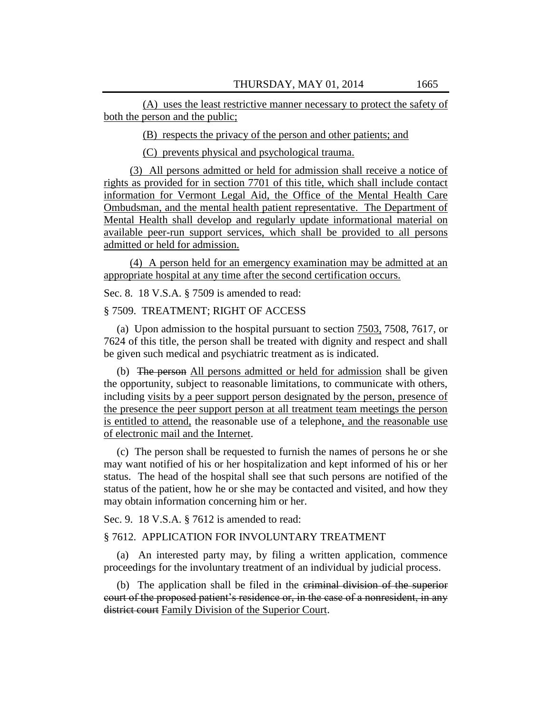(A) uses the least restrictive manner necessary to protect the safety of both the person and the public;

(B) respects the privacy of the person and other patients; and

(C) prevents physical and psychological trauma.

(3) All persons admitted or held for admission shall receive a notice of rights as provided for in section 7701 of this title, which shall include contact information for Vermont Legal Aid, the Office of the Mental Health Care Ombudsman, and the mental health patient representative. The Department of Mental Health shall develop and regularly update informational material on available peer-run support services, which shall be provided to all persons admitted or held for admission.

(4) A person held for an emergency examination may be admitted at an appropriate hospital at any time after the second certification occurs.

Sec. 8. 18 V.S.A. § 7509 is amended to read:

#### § 7509. TREATMENT; RIGHT OF ACCESS

(a) Upon admission to the hospital pursuant to section  $7503$ ,  $7508$ ,  $7617$ , or 7624 of this title, the person shall be treated with dignity and respect and shall be given such medical and psychiatric treatment as is indicated.

(b) The person All persons admitted or held for admission shall be given the opportunity, subject to reasonable limitations, to communicate with others, including visits by a peer support person designated by the person, presence of the presence the peer support person at all treatment team meetings the person is entitled to attend, the reasonable use of a telephone, and the reasonable use of electronic mail and the Internet.

(c) The person shall be requested to furnish the names of persons he or she may want notified of his or her hospitalization and kept informed of his or her status. The head of the hospital shall see that such persons are notified of the status of the patient, how he or she may be contacted and visited, and how they may obtain information concerning him or her.

Sec. 9. 18 V.S.A. § 7612 is amended to read:

# § 7612. APPLICATION FOR INVOLUNTARY TREATMENT

(a) An interested party may, by filing a written application, commence proceedings for the involuntary treatment of an individual by judicial process.

(b) The application shall be filed in the criminal division of the superior court of the proposed patient's residence or, in the case of a nonresident, in any district court Family Division of the Superior Court.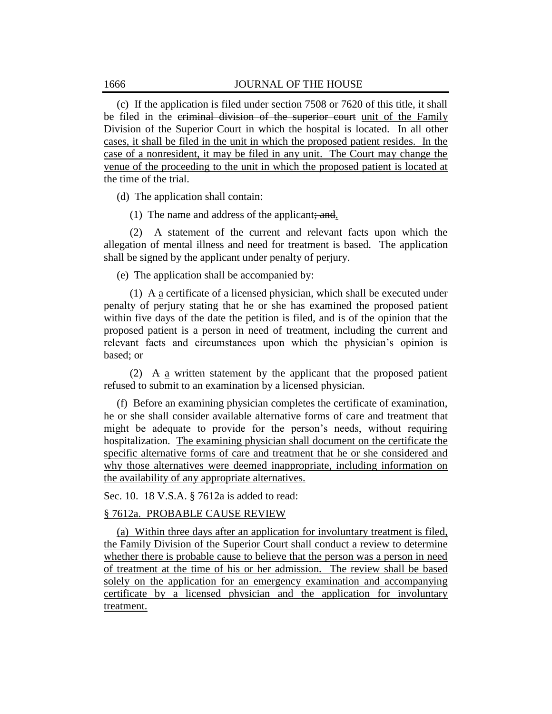(c) If the application is filed under section 7508 or 7620 of this title, it shall be filed in the criminal division of the superior court unit of the Family Division of the Superior Court in which the hospital is located. In all other cases, it shall be filed in the unit in which the proposed patient resides. In the case of a nonresident, it may be filed in any unit. The Court may change the venue of the proceeding to the unit in which the proposed patient is located at the time of the trial.

(d) The application shall contain:

(1) The name and address of the applicant; and.

(2) A statement of the current and relevant facts upon which the allegation of mental illness and need for treatment is based. The application shall be signed by the applicant under penalty of perjury.

(e) The application shall be accompanied by:

(1) A a certificate of a licensed physician, which shall be executed under penalty of perjury stating that he or she has examined the proposed patient within five days of the date the petition is filed, and is of the opinion that the proposed patient is a person in need of treatment, including the current and relevant facts and circumstances upon which the physician's opinion is based; or

(2) A a written statement by the applicant that the proposed patient refused to submit to an examination by a licensed physician.

(f) Before an examining physician completes the certificate of examination, he or she shall consider available alternative forms of care and treatment that might be adequate to provide for the person's needs, without requiring hospitalization. The examining physician shall document on the certificate the specific alternative forms of care and treatment that he or she considered and why those alternatives were deemed inappropriate, including information on the availability of any appropriate alternatives.

Sec. 10. 18 V.S.A. § 7612a is added to read:

#### § 7612a. PROBABLE CAUSE REVIEW

(a) Within three days after an application for involuntary treatment is filed, the Family Division of the Superior Court shall conduct a review to determine whether there is probable cause to believe that the person was a person in need of treatment at the time of his or her admission. The review shall be based solely on the application for an emergency examination and accompanying certificate by a licensed physician and the application for involuntary treatment.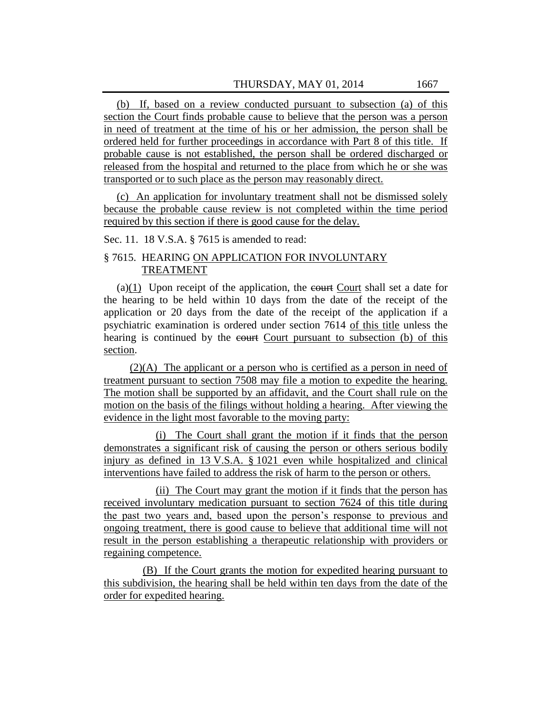(b) If, based on a review conducted pursuant to subsection (a) of this section the Court finds probable cause to believe that the person was a person in need of treatment at the time of his or her admission, the person shall be ordered held for further proceedings in accordance with Part 8 of this title. If probable cause is not established, the person shall be ordered discharged or released from the hospital and returned to the place from which he or she was transported or to such place as the person may reasonably direct.

(c) An application for involuntary treatment shall not be dismissed solely because the probable cause review is not completed within the time period required by this section if there is good cause for the delay.

Sec. 11. 18 V.S.A. § 7615 is amended to read:

# § 7615. HEARING ON APPLICATION FOR INVOLUNTARY TREATMENT

 $(a)(1)$  Upon receipt of the application, the essent Court shall set a date for the hearing to be held within 10 days from the date of the receipt of the application or 20 days from the date of the receipt of the application if a psychiatric examination is ordered under section 7614 of this title unless the hearing is continued by the court Court pursuant to subsection (b) of this section.

(2)(A) The applicant or a person who is certified as a person in need of treatment pursuant to section 7508 may file a motion to expedite the hearing. The motion shall be supported by an affidavit, and the Court shall rule on the motion on the basis of the filings without holding a hearing. After viewing the evidence in the light most favorable to the moving party:

(i) The Court shall grant the motion if it finds that the person demonstrates a significant risk of causing the person or others serious bodily injury as defined in 13 V.S.A. § 1021 even while hospitalized and clinical interventions have failed to address the risk of harm to the person or others.

(ii) The Court may grant the motion if it finds that the person has received involuntary medication pursuant to section 7624 of this title during the past two years and, based upon the person's response to previous and ongoing treatment, there is good cause to believe that additional time will not result in the person establishing a therapeutic relationship with providers or regaining competence.

(B) If the Court grants the motion for expedited hearing pursuant to this subdivision, the hearing shall be held within ten days from the date of the order for expedited hearing.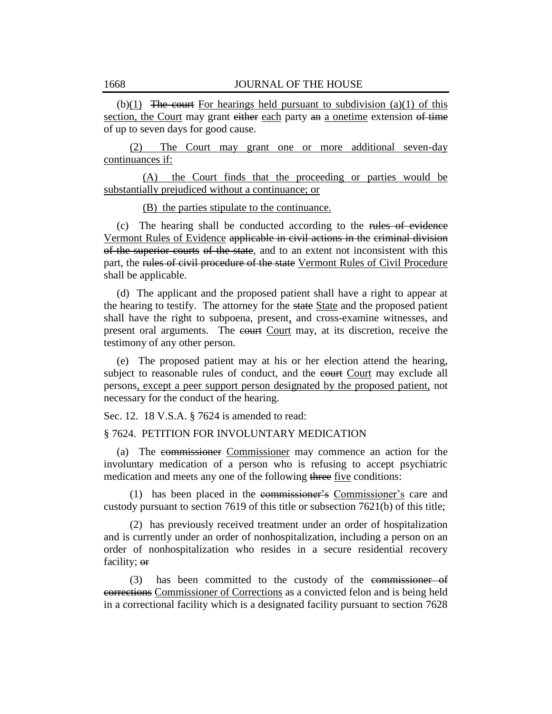(b)(1) The court For hearings held pursuant to subdivision (a)(1) of this section, the Court may grant either each party an a onetime extension of time of up to seven days for good cause.

(2) The Court may grant one or more additional seven-day continuances if:

(A) the Court finds that the proceeding or parties would be substantially prejudiced without a continuance; or

(B) the parties stipulate to the continuance.

(c) The hearing shall be conducted according to the rules of evidence Vermont Rules of Evidence applicable in civil actions in the criminal division of the superior courts of the state, and to an extent not inconsistent with this part, the rules of civil procedure of the state Vermont Rules of Civil Procedure shall be applicable.

(d) The applicant and the proposed patient shall have a right to appear at the hearing to testify. The attorney for the state State and the proposed patient shall have the right to subpoena, present, and cross-examine witnesses, and present oral arguments. The e<del>ourt</del> Court may, at its discretion, receive the testimony of any other person.

(e) The proposed patient may at his or her election attend the hearing, subject to reasonable rules of conduct, and the eourt Court may exclude all persons, except a peer support person designated by the proposed patient, not necessary for the conduct of the hearing.

Sec. 12. 18 V.S.A. § 7624 is amended to read:

#### § 7624. PETITION FOR INVOLUNTARY MEDICATION

(a) The commissioner Commissioner may commence an action for the involuntary medication of a person who is refusing to accept psychiatric medication and meets any one of the following three five conditions:

(1) has been placed in the commissioner's Commissioner's care and custody pursuant to section 7619 of this title or subsection 7621(b) of this title;

(2) has previously received treatment under an order of hospitalization and is currently under an order of nonhospitalization, including a person on an order of nonhospitalization who resides in a secure residential recovery facility; or

(3) has been committed to the custody of the commissioner of corrections Commissioner of Corrections as a convicted felon and is being held in a correctional facility which is a designated facility pursuant to section 7628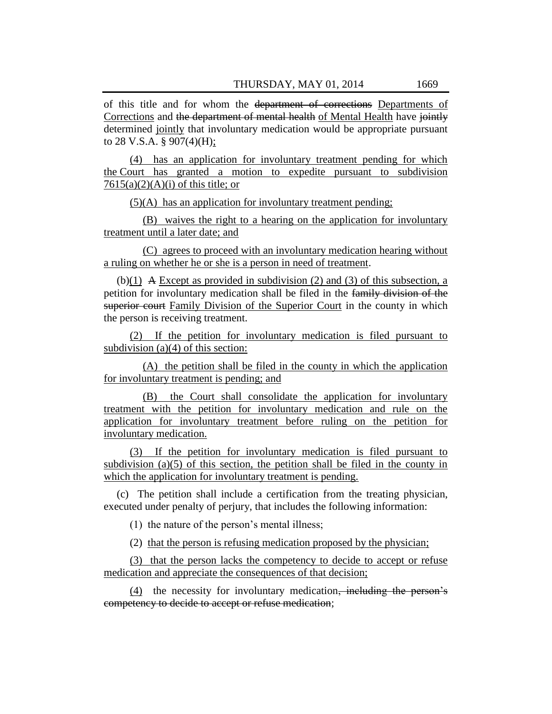of this title and for whom the department of corrections Departments of Corrections and the department of mental health of Mental Health have jointly determined jointly that involuntary medication would be appropriate pursuant to 28 V.S.A. § 907(4)(H);

(4) has an application for involuntary treatment pending for which the Court has granted a motion to expedite pursuant to subdivision  $7615(a)(2)(A)(i)$  of this title; or

(5)(A) has an application for involuntary treatment pending;

(B) waives the right to a hearing on the application for involuntary treatment until a later date; and

(C) agrees to proceed with an involuntary medication hearing without a ruling on whether he or she is a person in need of treatment.

 $(b)(1)$  A Except as provided in subdivision (2) and (3) of this subsection, a petition for involuntary medication shall be filed in the family division of the superior court Family Division of the Superior Court in the county in which the person is receiving treatment.

(2) If the petition for involuntary medication is filed pursuant to subdivision (a)(4) of this section:

(A) the petition shall be filed in the county in which the application for involuntary treatment is pending; and

(B) the Court shall consolidate the application for involuntary treatment with the petition for involuntary medication and rule on the application for involuntary treatment before ruling on the petition for involuntary medication.

(3) If the petition for involuntary medication is filed pursuant to subdivision (a)(5) of this section, the petition shall be filed in the county in which the application for involuntary treatment is pending.

(c) The petition shall include a certification from the treating physician, executed under penalty of perjury, that includes the following information:

(1) the nature of the person's mental illness;

(2) that the person is refusing medication proposed by the physician;

(3) that the person lacks the competency to decide to accept or refuse medication and appreciate the consequences of that decision;

(4) the necessity for involuntary medication, including the person's competency to decide to accept or refuse medication;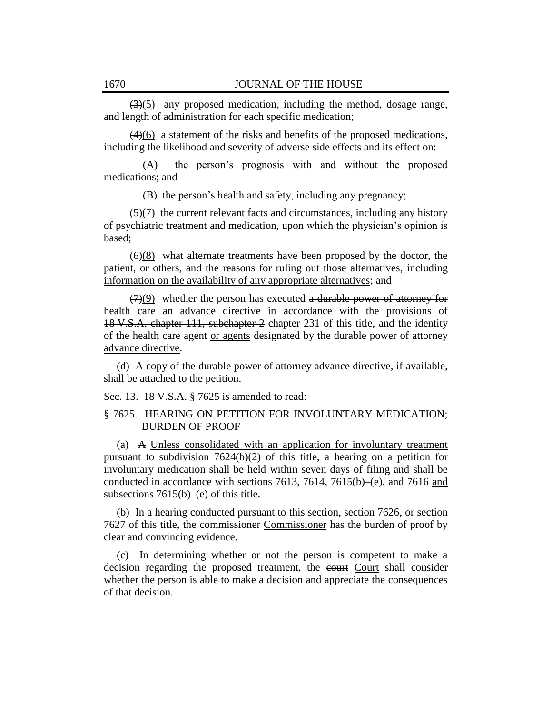$(3)(5)$  any proposed medication, including the method, dosage range, and length of administration for each specific medication;

(4)(6) a statement of the risks and benefits of the proposed medications, including the likelihood and severity of adverse side effects and its effect on:

(A) the person's prognosis with and without the proposed medications; and

(B) the person's health and safety, including any pregnancy;

(5)(7) the current relevant facts and circumstances, including any history of psychiatric treatment and medication, upon which the physician's opinion is based;

 $(6)(8)$  what alternate treatments have been proposed by the doctor, the patient, or others, and the reasons for ruling out those alternatives, including information on the availability of any appropriate alternatives; and

 $(7)(9)$  whether the person has executed a durable power of attorney for health care an advance directive in accordance with the provisions of 18 V.S.A. chapter 111, subchapter 2 chapter 231 of this title, and the identity of the health care agent or agents designated by the durable power of attorney advance directive.

(d) A copy of the durable power of attorney advance directive, if available, shall be attached to the petition.

Sec. 13. 18 V.S.A. § 7625 is amended to read:

§ 7625. HEARING ON PETITION FOR INVOLUNTARY MEDICATION; BURDEN OF PROOF

(a) A Unless consolidated with an application for involuntary treatment pursuant to subdivision 7624(b)(2) of this title, a hearing on a petition for involuntary medication shall be held within seven days of filing and shall be conducted in accordance with sections 7613, 7614,  $7615(b)$  (e), and 7616 and subsections 7615(b)–(e) of this title.

(b) In a hearing conducted pursuant to this section, section 7626, or section 7627 of this title, the commissioner Commissioner has the burden of proof by clear and convincing evidence.

(c) In determining whether or not the person is competent to make a decision regarding the proposed treatment, the court Court shall consider whether the person is able to make a decision and appreciate the consequences of that decision.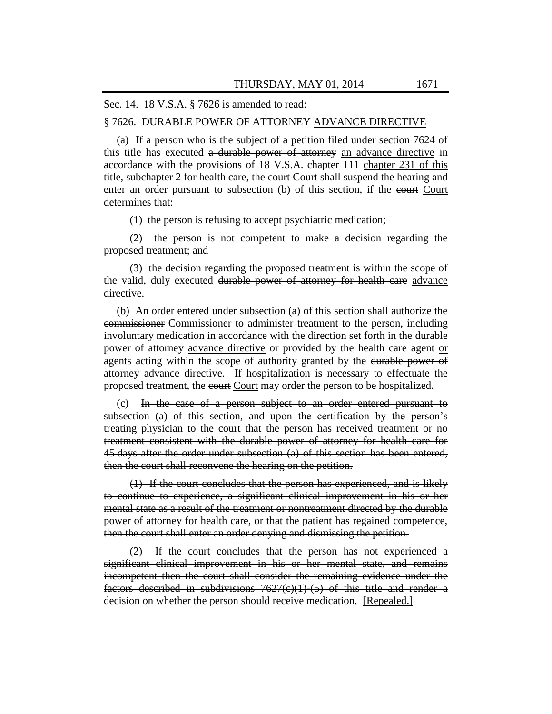Sec. 14. 18 V.S.A. § 7626 is amended to read:

#### § 7626. DURABLE POWER OF ATTORNEY ADVANCE DIRECTIVE

(a) If a person who is the subject of a petition filed under section 7624 of this title has executed a durable power of attorney an advance directive in accordance with the provisions of 18 V.S.A. chapter 111 chapter 231 of this title, subchapter 2 for health care, the court Court shall suspend the hearing and enter an order pursuant to subsection (b) of this section, if the estent Court determines that:

(1) the person is refusing to accept psychiatric medication;

(2) the person is not competent to make a decision regarding the proposed treatment; and

(3) the decision regarding the proposed treatment is within the scope of the valid, duly executed durable power of attorney for health care advance directive.

(b) An order entered under subsection (a) of this section shall authorize the commissioner Commissioner to administer treatment to the person, including involuntary medication in accordance with the direction set forth in the durable power of attorney advance directive or provided by the health care agent or agents acting within the scope of authority granted by the durable power of attorney advance directive. If hospitalization is necessary to effectuate the proposed treatment, the court Court may order the person to be hospitalized.

(c) In the case of a person subject to an order entered pursuant to subsection (a) of this section, and upon the certification by the person's treating physician to the court that the person has received treatment or no treatment consistent with the durable power of attorney for health care for 45 days after the order under subsection (a) of this section has been entered, then the court shall reconvene the hearing on the petition.

(1) If the court concludes that the person has experienced, and is likely to continue to experience, a significant clinical improvement in his or her mental state as a result of the treatment or nontreatment directed by the durable power of attorney for health care, or that the patient has regained competence, then the court shall enter an order denying and dismissing the petition.

(2) If the court concludes that the person has not experienced a significant clinical improvement in his or her mental state, and remains incompetent then the court shall consider the remaining evidence under the factors described in subdivisions  $7627(e)(1)$  (5) of this title and render a decision on whether the person should receive medication. [Repealed.]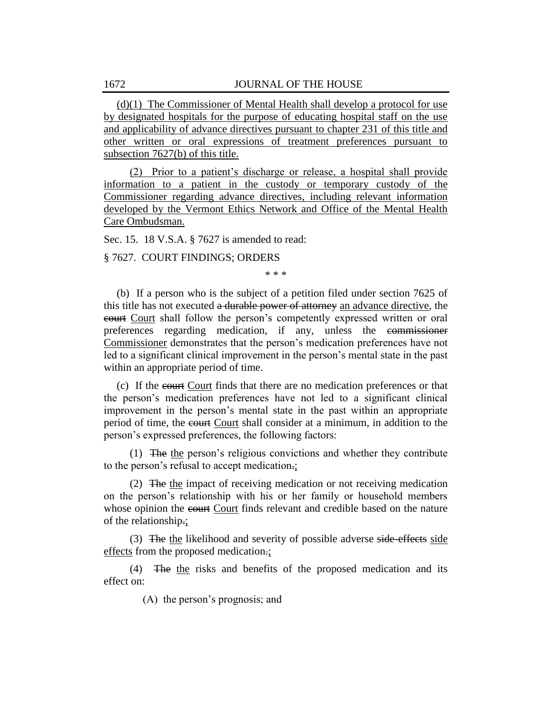(d)(1) The Commissioner of Mental Health shall develop a protocol for use by designated hospitals for the purpose of educating hospital staff on the use and applicability of advance directives pursuant to chapter 231 of this title and other written or oral expressions of treatment preferences pursuant to subsection 7627(b) of this title.

(2) Prior to a patient's discharge or release, a hospital shall provide information to a patient in the custody or temporary custody of the Commissioner regarding advance directives, including relevant information developed by the Vermont Ethics Network and Office of the Mental Health Care Ombudsman.

Sec. 15. 18 V.S.A. § 7627 is amended to read:

§ 7627. COURT FINDINGS; ORDERS

\* \* \*

(b) If a person who is the subject of a petition filed under section 7625 of this title has not executed a durable power of attorney an advance directive, the court Court shall follow the person's competently expressed written or oral preferences regarding medication, if any, unless the commissioner Commissioner demonstrates that the person's medication preferences have not led to a significant clinical improvement in the person's mental state in the past within an appropriate period of time.

(c) If the court Court finds that there are no medication preferences or that the person's medication preferences have not led to a significant clinical improvement in the person's mental state in the past within an appropriate period of time, the court Court shall consider at a minimum, in addition to the person's expressed preferences, the following factors:

(1) The the person's religious convictions and whether they contribute to the person's refusal to accept medication.;

(2) The the impact of receiving medication or not receiving medication on the person's relationship with his or her family or household members whose opinion the court Court finds relevant and credible based on the nature of the relationship.;

(3) The the likelihood and severity of possible adverse side-effects side effects from the proposed medication.;

(4) The the risks and benefits of the proposed medication and its effect on:

(A) the person's prognosis; and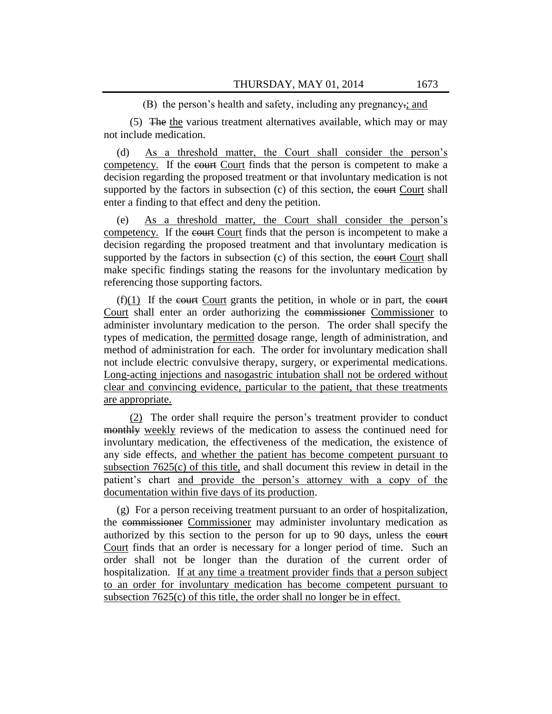## (B) the person's health and safety, including any pregnancy.; and

(5) The the various treatment alternatives available, which may or may not include medication.

(d) As a threshold matter, the Court shall consider the person's competency. If the court Court finds that the person is competent to make a decision regarding the proposed treatment or that involuntary medication is not supported by the factors in subsection  $(c)$  of this section, the court shall enter a finding to that effect and deny the petition.

(e) As a threshold matter, the Court shall consider the person's competency. If the court Court finds that the person is incompetent to make a decision regarding the proposed treatment and that involuntary medication is supported by the factors in subsection  $(c)$  of this section, the equal Court shall make specific findings stating the reasons for the involuntary medication by referencing those supporting factors.

 $(f)(1)$  If the court Court grants the petition, in whole or in part, the court Court shall enter an order authorizing the commissioner Commissioner to administer involuntary medication to the person. The order shall specify the types of medication, the permitted dosage range, length of administration, and method of administration for each. The order for involuntary medication shall not include electric convulsive therapy, surgery, or experimental medications. Long-acting injections and nasogastric intubation shall not be ordered without clear and convincing evidence, particular to the patient, that these treatments are appropriate.

(2) The order shall require the person's treatment provider to conduct monthly weekly reviews of the medication to assess the continued need for involuntary medication, the effectiveness of the medication, the existence of any side effects, and whether the patient has become competent pursuant to subsection 7625(c) of this title, and shall document this review in detail in the patient's chart and provide the person's attorney with a copy of the documentation within five days of its production.

(g) For a person receiving treatment pursuant to an order of hospitalization, the commissioner Commissioner may administer involuntary medication as authorized by this section to the person for up to 90 days, unless the court Court finds that an order is necessary for a longer period of time. Such an order shall not be longer than the duration of the current order of hospitalization. If at any time a treatment provider finds that a person subject to an order for involuntary medication has become competent pursuant to subsection 7625(c) of this title, the order shall no longer be in effect.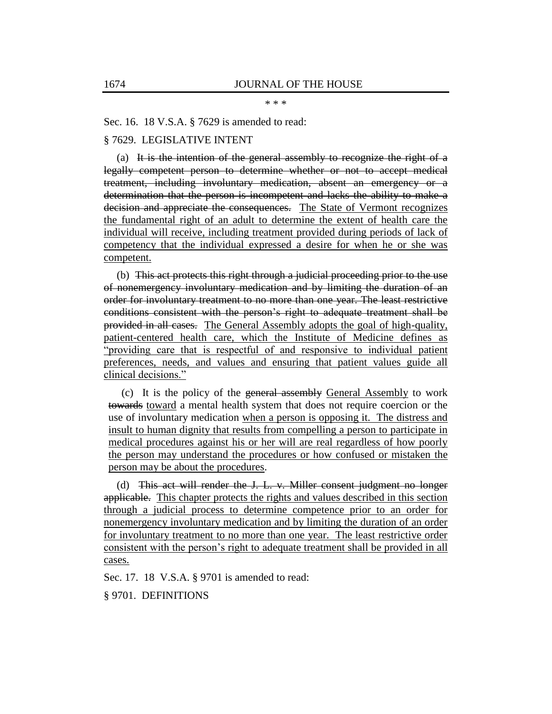\* \* \*

#### Sec. 16. 18 V.S.A. § 7629 is amended to read:

#### § 7629. LEGISLATIVE INTENT

(a) It is the intention of the general assembly to recognize the right of a legally competent person to determine whether or not to accept medical treatment, including involuntary medication, absent an emergency or a determination that the person is incompetent and lacks the ability to make a decision and appreciate the consequences. The State of Vermont recognizes the fundamental right of an adult to determine the extent of health care the individual will receive, including treatment provided during periods of lack of competency that the individual expressed a desire for when he or she was competent.

(b) This act protects this right through a judicial proceeding prior to the use of nonemergency involuntary medication and by limiting the duration of an order for involuntary treatment to no more than one year. The least restrictive conditions consistent with the person's right to adequate treatment shall be provided in all cases. The General Assembly adopts the goal of high-quality, patient-centered health care, which the Institute of Medicine defines as ―providing care that is respectful of and responsive to individual patient preferences, needs, and values and ensuring that patient values guide all clinical decisions."

(c) It is the policy of the general assembly General Assembly to work towards toward a mental health system that does not require coercion or the use of involuntary medication when a person is opposing it. The distress and insult to human dignity that results from compelling a person to participate in medical procedures against his or her will are real regardless of how poorly the person may understand the procedures or how confused or mistaken the person may be about the procedures.

(d) This act will render the J. L. v. Miller consent judgment no longer applicable. This chapter protects the rights and values described in this section through a judicial process to determine competence prior to an order for nonemergency involuntary medication and by limiting the duration of an order for involuntary treatment to no more than one year. The least restrictive order consistent with the person's right to adequate treatment shall be provided in all cases.

Sec. 17. 18 V.S.A. § 9701 is amended to read:

§ 9701. DEFINITIONS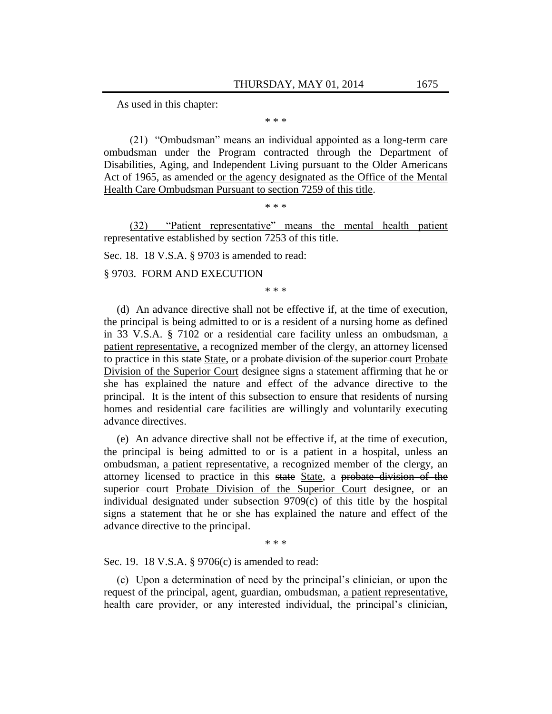As used in this chapter:

\* \* \*

 $(21)$  "Ombudsman" means an individual appointed as a long-term care ombudsman under the Program contracted through the Department of Disabilities, Aging, and Independent Living pursuant to the Older Americans Act of 1965, as amended or the agency designated as the Office of the Mental Health Care Ombudsman Pursuant to section 7259 of this title.

\* \* \*

(32) **We are all the representative** means the mental health patient representative established by section 7253 of this title.

Sec. 18. 18 V.S.A. § 9703 is amended to read:

§ 9703. FORM AND EXECUTION

\* \* \*

(d) An advance directive shall not be effective if, at the time of execution, the principal is being admitted to or is a resident of a nursing home as defined in 33 V.S.A. § 7102 or a residential care facility unless an ombudsman, a patient representative, a recognized member of the clergy, an attorney licensed to practice in this state State, or a probate division of the superior court Probate Division of the Superior Court designee signs a statement affirming that he or she has explained the nature and effect of the advance directive to the principal. It is the intent of this subsection to ensure that residents of nursing homes and residential care facilities are willingly and voluntarily executing advance directives.

(e) An advance directive shall not be effective if, at the time of execution, the principal is being admitted to or is a patient in a hospital, unless an ombudsman, a patient representative, a recognized member of the clergy, an attorney licensed to practice in this state State, a probate division of the superior court Probate Division of the Superior Court designee, or an individual designated under subsection 9709(c) of this title by the hospital signs a statement that he or she has explained the nature and effect of the advance directive to the principal.

\* \* \*

Sec. 19. 18 V.S.A. § 9706(c) is amended to read:

(c) Upon a determination of need by the principal's clinician, or upon the request of the principal, agent, guardian, ombudsman, a patient representative, health care provider, or any interested individual, the principal's clinician,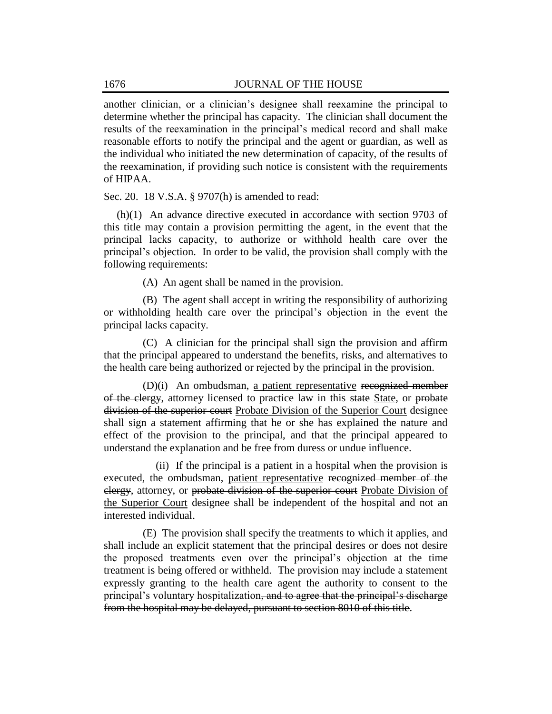another clinician, or a clinician's designee shall reexamine the principal to determine whether the principal has capacity. The clinician shall document the results of the reexamination in the principal's medical record and shall make reasonable efforts to notify the principal and the agent or guardian, as well as the individual who initiated the new determination of capacity, of the results of the reexamination, if providing such notice is consistent with the requirements of HIPAA.

Sec. 20. 18 V.S.A. § 9707(h) is amended to read:

(h)(1) An advance directive executed in accordance with section 9703 of this title may contain a provision permitting the agent, in the event that the principal lacks capacity, to authorize or withhold health care over the principal's objection. In order to be valid, the provision shall comply with the following requirements:

(A) An agent shall be named in the provision.

(B) The agent shall accept in writing the responsibility of authorizing or withholding health care over the principal's objection in the event the principal lacks capacity.

(C) A clinician for the principal shall sign the provision and affirm that the principal appeared to understand the benefits, risks, and alternatives to the health care being authorized or rejected by the principal in the provision.

(D)(i) An ombudsman, a patient representative recognized member of the clergy, attorney licensed to practice law in this state State, or probate division of the superior court Probate Division of the Superior Court designee shall sign a statement affirming that he or she has explained the nature and effect of the provision to the principal, and that the principal appeared to understand the explanation and be free from duress or undue influence.

(ii) If the principal is a patient in a hospital when the provision is executed, the ombudsman, patient representative recognized member of the clergy, attorney, or probate division of the superior court Probate Division of the Superior Court designee shall be independent of the hospital and not an interested individual.

(E) The provision shall specify the treatments to which it applies, and shall include an explicit statement that the principal desires or does not desire the proposed treatments even over the principal's objection at the time treatment is being offered or withheld. The provision may include a statement expressly granting to the health care agent the authority to consent to the principal's voluntary hospitalization, and to agree that the principal's discharge from the hospital may be delayed, pursuant to section 8010 of this title.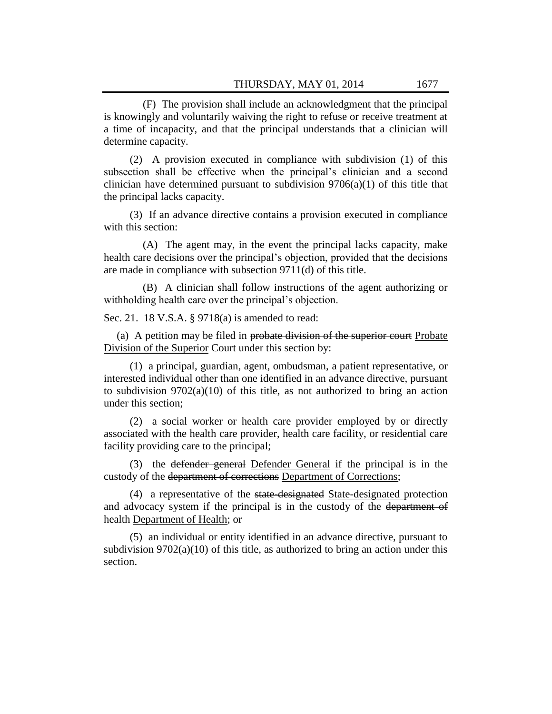(F) The provision shall include an acknowledgment that the principal is knowingly and voluntarily waiving the right to refuse or receive treatment at a time of incapacity, and that the principal understands that a clinician will determine capacity.

(2) A provision executed in compliance with subdivision (1) of this subsection shall be effective when the principal's clinician and a second clinician have determined pursuant to subdivision  $9706(a)(1)$  of this title that the principal lacks capacity.

(3) If an advance directive contains a provision executed in compliance with this section:

(A) The agent may, in the event the principal lacks capacity, make health care decisions over the principal's objection, provided that the decisions are made in compliance with subsection 9711(d) of this title.

(B) A clinician shall follow instructions of the agent authorizing or withholding health care over the principal's objection.

Sec. 21. 18 V.S.A. § 9718(a) is amended to read:

(a) A petition may be filed in probate division of the superior court Probate Division of the Superior Court under this section by:

(1) a principal, guardian, agent, ombudsman, a patient representative, or interested individual other than one identified in an advance directive, pursuant to subdivision 9702(a)(10) of this title, as not authorized to bring an action under this section;

(2) a social worker or health care provider employed by or directly associated with the health care provider, health care facility, or residential care facility providing care to the principal;

(3) the defender general Defender General if the principal is in the custody of the department of corrections Department of Corrections;

(4) a representative of the state-designated State-designated protection and advocacy system if the principal is in the custody of the department of health Department of Health; or

(5) an individual or entity identified in an advance directive, pursuant to subdivision  $9702(a)(10)$  of this title, as authorized to bring an action under this section.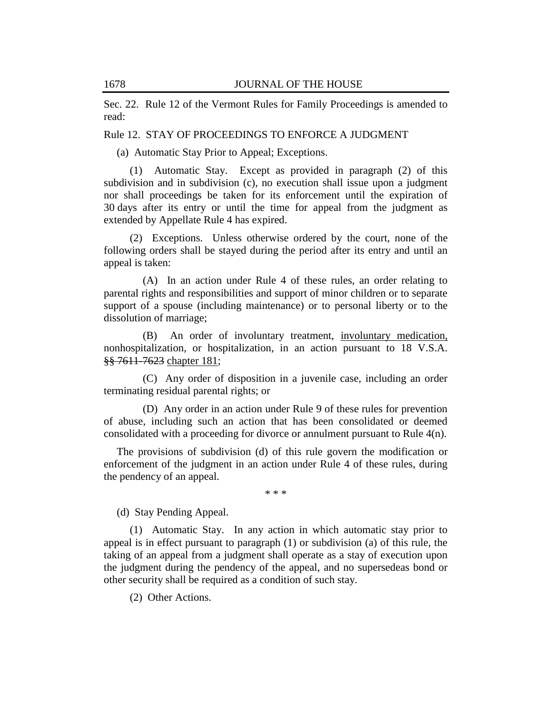Sec. 22. Rule 12 of the Vermont Rules for Family Proceedings is amended to read:

## Rule 12. STAY OF PROCEEDINGS TO ENFORCE A JUDGMENT

(a) Automatic Stay Prior to Appeal; Exceptions.

(1) Automatic Stay. Except as provided in paragraph (2) of this subdivision and in subdivision (c), no execution shall issue upon a judgment nor shall proceedings be taken for its enforcement until the expiration of 30 days after its entry or until the time for appeal from the judgment as extended by Appellate Rule 4 has expired.

(2) Exceptions. Unless otherwise ordered by the court, none of the following orders shall be stayed during the period after its entry and until an appeal is taken:

(A) In an action under Rule 4 of these rules, an order relating to parental rights and responsibilities and support of minor children or to separate support of a spouse (including maintenance) or to personal liberty or to the dissolution of marriage;

(B) An order of involuntary treatment, involuntary medication, nonhospitalization, or hospitalization, in an action pursuant to 18 V.S.A. §§ 7611-7623 chapter 181;

(C) Any order of disposition in a juvenile case, including an order terminating residual parental rights; or

(D) Any order in an action under Rule 9 of these rules for prevention of abuse, including such an action that has been consolidated or deemed consolidated with a proceeding for divorce or annulment pursuant to Rule  $4(n)$ .

The provisions of subdivision (d) of this rule govern the modification or enforcement of the judgment in an action under Rule 4 of these rules, during the pendency of an appeal.

\* \* \*

(d) Stay Pending Appeal.

(1) Automatic Stay. In any action in which automatic stay prior to appeal is in effect pursuant to paragraph (1) or subdivision (a) of this rule, the taking of an appeal from a judgment shall operate as a stay of execution upon the judgment during the pendency of the appeal, and no supersedeas bond or other security shall be required as a condition of such stay.

(2) Other Actions.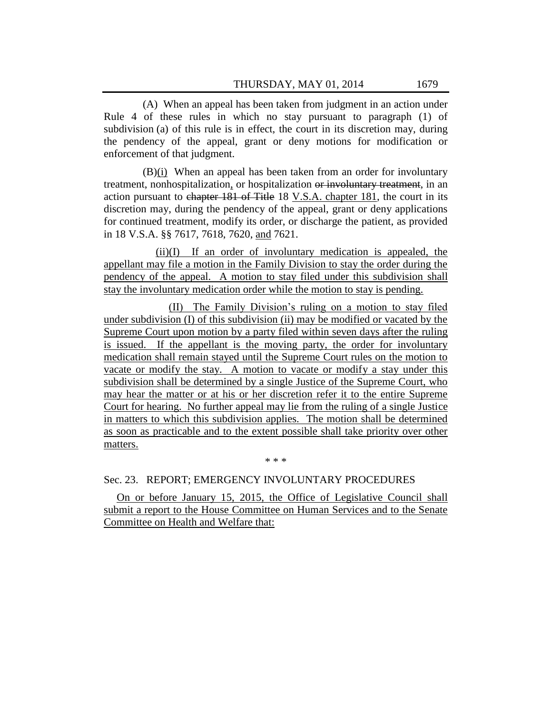(A) When an appeal has been taken from judgment in an action under Rule 4 of these rules in which no stay pursuant to paragraph (1) of subdivision (a) of this rule is in effect, the court in its discretion may, during the pendency of the appeal, grant or deny motions for modification or enforcement of that judgment.

(B)(i) When an appeal has been taken from an order for involuntary treatment, nonhospitalization, or hospitalization or involuntary treatment, in an action pursuant to chapter 181 of Title 18 V.S.A. chapter 181, the court in its discretion may, during the pendency of the appeal, grant or deny applications for continued treatment, modify its order, or discharge the patient, as provided in 18 V.S.A. §§ 7617, 7618, 7620, and 7621.

(ii)(I) If an order of involuntary medication is appealed, the appellant may file a motion in the Family Division to stay the order during the pendency of the appeal. A motion to stay filed under this subdivision shall stay the involuntary medication order while the motion to stay is pending.

(II) The Family Division's ruling on a motion to stay filed under subdivision (I) of this subdivision (ii) may be modified or vacated by the Supreme Court upon motion by a party filed within seven days after the ruling is issued. If the appellant is the moving party, the order for involuntary medication shall remain stayed until the Supreme Court rules on the motion to vacate or modify the stay. A motion to vacate or modify a stay under this subdivision shall be determined by a single Justice of the Supreme Court, who may hear the matter or at his or her discretion refer it to the entire Supreme Court for hearing. No further appeal may lie from the ruling of a single Justice in matters to which this subdivision applies. The motion shall be determined as soon as practicable and to the extent possible shall take priority over other matters.

\* \* \*

## Sec. 23. REPORT; EMERGENCY INVOLUNTARY PROCEDURES

On or before January 15, 2015, the Office of Legislative Council shall submit a report to the House Committee on Human Services and to the Senate Committee on Health and Welfare that: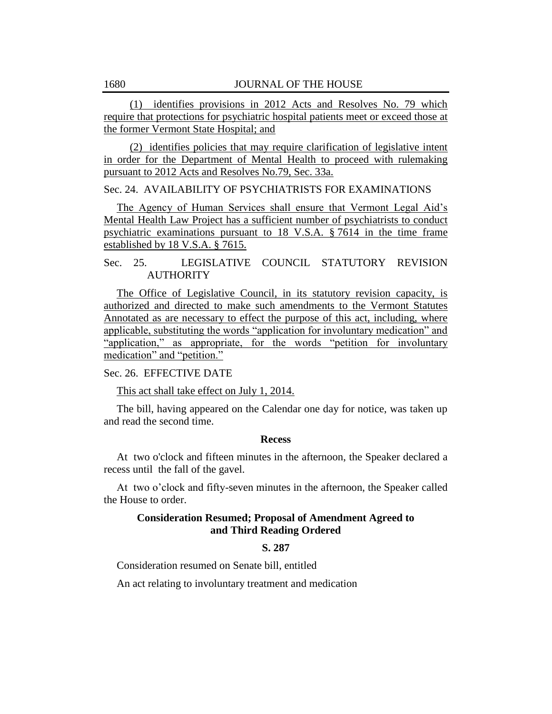(1) identifies provisions in 2012 Acts and Resolves No. 79 which require that protections for psychiatric hospital patients meet or exceed those at the former Vermont State Hospital; and

(2) identifies policies that may require clarification of legislative intent in order for the Department of Mental Health to proceed with rulemaking pursuant to 2012 Acts and Resolves No.79, Sec. 33a.

Sec. 24. AVAILABILITY OF PSYCHIATRISTS FOR EXAMINATIONS

The Agency of Human Services shall ensure that Vermont Legal Aid's Mental Health Law Project has a sufficient number of psychiatrists to conduct psychiatric examinations pursuant to 18 V.S.A. § 7614 in the time frame established by 18 V.S.A. § 7615.

Sec. 25. LEGISLATIVE COUNCIL STATUTORY REVISION **AUTHORITY** 

The Office of Legislative Council, in its statutory revision capacity, is authorized and directed to make such amendments to the Vermont Statutes Annotated as are necessary to effect the purpose of this act, including, where applicable, substituting the words "application for involuntary medication" and "application," as appropriate, for the words "petition for involuntary medication" and "petition."

# Sec. 26. EFFECTIVE DATE

This act shall take effect on July 1, 2014.

The bill, having appeared on the Calendar one day for notice, was taken up and read the second time.

## **Recess**

At two o'clock and fifteen minutes in the afternoon, the Speaker declared a recess until the fall of the gavel.

At two o'clock and fifty-seven minutes in the afternoon, the Speaker called the House to order.

# **Consideration Resumed; Proposal of Amendment Agreed to and Third Reading Ordered**

## **S. 287**

Consideration resumed on Senate bill, entitled

An act relating to involuntary treatment and medication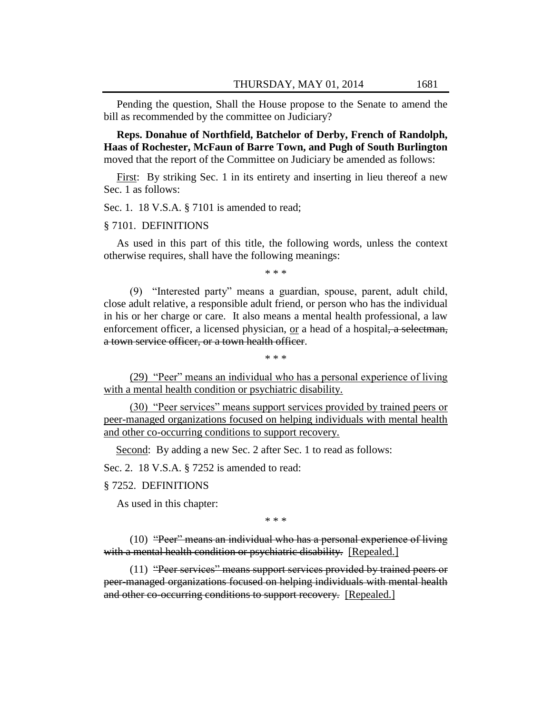Pending the question, Shall the House propose to the Senate to amend the bill as recommended by the committee on Judiciary?

**Reps. Donahue of Northfield, Batchelor of Derby, French of Randolph, Haas of Rochester, McFaun of Barre Town, and Pugh of South Burlington** moved that the report of the Committee on Judiciary be amended as follows:

First: By striking Sec. 1 in its entirety and inserting in lieu thereof a new Sec. 1 as follows:

Sec. 1. 18 V.S.A. § 7101 is amended to read;

#### § 7101. DEFINITIONS

As used in this part of this title, the following words, unless the context otherwise requires, shall have the following meanings:

\* \* \*

(9) "Interested party" means a guardian, spouse, parent, adult child, close adult relative, a responsible adult friend, or person who has the individual in his or her charge or care. It also means a mental health professional, a law enforcement officer, a licensed physician, or a head of a hospital, a selectman, a town service officer, or a town health officer.

\* \* \*

(29) "Peer" means an individual who has a personal experience of living with a mental health condition or psychiatric disability.

(30) "Peer services" means support services provided by trained peers or peer-managed organizations focused on helping individuals with mental health and other co-occurring conditions to support recovery.

Second: By adding a new Sec. 2 after Sec. 1 to read as follows:

Sec. 2. 18 V.S.A. § 7252 is amended to read:

#### § 7252. DEFINITIONS

As used in this chapter:

\* \* \*

 $(10)$  "Peer" means an individual who has a personal experience of living with a mental health condition or psychiatric disability. [Repealed.]

 $(11)$  "Peer services" means support services provided by trained peers or peer-managed organizations focused on helping individuals with mental health and other co-occurring conditions to support recovery. [Repealed.]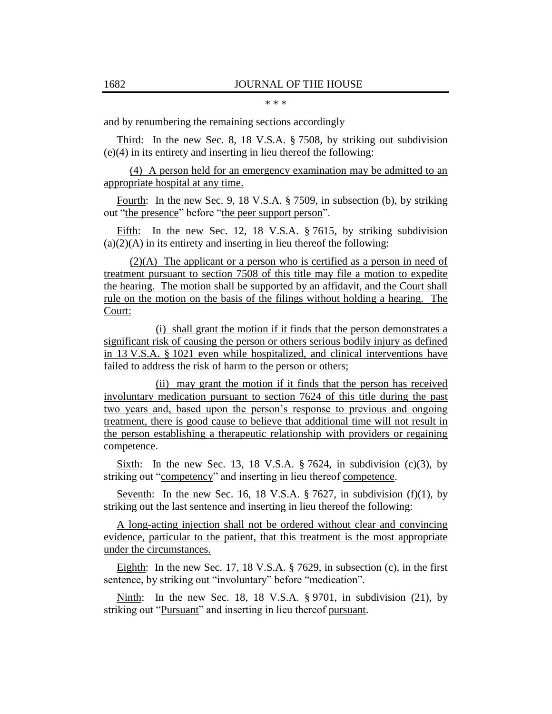\* \* \*

and by renumbering the remaining sections accordingly

Third: In the new Sec. 8, 18 V.S.A. § 7508, by striking out subdivision (e)(4) in its entirety and inserting in lieu thereof the following:

(4) A person held for an emergency examination may be admitted to an appropriate hospital at any time.

Fourth: In the new Sec. 9, 18 V.S.A. § 7509, in subsection (b), by striking out "the presence" before "the peer support person".

Fifth: In the new Sec. 12, 18 V.S.A. § 7615, by striking subdivision  $(a)(2)(A)$  in its entirety and inserting in lieu thereof the following:

(2)(A) The applicant or a person who is certified as a person in need of treatment pursuant to section 7508 of this title may file a motion to expedite the hearing. The motion shall be supported by an affidavit, and the Court shall rule on the motion on the basis of the filings without holding a hearing. The Court:

(i) shall grant the motion if it finds that the person demonstrates a significant risk of causing the person or others serious bodily injury as defined in 13 V.S.A. § 1021 even while hospitalized, and clinical interventions have failed to address the risk of harm to the person or others;

(ii) may grant the motion if it finds that the person has received involuntary medication pursuant to section 7624 of this title during the past two years and, based upon the person's response to previous and ongoing treatment, there is good cause to believe that additional time will not result in the person establishing a therapeutic relationship with providers or regaining competence.

Sixth: In the new Sec. 13, 18 V.S.A.  $\S$  7624, in subdivision (c)(3), by striking out "competency" and inserting in lieu thereof competence.

Seventh: In the new Sec. 16, 18 V.S.A.  $\S$  7627, in subdivision (f)(1), by striking out the last sentence and inserting in lieu thereof the following:

A long-acting injection shall not be ordered without clear and convincing evidence, particular to the patient, that this treatment is the most appropriate under the circumstances.

Eighth: In the new Sec. 17, 18 V.S.A. § 7629, in subsection (c), in the first sentence, by striking out "involuntary" before "medication".

Ninth: In the new Sec. 18, 18 V.S.A. § 9701, in subdivision (21), by striking out "Pursuant" and inserting in lieu thereof pursuant.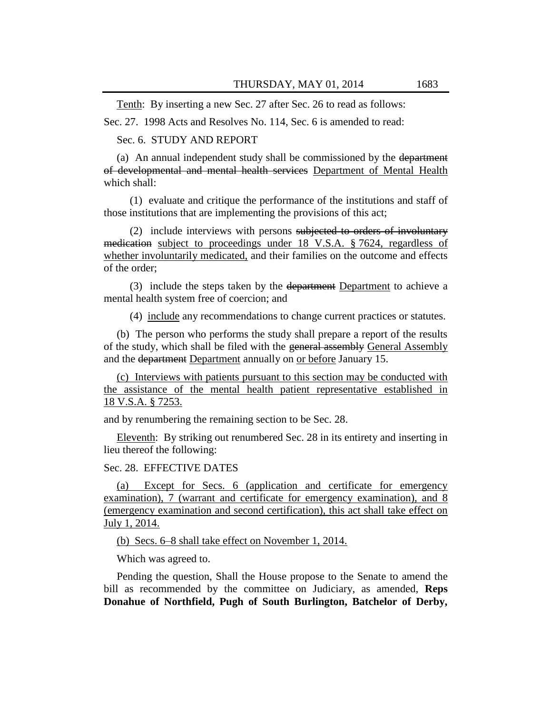Tenth: By inserting a new Sec. 27 after Sec. 26 to read as follows:

Sec. 27. 1998 Acts and Resolves No. 114, Sec. 6 is amended to read:

# Sec. 6. STUDY AND REPORT

(a) An annual independent study shall be commissioned by the department of developmental and mental health services Department of Mental Health which shall:

(1) evaluate and critique the performance of the institutions and staff of those institutions that are implementing the provisions of this act;

(2) include interviews with persons subjected to orders of involuntary medication subject to proceedings under 18 V.S.A. § 7624, regardless of whether involuntarily medicated, and their families on the outcome and effects of the order;

(3) include the steps taken by the department Department to achieve a mental health system free of coercion; and

(4) include any recommendations to change current practices or statutes.

(b) The person who performs the study shall prepare a report of the results of the study, which shall be filed with the general assembly General Assembly and the department Department annually on or before January 15.

(c) Interviews with patients pursuant to this section may be conducted with the assistance of the mental health patient representative established in 18 V.S.A. § 7253.

and by renumbering the remaining section to be Sec. 28.

Eleventh: By striking out renumbered Sec. 28 in its entirety and inserting in lieu thereof the following:

# Sec. 28. EFFECTIVE DATES

(a) Except for Secs. 6 (application and certificate for emergency examination), 7 (warrant and certificate for emergency examination), and 8 (emergency examination and second certification), this act shall take effect on July 1, 2014.

(b) Secs. 6–8 shall take effect on November 1, 2014.

Which was agreed to.

Pending the question, Shall the House propose to the Senate to amend the bill as recommended by the committee on Judiciary, as amended, **Reps Donahue of Northfield, Pugh of South Burlington, Batchelor of Derby,**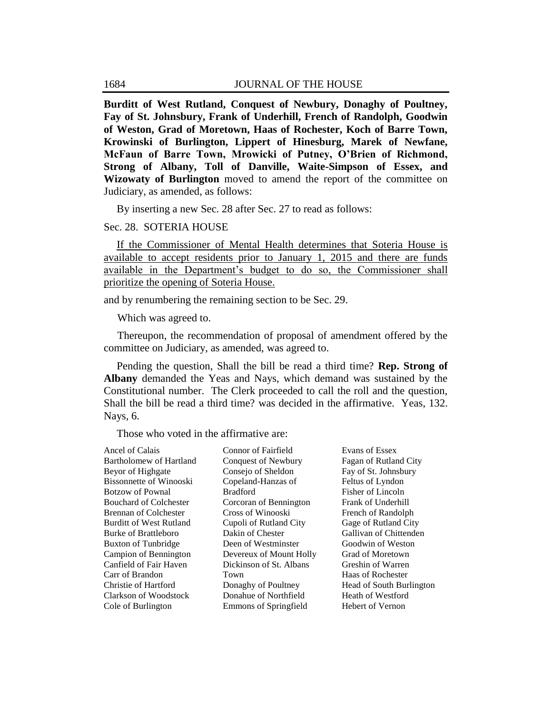**Burditt of West Rutland, Conquest of Newbury, Donaghy of Poultney, Fay of St. Johnsbury, Frank of Underhill, French of Randolph, Goodwin of Weston, Grad of Moretown, Haas of Rochester, Koch of Barre Town, Krowinski of Burlington, Lippert of Hinesburg, Marek of Newfane, McFaun of Barre Town, Mrowicki of Putney, O'Brien of Richmond, Strong of Albany, Toll of Danville, Waite-Simpson of Essex, and Wizowaty of Burlington** moved to amend the report of the committee on Judiciary, as amended, as follows:

By inserting a new Sec. 28 after Sec. 27 to read as follows:

#### Sec. 28. SOTERIA HOUSE

If the Commissioner of Mental Health determines that Soteria House is available to accept residents prior to January 1, 2015 and there are funds available in the Department's budget to do so, the Commissioner shall prioritize the opening of Soteria House.

and by renumbering the remaining section to be Sec. 29.

Which was agreed to.

 Thereupon, the recommendation of proposal of amendment offered by the committee on Judiciary, as amended, was agreed to.

Pending the question, Shall the bill be read a third time? **Rep. Strong of Albany** demanded the Yeas and Nays, which demand was sustained by the Constitutional number. The Clerk proceeded to call the roll and the question, Shall the bill be read a third time? was decided in the affirmative. Yeas, 132. Nays, 6.

Those who voted in the affirmative are:

| Ancel of Calais                | Connor of Fairfield        | Evans of Essex           |
|--------------------------------|----------------------------|--------------------------|
| Bartholomew of Hartland        | <b>Conquest of Newbury</b> | Fagan of Rutland City    |
| Beyor of Highgate              | Consejo of Sheldon         | Fay of St. Johnsbury     |
| <b>Bissonnette of Winooski</b> | Copeland-Hanzas of         | Feltus of Lyndon         |
| <b>Botzow of Pownal</b>        | <b>Bradford</b>            | Fisher of Lincoln        |
| <b>Bouchard of Colchester</b>  | Corcoran of Bennington     | Frank of Underhill       |
| Brennan of Colchester          | Cross of Winooski          | French of Randolph       |
| <b>Burditt of West Rutland</b> | Cupoli of Rutland City     | Gage of Rutland City     |
| Burke of Brattleboro           | Dakin of Chester           | Gallivan of Chittenden   |
| <b>Buxton of Tunbridge</b>     | Deen of Westminster        | Goodwin of Weston        |
| Campion of Bennington          | Devereux of Mount Holly    | Grad of Moretown         |
| Canfield of Fair Haven         | Dickinson of St. Albans    | Greshin of Warren        |
| Carr of Brandon                | Town                       | Haas of Rochester        |
| Christie of Hartford           | Donaghy of Poultney        | Head of South Burlington |
| Clarkson of Woodstock          | Donahue of Northfield      | Heath of Westford        |
| Cole of Burlington             | Emmons of Springfield      | <b>Hebert of Vernon</b>  |
|                                |                            |                          |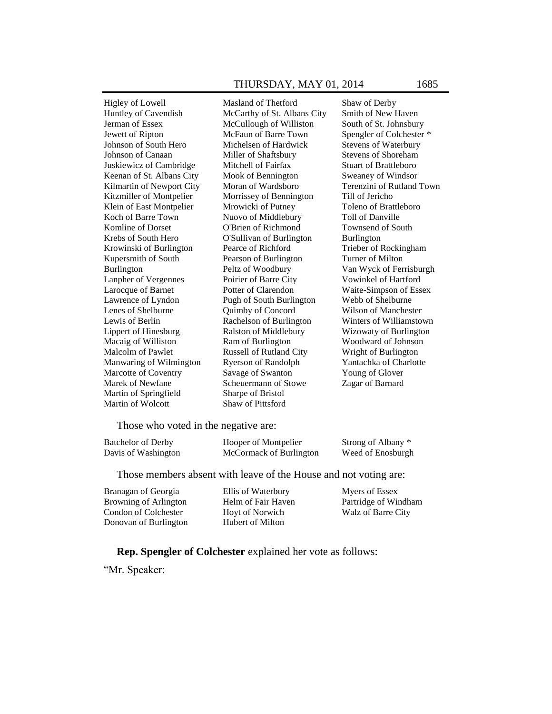Higley of Lowell Huntley of Cavendish Jerman of Essex Jewett of Ripton Johnson of South Hero Johnson of Canaan Juskiewicz of Cambridge Keenan of St. Albans City Kilmartin of Newport City Kitzmiller of Montpelier Klein of East Montpelier Koch of Barre Town Komline of Dorset Krebs of South Hero Krowinski of Burlington Kupersmith of South Burlington Lanpher of Vergennes Larocque of Barnet Lawrence of Lyndon Lenes of Shelburne Lewis of Berlin Lippert of Hinesburg Macaig of Williston Malcolm of Pawlet Manwaring of Wilmington Marcotte of Coventry Marek of Newfane Martin of Springfield Martin of Wolcott

Masland of Thetford McCarthy of St. Albans City McCullough of Williston McFaun of Barre Town Michelsen of Hardwick Miller of Shaftsbury Mitchell of Fairfax Mook of Bennington Moran of Wardsboro Morrissey of Bennington Mrowicki of Putney Nuovo of Middlebury O'Brien of Richmond O'Sullivan of Burlington Pearce of Richford Pearson of Burlington Peltz of Woodbury Poirier of Barre City Potter of Clarendon Pugh of South Burlington Quimby of Concord Rachelson of Burlington Ralston of Middlebury Ram of Burlington Russell of Rutland City Ryerson of Randolph Savage of Swanton Scheuermann of Stowe Sharpe of Bristol Shaw of Pittsford

Shaw of Derby Smith of New Haven South of St. Johnsbury Spengler of Colchester \* Stevens of Waterbury Stevens of Shoreham Stuart of Brattleboro Sweaney of Windsor Terenzini of Rutland Town Till of Jericho Toleno of Brattleboro Toll of Danville Townsend of South Burlington Trieber of Rockingham Turner of Milton Van Wyck of Ferrisburgh Vowinkel of Hartford Waite-Simpson of Essex Webb of Shelburne Wilson of Manchester Winters of Williamstown Wizowaty of Burlington Woodward of Johnson Wright of Burlington Yantachka of Charlotte Young of Glover Zagar of Barnard

Those who voted in the negative are:

| <b>Batchelor of Derby</b> | Hooper of Montpelier    | Strong of Albany * |
|---------------------------|-------------------------|--------------------|
| Davis of Washington       | McCormack of Burlington | Weed of Enosburgh  |

Those members absent with leave of the House and not voting are:

| Myers of Essex<br>Ellis of Waterbury         |
|----------------------------------------------|
| Partridge of Windham<br>Helm of Fair Haven   |
| Walz of Barre City<br><b>Hoyt of Norwich</b> |
| Hubert of Milton                             |
|                                              |

**Rep. Spengler of Colchester** explained her vote as follows:

―Mr. Speaker: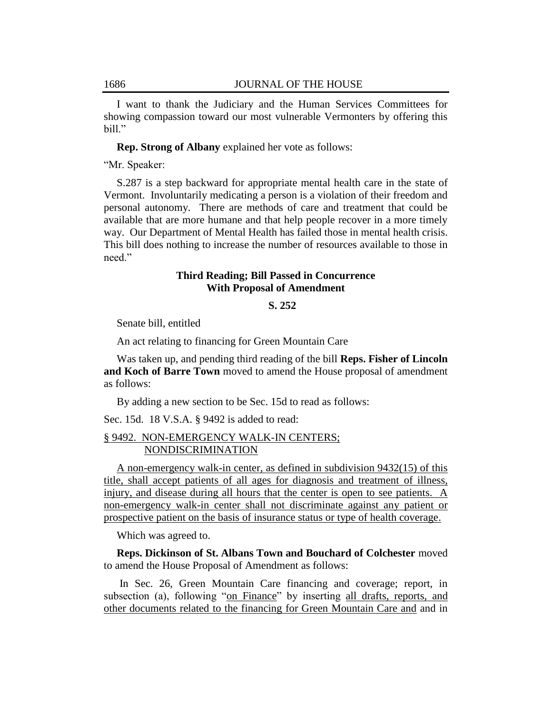I want to thank the Judiciary and the Human Services Committees for showing compassion toward our most vulnerable Vermonters by offering this bill."

#### **Rep. Strong of Albany** explained her vote as follows:

―Mr. Speaker:

S.287 is a step backward for appropriate mental health care in the state of Vermont. Involuntarily medicating a person is a violation of their freedom and personal autonomy. There are methods of care and treatment that could be available that are more humane and that help people recover in a more timely way. Our Department of Mental Health has failed those in mental health crisis. This bill does nothing to increase the number of resources available to those in need."

## **Third Reading; Bill Passed in Concurrence With Proposal of Amendment**

#### **S. 252**

Senate bill, entitled

An act relating to financing for Green Mountain Care

Was taken up, and pending third reading of the bill **Reps. Fisher of Lincoln and Koch of Barre Town** moved to amend the House proposal of amendment as follows:

By adding a new section to be Sec. 15d to read as follows:

Sec. 15d. 18 V.S.A. § 9492 is added to read:

# § 9492. NON-EMERGENCY WALK-IN CENTERS; NONDISCRIMINATION

A non-emergency walk-in center, as defined in subdivision 9432(15) of this title, shall accept patients of all ages for diagnosis and treatment of illness, injury, and disease during all hours that the center is open to see patients. A non-emergency walk-in center shall not discriminate against any patient or prospective patient on the basis of insurance status or type of health coverage.

Which was agreed to.

**Reps. Dickinson of St. Albans Town and Bouchard of Colchester** moved to amend the House Proposal of Amendment as follows:

In Sec. 26, Green Mountain Care financing and coverage; report, in subsection (a), following "on Finance" by inserting all drafts, reports, and other documents related to the financing for Green Mountain Care and and in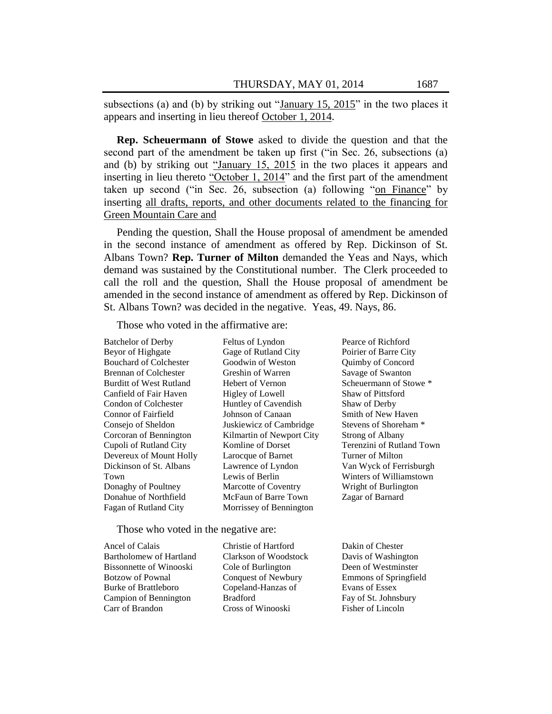subsections (a) and (b) by striking out "January 15, 2015" in the two places it appears and inserting in lieu thereof October 1, 2014.

**Rep. Scheuermann of Stowe** asked to divide the question and that the second part of the amendment be taken up first ("in Sec. 26, subsections (a) and (b) by striking out  $\frac{15}{2015}$  in the two places it appears and inserting in lieu thereto "October 1, 2014" and the first part of the amendment taken up second ("in Sec. 26, subsection (a) following "on Finance" by inserting all drafts, reports, and other documents related to the financing for Green Mountain Care and

Pending the question, Shall the House proposal of amendment be amended in the second instance of amendment as offered by Rep. Dickinson of St. Albans Town? **Rep. Turner of Milton** demanded the Yeas and Nays, which demand was sustained by the Constitutional number. The Clerk proceeded to call the roll and the question, Shall the House proposal of amendment be amended in the second instance of amendment as offered by Rep. Dickinson of St. Albans Town? was decided in the negative. Yeas, 49. Nays, 86.

Those who voted in the affirmative are:

Batchelor of Derby Beyor of Highgate Bouchard of Colchester Brennan of Colchester Burditt of West Rutland Canfield of Fair Haven Condon of Colchester Connor of Fairfield Consejo of Sheldon Corcoran of Bennington Cupoli of Rutland City Devereux of Mount Holly Dickinson of St. Albans Town Donaghy of Poultney Donahue of Northfield Fagan of Rutland City

Feltus of Lyndon Gage of Rutland City Goodwin of Weston Greshin of Warren Hebert of Vernon Higley of Lowell Huntley of Cavendish Johnson of Canaan Juskiewicz of Cambridge Kilmartin of Newport City Komline of Dorset Larocque of Barnet Lawrence of Lyndon Lewis of Berlin Marcotte of Coventry McFaun of Barre Town Morrissey of Bennington

Those who voted in the negative are:

Ancel of Calais Bartholomew of Hartland Bissonnette of Winooski Botzow of Pownal Burke of Brattleboro Campion of Bennington Carr of Brandon

Christie of Hartford Clarkson of Woodstock Cole of Burlington Conquest of Newbury Copeland-Hanzas of Bradford Cross of Winooski

Pearce of Richford Poirier of Barre City Quimby of Concord Savage of Swanton Scheuermann of Stowe \* Shaw of Pittsford Shaw of Derby Smith of New Haven Stevens of Shoreham \* Strong of Albany Terenzini of Rutland Town Turner of Milton Van Wyck of Ferrisburgh Winters of Williamstown Wright of Burlington Zagar of Barnard

Dakin of Chester Davis of Washington Deen of Westminster Emmons of Springfield Evans of Essex Fay of St. Johnsbury Fisher of Lincoln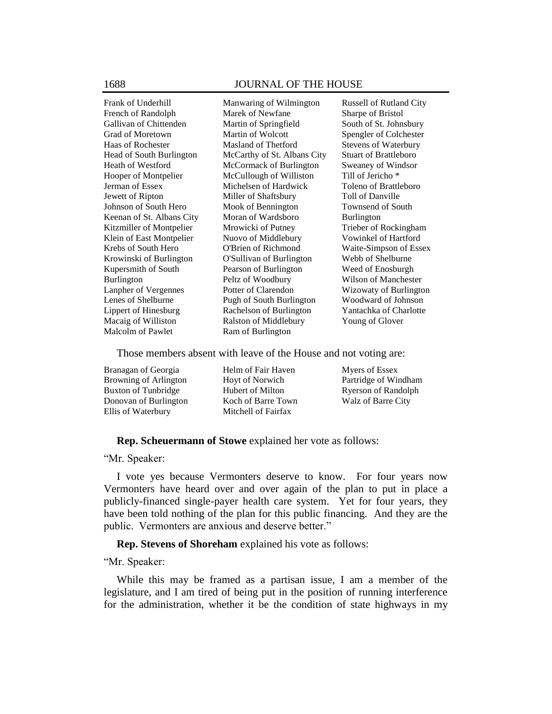| Frank of Underhill        | Manwaring of Wilmington     | Rus         |
|---------------------------|-----------------------------|-------------|
| French of Randolph        | Marek of Newfane            | Sha         |
|                           |                             |             |
| Gallivan of Chittenden    | Martin of Springfield       | Sou         |
| Grad of Moretown          | Martin of Wolcott           | Spe:        |
| Haas of Rochester         | Masland of Thetford         | Stey        |
| Head of South Burlington  | McCarthy of St. Albans City | Stua        |
| <b>Heath of Westford</b>  | McCormack of Burlington     | Swe         |
| Hooper of Montpelier      | McCullough of Williston     | <b>Till</b> |
| Jerman of Essex           | Michelsen of Hardwick       | Tok         |
| Jewett of Ripton          | Miller of Shaftsbury        | Toll        |
| Johnson of South Hero     | Mook of Bennington          | Toy         |
| Keenan of St. Albans City | Moran of Wardsboro          | Bur         |
| Kitzmiller of Montpelier  | Mrowicki of Putney          | Trie        |
| Klein of East Montpelier  | Nuovo of Middlebury         | Voy         |
| Krebs of South Hero       | O'Brien of Richmond         | Wai         |
| Krowinski of Burlington   | O'Sullivan of Burlington    | Wel         |
| Kupersmith of South       | Pearson of Burlington       | We          |
| Burlington                | Peltz of Woodbury           | Wil         |
| Lanpher of Vergennes      | Potter of Clarendon         | Wiz         |
| Lenes of Shelburne        | Pugh of South Burlington    | W٥          |
| Lippert of Hinesburg      | Rachelson of Burlington     | Yan         |
| Macaig of Williston       | Ralston of Middlebury       | Yot         |
| <b>Malcolm of Pawlet</b>  | Ram of Burlington           |             |

ssell of Rutland City rpe of Bristol th of St. Johnsbury engler of Colchester vens of Waterbury art of Brattleboro eaney of Windsor of Jericho \* eno of Brattleboro 1 of Danville wnsend of South lington<sup>-</sup> eber of Rockingham winkel of Hartford ite-Simpson of Essex bb of Shelburne ed of Enosburgh son of Manchester zowaty of Burlington odward of Johnson tachka of Charlotte ung of Glover

Those members absent with leave of the House and not voting are:

| Branagan of Georgia          | Helm of Fair Haven     | Myers of Essex             |
|------------------------------|------------------------|----------------------------|
| <b>Browning of Arlington</b> | <b>Hoyt of Norwich</b> | Partridge of Windham       |
| Buxton of Tunbridge          | Hubert of Milton       | <b>Ryerson of Randolph</b> |
| Donovan of Burlington        | Koch of Barre Town     | Walz of Barre City         |
| Ellis of Waterbury           | Mitchell of Fairfax    |                            |

## **Rep. Scheuermann of Stowe** explained her vote as follows:

―Mr. Speaker:

I vote yes because Vermonters deserve to know. For four years now Vermonters have heard over and over again of the plan to put in place a publicly-financed single-payer health care system. Yet for four years, they have been told nothing of the plan for this public financing. And they are the public. Vermonters are anxious and deserve better."

**Rep. Stevens of Shoreham** explained his vote as follows:

―Mr. Speaker:

While this may be framed as a partisan issue, I am a member of the legislature, and I am tired of being put in the position of running interference for the administration, whether it be the condition of state highways in my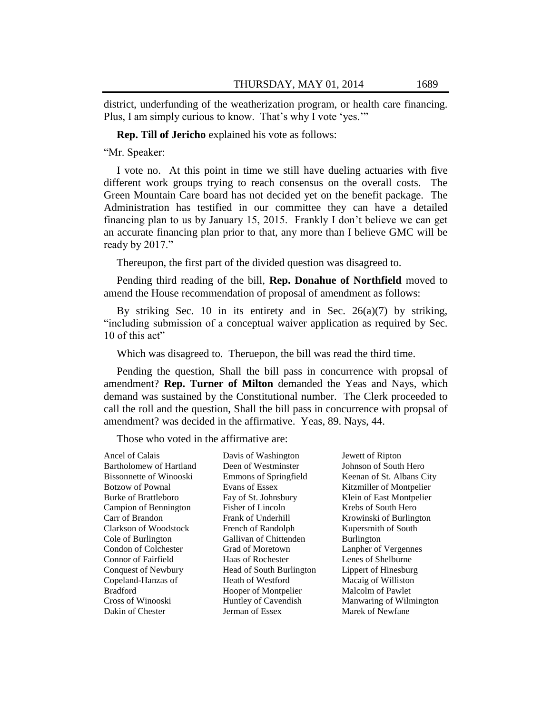district, underfunding of the weatherization program, or health care financing. Plus, I am simply curious to know. That's why I vote 'yes.'"

# **Rep. Till of Jericho** explained his vote as follows:

―Mr. Speaker:

I vote no. At this point in time we still have dueling actuaries with five different work groups trying to reach consensus on the overall costs. The Green Mountain Care board has not decided yet on the benefit package. The Administration has testified in our committee they can have a detailed financing plan to us by January 15, 2015. Frankly I don't believe we can get an accurate financing plan prior to that, any more than I believe GMC will be ready by 2017."

Thereupon, the first part of the divided question was disagreed to.

Pending third reading of the bill, **Rep. Donahue of Northfield** moved to amend the House recommendation of proposal of amendment as follows:

By striking Sec. 10 in its entirety and in Sec.  $26(a)(7)$  by striking, ―including submission of a conceptual waiver application as required by Sec. 10 of this act"

Which was disagreed to. Theruepon, the bill was read the third time.

Pending the question, Shall the bill pass in concurrence with propsal of amendment? **Rep. Turner of Milton** demanded the Yeas and Nays, which demand was sustained by the Constitutional number. The Clerk proceeded to call the roll and the question, Shall the bill pass in concurrence with propsal of amendment? was decided in the affirmative. Yeas, 89. Nays, 44.

Those who voted in the affirmative are:

Ancel of Calais Bartholomew of Hartland Bissonnette of Winooski Botzow of Pownal Burke of Brattleboro Campion of Bennington Carr of Brandon Clarkson of Woodstock Cole of Burlington Condon of Colchester Connor of Fairfield Conquest of Newbury Copeland-Hanzas of Bradford Cross of Winooski Dakin of Chester

Davis of Washington Deen of Westminster Emmons of Springfield Evans of Essex Fay of St. Johnsbury Fisher of Lincoln Frank of Underhill French of Randolph Gallivan of Chittenden Grad of Moretown Haas of Rochester Head of South Burlington Heath of Westford Hooper of Montpelier Huntley of Cavendish Jerman of Essex

Jewett of Ripton Johnson of South Hero Keenan of St. Albans City Kitzmiller of Montpelier Klein of East Montpelier Krebs of South Hero Krowinski of Burlington Kupersmith of South Burlington Lanpher of Vergennes Lenes of Shelburne Lippert of Hinesburg Macaig of Williston Malcolm of Pawlet Manwaring of Wilmington Marek of Newfane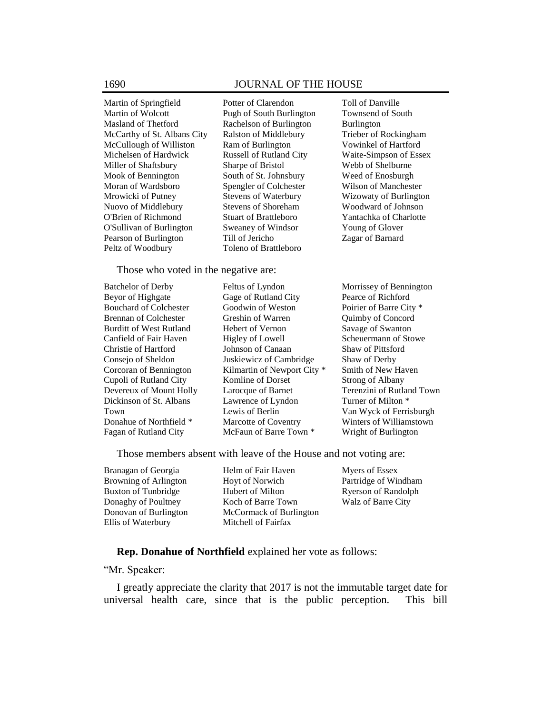# 1690 JOURNAL OF THE HOUSE

Martin of Springfield Martin of Wolcott Masland of Thetford McCarthy of St. Albans City McCullough of Williston Michelsen of Hardwick Miller of Shaftsbury Mook of Bennington Moran of Wardsboro Mrowicki of Putney Nuovo of Middlebury O'Brien of Richmond O'Sullivan of Burlington Pearson of Burlington Peltz of Woodbury

Potter of Clarendon Pugh of South Burlington Rachelson of Burlington Ralston of Middlebury Ram of Burlington Russell of Rutland City Sharpe of Bristol South of St. Johnsbury Spengler of Colchester Stevens of Waterbury Stevens of Shoreham Stuart of Brattleboro Sweaney of Windsor Till of Jericho Toleno of Brattleboro

Toll of Danville Townsend of South Burlington Trieber of Rockingham Vowinkel of Hartford Waite-Simpson of Essex Webb of Shelburne Weed of Enosburgh Wilson of Manchester Wizowaty of Burlington Woodward of Johnson Yantachka of Charlotte Young of Glover Zagar of Barnard

#### Those who voted in the negative are:

Batchelor of Derby Beyor of Highgate Bouchard of Colchester Brennan of Colchester Burditt of West Rutland Canfield of Fair Haven Christie of Hartford Consejo of Sheldon Corcoran of Bennington Cupoli of Rutland City Devereux of Mount Holly Dickinson of St. Albans Town Donahue of Northfield \* Fagan of Rutland City

Gage of Rutland City Goodwin of Weston Greshin of Warren Hebert of Vernon Higley of Lowell Johnson of Canaan Juskiewicz of Cambridge Kilmartin of Newport City \* Komline of Dorset Larocque of Barnet Lawrence of Lyndon Lewis of Berlin Marcotte of Coventry McFaun of Barre Town \*

Feltus of Lyndon

Morrissey of Bennington Pearce of Richford Poirier of Barre City \* Quimby of Concord Savage of Swanton Scheuermann of Stowe Shaw of Pittsford Shaw of Derby Smith of New Haven Strong of Albany Terenzini of Rutland Town Turner of Milton \* Van Wyck of Ferrisburgh Winters of Williamstown Wright of Burlington

Those members absent with leave of the House and not voting are:

Branagan of Georgia Browning of Arlington Buxton of Tunbridge Donaghy of Poultney Donovan of Burlington Ellis of Waterbury

Helm of Fair Haven Hoyt of Norwich Hubert of Milton Koch of Barre Town McCormack of Burlington Mitchell of Fairfax

Myers of Essex Partridge of Windham Ryerson of Randolph Walz of Barre City

#### **Rep. Donahue of Northfield** explained her vote as follows:

## ―Mr. Speaker:

I greatly appreciate the clarity that 2017 is not the immutable target date for universal health care, since that is the public perception. This bill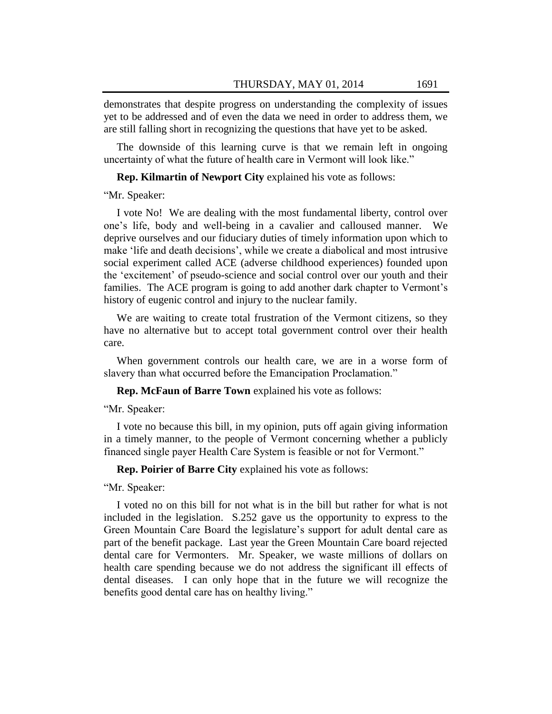demonstrates that despite progress on understanding the complexity of issues yet to be addressed and of even the data we need in order to address them, we are still falling short in recognizing the questions that have yet to be asked.

The downside of this learning curve is that we remain left in ongoing uncertainty of what the future of health care in Vermont will look like."

**Rep. Kilmartin of Newport City** explained his vote as follows:

―Mr. Speaker:

I vote No! We are dealing with the most fundamental liberty, control over one's life, body and well-being in a cavalier and calloused manner. We deprive ourselves and our fiduciary duties of timely information upon which to make 'life and death decisions', while we create a diabolical and most intrusive social experiment called ACE (adverse childhood experiences) founded upon the 'excitement' of pseudo-science and social control over our youth and their families. The ACE program is going to add another dark chapter to Vermont's history of eugenic control and injury to the nuclear family.

We are waiting to create total frustration of the Vermont citizens, so they have no alternative but to accept total government control over their health care.

When government controls our health care, we are in a worse form of slavery than what occurred before the Emancipation Proclamation."

**Rep. McFaun of Barre Town** explained his vote as follows:

―Mr. Speaker:

I vote no because this bill, in my opinion, puts off again giving information in a timely manner, to the people of Vermont concerning whether a publicly financed single payer Health Care System is feasible or not for Vermont."

**Rep. Poirier of Barre City** explained his vote as follows:

―Mr. Speaker:

I voted no on this bill for not what is in the bill but rather for what is not included in the legislation. S.252 gave us the opportunity to express to the Green Mountain Care Board the legislature's support for adult dental care as part of the benefit package. Last year the Green Mountain Care board rejected dental care for Vermonters. Mr. Speaker, we waste millions of dollars on health care spending because we do not address the significant ill effects of dental diseases. I can only hope that in the future we will recognize the benefits good dental care has on healthy living."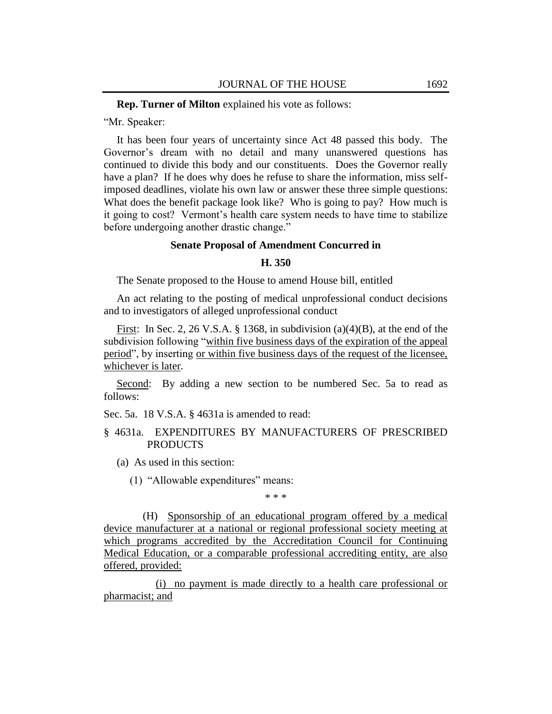**Rep. Turner of Milton** explained his vote as follows:

―Mr. Speaker:

It has been four years of uncertainty since Act 48 passed this body. The Governor's dream with no detail and many unanswered questions has continued to divide this body and our constituents. Does the Governor really have a plan? If he does why does he refuse to share the information, miss selfimposed deadlines, violate his own law or answer these three simple questions: What does the benefit package look like? Who is going to pay? How much is it going to cost? Vermont's health care system needs to have time to stabilize before undergoing another drastic change."

## **Senate Proposal of Amendment Concurred in**

# **H. 350**

The Senate proposed to the House to amend House bill, entitled

An act relating to the posting of medical unprofessional conduct decisions and to investigators of alleged unprofessional conduct

First: In Sec. 2, 26 V.S.A. § 1368, in subdivision (a)(4)(B), at the end of the subdivision following "within five business days of the expiration of the appeal period‖, by inserting or within five business days of the request of the licensee, whichever is later.

Second: By adding a new section to be numbered Sec. 5a to read as follows:

Sec. 5a. 18 V.S.A. § 4631a is amended to read:

# § 4631a. EXPENDITURES BY MANUFACTURERS OF PRESCRIBED PRODUCTS

(a) As used in this section:

(1) "Allowable expenditures" means:

\* \* \*

(H) Sponsorship of an educational program offered by a medical device manufacturer at a national or regional professional society meeting at which programs accredited by the Accreditation Council for Continuing Medical Education, or a comparable professional accrediting entity, are also offered, provided:

(i) no payment is made directly to a health care professional or pharmacist; and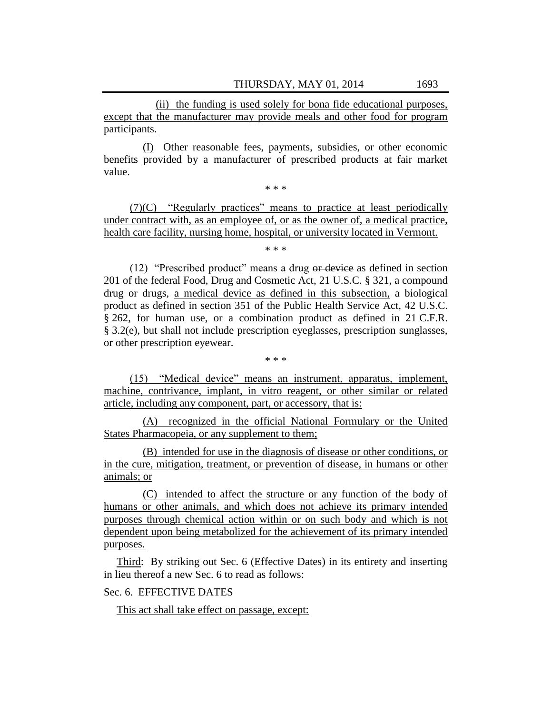(ii) the funding is used solely for bona fide educational purposes, except that the manufacturer may provide meals and other food for program participants.

(I) Other reasonable fees, payments, subsidies, or other economic benefits provided by a manufacturer of prescribed products at fair market value.

\* \* \*

 $(7)(C)$  "Regularly practices" means to practice at least periodically under contract with, as an employee of, or as the owner of, a medical practice, health care facility, nursing home, hospital, or university located in Vermont.

\* \* \*

 $(12)$  "Prescribed product" means a drug or device as defined in section 201 of the federal Food, Drug and Cosmetic Act, 21 U.S.C. § 321, a compound drug or drugs, a medical device as defined in this subsection, a biological product as defined in section 351 of the Public Health Service Act, 42 U.S.C. § 262, for human use, or a combination product as defined in 21 C.F.R. § 3.2(e), but shall not include prescription eyeglasses, prescription sunglasses, or other prescription eyewear.

(15) 
"Medical device" means an instrument, apparatus, implement, machine, contrivance, implant, in vitro reagent, or other similar or related article, including any component, part, or accessory, that is:

\* \* \*

(A) recognized in the official National Formulary or the United States Pharmacopeia, or any supplement to them;

(B) intended for use in the diagnosis of disease or other conditions, or in the cure, mitigation, treatment, or prevention of disease, in humans or other animals; or

(C) intended to affect the structure or any function of the body of humans or other animals, and which does not achieve its primary intended purposes through chemical action within or on such body and which is not dependent upon being metabolized for the achievement of its primary intended purposes.

Third: By striking out Sec. 6 (Effective Dates) in its entirety and inserting in lieu thereof a new Sec. 6 to read as follows:

Sec. 6. EFFECTIVE DATES

This act shall take effect on passage, except: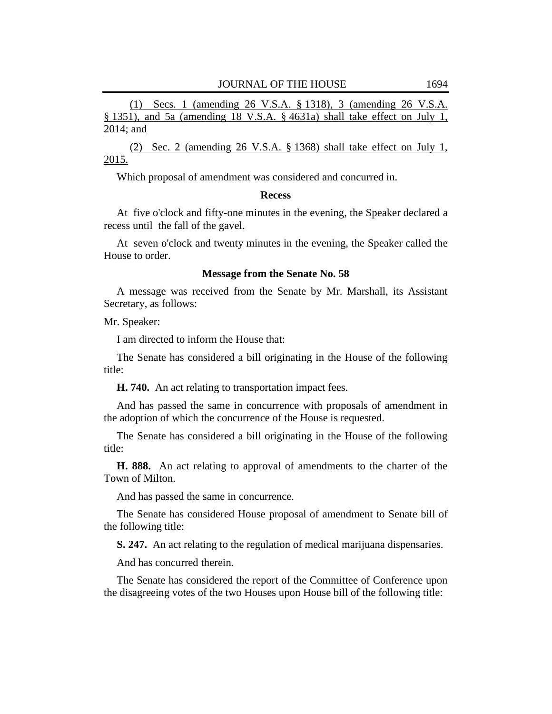(1) Secs. 1 (amending 26 V.S.A. § 1318), 3 (amending 26 V.S.A. § 1351), and 5a (amending 18 V.S.A. § 4631a) shall take effect on July 1, 2014; and

(2) Sec. 2 (amending 26 V.S.A.  $\S$  1368) shall take effect on July 1, 2015.

Which proposal of amendment was considered and concurred in.

#### **Recess**

At five o'clock and fifty-one minutes in the evening, the Speaker declared a recess until the fall of the gavel.

At seven o'clock and twenty minutes in the evening, the Speaker called the House to order.

## **Message from the Senate No. 58**

A message was received from the Senate by Mr. Marshall, its Assistant Secretary, as follows:

Mr. Speaker:

I am directed to inform the House that:

The Senate has considered a bill originating in the House of the following title:

**H. 740.** An act relating to transportation impact fees.

And has passed the same in concurrence with proposals of amendment in the adoption of which the concurrence of the House is requested.

The Senate has considered a bill originating in the House of the following title:

**H. 888.** An act relating to approval of amendments to the charter of the Town of Milton.

And has passed the same in concurrence.

The Senate has considered House proposal of amendment to Senate bill of the following title:

**S. 247.** An act relating to the regulation of medical marijuana dispensaries.

And has concurred therein.

The Senate has considered the report of the Committee of Conference upon the disagreeing votes of the two Houses upon House bill of the following title: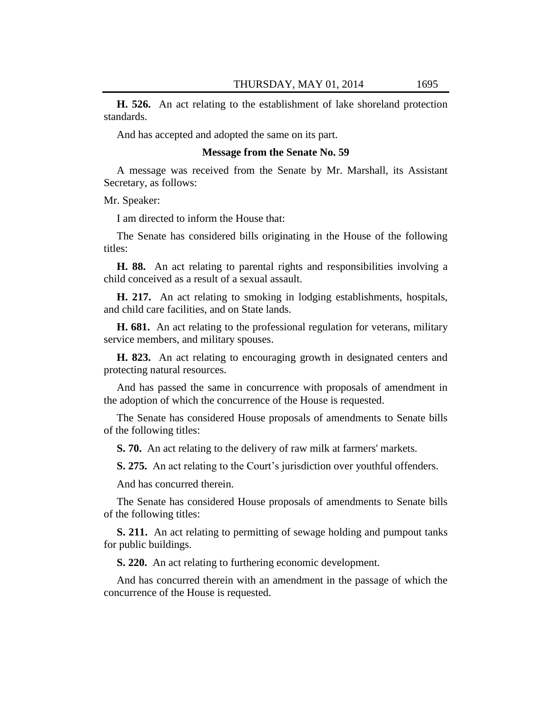**H. 526.** An act relating to the establishment of lake shoreland protection standards.

And has accepted and adopted the same on its part.

#### **Message from the Senate No. 59**

A message was received from the Senate by Mr. Marshall, its Assistant Secretary, as follows:

Mr. Speaker:

I am directed to inform the House that:

The Senate has considered bills originating in the House of the following titles:

**H. 88.** An act relating to parental rights and responsibilities involving a child conceived as a result of a sexual assault.

**H. 217.** An act relating to smoking in lodging establishments, hospitals, and child care facilities, and on State lands.

**H. 681.** An act relating to the professional regulation for veterans, military service members, and military spouses.

**H. 823.** An act relating to encouraging growth in designated centers and protecting natural resources.

And has passed the same in concurrence with proposals of amendment in the adoption of which the concurrence of the House is requested.

The Senate has considered House proposals of amendments to Senate bills of the following titles:

**S. 70.** An act relating to the delivery of raw milk at farmers' markets.

**S. 275.** An act relating to the Court's jurisdiction over youthful offenders.

And has concurred therein.

The Senate has considered House proposals of amendments to Senate bills of the following titles:

**S. 211.** An act relating to permitting of sewage holding and pumpout tanks for public buildings.

**S. 220.** An act relating to furthering economic development.

And has concurred therein with an amendment in the passage of which the concurrence of the House is requested.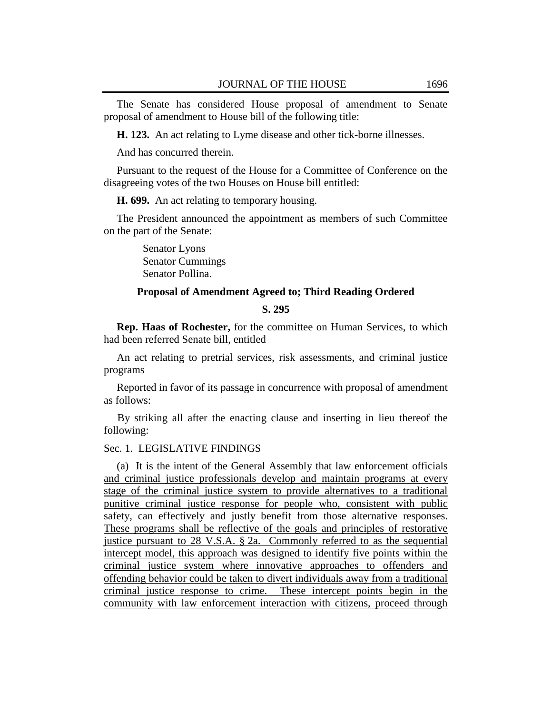The Senate has considered House proposal of amendment to Senate proposal of amendment to House bill of the following title:

**H. 123.** An act relating to Lyme disease and other tick-borne illnesses.

And has concurred therein.

Pursuant to the request of the House for a Committee of Conference on the disagreeing votes of the two Houses on House bill entitled:

**H. 699.** An act relating to temporary housing.

The President announced the appointment as members of such Committee on the part of the Senate:

> Senator Lyons Senator Cummings Senator Pollina.

## **Proposal of Amendment Agreed to; Third Reading Ordered**

#### **S. 295**

**Rep. Haas of Rochester,** for the committee on Human Services, to which had been referred Senate bill, entitled

An act relating to pretrial services, risk assessments, and criminal justice programs

Reported in favor of its passage in concurrence with proposal of amendment as follows:

 By striking all after the enacting clause and inserting in lieu thereof the following:

## Sec. 1. LEGISLATIVE FINDINGS

(a) It is the intent of the General Assembly that law enforcement officials and criminal justice professionals develop and maintain programs at every stage of the criminal justice system to provide alternatives to a traditional punitive criminal justice response for people who, consistent with public safety, can effectively and justly benefit from those alternative responses. These programs shall be reflective of the goals and principles of restorative justice pursuant to 28 V.S.A. § 2a. Commonly referred to as the sequential intercept model, this approach was designed to identify five points within the criminal justice system where innovative approaches to offenders and offending behavior could be taken to divert individuals away from a traditional criminal justice response to crime. These intercept points begin in the community with law enforcement interaction with citizens, proceed through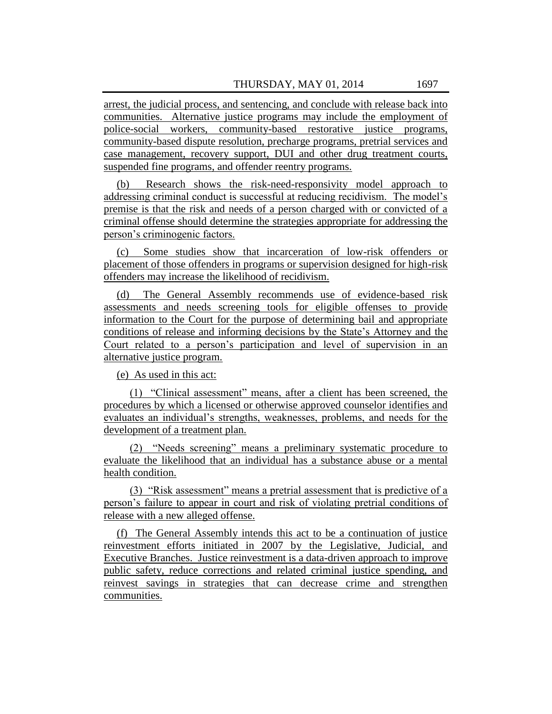arrest, the judicial process, and sentencing, and conclude with release back into communities. Alternative justice programs may include the employment of police-social workers, community-based restorative justice programs, community-based dispute resolution, precharge programs, pretrial services and case management, recovery support, DUI and other drug treatment courts, suspended fine programs, and offender reentry programs.

(b) Research shows the risk-need-responsivity model approach to addressing criminal conduct is successful at reducing recidivism. The model's premise is that the risk and needs of a person charged with or convicted of a criminal offense should determine the strategies appropriate for addressing the person's criminogenic factors.

(c) Some studies show that incarceration of low-risk offenders or placement of those offenders in programs or supervision designed for high-risk offenders may increase the likelihood of recidivism.

(d) The General Assembly recommends use of evidence-based risk assessments and needs screening tools for eligible offenses to provide information to the Court for the purpose of determining bail and appropriate conditions of release and informing decisions by the State's Attorney and the Court related to a person's participation and level of supervision in an alternative justice program.

(e) As used in this act:

(1) "Clinical assessment" means, after a client has been screened, the procedures by which a licensed or otherwise approved counselor identifies and evaluates an individual's strengths, weaknesses, problems, and needs for the development of a treatment plan.

(2) "Needs screening" means a preliminary systematic procedure to evaluate the likelihood that an individual has a substance abuse or a mental health condition.

(3) "Risk assessment" means a pretrial assessment that is predictive of a person's failure to appear in court and risk of violating pretrial conditions of release with a new alleged offense.

(f) The General Assembly intends this act to be a continuation of justice reinvestment efforts initiated in 2007 by the Legislative, Judicial, and Executive Branches. Justice reinvestment is a data-driven approach to improve public safety, reduce corrections and related criminal justice spending, and reinvest savings in strategies that can decrease crime and strengthen communities.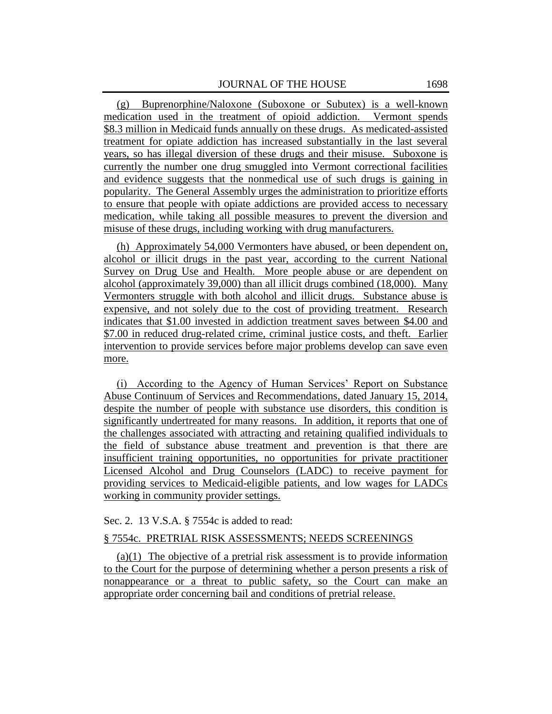(g) Buprenorphine/Naloxone (Suboxone or Subutex) is a well-known medication used in the treatment of opioid addiction. Vermont spends \$8.3 million in Medicaid funds annually on these drugs. As medicated-assisted treatment for opiate addiction has increased substantially in the last several years, so has illegal diversion of these drugs and their misuse. Suboxone is currently the number one drug smuggled into Vermont correctional facilities and evidence suggests that the nonmedical use of such drugs is gaining in popularity. The General Assembly urges the administration to prioritize efforts to ensure that people with opiate addictions are provided access to necessary medication, while taking all possible measures to prevent the diversion and misuse of these drugs, including working with drug manufacturers.

(h) Approximately 54,000 Vermonters have abused, or been dependent on, alcohol or illicit drugs in the past year, according to the current National Survey on Drug Use and Health. More people abuse or are dependent on alcohol (approximately 39,000) than all illicit drugs combined (18,000). Many Vermonters struggle with both alcohol and illicit drugs. Substance abuse is expensive, and not solely due to the cost of providing treatment. Research indicates that \$1.00 invested in addiction treatment saves between \$4.00 and \$7.00 in reduced drug-related crime, criminal justice costs, and theft. Earlier intervention to provide services before major problems develop can save even more.

(i) According to the Agency of Human Services' Report on Substance Abuse Continuum of Services and Recommendations, dated January 15, 2014, despite the number of people with substance use disorders, this condition is significantly undertreated for many reasons. In addition, it reports that one of the challenges associated with attracting and retaining qualified individuals to the field of substance abuse treatment and prevention is that there are insufficient training opportunities, no opportunities for private practitioner Licensed Alcohol and Drug Counselors (LADC) to receive payment for providing services to Medicaid-eligible patients, and low wages for LADCs working in community provider settings.

Sec. 2. 13 V.S.A. § 7554c is added to read:

## § 7554c. PRETRIAL RISK ASSESSMENTS; NEEDS SCREENINGS

(a)(1) The objective of a pretrial risk assessment is to provide information to the Court for the purpose of determining whether a person presents a risk of nonappearance or a threat to public safety, so the Court can make an appropriate order concerning bail and conditions of pretrial release.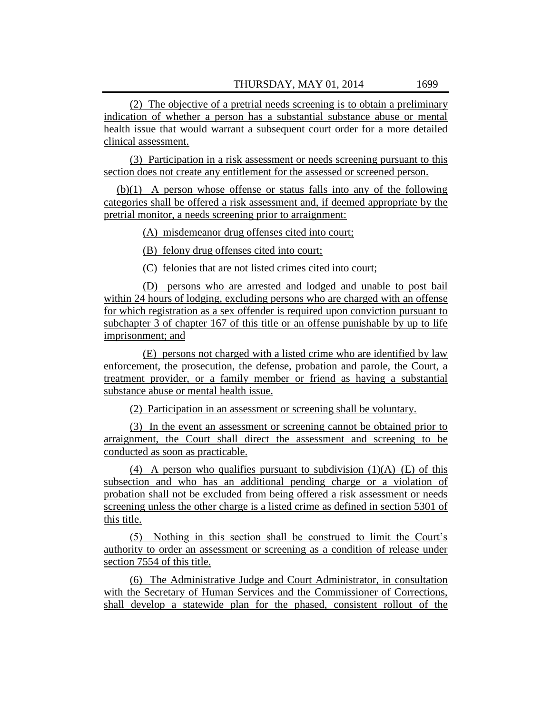(2) The objective of a pretrial needs screening is to obtain a preliminary indication of whether a person has a substantial substance abuse or mental health issue that would warrant a subsequent court order for a more detailed clinical assessment.

(3) Participation in a risk assessment or needs screening pursuant to this section does not create any entitlement for the assessed or screened person.

(b)(1) A person whose offense or status falls into any of the following categories shall be offered a risk assessment and, if deemed appropriate by the pretrial monitor, a needs screening prior to arraignment:

(A) misdemeanor drug offenses cited into court;

(B) felony drug offenses cited into court;

(C) felonies that are not listed crimes cited into court;

(D) persons who are arrested and lodged and unable to post bail within 24 hours of lodging, excluding persons who are charged with an offense for which registration as a sex offender is required upon conviction pursuant to subchapter 3 of chapter 167 of this title or an offense punishable by up to life imprisonment; and

(E) persons not charged with a listed crime who are identified by law enforcement, the prosecution, the defense, probation and parole, the Court, a treatment provider, or a family member or friend as having a substantial substance abuse or mental health issue.

(2) Participation in an assessment or screening shall be voluntary.

(3) In the event an assessment or screening cannot be obtained prior to arraignment, the Court shall direct the assessment and screening to be conducted as soon as practicable.

(4) A person who qualifies pursuant to subdivision  $(1)(A)$ –(E) of this subsection and who has an additional pending charge or a violation of probation shall not be excluded from being offered a risk assessment or needs screening unless the other charge is a listed crime as defined in section 5301 of this title.

(5) Nothing in this section shall be construed to limit the Court's authority to order an assessment or screening as a condition of release under section 7554 of this title.

(6) The Administrative Judge and Court Administrator, in consultation with the Secretary of Human Services and the Commissioner of Corrections, shall develop a statewide plan for the phased, consistent rollout of the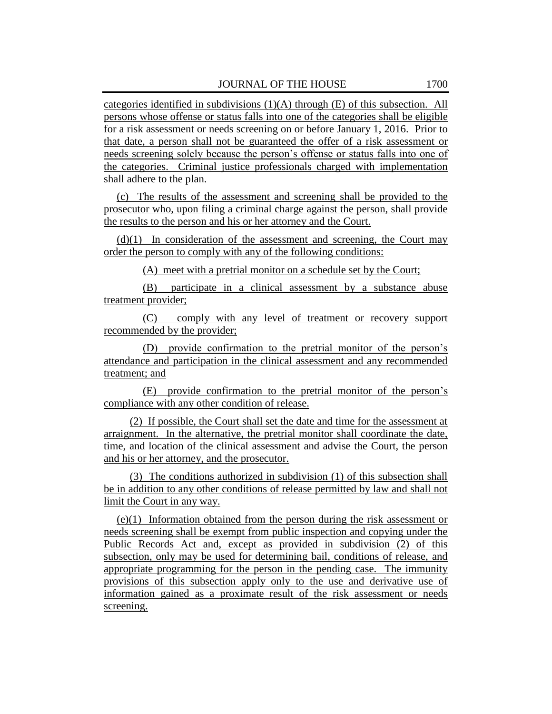categories identified in subdivisions (1)(A) through (E) of this subsection. All persons whose offense or status falls into one of the categories shall be eligible for a risk assessment or needs screening on or before January 1, 2016. Prior to that date, a person shall not be guaranteed the offer of a risk assessment or needs screening solely because the person's offense or status falls into one of the categories. Criminal justice professionals charged with implementation shall adhere to the plan.

(c) The results of the assessment and screening shall be provided to the prosecutor who, upon filing a criminal charge against the person, shall provide the results to the person and his or her attorney and the Court.

 $(d)(1)$  In consideration of the assessment and screening, the Court may order the person to comply with any of the following conditions:

(A) meet with a pretrial monitor on a schedule set by the Court;

(B) participate in a clinical assessment by a substance abuse treatment provider;

(C) comply with any level of treatment or recovery support recommended by the provider;

(D) provide confirmation to the pretrial monitor of the person's attendance and participation in the clinical assessment and any recommended treatment; and

(E) provide confirmation to the pretrial monitor of the person's compliance with any other condition of release.

(2) If possible, the Court shall set the date and time for the assessment at arraignment. In the alternative, the pretrial monitor shall coordinate the date, time, and location of the clinical assessment and advise the Court, the person and his or her attorney, and the prosecutor.

(3) The conditions authorized in subdivision (1) of this subsection shall be in addition to any other conditions of release permitted by law and shall not limit the Court in any way.

(e)(1) Information obtained from the person during the risk assessment or needs screening shall be exempt from public inspection and copying under the Public Records Act and, except as provided in subdivision (2) of this subsection, only may be used for determining bail, conditions of release, and appropriate programming for the person in the pending case. The immunity provisions of this subsection apply only to the use and derivative use of information gained as a proximate result of the risk assessment or needs screening.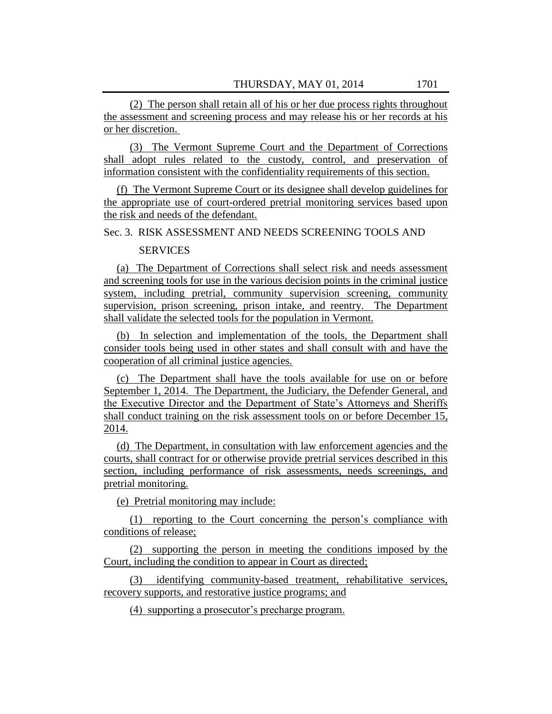(2) The person shall retain all of his or her due process rights throughout the assessment and screening process and may release his or her records at his or her discretion.

(3) The Vermont Supreme Court and the Department of Corrections shall adopt rules related to the custody, control, and preservation of information consistent with the confidentiality requirements of this section.

(f) The Vermont Supreme Court or its designee shall develop guidelines for the appropriate use of court-ordered pretrial monitoring services based upon the risk and needs of the defendant.

Sec. 3. RISK ASSESSMENT AND NEEDS SCREENING TOOLS AND

**SERVICES** 

(a) The Department of Corrections shall select risk and needs assessment and screening tools for use in the various decision points in the criminal justice system, including pretrial, community supervision screening, community supervision, prison screening, prison intake, and reentry. The Department shall validate the selected tools for the population in Vermont.

(b) In selection and implementation of the tools, the Department shall consider tools being used in other states and shall consult with and have the cooperation of all criminal justice agencies.

(c) The Department shall have the tools available for use on or before September 1, 2014. The Department, the Judiciary, the Defender General, and the Executive Director and the Department of State's Attorneys and Sheriffs shall conduct training on the risk assessment tools on or before December 15, 2014.

(d) The Department, in consultation with law enforcement agencies and the courts, shall contract for or otherwise provide pretrial services described in this section, including performance of risk assessments, needs screenings, and pretrial monitoring.

(e) Pretrial monitoring may include:

(1) reporting to the Court concerning the person's compliance with conditions of release;

(2) supporting the person in meeting the conditions imposed by the Court, including the condition to appear in Court as directed;

(3) identifying community-based treatment, rehabilitative services, recovery supports, and restorative justice programs; and

(4) supporting a prosecutor's precharge program.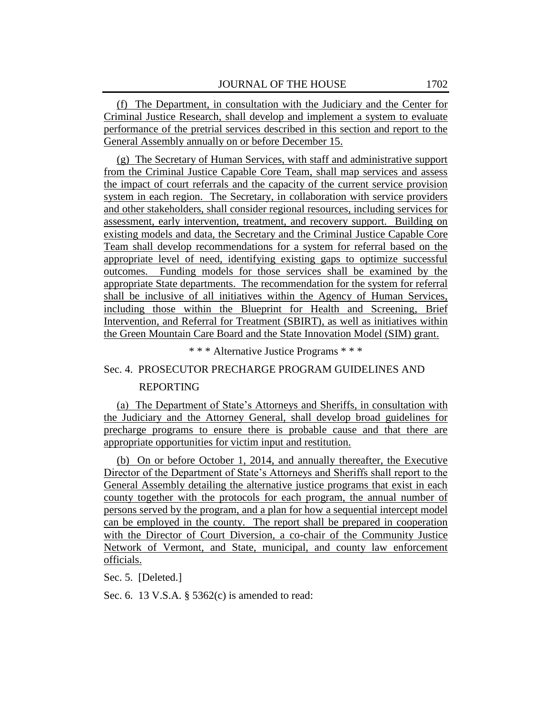(f) The Department, in consultation with the Judiciary and the Center for Criminal Justice Research, shall develop and implement a system to evaluate performance of the pretrial services described in this section and report to the General Assembly annually on or before December 15.

(g) The Secretary of Human Services, with staff and administrative support from the Criminal Justice Capable Core Team, shall map services and assess the impact of court referrals and the capacity of the current service provision system in each region. The Secretary, in collaboration with service providers and other stakeholders, shall consider regional resources, including services for assessment, early intervention, treatment, and recovery support. Building on existing models and data, the Secretary and the Criminal Justice Capable Core Team shall develop recommendations for a system for referral based on the appropriate level of need, identifying existing gaps to optimize successful outcomes. Funding models for those services shall be examined by the appropriate State departments. The recommendation for the system for referral shall be inclusive of all initiatives within the Agency of Human Services, including those within the Blueprint for Health and Screening, Brief Intervention, and Referral for Treatment (SBIRT), as well as initiatives within the Green Mountain Care Board and the State Innovation Model (SIM) grant.

\* \* \* Alternative Justice Programs \* \* \*

## Sec. 4. PROSECUTOR PRECHARGE PROGRAM GUIDELINES AND

## REPORTING

(a) The Department of State's Attorneys and Sheriffs, in consultation with the Judiciary and the Attorney General, shall develop broad guidelines for precharge programs to ensure there is probable cause and that there are appropriate opportunities for victim input and restitution.

(b) On or before October 1, 2014, and annually thereafter, the Executive Director of the Department of State's Attorneys and Sheriffs shall report to the General Assembly detailing the alternative justice programs that exist in each county together with the protocols for each program, the annual number of persons served by the program, and a plan for how a sequential intercept model can be employed in the county. The report shall be prepared in cooperation with the Director of Court Diversion, a co-chair of the Community Justice Network of Vermont, and State, municipal, and county law enforcement officials.

Sec. 5. [Deleted.]

Sec. 6. 13 V.S.A. § 5362(c) is amended to read: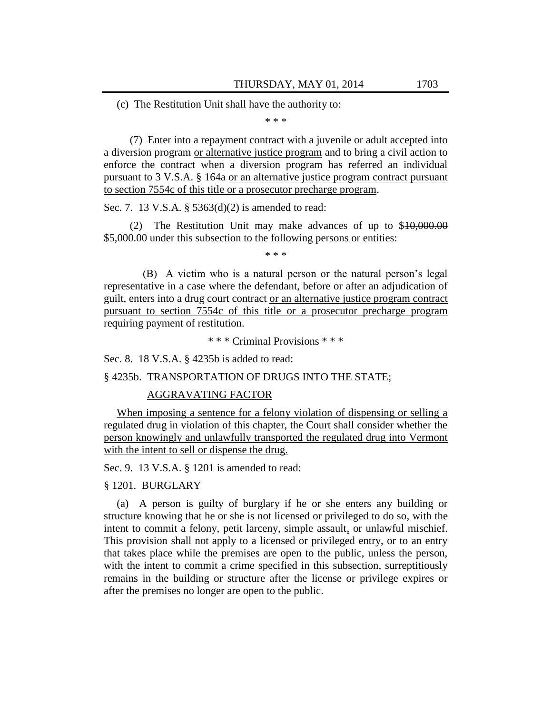(c) The Restitution Unit shall have the authority to:

\* \* \*

(7) Enter into a repayment contract with a juvenile or adult accepted into a diversion program or alternative justice program and to bring a civil action to enforce the contract when a diversion program has referred an individual pursuant to 3 V.S.A. § 164a or an alternative justice program contract pursuant to section 7554c of this title or a prosecutor precharge program.

Sec. 7. 13 V.S.A. § 5363(d)(2) is amended to read:

(2) The Restitution Unit may make advances of up to \$10,000.00 \$5,000.00 under this subsection to the following persons or entities:

\* \* \*

(B) A victim who is a natural person or the natural person's legal representative in a case where the defendant, before or after an adjudication of guilt, enters into a drug court contract or an alternative justice program contract pursuant to section 7554c of this title or a prosecutor precharge program requiring payment of restitution.

\* \* \* Criminal Provisions \* \* \*

Sec. 8. 18 V.S.A. § 4235b is added to read:

## § 4235b. TRANSPORTATION OF DRUGS INTO THE STATE;

#### AGGRAVATING FACTOR

When imposing a sentence for a felony violation of dispensing or selling a regulated drug in violation of this chapter, the Court shall consider whether the person knowingly and unlawfully transported the regulated drug into Vermont with the intent to sell or dispense the drug.

Sec. 9. 13 V.S.A. § 1201 is amended to read:

§ 1201. BURGLARY

(a) A person is guilty of burglary if he or she enters any building or structure knowing that he or she is not licensed or privileged to do so, with the intent to commit a felony, petit larceny, simple assault, or unlawful mischief. This provision shall not apply to a licensed or privileged entry, or to an entry that takes place while the premises are open to the public, unless the person, with the intent to commit a crime specified in this subsection, surreptitiously remains in the building or structure after the license or privilege expires or after the premises no longer are open to the public.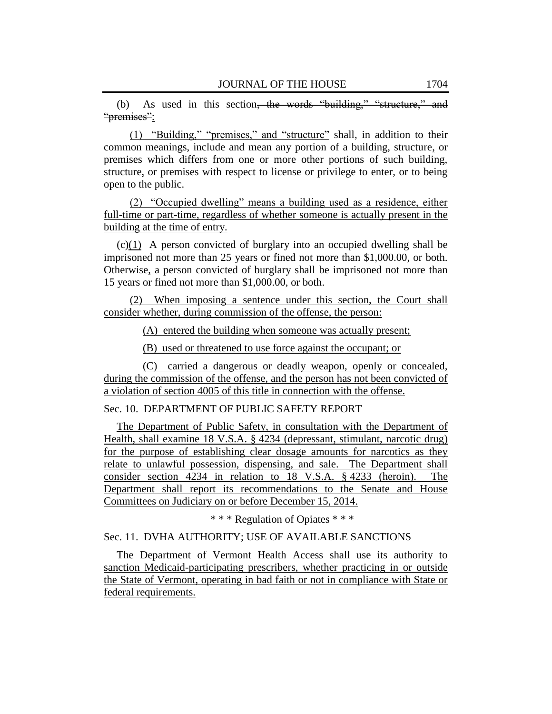(b) As used in this section, the words "building," "structure," and "premises":

 $(1)$  "Building," "premises," and "structure" shall, in addition to their common meanings, include and mean any portion of a building, structure, or premises which differs from one or more other portions of such building, structure, or premises with respect to license or privilege to enter, or to being open to the public.

(2) "Occupied dwelling" means a building used as a residence, either full-time or part-time, regardless of whether someone is actually present in the building at the time of entry.

(c)(1) A person convicted of burglary into an occupied dwelling shall be imprisoned not more than 25 years or fined not more than \$1,000.00, or both. Otherwise, a person convicted of burglary shall be imprisoned not more than 15 years or fined not more than \$1,000.00, or both.

(2) When imposing a sentence under this section, the Court shall consider whether, during commission of the offense, the person:

(A) entered the building when someone was actually present;

(B) used or threatened to use force against the occupant; or

(C) carried a dangerous or deadly weapon, openly or concealed, during the commission of the offense, and the person has not been convicted of a violation of section 4005 of this title in connection with the offense.

# Sec. 10. DEPARTMENT OF PUBLIC SAFETY REPORT

The Department of Public Safety, in consultation with the Department of Health, shall examine 18 V.S.A. § 4234 (depressant, stimulant, narcotic drug) for the purpose of establishing clear dosage amounts for narcotics as they relate to unlawful possession, dispensing, and sale. The Department shall consider section 4234 in relation to 18 V.S.A. § 4233 (heroin). The Department shall report its recommendations to the Senate and House Committees on Judiciary on or before December 15, 2014.

\* \* \* Regulation of Opiates \* \* \*

# Sec. 11. DVHA AUTHORITY; USE OF AVAILABLE SANCTIONS

The Department of Vermont Health Access shall use its authority to sanction Medicaid-participating prescribers, whether practicing in or outside the State of Vermont, operating in bad faith or not in compliance with State or federal requirements.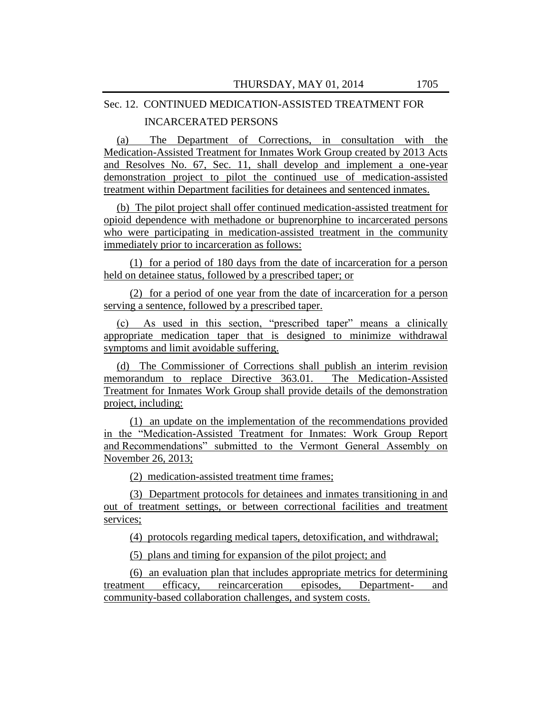# Sec. 12. CONTINUED MEDICATION-ASSISTED TREATMENT FOR

## INCARCERATED PERSONS

(a) The Department of Corrections, in consultation with the Medication-Assisted Treatment for Inmates Work Group created by 2013 Acts and Resolves No. 67, Sec. 11, shall develop and implement a one-year demonstration project to pilot the continued use of medication-assisted treatment within Department facilities for detainees and sentenced inmates.

(b) The pilot project shall offer continued medication-assisted treatment for opioid dependence with methadone or buprenorphine to incarcerated persons who were participating in medication-assisted treatment in the community immediately prior to incarceration as follows:

(1) for a period of 180 days from the date of incarceration for a person held on detainee status, followed by a prescribed taper; or

(2) for a period of one year from the date of incarceration for a person serving a sentence, followed by a prescribed taper.

(c) As used in this section, "prescribed taper" means a clinically appropriate medication taper that is designed to minimize withdrawal symptoms and limit avoidable suffering.

(d) The Commissioner of Corrections shall publish an interim revision memorandum to replace Directive 363.01. The Medication-Assisted Treatment for Inmates Work Group shall provide details of the demonstration project, including:

(1) an update on the implementation of the recommendations provided in the "Medication-Assisted Treatment for Inmates: Work Group Report and Recommendations" submitted to the Vermont General Assembly on November 26, 2013;

(2) medication-assisted treatment time frames;

(3) Department protocols for detainees and inmates transitioning in and out of treatment settings, or between correctional facilities and treatment services;

(4) protocols regarding medical tapers, detoxification, and withdrawal;

(5) plans and timing for expansion of the pilot project; and

(6) an evaluation plan that includes appropriate metrics for determining treatment efficacy, reincarceration episodes, Department- and community-based collaboration challenges, and system costs.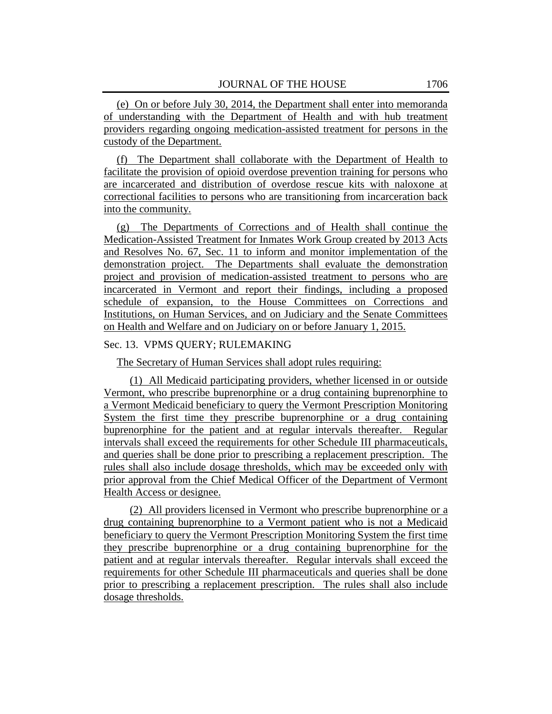(e) On or before July 30, 2014, the Department shall enter into memoranda of understanding with the Department of Health and with hub treatment providers regarding ongoing medication-assisted treatment for persons in the custody of the Department.

(f) The Department shall collaborate with the Department of Health to facilitate the provision of opioid overdose prevention training for persons who are incarcerated and distribution of overdose rescue kits with naloxone at correctional facilities to persons who are transitioning from incarceration back into the community.

(g) The Departments of Corrections and of Health shall continue the Medication-Assisted Treatment for Inmates Work Group created by 2013 Acts and Resolves No. 67, Sec. 11 to inform and monitor implementation of the demonstration project. The Departments shall evaluate the demonstration project and provision of medication-assisted treatment to persons who are incarcerated in Vermont and report their findings, including a proposed schedule of expansion, to the House Committees on Corrections and Institutions, on Human Services, and on Judiciary and the Senate Committees on Health and Welfare and on Judiciary on or before January 1, 2015.

# Sec. 13. VPMS QUERY; RULEMAKING

The Secretary of Human Services shall adopt rules requiring:

(1) All Medicaid participating providers, whether licensed in or outside Vermont, who prescribe buprenorphine or a drug containing buprenorphine to a Vermont Medicaid beneficiary to query the Vermont Prescription Monitoring System the first time they prescribe buprenorphine or a drug containing buprenorphine for the patient and at regular intervals thereafter. Regular intervals shall exceed the requirements for other Schedule III pharmaceuticals, and queries shall be done prior to prescribing a replacement prescription. The rules shall also include dosage thresholds, which may be exceeded only with prior approval from the Chief Medical Officer of the Department of Vermont Health Access or designee.

(2) All providers licensed in Vermont who prescribe buprenorphine or a drug containing buprenorphine to a Vermont patient who is not a Medicaid beneficiary to query the Vermont Prescription Monitoring System the first time they prescribe buprenorphine or a drug containing buprenorphine for the patient and at regular intervals thereafter. Regular intervals shall exceed the requirements for other Schedule III pharmaceuticals and queries shall be done prior to prescribing a replacement prescription. The rules shall also include dosage thresholds.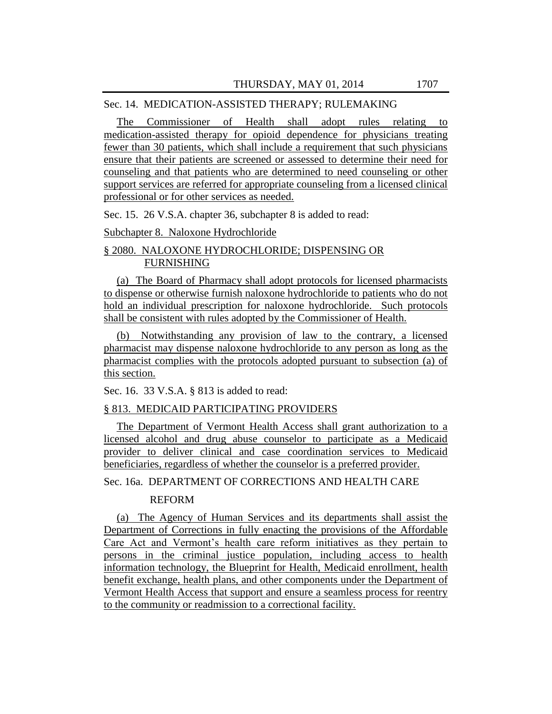# Sec. 14. MEDICATION-ASSISTED THERAPY; RULEMAKING

The Commissioner of Health shall adopt rules relating to medication-assisted therapy for opioid dependence for physicians treating fewer than 30 patients, which shall include a requirement that such physicians ensure that their patients are screened or assessed to determine their need for counseling and that patients who are determined to need counseling or other support services are referred for appropriate counseling from a licensed clinical professional or for other services as needed.

Sec. 15. 26 V.S.A. chapter 36, subchapter 8 is added to read:

Subchapter 8. Naloxone Hydrochloride

# § 2080. NALOXONE HYDROCHLORIDE; DISPENSING OR FURNISHING

(a) The Board of Pharmacy shall adopt protocols for licensed pharmacists to dispense or otherwise furnish naloxone hydrochloride to patients who do not hold an individual prescription for naloxone hydrochloride. Such protocols shall be consistent with rules adopted by the Commissioner of Health.

(b) Notwithstanding any provision of law to the contrary, a licensed pharmacist may dispense naloxone hydrochloride to any person as long as the pharmacist complies with the protocols adopted pursuant to subsection (a) of this section.

Sec. 16. 33 V.S.A. § 813 is added to read:

## § 813. MEDICAID PARTICIPATING PROVIDERS

The Department of Vermont Health Access shall grant authorization to a licensed alcohol and drug abuse counselor to participate as a Medicaid provider to deliver clinical and case coordination services to Medicaid beneficiaries, regardless of whether the counselor is a preferred provider.

Sec. 16a. DEPARTMENT OF CORRECTIONS AND HEALTH CARE

## REFORM

(a) The Agency of Human Services and its departments shall assist the Department of Corrections in fully enacting the provisions of the Affordable Care Act and Vermont's health care reform initiatives as they pertain to persons in the criminal justice population, including access to health information technology, the Blueprint for Health, Medicaid enrollment, health benefit exchange, health plans, and other components under the Department of Vermont Health Access that support and ensure a seamless process for reentry to the community or readmission to a correctional facility.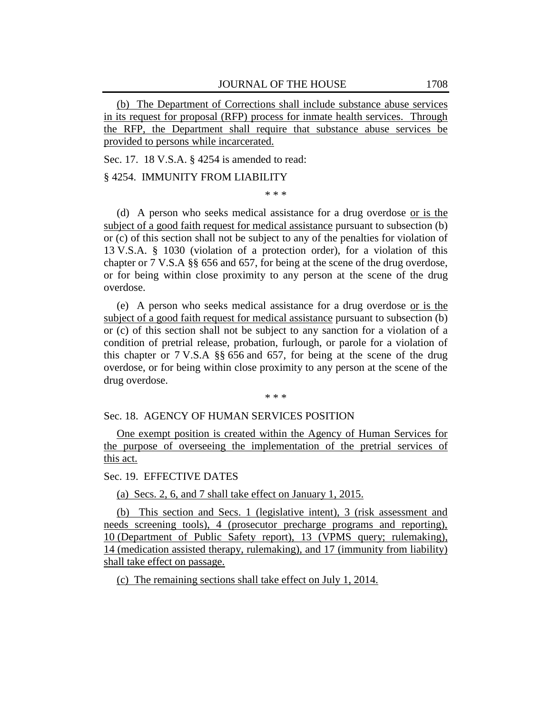(b) The Department of Corrections shall include substance abuse services in its request for proposal (RFP) process for inmate health services. Through the RFP, the Department shall require that substance abuse services be provided to persons while incarcerated.

Sec. 17. 18 V.S.A. § 4254 is amended to read:

#### § 4254. IMMUNITY FROM LIABILITY

\* \* \*

(d) A person who seeks medical assistance for a drug overdose or is the subject of a good faith request for medical assistance pursuant to subsection (b) or (c) of this section shall not be subject to any of the penalties for violation of 13 V.S.A. § 1030 (violation of a protection order), for a violation of this chapter or 7 V.S.A §§ 656 and 657, for being at the scene of the drug overdose, or for being within close proximity to any person at the scene of the drug overdose.

(e) A person who seeks medical assistance for a drug overdose or is the subject of a good faith request for medical assistance pursuant to subsection (b) or (c) of this section shall not be subject to any sanction for a violation of a condition of pretrial release, probation, furlough, or parole for a violation of this chapter or 7 V.S.A §§ 656 and 657, for being at the scene of the drug overdose, or for being within close proximity to any person at the scene of the drug overdose.

\* \* \*

## Sec. 18. AGENCY OF HUMAN SERVICES POSITION

One exempt position is created within the Agency of Human Services for the purpose of overseeing the implementation of the pretrial services of this act.

## Sec. 19. EFFECTIVE DATES

(a) Secs. 2, 6, and 7 shall take effect on January 1, 2015.

(b) This section and Secs. 1 (legislative intent), 3 (risk assessment and needs screening tools), 4 (prosecutor precharge programs and reporting), 10 (Department of Public Safety report), 13 (VPMS query; rulemaking), 14 (medication assisted therapy, rulemaking), and 17 (immunity from liability) shall take effect on passage.

(c) The remaining sections shall take effect on July 1, 2014.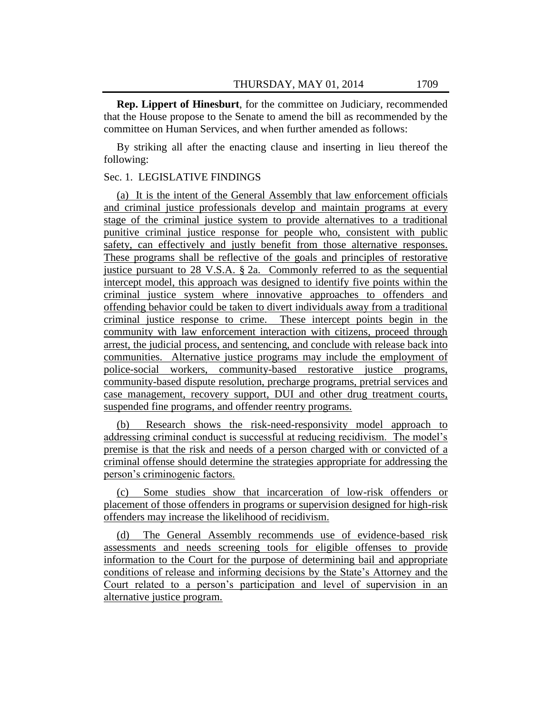**Rep. Lippert of Hinesburt**, for the committee on Judiciary, recommended that the House propose to the Senate to amend the bill as recommended by the committee on Human Services, and when further amended as follows:

By striking all after the enacting clause and inserting in lieu thereof the following:

#### Sec. 1. LEGISLATIVE FINDINGS

(a) It is the intent of the General Assembly that law enforcement officials and criminal justice professionals develop and maintain programs at every stage of the criminal justice system to provide alternatives to a traditional punitive criminal justice response for people who, consistent with public safety, can effectively and justly benefit from those alternative responses. These programs shall be reflective of the goals and principles of restorative justice pursuant to 28 V.S.A. § 2a. Commonly referred to as the sequential intercept model, this approach was designed to identify five points within the criminal justice system where innovative approaches to offenders and offending behavior could be taken to divert individuals away from a traditional criminal justice response to crime. These intercept points begin in the community with law enforcement interaction with citizens, proceed through arrest, the judicial process, and sentencing, and conclude with release back into communities. Alternative justice programs may include the employment of police-social workers, community-based restorative justice programs, community-based dispute resolution, precharge programs, pretrial services and case management, recovery support, DUI and other drug treatment courts, suspended fine programs, and offender reentry programs.

(b) Research shows the risk-need-responsivity model approach to addressing criminal conduct is successful at reducing recidivism. The model's premise is that the risk and needs of a person charged with or convicted of a criminal offense should determine the strategies appropriate for addressing the person's criminogenic factors.

(c) Some studies show that incarceration of low-risk offenders or placement of those offenders in programs or supervision designed for high-risk offenders may increase the likelihood of recidivism.

(d) The General Assembly recommends use of evidence-based risk assessments and needs screening tools for eligible offenses to provide information to the Court for the purpose of determining bail and appropriate conditions of release and informing decisions by the State's Attorney and the Court related to a person's participation and level of supervision in an alternative justice program.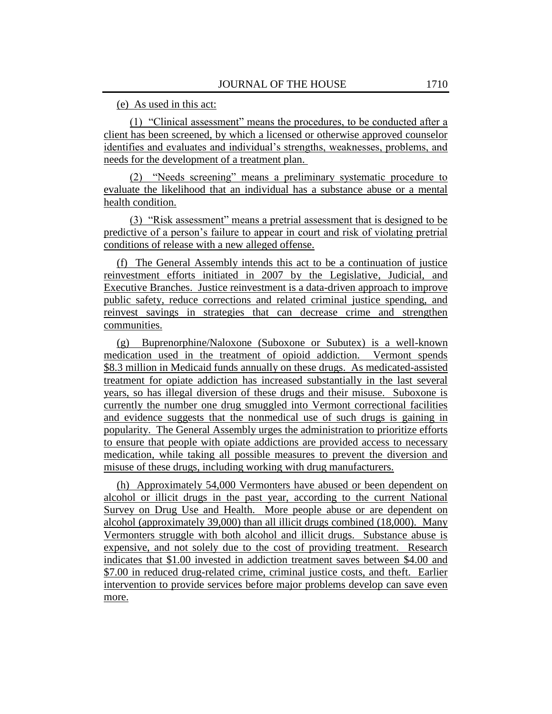(e) As used in this act:

(1) "Clinical assessment" means the procedures, to be conducted after a client has been screened, by which a licensed or otherwise approved counselor identifies and evaluates and individual's strengths, weaknesses, problems, and needs for the development of a treatment plan.

(2) "Needs screening" means a preliminary systematic procedure to evaluate the likelihood that an individual has a substance abuse or a mental health condition.

(3) "Risk assessment" means a pretrial assessment that is designed to be predictive of a person's failure to appear in court and risk of violating pretrial conditions of release with a new alleged offense.

(f) The General Assembly intends this act to be a continuation of justice reinvestment efforts initiated in 2007 by the Legislative, Judicial, and Executive Branches. Justice reinvestment is a data-driven approach to improve public safety, reduce corrections and related criminal justice spending, and reinvest savings in strategies that can decrease crime and strengthen communities.

(g) Buprenorphine/Naloxone (Suboxone or Subutex) is a well-known medication used in the treatment of opioid addiction. Vermont spends \$8.3 million in Medicaid funds annually on these drugs. As medicated-assisted treatment for opiate addiction has increased substantially in the last several years, so has illegal diversion of these drugs and their misuse. Suboxone is currently the number one drug smuggled into Vermont correctional facilities and evidence suggests that the nonmedical use of such drugs is gaining in popularity. The General Assembly urges the administration to prioritize efforts to ensure that people with opiate addictions are provided access to necessary medication, while taking all possible measures to prevent the diversion and misuse of these drugs, including working with drug manufacturers.

(h) Approximately 54,000 Vermonters have abused or been dependent on alcohol or illicit drugs in the past year, according to the current National Survey on Drug Use and Health. More people abuse or are dependent on alcohol (approximately 39,000) than all illicit drugs combined (18,000). Many Vermonters struggle with both alcohol and illicit drugs. Substance abuse is expensive, and not solely due to the cost of providing treatment. Research indicates that \$1.00 invested in addiction treatment saves between \$4.00 and \$7.00 in reduced drug-related crime, criminal justice costs, and theft. Earlier intervention to provide services before major problems develop can save even more.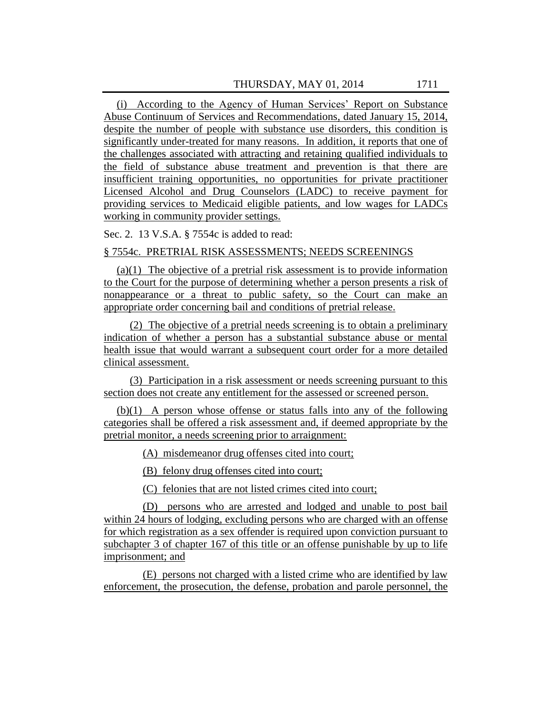(i) According to the Agency of Human Services' Report on Substance Abuse Continuum of Services and Recommendations, dated January 15, 2014, despite the number of people with substance use disorders, this condition is significantly under-treated for many reasons. In addition, it reports that one of the challenges associated with attracting and retaining qualified individuals to the field of substance abuse treatment and prevention is that there are insufficient training opportunities, no opportunities for private practitioner Licensed Alcohol and Drug Counselors (LADC) to receive payment for providing services to Medicaid eligible patients, and low wages for LADCs working in community provider settings.

Sec. 2. 13 V.S.A. § 7554c is added to read:

#### § 7554c. PRETRIAL RISK ASSESSMENTS; NEEDS SCREENINGS

(a)(1) The objective of a pretrial risk assessment is to provide information to the Court for the purpose of determining whether a person presents a risk of nonappearance or a threat to public safety, so the Court can make an appropriate order concerning bail and conditions of pretrial release.

(2) The objective of a pretrial needs screening is to obtain a preliminary indication of whether a person has a substantial substance abuse or mental health issue that would warrant a subsequent court order for a more detailed clinical assessment.

(3) Participation in a risk assessment or needs screening pursuant to this section does not create any entitlement for the assessed or screened person.

(b)(1) A person whose offense or status falls into any of the following categories shall be offered a risk assessment and, if deemed appropriate by the pretrial monitor, a needs screening prior to arraignment:

(A) misdemeanor drug offenses cited into court;

(B) felony drug offenses cited into court;

(C) felonies that are not listed crimes cited into court;

(D) persons who are arrested and lodged and unable to post bail within 24 hours of lodging, excluding persons who are charged with an offense for which registration as a sex offender is required upon conviction pursuant to subchapter 3 of chapter 167 of this title or an offense punishable by up to life imprisonment; and

(E) persons not charged with a listed crime who are identified by law enforcement, the prosecution, the defense, probation and parole personnel, the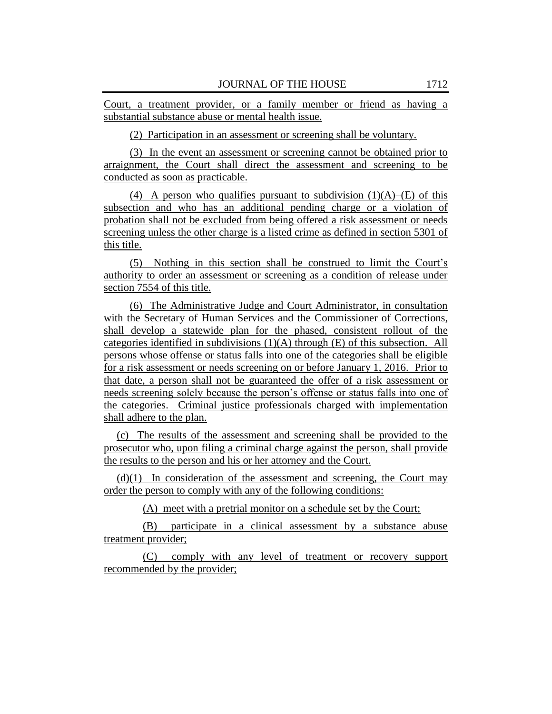Court, a treatment provider, or a family member or friend as having a substantial substance abuse or mental health issue.

(2) Participation in an assessment or screening shall be voluntary.

(3) In the event an assessment or screening cannot be obtained prior to arraignment, the Court shall direct the assessment and screening to be conducted as soon as practicable.

(4) A person who qualifies pursuant to subdivision  $(1)(A)$ –(E) of this subsection and who has an additional pending charge or a violation of probation shall not be excluded from being offered a risk assessment or needs screening unless the other charge is a listed crime as defined in section 5301 of this title.

(5) Nothing in this section shall be construed to limit the Court's authority to order an assessment or screening as a condition of release under section 7554 of this title.

(6) The Administrative Judge and Court Administrator, in consultation with the Secretary of Human Services and the Commissioner of Corrections, shall develop a statewide plan for the phased, consistent rollout of the categories identified in subdivisions (1)(A) through (E) of this subsection. All persons whose offense or status falls into one of the categories shall be eligible for a risk assessment or needs screening on or before January 1, 2016. Prior to that date, a person shall not be guaranteed the offer of a risk assessment or needs screening solely because the person's offense or status falls into one of the categories. Criminal justice professionals charged with implementation shall adhere to the plan.

(c) The results of the assessment and screening shall be provided to the prosecutor who, upon filing a criminal charge against the person, shall provide the results to the person and his or her attorney and the Court.

 $(d)(1)$  In consideration of the assessment and screening, the Court may order the person to comply with any of the following conditions:

(A) meet with a pretrial monitor on a schedule set by the Court;

(B) participate in a clinical assessment by a substance abuse treatment provider;

(C) comply with any level of treatment or recovery support recommended by the provider;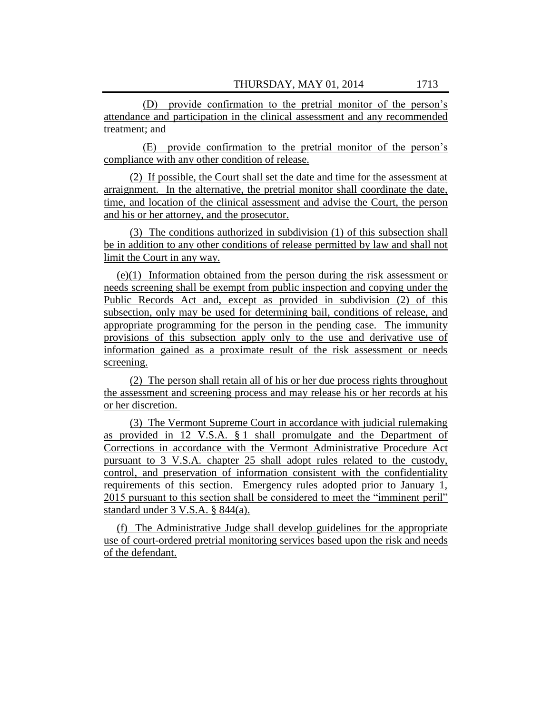(D) provide confirmation to the pretrial monitor of the person's attendance and participation in the clinical assessment and any recommended treatment; and

(E) provide confirmation to the pretrial monitor of the person's compliance with any other condition of release.

(2) If possible, the Court shall set the date and time for the assessment at arraignment. In the alternative, the pretrial monitor shall coordinate the date, time, and location of the clinical assessment and advise the Court, the person and his or her attorney, and the prosecutor.

(3) The conditions authorized in subdivision (1) of this subsection shall be in addition to any other conditions of release permitted by law and shall not limit the Court in any way.

(e)(1) Information obtained from the person during the risk assessment or needs screening shall be exempt from public inspection and copying under the Public Records Act and, except as provided in subdivision (2) of this subsection, only may be used for determining bail, conditions of release, and appropriate programming for the person in the pending case. The immunity provisions of this subsection apply only to the use and derivative use of information gained as a proximate result of the risk assessment or needs screening.

(2) The person shall retain all of his or her due process rights throughout the assessment and screening process and may release his or her records at his or her discretion.

(3) The Vermont Supreme Court in accordance with judicial rulemaking as provided in 12 V.S.A. § 1 shall promulgate and the Department of Corrections in accordance with the Vermont Administrative Procedure Act pursuant to 3 V.S.A. chapter 25 shall adopt rules related to the custody, control, and preservation of information consistent with the confidentiality requirements of this section. Emergency rules adopted prior to January 1, 2015 pursuant to this section shall be considered to meet the "imminent peril" standard under 3 V.S.A. § 844(a).

(f) The Administrative Judge shall develop guidelines for the appropriate use of court-ordered pretrial monitoring services based upon the risk and needs of the defendant.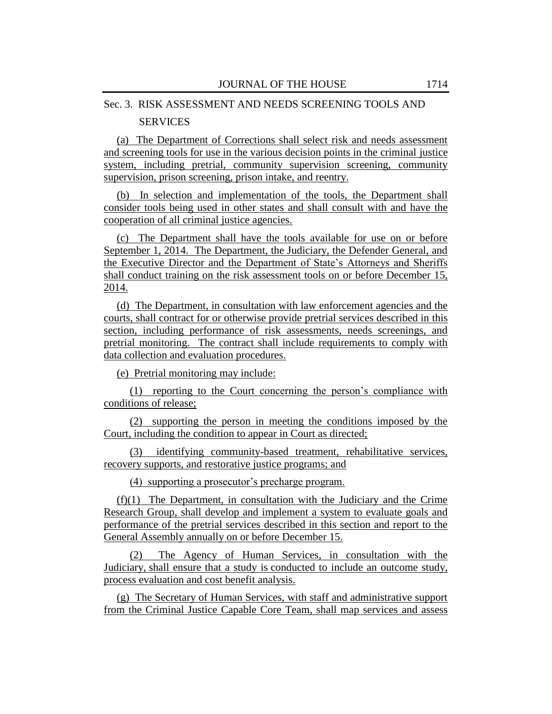# Sec. 3. RISK ASSESSMENT AND NEEDS SCREENING TOOLS AND

#### **SERVICES**

(a) The Department of Corrections shall select risk and needs assessment and screening tools for use in the various decision points in the criminal justice system, including pretrial, community supervision screening, community supervision, prison screening, prison intake, and reentry.

(b) In selection and implementation of the tools, the Department shall consider tools being used in other states and shall consult with and have the cooperation of all criminal justice agencies.

(c) The Department shall have the tools available for use on or before September 1, 2014. The Department, the Judiciary, the Defender General, and the Executive Director and the Department of State's Attorneys and Sheriffs shall conduct training on the risk assessment tools on or before December 15, 2014.

(d) The Department, in consultation with law enforcement agencies and the courts, shall contract for or otherwise provide pretrial services described in this section, including performance of risk assessments, needs screenings, and pretrial monitoring. The contract shall include requirements to comply with data collection and evaluation procedures.

(e) Pretrial monitoring may include:

(1) reporting to the Court concerning the person's compliance with conditions of release;

(2) supporting the person in meeting the conditions imposed by the Court, including the condition to appear in Court as directed;

(3) identifying community-based treatment, rehabilitative services, recovery supports, and restorative justice programs; and

(4) supporting a prosecutor's precharge program.

(f)(1) The Department, in consultation with the Judiciary and the Crime Research Group, shall develop and implement a system to evaluate goals and performance of the pretrial services described in this section and report to the General Assembly annually on or before December 15.

(2) The Agency of Human Services, in consultation with the Judiciary, shall ensure that a study is conducted to include an outcome study, process evaluation and cost benefit analysis.

(g) The Secretary of Human Services, with staff and administrative support from the Criminal Justice Capable Core Team, shall map services and assess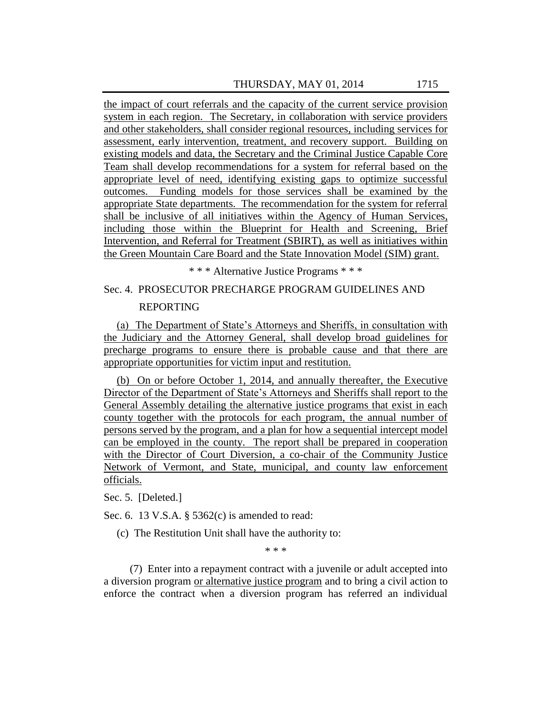the impact of court referrals and the capacity of the current service provision system in each region. The Secretary, in collaboration with service providers and other stakeholders, shall consider regional resources, including services for assessment, early intervention, treatment, and recovery support. Building on existing models and data, the Secretary and the Criminal Justice Capable Core Team shall develop recommendations for a system for referral based on the appropriate level of need, identifying existing gaps to optimize successful outcomes. Funding models for those services shall be examined by the appropriate State departments. The recommendation for the system for referral shall be inclusive of all initiatives within the Agency of Human Services, including those within the Blueprint for Health and Screening, Brief Intervention, and Referral for Treatment (SBIRT), as well as initiatives within the Green Mountain Care Board and the State Innovation Model (SIM) grant.

\* \* \* Alternative Justice Programs \* \* \*

## Sec. 4. PROSECUTOR PRECHARGE PROGRAM GUIDELINES AND

#### REPORTING

(a) The Department of State's Attorneys and Sheriffs, in consultation with the Judiciary and the Attorney General, shall develop broad guidelines for precharge programs to ensure there is probable cause and that there are appropriate opportunities for victim input and restitution.

(b) On or before October 1, 2014, and annually thereafter, the Executive Director of the Department of State's Attorneys and Sheriffs shall report to the General Assembly detailing the alternative justice programs that exist in each county together with the protocols for each program, the annual number of persons served by the program, and a plan for how a sequential intercept model can be employed in the county. The report shall be prepared in cooperation with the Director of Court Diversion, a co-chair of the Community Justice Network of Vermont, and State, municipal, and county law enforcement officials.

Sec. 5. [Deleted.]

Sec. 6. 13 V.S.A. § 5362(c) is amended to read:

(c) The Restitution Unit shall have the authority to:

\* \* \*

(7) Enter into a repayment contract with a juvenile or adult accepted into a diversion program or alternative justice program and to bring a civil action to enforce the contract when a diversion program has referred an individual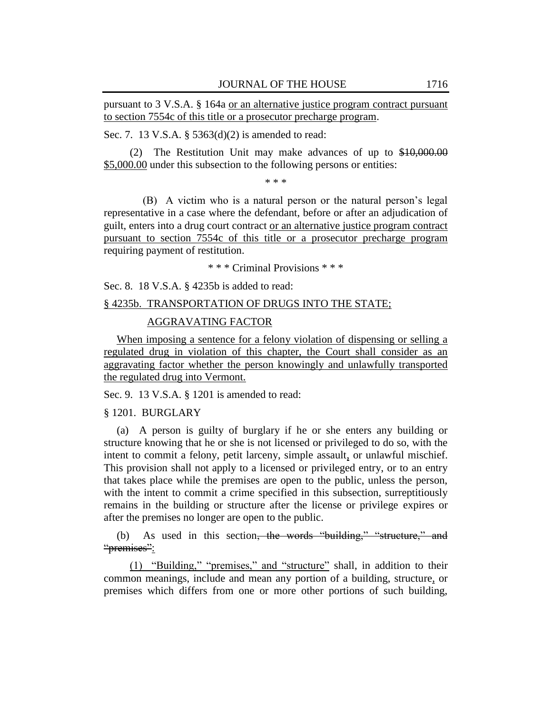pursuant to 3 V.S.A. § 164a or an alternative justice program contract pursuant to section 7554c of this title or a prosecutor precharge program.

Sec. 7. 13 V.S.A. § 5363(d)(2) is amended to read:

(2) The Restitution Unit may make advances of up to \$10,000.00 \$5,000.00 under this subsection to the following persons or entities:

\* \* \*

(B) A victim who is a natural person or the natural person's legal representative in a case where the defendant, before or after an adjudication of guilt, enters into a drug court contract or an alternative justice program contract pursuant to section 7554c of this title or a prosecutor precharge program requiring payment of restitution.

\* \* \* Criminal Provisions \* \* \*

Sec. 8. 18 V.S.A. § 4235b is added to read:

#### § 4235b. TRANSPORTATION OF DRUGS INTO THE STATE;

#### AGGRAVATING FACTOR

When imposing a sentence for a felony violation of dispensing or selling a regulated drug in violation of this chapter, the Court shall consider as an aggravating factor whether the person knowingly and unlawfully transported the regulated drug into Vermont.

Sec. 9. 13 V.S.A. § 1201 is amended to read:

§ 1201. BURGLARY

(a) A person is guilty of burglary if he or she enters any building or structure knowing that he or she is not licensed or privileged to do so, with the intent to commit a felony, petit larceny, simple assault, or unlawful mischief. This provision shall not apply to a licensed or privileged entry, or to an entry that takes place while the premises are open to the public, unless the person, with the intent to commit a crime specified in this subsection, surreptitiously remains in the building or structure after the license or privilege expires or after the premises no longer are open to the public.

(b) As used in this section, the words "building," "structure," and "premises":

(1) "Building," "premises," and "structure" shall, in addition to their common meanings, include and mean any portion of a building, structure, or premises which differs from one or more other portions of such building,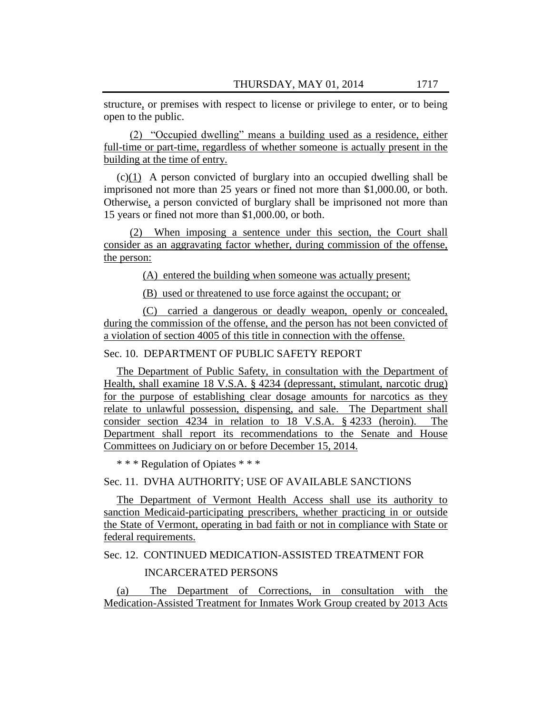structure, or premises with respect to license or privilege to enter, or to being open to the public.

 $(2)$  "Occupied dwelling" means a building used as a residence, either full-time or part-time, regardless of whether someone is actually present in the building at the time of entry.

(c)(1) A person convicted of burglary into an occupied dwelling shall be imprisoned not more than 25 years or fined not more than \$1,000.00, or both. Otherwise, a person convicted of burglary shall be imprisoned not more than 15 years or fined not more than \$1,000.00, or both.

(2) When imposing a sentence under this section, the Court shall consider as an aggravating factor whether, during commission of the offense, the person:

(A) entered the building when someone was actually present;

(B) used or threatened to use force against the occupant; or

(C) carried a dangerous or deadly weapon, openly or concealed, during the commission of the offense, and the person has not been convicted of a violation of section 4005 of this title in connection with the offense.

## Sec. 10. DEPARTMENT OF PUBLIC SAFETY REPORT

The Department of Public Safety, in consultation with the Department of Health, shall examine 18 V.S.A. § 4234 (depressant, stimulant, narcotic drug) for the purpose of establishing clear dosage amounts for narcotics as they relate to unlawful possession, dispensing, and sale. The Department shall consider section 4234 in relation to 18 V.S.A. § 4233 (heroin). The Department shall report its recommendations to the Senate and House Committees on Judiciary on or before December 15, 2014.

\* \* \* Regulation of Opiates \* \* \*

#### Sec. 11. DVHA AUTHORITY; USE OF AVAILABLE SANCTIONS

The Department of Vermont Health Access shall use its authority to sanction Medicaid-participating prescribers, whether practicing in or outside the State of Vermont, operating in bad faith or not in compliance with State or federal requirements.

# Sec. 12. CONTINUED MEDICATION-ASSISTED TREATMENT FOR INCARCERATED PERSONS

(a) The Department of Corrections, in consultation with the Medication-Assisted Treatment for Inmates Work Group created by 2013 Acts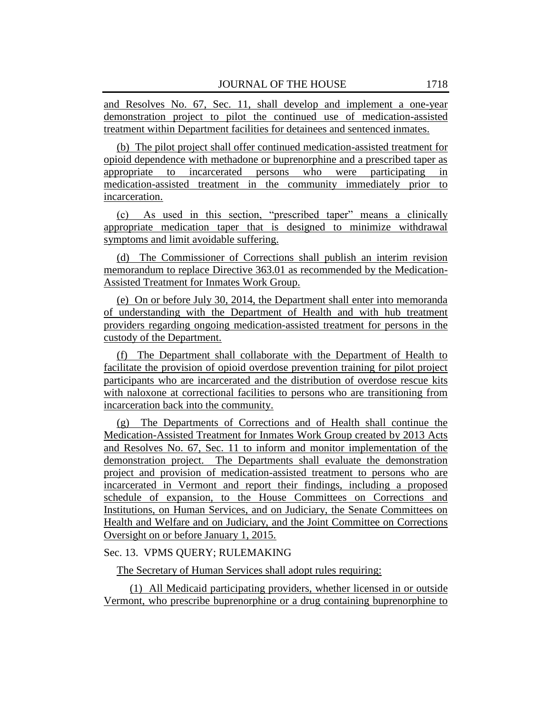and Resolves No. 67, Sec. 11, shall develop and implement a one-year demonstration project to pilot the continued use of medication-assisted treatment within Department facilities for detainees and sentenced inmates.

(b) The pilot project shall offer continued medication-assisted treatment for opioid dependence with methadone or buprenorphine and a prescribed taper as appropriate to incarcerated persons who were participating in medication-assisted treatment in the community immediately prior to incarceration.

(c) As used in this section, "prescribed taper" means a clinically appropriate medication taper that is designed to minimize withdrawal symptoms and limit avoidable suffering.

(d) The Commissioner of Corrections shall publish an interim revision memorandum to replace Directive 363.01 as recommended by the Medication-Assisted Treatment for Inmates Work Group.

(e) On or before July 30, 2014, the Department shall enter into memoranda of understanding with the Department of Health and with hub treatment providers regarding ongoing medication-assisted treatment for persons in the custody of the Department.

(f) The Department shall collaborate with the Department of Health to facilitate the provision of opioid overdose prevention training for pilot project participants who are incarcerated and the distribution of overdose rescue kits with naloxone at correctional facilities to persons who are transitioning from incarceration back into the community.

(g) The Departments of Corrections and of Health shall continue the Medication-Assisted Treatment for Inmates Work Group created by 2013 Acts and Resolves No. 67, Sec. 11 to inform and monitor implementation of the demonstration project. The Departments shall evaluate the demonstration project and provision of medication-assisted treatment to persons who are incarcerated in Vermont and report their findings, including a proposed schedule of expansion, to the House Committees on Corrections and Institutions, on Human Services, and on Judiciary, the Senate Committees on Health and Welfare and on Judiciary, and the Joint Committee on Corrections Oversight on or before January 1, 2015.

#### Sec. 13. VPMS QUERY; RULEMAKING

The Secretary of Human Services shall adopt rules requiring:

(1) All Medicaid participating providers, whether licensed in or outside Vermont, who prescribe buprenorphine or a drug containing buprenorphine to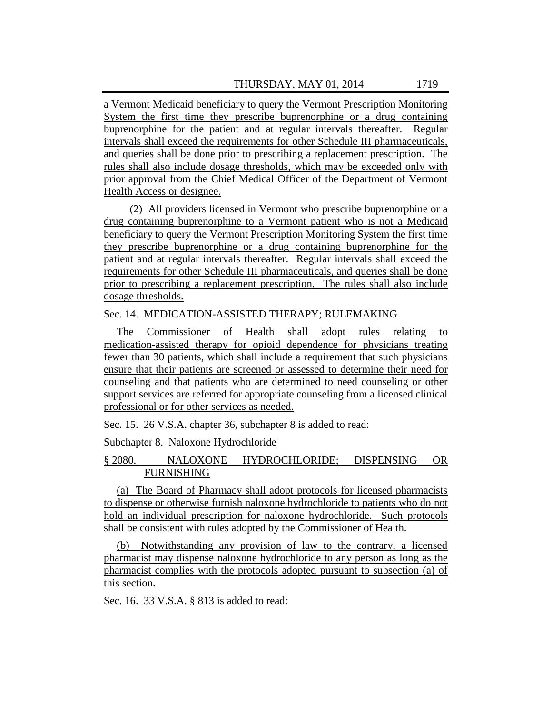a Vermont Medicaid beneficiary to query the Vermont Prescription Monitoring System the first time they prescribe buprenorphine or a drug containing buprenorphine for the patient and at regular intervals thereafter. Regular intervals shall exceed the requirements for other Schedule III pharmaceuticals, and queries shall be done prior to prescribing a replacement prescription. The rules shall also include dosage thresholds, which may be exceeded only with prior approval from the Chief Medical Officer of the Department of Vermont Health Access or designee.

(2) All providers licensed in Vermont who prescribe buprenorphine or a drug containing buprenorphine to a Vermont patient who is not a Medicaid beneficiary to query the Vermont Prescription Monitoring System the first time they prescribe buprenorphine or a drug containing buprenorphine for the patient and at regular intervals thereafter. Regular intervals shall exceed the requirements for other Schedule III pharmaceuticals, and queries shall be done prior to prescribing a replacement prescription. The rules shall also include dosage thresholds.

#### Sec. 14. MEDICATION-ASSISTED THERAPY; RULEMAKING

The Commissioner of Health shall adopt rules relating to medication-assisted therapy for opioid dependence for physicians treating fewer than 30 patients, which shall include a requirement that such physicians ensure that their patients are screened or assessed to determine their need for counseling and that patients who are determined to need counseling or other support services are referred for appropriate counseling from a licensed clinical professional or for other services as needed.

Sec. 15. 26 V.S.A. chapter 36, subchapter 8 is added to read:

Subchapter 8. Naloxone Hydrochloride

## § 2080. NALOXONE HYDROCHLORIDE; DISPENSING OR FURNISHING

(a) The Board of Pharmacy shall adopt protocols for licensed pharmacists to dispense or otherwise furnish naloxone hydrochloride to patients who do not hold an individual prescription for naloxone hydrochloride. Such protocols shall be consistent with rules adopted by the Commissioner of Health.

(b) Notwithstanding any provision of law to the contrary, a licensed pharmacist may dispense naloxone hydrochloride to any person as long as the pharmacist complies with the protocols adopted pursuant to subsection (a) of this section.

Sec. 16. 33 V.S.A. § 813 is added to read: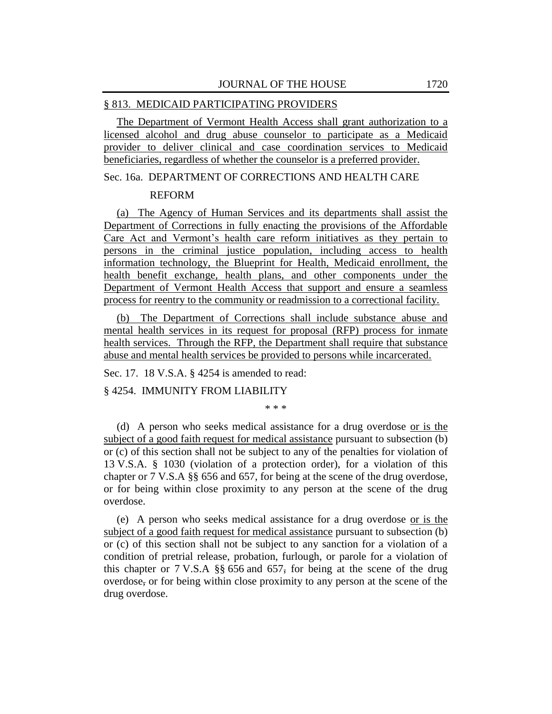#### § 813. MEDICAID PARTICIPATING PROVIDERS

The Department of Vermont Health Access shall grant authorization to a licensed alcohol and drug abuse counselor to participate as a Medicaid provider to deliver clinical and case coordination services to Medicaid beneficiaries, regardless of whether the counselor is a preferred provider.

## Sec. 16a. DEPARTMENT OF CORRECTIONS AND HEALTH CARE

#### REFORM

(a) The Agency of Human Services and its departments shall assist the Department of Corrections in fully enacting the provisions of the Affordable Care Act and Vermont's health care reform initiatives as they pertain to persons in the criminal justice population, including access to health information technology, the Blueprint for Health, Medicaid enrollment, the health benefit exchange, health plans, and other components under the Department of Vermont Health Access that support and ensure a seamless process for reentry to the community or readmission to a correctional facility.

(b) The Department of Corrections shall include substance abuse and mental health services in its request for proposal (RFP) process for inmate health services. Through the RFP, the Department shall require that substance abuse and mental health services be provided to persons while incarcerated.

Sec. 17. 18 V.S.A. § 4254 is amended to read:

#### § 4254. IMMUNITY FROM LIABILITY

\* \* \*

(d) A person who seeks medical assistance for a drug overdose or is the subject of a good faith request for medical assistance pursuant to subsection (b) or (c) of this section shall not be subject to any of the penalties for violation of 13 V.S.A. § 1030 (violation of a protection order), for a violation of this chapter or 7 V.S.A §§ 656 and 657, for being at the scene of the drug overdose, or for being within close proximity to any person at the scene of the drug overdose.

(e) A person who seeks medical assistance for a drug overdose or is the subject of a good faith request for medical assistance pursuant to subsection (b) or (c) of this section shall not be subject to any sanction for a violation of a condition of pretrial release, probation, furlough, or parole for a violation of this chapter or  $7 \text{ V.S.A }$  §§ 656 and 657, for being at the scene of the drug overdose, or for being within close proximity to any person at the scene of the drug overdose.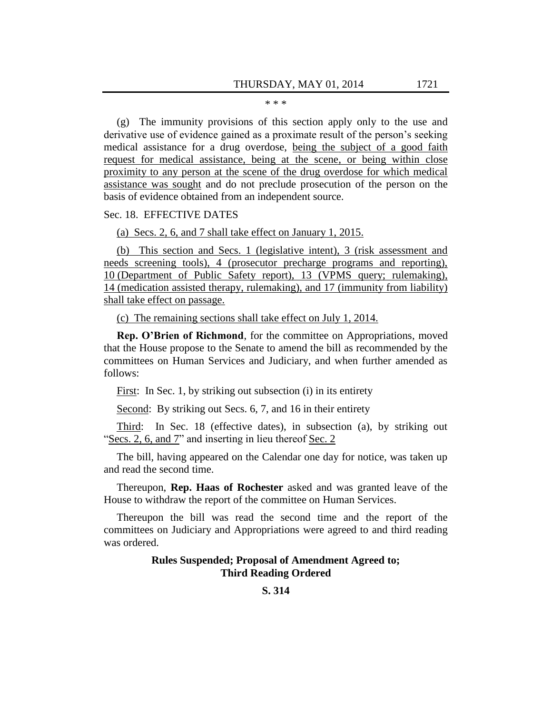#### \* \* \*

(g) The immunity provisions of this section apply only to the use and derivative use of evidence gained as a proximate result of the person's seeking medical assistance for a drug overdose, being the subject of a good faith request for medical assistance, being at the scene, or being within close proximity to any person at the scene of the drug overdose for which medical assistance was sought and do not preclude prosecution of the person on the basis of evidence obtained from an independent source.

#### Sec. 18. EFFECTIVE DATES

(a) Secs. 2, 6, and 7 shall take effect on January 1, 2015.

(b) This section and Secs. 1 (legislative intent), 3 (risk assessment and needs screening tools), 4 (prosecutor precharge programs and reporting), 10 (Department of Public Safety report), 13 (VPMS query; rulemaking), 14 (medication assisted therapy, rulemaking), and 17 (immunity from liability) shall take effect on passage.

(c) The remaining sections shall take effect on July 1, 2014.

**Rep. O'Brien of Richmond**, for the committee on Appropriations, moved that the House propose to the Senate to amend the bill as recommended by the committees on Human Services and Judiciary, and when further amended as follows:

First: In Sec. 1, by striking out subsection (i) in its entirety

Second: By striking out Secs. 6, 7, and 16 in their entirety

Third: In Sec. 18 (effective dates), in subsection (a), by striking out "Secs. 2, 6, and  $7$ " and inserting in lieu thereof Sec. 2

The bill, having appeared on the Calendar one day for notice, was taken up and read the second time.

Thereupon, **Rep. Haas of Rochester** asked and was granted leave of the House to withdraw the report of the committee on Human Services.

Thereupon the bill was read the second time and the report of the committees on Judiciary and Appropriations were agreed to and third reading was ordered.

## **Rules Suspended; Proposal of Amendment Agreed to; Third Reading Ordered**

#### **S. 314**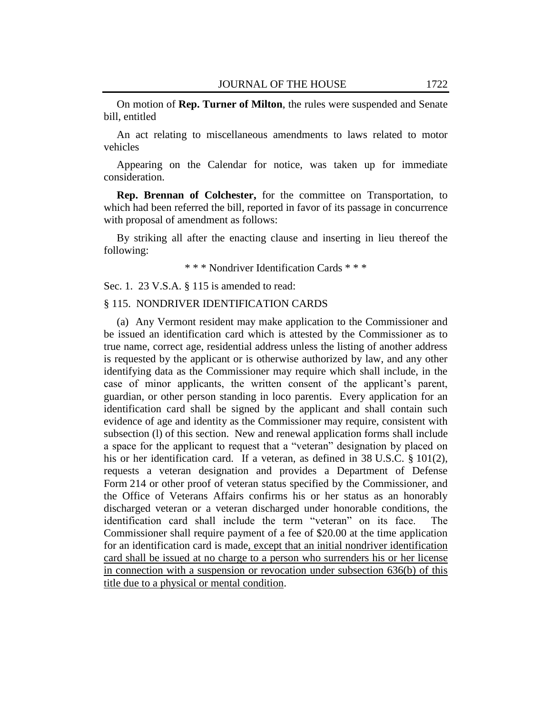On motion of **Rep. Turner of Milton**, the rules were suspended and Senate bill, entitled

An act relating to miscellaneous amendments to laws related to motor vehicles

Appearing on the Calendar for notice, was taken up for immediate consideration.

**Rep. Brennan of Colchester,** for the committee on Transportation, to which had been referred the bill, reported in favor of its passage in concurrence with proposal of amendment as follows:

By striking all after the enacting clause and inserting in lieu thereof the following:

\* \* \* Nondriver Identification Cards \* \* \*

Sec. 1. 23 V.S.A. § 115 is amended to read:

#### § 115. NONDRIVER IDENTIFICATION CARDS

(a) Any Vermont resident may make application to the Commissioner and be issued an identification card which is attested by the Commissioner as to true name, correct age, residential address unless the listing of another address is requested by the applicant or is otherwise authorized by law, and any other identifying data as the Commissioner may require which shall include, in the case of minor applicants, the written consent of the applicant's parent, guardian, or other person standing in loco parentis. Every application for an identification card shall be signed by the applicant and shall contain such evidence of age and identity as the Commissioner may require, consistent with subsection (l) of this section. New and renewal application forms shall include a space for the applicant to request that a "veteran" designation by placed on his or her identification card. If a veteran, as defined in 38 U.S.C. § 101(2), requests a veteran designation and provides a Department of Defense Form 214 or other proof of veteran status specified by the Commissioner, and the Office of Veterans Affairs confirms his or her status as an honorably discharged veteran or a veteran discharged under honorable conditions, the identification card shall include the term "veteran" on its face. The Commissioner shall require payment of a fee of \$20.00 at the time application for an identification card is made, except that an initial nondriver identification card shall be issued at no charge to a person who surrenders his or her license in connection with a suspension or revocation under subsection 636(b) of this title due to a physical or mental condition.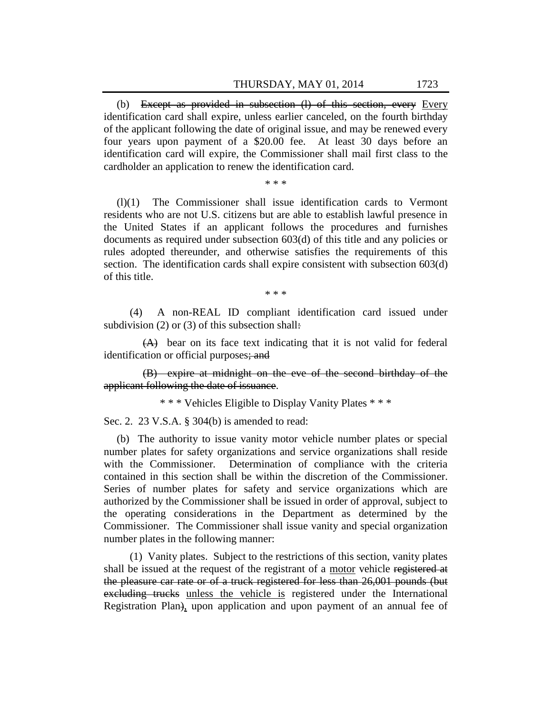(b) Except as provided in subsection (l) of this section, every Every identification card shall expire, unless earlier canceled, on the fourth birthday of the applicant following the date of original issue, and may be renewed every four years upon payment of a \$20.00 fee. At least 30 days before an identification card will expire, the Commissioner shall mail first class to the cardholder an application to renew the identification card.

\* \* \*

(l)(1) The Commissioner shall issue identification cards to Vermont residents who are not U.S. citizens but are able to establish lawful presence in the United States if an applicant follows the procedures and furnishes documents as required under subsection 603(d) of this title and any policies or rules adopted thereunder, and otherwise satisfies the requirements of this section. The identification cards shall expire consistent with subsection 603(d) of this title.

\* \* \*

(4) A non-REAL ID compliant identification card issued under subdivision  $(2)$  or  $(3)$  of this subsection shall:

(A) bear on its face text indicating that it is not valid for federal identification or official purposes; and

(B) expire at midnight on the eve of the second birthday of the applicant following the date of issuance.

\* \* \* Vehicles Eligible to Display Vanity Plates \* \* \*

Sec. 2. 23 V.S.A. § 304(b) is amended to read:

(b) The authority to issue vanity motor vehicle number plates or special number plates for safety organizations and service organizations shall reside with the Commissioner. Determination of compliance with the criteria contained in this section shall be within the discretion of the Commissioner. Series of number plates for safety and service organizations which are authorized by the Commissioner shall be issued in order of approval, subject to the operating considerations in the Department as determined by the Commissioner. The Commissioner shall issue vanity and special organization number plates in the following manner:

(1) Vanity plates. Subject to the restrictions of this section, vanity plates shall be issued at the request of the registrant of a motor vehicle registered at the pleasure car rate or of a truck registered for less than 26,001 pounds (but excluding trucks unless the vehicle is registered under the International Registration Plan), upon application and upon payment of an annual fee of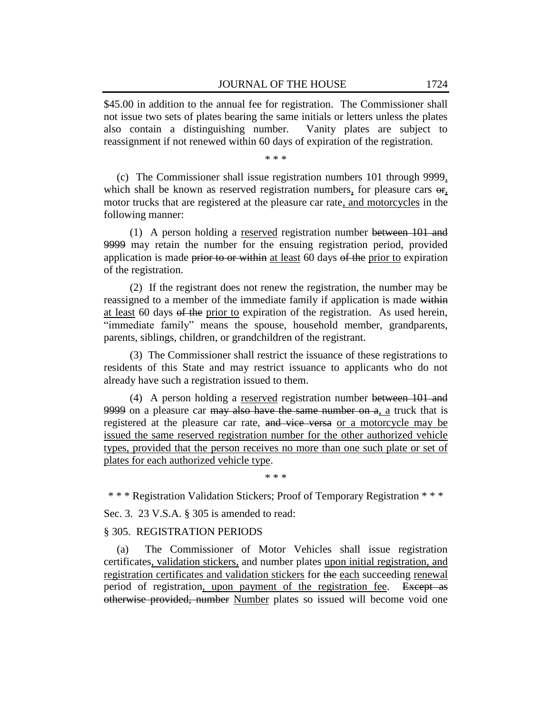\$45.00 in addition to the annual fee for registration. The Commissioner shall not issue two sets of plates bearing the same initials or letters unless the plates also contain a distinguishing number. Vanity plates are subject to reassignment if not renewed within 60 days of expiration of the registration.

\* \* \*

(c) The Commissioner shall issue registration numbers 101 through 9999, which shall be known as reserved registration numbers, for pleasure cars  $\theta$ r, motor trucks that are registered at the pleasure car rate, and motorcycles in the following manner:

(1) A person holding a reserved registration number between 101 and 9999 may retain the number for the ensuing registration period, provided application is made prior to or within at least 60 days of the prior to expiration of the registration.

(2) If the registrant does not renew the registration, the number may be reassigned to a member of the immediate family if application is made within at least 60 days of the prior to expiration of the registration. As used herein, "immediate family" means the spouse, household member, grandparents, parents, siblings, children, or grandchildren of the registrant.

(3) The Commissioner shall restrict the issuance of these registrations to residents of this State and may restrict issuance to applicants who do not already have such a registration issued to them.

(4) A person holding a reserved registration number between 101 and 9999 on a pleasure car may also have the same number on a, a truck that is registered at the pleasure car rate, and vice versa or a motorcycle may be issued the same reserved registration number for the other authorized vehicle types, provided that the person receives no more than one such plate or set of plates for each authorized vehicle type.

\* \* \*

\* \* \* Registration Validation Stickers; Proof of Temporary Registration \* \* \*

Sec. 3. 23 V.S.A. § 305 is amended to read:

#### § 305. REGISTRATION PERIODS

(a) The Commissioner of Motor Vehicles shall issue registration certificates, validation stickers, and number plates upon initial registration, and registration certificates and validation stickers for the each succeeding renewal period of registration, upon payment of the registration fee. Except as otherwise provided, number Number plates so issued will become void one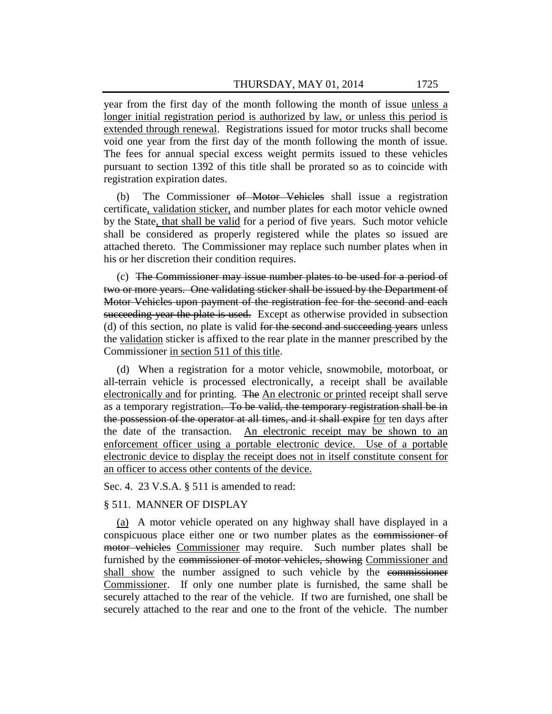year from the first day of the month following the month of issue unless a longer initial registration period is authorized by law, or unless this period is extended through renewal. Registrations issued for motor trucks shall become void one year from the first day of the month following the month of issue. The fees for annual special excess weight permits issued to these vehicles pursuant to section 1392 of this title shall be prorated so as to coincide with registration expiration dates.

(b) The Commissioner of Motor Vehicles shall issue a registration certificate, validation sticker, and number plates for each motor vehicle owned by the State, that shall be valid for a period of five years. Such motor vehicle shall be considered as properly registered while the plates so issued are attached thereto. The Commissioner may replace such number plates when in his or her discretion their condition requires.

(c) The Commissioner may issue number plates to be used for a period of two or more years. One validating sticker shall be issued by the Department of Motor Vehicles upon payment of the registration fee for the second and each succeeding year the plate is used. Except as otherwise provided in subsection (d) of this section, no plate is valid for the second and succeeding years unless the validation sticker is affixed to the rear plate in the manner prescribed by the Commissioner in section 511 of this title.

(d) When a registration for a motor vehicle, snowmobile, motorboat, or all-terrain vehicle is processed electronically, a receipt shall be available electronically and for printing. The An electronic or printed receipt shall serve as a temporary registration. To be valid, the temporary registration shall be in the possession of the operator at all times, and it shall expire for ten days after the date of the transaction. An electronic receipt may be shown to an enforcement officer using a portable electronic device. Use of a portable electronic device to display the receipt does not in itself constitute consent for an officer to access other contents of the device.

Sec. 4. 23 V.S.A. § 511 is amended to read:

#### § 511. MANNER OF DISPLAY

(a) A motor vehicle operated on any highway shall have displayed in a conspicuous place either one or two number plates as the commissioner of motor vehicles Commissioner may require. Such number plates shall be furnished by the commissioner of motor vehicles, showing Commissioner and shall show the number assigned to such vehicle by the commissioner Commissioner. If only one number plate is furnished, the same shall be securely attached to the rear of the vehicle. If two are furnished, one shall be securely attached to the rear and one to the front of the vehicle. The number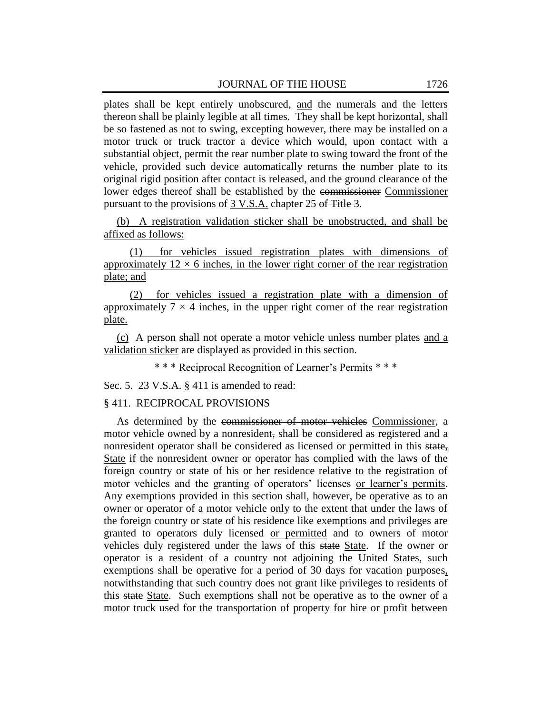plates shall be kept entirely unobscured, and the numerals and the letters thereon shall be plainly legible at all times. They shall be kept horizontal, shall be so fastened as not to swing, excepting however, there may be installed on a motor truck or truck tractor a device which would, upon contact with a substantial object, permit the rear number plate to swing toward the front of the vehicle, provided such device automatically returns the number plate to its original rigid position after contact is released, and the ground clearance of the lower edges thereof shall be established by the commissioner Commissioner pursuant to the provisions of 3 V.S.A. chapter 25 of Title 3.

(b) A registration validation sticker shall be unobstructed, and shall be affixed as follows:

(1) for vehicles issued registration plates with dimensions of approximately  $12 \times 6$  inches, in the lower right corner of the rear registration plate; and

(2) for vehicles issued a registration plate with a dimension of approximately  $7 \times 4$  inches, in the upper right corner of the rear registration plate.

(c) A person shall not operate a motor vehicle unless number plates and a validation sticker are displayed as provided in this section.

\* \* \* Reciprocal Recognition of Learner's Permits \* \* \*

Sec. 5. 23 V.S.A. § 411 is amended to read:

#### § 411. RECIPROCAL PROVISIONS

As determined by the commissioner of motor vehicles Commissioner, a motor vehicle owned by a nonresident, shall be considered as registered and a nonresident operator shall be considered as licensed or permitted in this state, State if the nonresident owner or operator has complied with the laws of the foreign country or state of his or her residence relative to the registration of motor vehicles and the granting of operators' licenses or learner's permits. Any exemptions provided in this section shall, however, be operative as to an owner or operator of a motor vehicle only to the extent that under the laws of the foreign country or state of his residence like exemptions and privileges are granted to operators duly licensed or permitted and to owners of motor vehicles duly registered under the laws of this state State. If the owner or operator is a resident of a country not adjoining the United States, such exemptions shall be operative for a period of 30 days for vacation purposes, notwithstanding that such country does not grant like privileges to residents of this state State. Such exemptions shall not be operative as to the owner of a motor truck used for the transportation of property for hire or profit between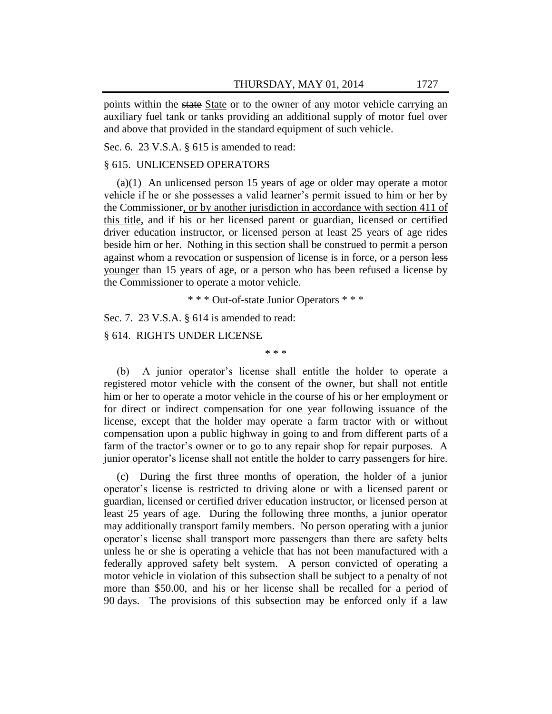points within the state State or to the owner of any motor vehicle carrying an auxiliary fuel tank or tanks providing an additional supply of motor fuel over and above that provided in the standard equipment of such vehicle.

Sec. 6. 23 V.S.A. § 615 is amended to read:

#### § 615. UNLICENSED OPERATORS

(a)(1) An unlicensed person 15 years of age or older may operate a motor vehicle if he or she possesses a valid learner's permit issued to him or her by the Commissioner, or by another jurisdiction in accordance with section 411 of this title, and if his or her licensed parent or guardian, licensed or certified driver education instructor, or licensed person at least 25 years of age rides beside him or her. Nothing in this section shall be construed to permit a person against whom a revocation or suspension of license is in force, or a person less younger than 15 years of age, or a person who has been refused a license by the Commissioner to operate a motor vehicle.

\* \* \* Out-of-state Junior Operators \* \* \*

\* \* \*

Sec. 7. 23 V.S.A. § 614 is amended to read:

#### § 614. RIGHTS UNDER LICENSE

(b) A junior operator's license shall entitle the holder to operate a registered motor vehicle with the consent of the owner, but shall not entitle him or her to operate a motor vehicle in the course of his or her employment or for direct or indirect compensation for one year following issuance of the license, except that the holder may operate a farm tractor with or without compensation upon a public highway in going to and from different parts of a farm of the tractor's owner or to go to any repair shop for repair purposes. A junior operator's license shall not entitle the holder to carry passengers for hire.

(c) During the first three months of operation, the holder of a junior operator's license is restricted to driving alone or with a licensed parent or guardian, licensed or certified driver education instructor, or licensed person at least 25 years of age. During the following three months, a junior operator may additionally transport family members. No person operating with a junior operator's license shall transport more passengers than there are safety belts unless he or she is operating a vehicle that has not been manufactured with a federally approved safety belt system. A person convicted of operating a motor vehicle in violation of this subsection shall be subject to a penalty of not more than \$50.00, and his or her license shall be recalled for a period of 90 days. The provisions of this subsection may be enforced only if a law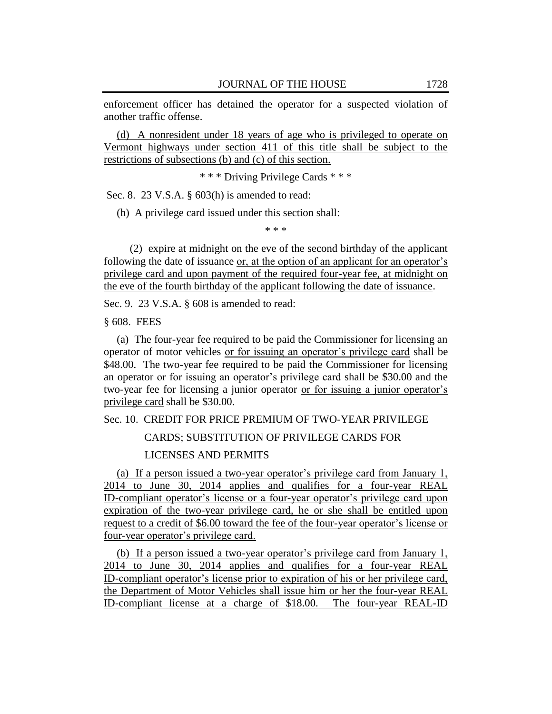enforcement officer has detained the operator for a suspected violation of another traffic offense.

(d) A nonresident under 18 years of age who is privileged to operate on Vermont highways under section 411 of this title shall be subject to the restrictions of subsections (b) and (c) of this section.

\* \* \* Driving Privilege Cards \* \* \*

Sec. 8. 23 V.S.A. § 603(h) is amended to read:

(h) A privilege card issued under this section shall:

\* \* \*

(2) expire at midnight on the eve of the second birthday of the applicant following the date of issuance or, at the option of an applicant for an operator's privilege card and upon payment of the required four-year fee, at midnight on the eve of the fourth birthday of the applicant following the date of issuance.

Sec. 9. 23 V.S.A. § 608 is amended to read:

§ 608. FEES

(a) The four-year fee required to be paid the Commissioner for licensing an operator of motor vehicles or for issuing an operator's privilege card shall be \$48.00. The two-year fee required to be paid the Commissioner for licensing an operator or for issuing an operator's privilege card shall be \$30.00 and the two-year fee for licensing a junior operator or for issuing a junior operator's privilege card shall be \$30.00.

#### Sec. 10. CREDIT FOR PRICE PREMIUM OF TWO-YEAR PRIVILEGE

CARDS; SUBSTITUTION OF PRIVILEGE CARDS FOR

#### LICENSES AND PERMITS

(a) If a person issued a two-year operator's privilege card from January 1, 2014 to June 30, 2014 applies and qualifies for a four-year REAL ID-compliant operator's license or a four-year operator's privilege card upon expiration of the two-year privilege card, he or she shall be entitled upon request to a credit of \$6.00 toward the fee of the four-year operator's license or four-year operator's privilege card.

(b) If a person issued a two-year operator's privilege card from January 1, 2014 to June 30, 2014 applies and qualifies for a four-year REAL ID-compliant operator's license prior to expiration of his or her privilege card, the Department of Motor Vehicles shall issue him or her the four-year REAL ID-compliant license at a charge of \$18.00. The four-year REAL-ID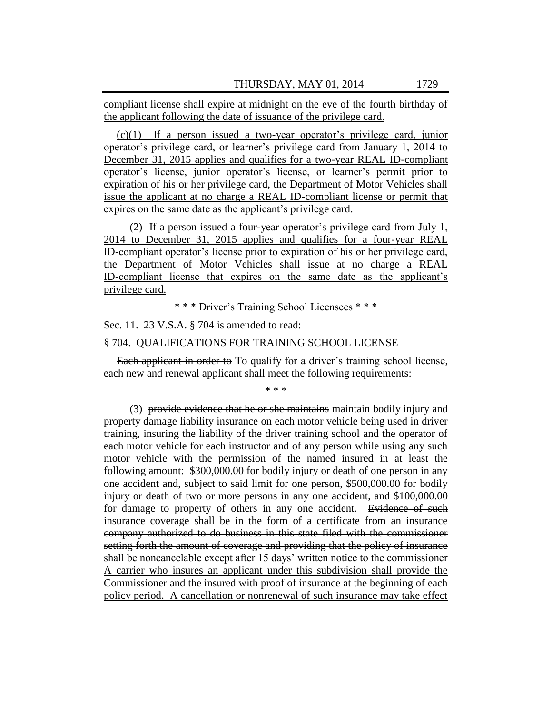compliant license shall expire at midnight on the eve of the fourth birthday of the applicant following the date of issuance of the privilege card.

(c)(1) If a person issued a two-year operator's privilege card, junior operator's privilege card, or learner's privilege card from January 1, 2014 to December 31, 2015 applies and qualifies for a two-year REAL ID-compliant operator's license, junior operator's license, or learner's permit prior to expiration of his or her privilege card, the Department of Motor Vehicles shall issue the applicant at no charge a REAL ID-compliant license or permit that expires on the same date as the applicant's privilege card.

(2) If a person issued a four-year operator's privilege card from July 1, 2014 to December 31, 2015 applies and qualifies for a four-year REAL ID-compliant operator's license prior to expiration of his or her privilege card, the Department of Motor Vehicles shall issue at no charge a REAL ID-compliant license that expires on the same date as the applicant's privilege card.

\* \* \* Driver's Training School Licensees \* \* \*

Sec. 11. 23 V.S.A. § 704 is amended to read:

§ 704. QUALIFICATIONS FOR TRAINING SCHOOL LICENSE

Each applicant in order to To qualify for a driver's training school license, each new and renewal applicant shall meet the following requirements:

\* \* \*

(3) provide evidence that he or she maintains maintain bodily injury and property damage liability insurance on each motor vehicle being used in driver training, insuring the liability of the driver training school and the operator of each motor vehicle for each instructor and of any person while using any such motor vehicle with the permission of the named insured in at least the following amount: \$300,000.00 for bodily injury or death of one person in any one accident and, subject to said limit for one person, \$500,000.00 for bodily injury or death of two or more persons in any one accident, and \$100,000.00 for damage to property of others in any one accident. Evidence of such insurance coverage shall be in the form of a certificate from an insurance company authorized to do business in this state filed with the commissioner setting forth the amount of coverage and providing that the policy of insurance shall be noncancelable except after 15 days' written notice to the commissioner A carrier who insures an applicant under this subdivision shall provide the Commissioner and the insured with proof of insurance at the beginning of each policy period. A cancellation or nonrenewal of such insurance may take effect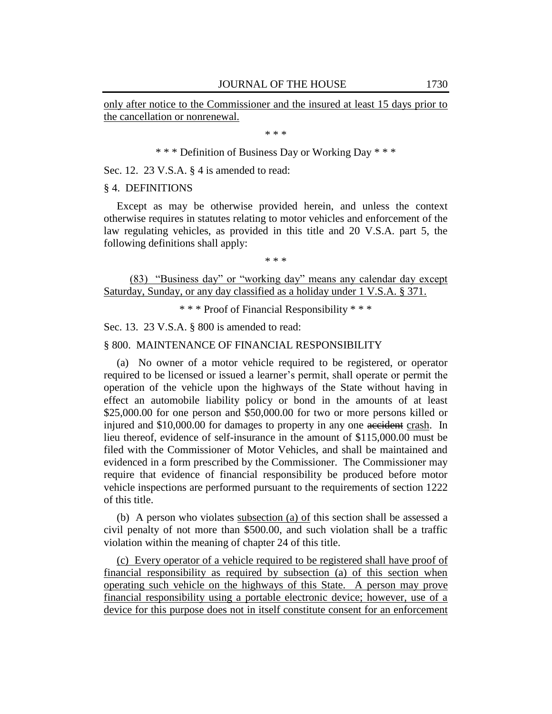only after notice to the Commissioner and the insured at least 15 days prior to the cancellation or nonrenewal.

\* \* \*

\* \* \* Definition of Business Day or Working Day \* \* \*

Sec. 12. 23 V.S.A. § 4 is amended to read:

§ 4. DEFINITIONS

Except as may be otherwise provided herein, and unless the context otherwise requires in statutes relating to motor vehicles and enforcement of the law regulating vehicles, as provided in this title and 20 V.S.A. part 5, the following definitions shall apply:

\* \* \*

(83) "Business day" or "working day" means any calendar day except Saturday, Sunday, or any day classified as a holiday under 1 V.S.A. § 371.

\* \* \* Proof of Financial Responsibility \* \* \*

Sec. 13. 23 V.S.A. § 800 is amended to read:

§ 800. MAINTENANCE OF FINANCIAL RESPONSIBILITY

(a) No owner of a motor vehicle required to be registered, or operator required to be licensed or issued a learner's permit, shall operate or permit the operation of the vehicle upon the highways of the State without having in effect an automobile liability policy or bond in the amounts of at least \$25,000.00 for one person and \$50,000.00 for two or more persons killed or injured and \$10,000.00 for damages to property in any one accident crash. In lieu thereof, evidence of self-insurance in the amount of \$115,000.00 must be filed with the Commissioner of Motor Vehicles, and shall be maintained and evidenced in a form prescribed by the Commissioner. The Commissioner may require that evidence of financial responsibility be produced before motor vehicle inspections are performed pursuant to the requirements of section 1222 of this title.

(b) A person who violates subsection (a) of this section shall be assessed a civil penalty of not more than \$500.00, and such violation shall be a traffic violation within the meaning of chapter 24 of this title.

(c) Every operator of a vehicle required to be registered shall have proof of financial responsibility as required by subsection (a) of this section when operating such vehicle on the highways of this State. A person may prove financial responsibility using a portable electronic device; however, use of a device for this purpose does not in itself constitute consent for an enforcement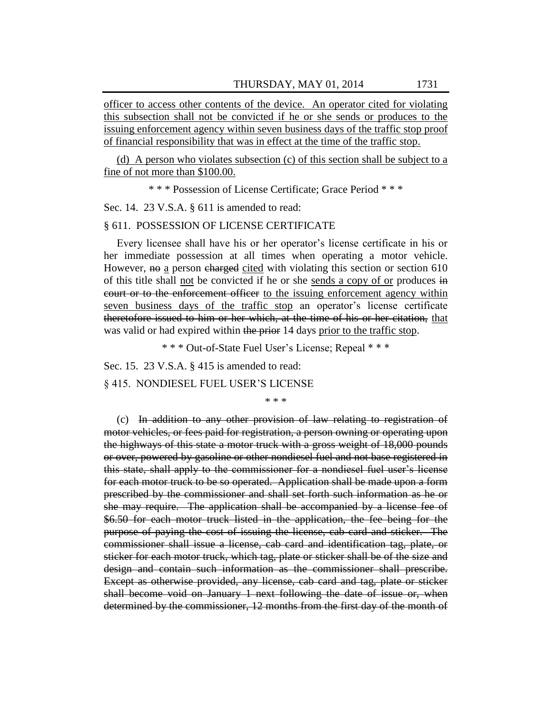officer to access other contents of the device. An operator cited for violating this subsection shall not be convicted if he or she sends or produces to the issuing enforcement agency within seven business days of the traffic stop proof of financial responsibility that was in effect at the time of the traffic stop.

(d) A person who violates subsection (c) of this section shall be subject to a fine of not more than \$100.00.

\* \* \* Possession of License Certificate; Grace Period \* \* \*

Sec. 14. 23 V.S.A. § 611 is amended to read:

#### § 611. POSSESSION OF LICENSE CERTIFICATE

Every licensee shall have his or her operator's license certificate in his or her immediate possession at all times when operating a motor vehicle. However,  $\theta$  a person charged cited with violating this section or section 610 of this title shall not be convicted if he or she sends a copy of or produces in court or to the enforcement officer to the issuing enforcement agency within seven business days of the traffic stop an operator's license certificate theretofore issued to him or her which, at the time of his or her citation, that was valid or had expired within the prior 14 days prior to the traffic stop.

\* \* \* Out-of-State Fuel User's License; Repeal \* \* \*

Sec. 15. 23 V.S.A. § 415 is amended to read:

§ 415. NONDIESEL FUEL USER'S LICENSE

\* \* \*

(c) In addition to any other provision of law relating to registration of motor vehicles, or fees paid for registration, a person owning or operating upon the highways of this state a motor truck with a gross weight of 18,000 pounds or over, powered by gasoline or other nondiesel fuel and not base registered in this state, shall apply to the commissioner for a nondiesel fuel user's license for each motor truck to be so operated. Application shall be made upon a form prescribed by the commissioner and shall set forth such information as he or she may require. The application shall be accompanied by a license fee of \$6.50 for each motor truck listed in the application, the fee being for the purpose of paying the cost of issuing the license, cab card and sticker. The commissioner shall issue a license, cab card and identification tag, plate, or sticker for each motor truck, which tag, plate or sticker shall be of the size and design and contain such information as the commissioner shall prescribe. Except as otherwise provided, any license, cab card and tag, plate or sticker shall become void on January 1 next following the date of issue or, when determined by the commissioner, 12 months from the first day of the month of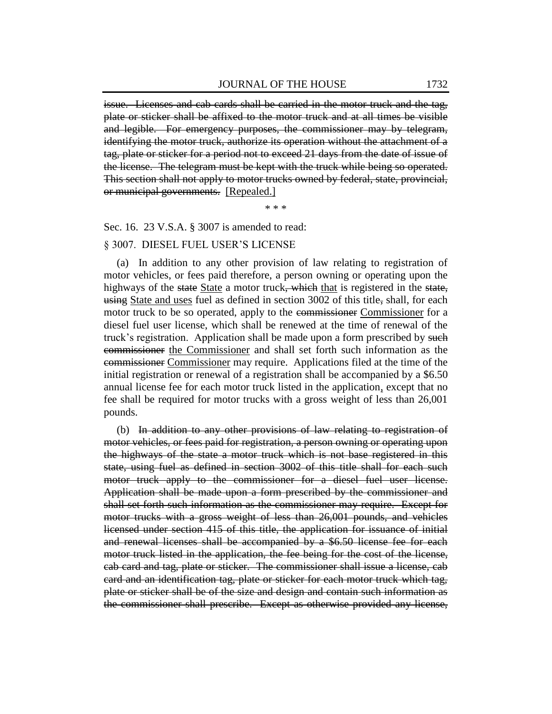issue. Licenses and cab cards shall be carried in the motor truck and the tag, plate or sticker shall be affixed to the motor truck and at all times be visible and legible. For emergency purposes, the commissioner may by telegram, identifying the motor truck, authorize its operation without the attachment of a tag, plate or sticker for a period not to exceed 21 days from the date of issue of the license. The telegram must be kept with the truck while being so operated. This section shall not apply to motor trucks owned by federal, state, provincial, or municipal governments. [Repealed.]

\* \* \*

Sec. 16. 23 V.S.A. § 3007 is amended to read:

#### § 3007. DIESEL FUEL USER'S LICENSE

(a) In addition to any other provision of law relating to registration of motor vehicles, or fees paid therefore, a person owning or operating upon the highways of the state State a motor truck, which that is registered in the state, using State and uses fuel as defined in section 3002 of this title, shall, for each motor truck to be so operated, apply to the commissioner Commissioner for a diesel fuel user license, which shall be renewed at the time of renewal of the truck's registration. Application shall be made upon a form prescribed by such commissioner the Commissioner and shall set forth such information as the commissioner Commissioner may require. Applications filed at the time of the initial registration or renewal of a registration shall be accompanied by a \$6.50 annual license fee for each motor truck listed in the application, except that no fee shall be required for motor trucks with a gross weight of less than 26,001 pounds.

(b) In addition to any other provisions of law relating to registration of motor vehicles, or fees paid for registration, a person owning or operating upon the highways of the state a motor truck which is not base registered in this state, using fuel as defined in section 3002 of this title shall for each such motor truck apply to the commissioner for a diesel fuel user license. Application shall be made upon a form prescribed by the commissioner and shall set forth such information as the commissioner may require. Except for motor trucks with a gross weight of less than 26,001 pounds, and vehicles licensed under section 415 of this title, the application for issuance of initial and renewal licenses shall be accompanied by a \$6.50 license fee for each motor truck listed in the application, the fee being for the cost of the license, cab card and tag, plate or sticker. The commissioner shall issue a license, cab card and an identification tag, plate or sticker for each motor truck which tag, plate or sticker shall be of the size and design and contain such information as the commissioner shall prescribe. Except as otherwise provided any license,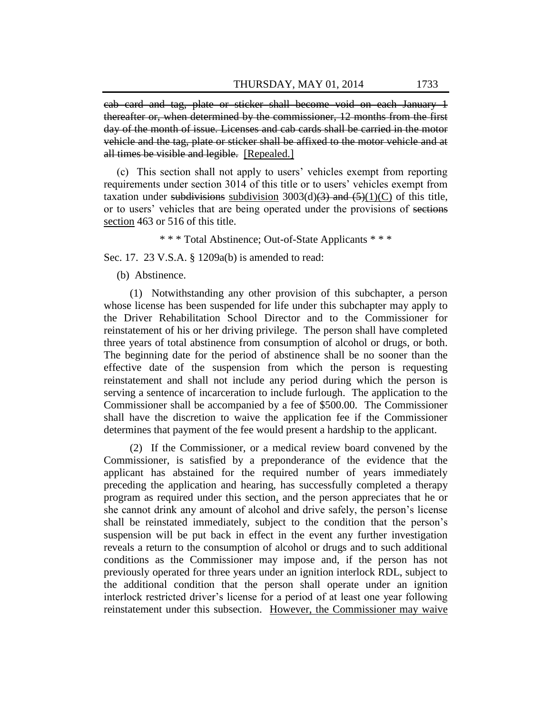cab card and tag, plate or sticker shall become void on each January 1 thereafter or, when determined by the commissioner, 12 months from the first day of the month of issue. Licenses and cab cards shall be carried in the motor vehicle and the tag, plate or sticker shall be affixed to the motor vehicle and at all times be visible and legible. [Repealed.]

(c) This section shall not apply to users' vehicles exempt from reporting requirements under section 3014 of this title or to users' vehicles exempt from taxation under subdivisions subdivision  $3003(d)(3)$  and  $(5)(1)(C)$  of this title, or to users' vehicles that are being operated under the provisions of sections section 463 or 516 of this title.

\* \* \* Total Abstinence; Out-of-State Applicants \* \* \*

Sec. 17. 23 V.S.A. § 1209a(b) is amended to read:

(b) Abstinence.

(1) Notwithstanding any other provision of this subchapter, a person whose license has been suspended for life under this subchapter may apply to the Driver Rehabilitation School Director and to the Commissioner for reinstatement of his or her driving privilege. The person shall have completed three years of total abstinence from consumption of alcohol or drugs, or both. The beginning date for the period of abstinence shall be no sooner than the effective date of the suspension from which the person is requesting reinstatement and shall not include any period during which the person is serving a sentence of incarceration to include furlough. The application to the Commissioner shall be accompanied by a fee of \$500.00. The Commissioner shall have the discretion to waive the application fee if the Commissioner determines that payment of the fee would present a hardship to the applicant.

(2) If the Commissioner, or a medical review board convened by the Commissioner, is satisfied by a preponderance of the evidence that the applicant has abstained for the required number of years immediately preceding the application and hearing, has successfully completed a therapy program as required under this section, and the person appreciates that he or she cannot drink any amount of alcohol and drive safely, the person's license shall be reinstated immediately, subject to the condition that the person's suspension will be put back in effect in the event any further investigation reveals a return to the consumption of alcohol or drugs and to such additional conditions as the Commissioner may impose and, if the person has not previously operated for three years under an ignition interlock RDL, subject to the additional condition that the person shall operate under an ignition interlock restricted driver's license for a period of at least one year following reinstatement under this subsection. However, the Commissioner may waive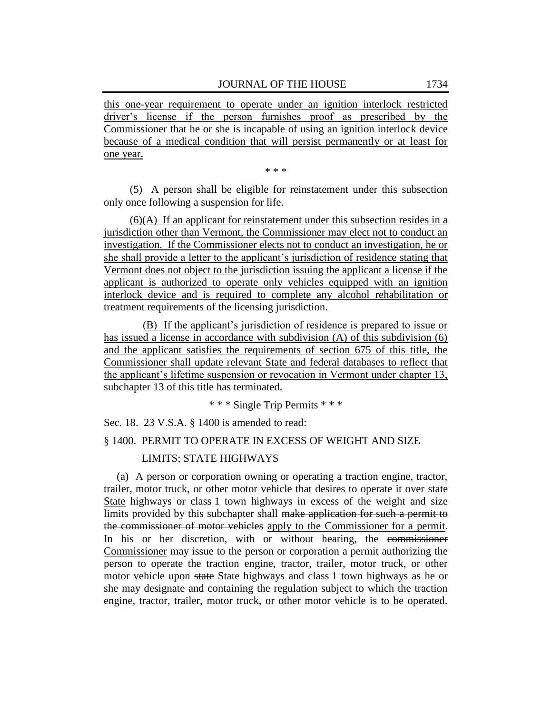this one-year requirement to operate under an ignition interlock restricted driver's license if the person furnishes proof as prescribed by the Commissioner that he or she is incapable of using an ignition interlock device because of a medical condition that will persist permanently or at least for one year.

\* \* \*

(5) A person shall be eligible for reinstatement under this subsection only once following a suspension for life.

(6)(A) If an applicant for reinstatement under this subsection resides in a jurisdiction other than Vermont, the Commissioner may elect not to conduct an investigation. If the Commissioner elects not to conduct an investigation, he or she shall provide a letter to the applicant's jurisdiction of residence stating that Vermont does not object to the jurisdiction issuing the applicant a license if the applicant is authorized to operate only vehicles equipped with an ignition interlock device and is required to complete any alcohol rehabilitation or treatment requirements of the licensing jurisdiction.

(B) If the applicant's jurisdiction of residence is prepared to issue or has issued a license in accordance with subdivision (A) of this subdivision (6) and the applicant satisfies the requirements of section 675 of this title, the Commissioner shall update relevant State and federal databases to reflect that the applicant's lifetime suspension or revocation in Vermont under chapter 13, subchapter 13 of this title has terminated.

\* \* \* Single Trip Permits \* \* \*

Sec. 18. 23 V.S.A. § 1400 is amended to read:

#### § 1400. PERMIT TO OPERATE IN EXCESS OF WEIGHT AND SIZE

#### LIMITS; STATE HIGHWAYS

(a) A person or corporation owning or operating a traction engine, tractor, trailer, motor truck, or other motor vehicle that desires to operate it over state State highways or class 1 town highways in excess of the weight and size limits provided by this subchapter shall make application for such a permit to the commissioner of motor vehicles apply to the Commissioner for a permit. In his or her discretion, with or without hearing, the commissioner Commissioner may issue to the person or corporation a permit authorizing the person to operate the traction engine, tractor, trailer, motor truck, or other motor vehicle upon state State highways and class 1 town highways as he or she may designate and containing the regulation subject to which the traction engine, tractor, trailer, motor truck, or other motor vehicle is to be operated.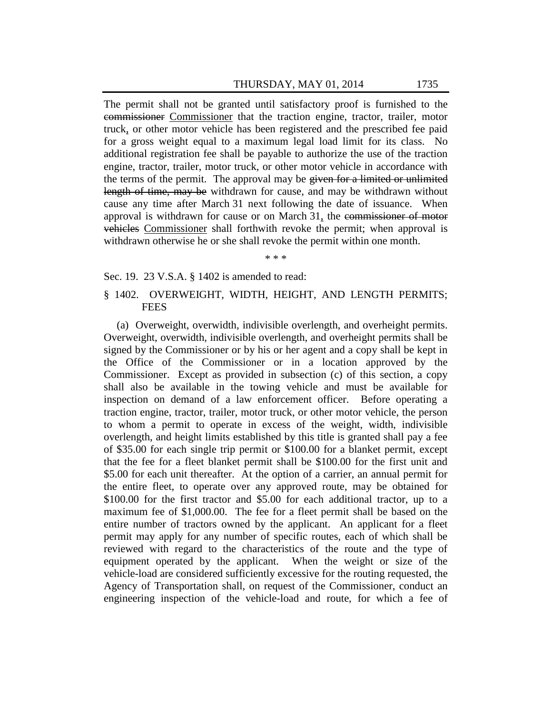The permit shall not be granted until satisfactory proof is furnished to the commissioner Commissioner that the traction engine, tractor, trailer, motor truck, or other motor vehicle has been registered and the prescribed fee paid for a gross weight equal to a maximum legal load limit for its class. No additional registration fee shall be payable to authorize the use of the traction engine, tractor, trailer, motor truck, or other motor vehicle in accordance with the terms of the permit. The approval may be given for a limited or unlimited length of time, may be withdrawn for cause, and may be withdrawn without cause any time after March 31 next following the date of issuance. When approval is withdrawn for cause or on March 31, the commissioner of motor vehicles Commissioner shall forthwith revoke the permit; when approval is withdrawn otherwise he or she shall revoke the permit within one month.

\* \* \*

Sec. 19. 23 V.S.A. § 1402 is amended to read:

## § 1402. OVERWEIGHT, WIDTH, HEIGHT, AND LENGTH PERMITS; **FEES**

(a) Overweight, overwidth, indivisible overlength, and overheight permits. Overweight, overwidth, indivisible overlength, and overheight permits shall be signed by the Commissioner or by his or her agent and a copy shall be kept in the Office of the Commissioner or in a location approved by the Commissioner. Except as provided in subsection (c) of this section, a copy shall also be available in the towing vehicle and must be available for inspection on demand of a law enforcement officer. Before operating a traction engine, tractor, trailer, motor truck, or other motor vehicle, the person to whom a permit to operate in excess of the weight, width, indivisible overlength, and height limits established by this title is granted shall pay a fee of \$35.00 for each single trip permit or \$100.00 for a blanket permit, except that the fee for a fleet blanket permit shall be \$100.00 for the first unit and \$5.00 for each unit thereafter. At the option of a carrier, an annual permit for the entire fleet, to operate over any approved route, may be obtained for \$100.00 for the first tractor and \$5.00 for each additional tractor, up to a maximum fee of \$1,000.00. The fee for a fleet permit shall be based on the entire number of tractors owned by the applicant. An applicant for a fleet permit may apply for any number of specific routes, each of which shall be reviewed with regard to the characteristics of the route and the type of equipment operated by the applicant. When the weight or size of the vehicle-load are considered sufficiently excessive for the routing requested, the Agency of Transportation shall, on request of the Commissioner, conduct an engineering inspection of the vehicle-load and route, for which a fee of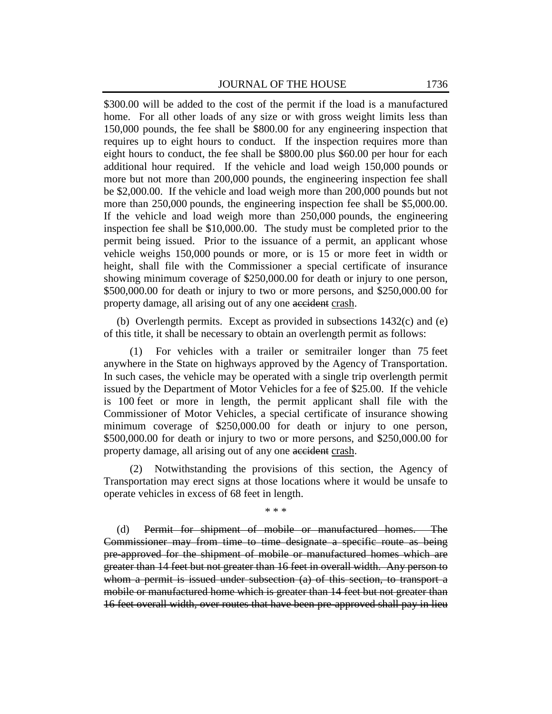\$300.00 will be added to the cost of the permit if the load is a manufactured home. For all other loads of any size or with gross weight limits less than 150,000 pounds, the fee shall be \$800.00 for any engineering inspection that requires up to eight hours to conduct. If the inspection requires more than eight hours to conduct, the fee shall be \$800.00 plus \$60.00 per hour for each additional hour required. If the vehicle and load weigh 150,000 pounds or more but not more than 200,000 pounds, the engineering inspection fee shall be \$2,000.00. If the vehicle and load weigh more than 200,000 pounds but not more than 250,000 pounds, the engineering inspection fee shall be \$5,000.00. If the vehicle and load weigh more than 250,000 pounds, the engineering inspection fee shall be \$10,000.00. The study must be completed prior to the permit being issued. Prior to the issuance of a permit, an applicant whose vehicle weighs 150,000 pounds or more, or is 15 or more feet in width or height, shall file with the Commissioner a special certificate of insurance showing minimum coverage of \$250,000.00 for death or injury to one person, \$500,000.00 for death or injury to two or more persons, and \$250,000.00 for property damage, all arising out of any one accident crash.

(b) Overlength permits. Except as provided in subsections 1432(c) and (e) of this title, it shall be necessary to obtain an overlength permit as follows:

(1) For vehicles with a trailer or semitrailer longer than 75 feet anywhere in the State on highways approved by the Agency of Transportation. In such cases, the vehicle may be operated with a single trip overlength permit issued by the Department of Motor Vehicles for a fee of \$25.00. If the vehicle is 100 feet or more in length, the permit applicant shall file with the Commissioner of Motor Vehicles, a special certificate of insurance showing minimum coverage of \$250,000.00 for death or injury to one person, \$500,000.00 for death or injury to two or more persons, and \$250,000.00 for property damage, all arising out of any one accident crash.

(2) Notwithstanding the provisions of this section, the Agency of Transportation may erect signs at those locations where it would be unsafe to operate vehicles in excess of 68 feet in length.

\* \* \* (d) Permit for shipment of mobile or manufactured homes. The Commissioner may from time to time designate a specific route as being pre-approved for the shipment of mobile or manufactured homes which are greater than 14 feet but not greater than 16 feet in overall width. Any person to whom a permit is issued under subsection (a) of this section, to transport a

mobile or manufactured home which is greater than 14 feet but not greater than 16 feet overall width, over routes that have been pre-approved shall pay in lieu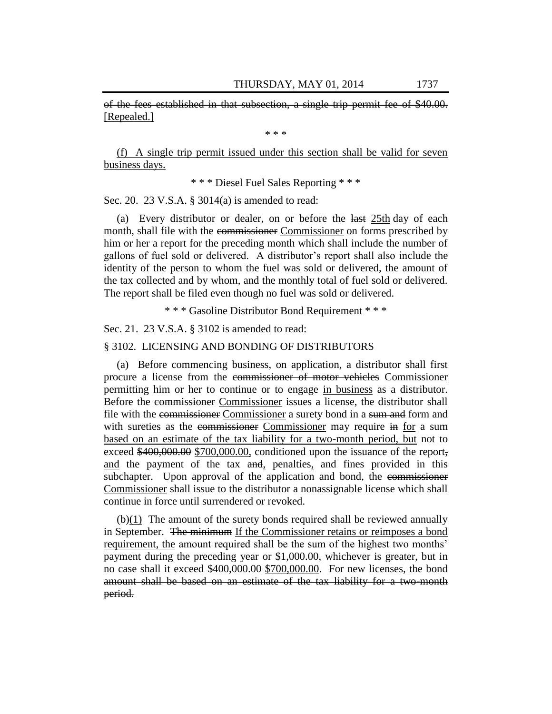of the fees established in that subsection, a single trip permit fee of \$40.00. [Repealed.]

\* \* \*

(f) A single trip permit issued under this section shall be valid for seven business days.

\* \* \* Diesel Fuel Sales Reporting \* \* \*

Sec. 20. 23 V.S.A. § 3014(a) is amended to read:

(a) Every distributor or dealer, on or before the last 25th day of each month, shall file with the commissioner Commissioner on forms prescribed by him or her a report for the preceding month which shall include the number of gallons of fuel sold or delivered. A distributor's report shall also include the identity of the person to whom the fuel was sold or delivered, the amount of the tax collected and by whom, and the monthly total of fuel sold or delivered. The report shall be filed even though no fuel was sold or delivered.

\* \* \* Gasoline Distributor Bond Requirement \* \* \*

Sec. 21. 23 V.S.A. § 3102 is amended to read:

#### § 3102. LICENSING AND BONDING OF DISTRIBUTORS

(a) Before commencing business, on application, a distributor shall first procure a license from the commissioner of motor vehicles Commissioner permitting him or her to continue or to engage in business as a distributor. Before the commissioner Commissioner issues a license, the distributor shall file with the commissioner Commissioner a surety bond in a sum and form and with sureties as the commissioner Commissioner may require in for a sum based on an estimate of the tax liability for a two-month period, but not to exceed \$400,000.00 \$700,000.00, conditioned upon the issuance of the report, and the payment of the tax and, penalties, and fines provided in this subchapter. Upon approval of the application and bond, the commissioner Commissioner shall issue to the distributor a nonassignable license which shall continue in force until surrendered or revoked.

 $(b)(1)$  The amount of the surety bonds required shall be reviewed annually in September. The minimum If the Commissioner retains or reimposes a bond requirement, the amount required shall be the sum of the highest two months' payment during the preceding year or \$1,000.00, whichever is greater, but in no case shall it exceed \$400,000.00 \$700,000.00. For new licenses, the bond amount shall be based on an estimate of the tax liability for a two-month period.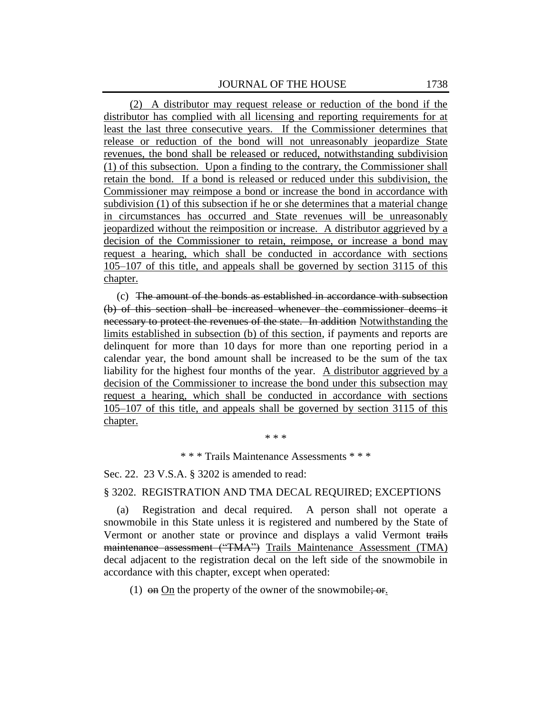(2) A distributor may request release or reduction of the bond if the distributor has complied with all licensing and reporting requirements for at least the last three consecutive years. If the Commissioner determines that release or reduction of the bond will not unreasonably jeopardize State revenues, the bond shall be released or reduced, notwithstanding subdivision (1) of this subsection. Upon a finding to the contrary, the Commissioner shall retain the bond. If a bond is released or reduced under this subdivision, the Commissioner may reimpose a bond or increase the bond in accordance with subdivision (1) of this subsection if he or she determines that a material change in circumstances has occurred and State revenues will be unreasonably jeopardized without the reimposition or increase. A distributor aggrieved by a decision of the Commissioner to retain, reimpose, or increase a bond may request a hearing, which shall be conducted in accordance with sections 105–107 of this title, and appeals shall be governed by section 3115 of this chapter.

(c) The amount of the bonds as established in accordance with subsection (b) of this section shall be increased whenever the commissioner deems it necessary to protect the revenues of the state. In addition Notwithstanding the limits established in subsection (b) of this section, if payments and reports are delinquent for more than 10 days for more than one reporting period in a calendar year, the bond amount shall be increased to be the sum of the tax liability for the highest four months of the year. A distributor aggrieved by a decision of the Commissioner to increase the bond under this subsection may request a hearing, which shall be conducted in accordance with sections 105–107 of this title, and appeals shall be governed by section 3115 of this chapter.

> \* \* \* \* \* \* Trails Maintenance Assessments \* \* \*

Sec. 22. 23 V.S.A. § 3202 is amended to read:

#### § 3202. REGISTRATION AND TMA DECAL REQUIRED; EXCEPTIONS

(a) Registration and decal required. A person shall not operate a snowmobile in this State unless it is registered and numbered by the State of Vermont or another state or province and displays a valid Vermont trails maintenance assessment ("TMA") Trails Maintenance Assessment (TMA) decal adjacent to the registration decal on the left side of the snowmobile in accordance with this chapter, except when operated:

(1)  $\Theta$  on On the property of the owner of the snowmobile;  $\Theta$  is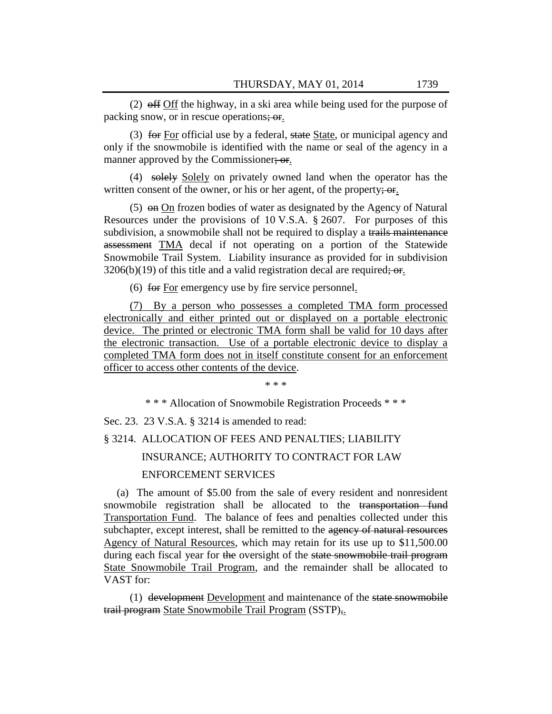(2) off Off the highway, in a ski area while being used for the purpose of packing snow, or in rescue operations; or.

(3) for For official use by a federal, state State, or municipal agency and only if the snowmobile is identified with the name or seal of the agency in a manner approved by the Commissioner; or.

(4) solely Solely on privately owned land when the operator has the written consent of the owner, or his or her agent, of the property;  $\sigma$ .

(5) on On frozen bodies of water as designated by the Agency of Natural Resources under the provisions of 10 V.S.A. § 2607. For purposes of this subdivision, a snowmobile shall not be required to display a trails maintenance assessment TMA decal if not operating on a portion of the Statewide Snowmobile Trail System. Liability insurance as provided for in subdivision  $3206(b)(19)$  of this title and a valid registration decal are required; or.

(6) for For emergency use by fire service personnel.

(7) By a person who possesses a completed TMA form processed electronically and either printed out or displayed on a portable electronic device. The printed or electronic TMA form shall be valid for 10 days after the electronic transaction. Use of a portable electronic device to display a completed TMA form does not in itself constitute consent for an enforcement officer to access other contents of the device.

\* \* \*

\* \* \* Allocation of Snowmobile Registration Proceeds \* \* \*

Sec. 23. 23 V.S.A. § 3214 is amended to read:

# § 3214. ALLOCATION OF FEES AND PENALTIES; LIABILITY INSURANCE; AUTHORITY TO CONTRACT FOR LAW ENFORCEMENT SERVICES

(a) The amount of \$5.00 from the sale of every resident and nonresident snowmobile registration shall be allocated to the transportation fund Transportation Fund. The balance of fees and penalties collected under this subchapter, except interest, shall be remitted to the agency of natural resources Agency of Natural Resources, which may retain for its use up to \$11,500.00 during each fiscal year for the oversight of the state snowmobile trail program State Snowmobile Trail Program, and the remainder shall be allocated to VAST for:

(1) development Development and maintenance of the state snowmobile trail program State Snowmobile Trail Program (SSTP),.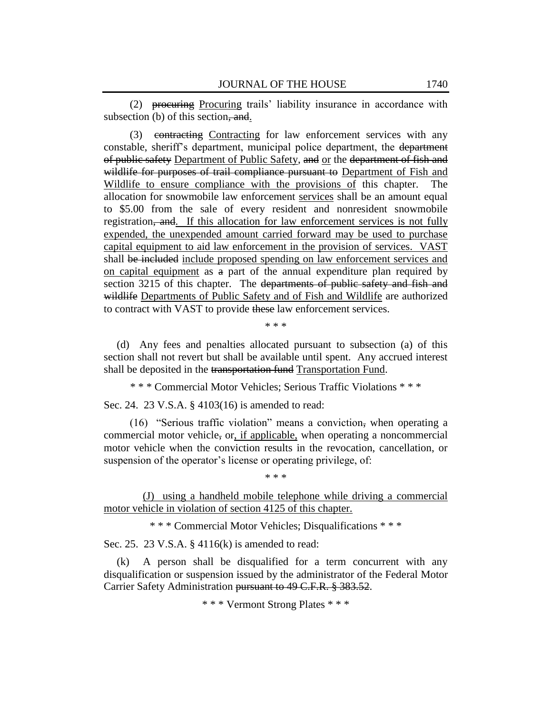(2) procuring Procuring trails' liability insurance in accordance with subsection (b) of this section, and.

(3) contracting Contracting for law enforcement services with any constable, sheriff's department, municipal police department, the department of public safety Department of Public Safety, and or the department of fish and wildlife for purposes of trail compliance pursuant to Department of Fish and Wildlife to ensure compliance with the provisions of this chapter. The allocation for snowmobile law enforcement services shall be an amount equal to \$5.00 from the sale of every resident and nonresident snowmobile registration, and. If this allocation for law enforcement services is not fully expended, the unexpended amount carried forward may be used to purchase capital equipment to aid law enforcement in the provision of services. VAST shall be included include proposed spending on law enforcement services and on capital equipment as a part of the annual expenditure plan required by section 3215 of this chapter. The departments of public safety and fish and wildlife Departments of Public Safety and of Fish and Wildlife are authorized to contract with VAST to provide these law enforcement services.

\* \* \*

(d) Any fees and penalties allocated pursuant to subsection (a) of this section shall not revert but shall be available until spent. Any accrued interest shall be deposited in the transportation fund Transportation Fund.

\* \* \* Commercial Motor Vehicles; Serious Traffic Violations \* \* \*

Sec. 24. 23 V.S.A. § 4103(16) is amended to read:

 $(16)$  "Serious traffic violation" means a conviction, when operating a commercial motor vehicle, or, if applicable, when operating a noncommercial motor vehicle when the conviction results in the revocation, cancellation, or suspension of the operator's license or operating privilege, of:

\* \* \*

(J) using a handheld mobile telephone while driving a commercial motor vehicle in violation of section 4125 of this chapter.

\* \* \* Commercial Motor Vehicles; Disqualifications \* \* \*

Sec. 25. 23 V.S.A. § 4116(k) is amended to read:

(k) A person shall be disqualified for a term concurrent with any disqualification or suspension issued by the administrator of the Federal Motor Carrier Safety Administration pursuant to 49 C.F.R. § 383.52.

\* \* \* Vermont Strong Plates \* \* \*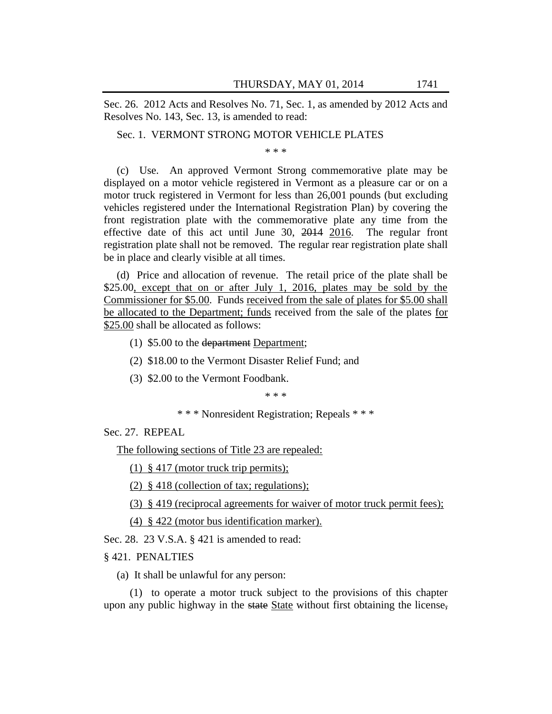Sec. 26. 2012 Acts and Resolves No. 71, Sec. 1, as amended by 2012 Acts and Resolves No. 143, Sec. 13, is amended to read:

## Sec. 1. VERMONT STRONG MOTOR VEHICLE PLATES

\* \* \*

(c) Use. An approved Vermont Strong commemorative plate may be displayed on a motor vehicle registered in Vermont as a pleasure car or on a motor truck registered in Vermont for less than 26,001 pounds (but excluding vehicles registered under the International Registration Plan) by covering the front registration plate with the commemorative plate any time from the effective date of this act until June 30, 2014 2016. The regular front registration plate shall not be removed. The regular rear registration plate shall be in place and clearly visible at all times.

(d) Price and allocation of revenue. The retail price of the plate shall be \$25.00, except that on or after July 1, 2016, plates may be sold by the Commissioner for \$5.00. Funds received from the sale of plates for \$5.00 shall be allocated to the Department; funds received from the sale of the plates for \$25.00 shall be allocated as follows:

(1) \$5.00 to the department Department;

(2) \$18.00 to the Vermont Disaster Relief Fund; and

(3) \$2.00 to the Vermont Foodbank.

\* \* \*

\* \* \* Nonresident Registration; Repeals \* \* \*

Sec. 27. REPEAL

The following sections of Title 23 are repealed:

(1) § 417 (motor truck trip permits);

(2) § 418 (collection of tax; regulations);

(3) § 419 (reciprocal agreements for waiver of motor truck permit fees);

(4) § 422 (motor bus identification marker).

Sec. 28. 23 V.S.A. § 421 is amended to read:

§ 421. PENALTIES

(a) It shall be unlawful for any person:

(1) to operate a motor truck subject to the provisions of this chapter upon any public highway in the state State without first obtaining the license,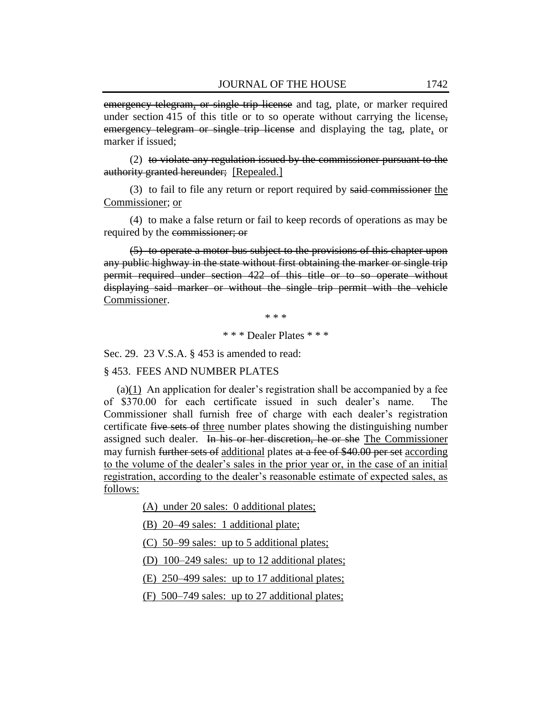emergency telegram, or single trip license and tag, plate, or marker required under section 415 of this title or to so operate without carrying the license, emergency telegram or single trip license and displaying the tag, plate, or marker if issued;

(2) to violate any regulation issued by the commissioner pursuant to the authority granted hereunder; [Repealed.]

(3) to fail to file any return or report required by said commissioner the Commissioner; or

(4) to make a false return or fail to keep records of operations as may be required by the commissioner; or

(5) to operate a motor bus subject to the provisions of this chapter upon any public highway in the state without first obtaining the marker or single trip permit required under section 422 of this title or to so operate without displaying said marker or without the single trip permit with the vehicle Commissioner.

\* \* \*

\* \* \* Dealer Plates \* \* \*

Sec. 29. 23 V.S.A. § 453 is amended to read:

§ 453. FEES AND NUMBER PLATES

(a) $(1)$  An application for dealer's registration shall be accompanied by a fee of \$370.00 for each certificate issued in such dealer's name. The Commissioner shall furnish free of charge with each dealer's registration certificate five sets of three number plates showing the distinguishing number assigned such dealer. In his or her discretion, he or she The Commissioner may furnish further sets of additional plates at a fee of \$40.00 per set according to the volume of the dealer's sales in the prior year or, in the case of an initial registration, according to the dealer's reasonable estimate of expected sales, as follows:

(A) under 20 sales: 0 additional plates;

(B) 20–49 sales: 1 additional plate;

(C) 50–99 sales: up to 5 additional plates;

(D) 100–249 sales: up to 12 additional plates;

(E) 250–499 sales: up to 17 additional plates;

(F) 500–749 sales: up to 27 additional plates;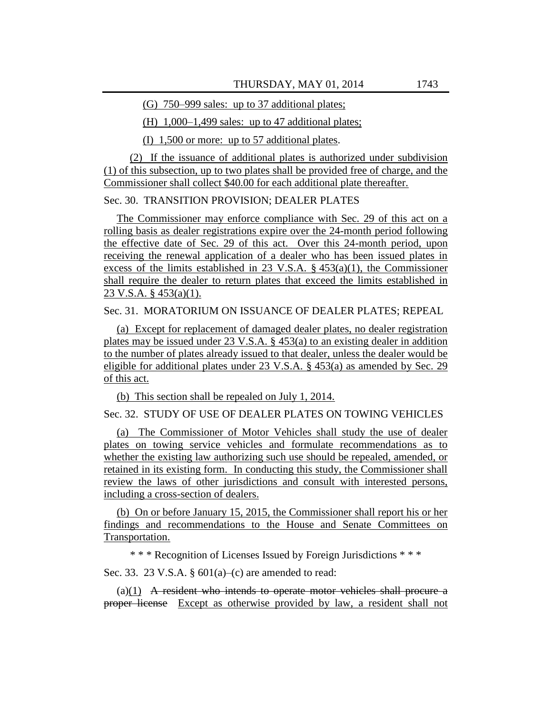(G) 750–999 sales: up to 37 additional plates;

(H)  $1,000-1,499$  sales: up to 47 additional plates;

(I) 1,500 or more: up to 57 additional plates.

(2) If the issuance of additional plates is authorized under subdivision (1) of this subsection, up to two plates shall be provided free of charge, and the Commissioner shall collect \$40.00 for each additional plate thereafter.

## Sec. 30. TRANSITION PROVISION; DEALER PLATES

The Commissioner may enforce compliance with Sec. 29 of this act on a rolling basis as dealer registrations expire over the 24-month period following the effective date of Sec. 29 of this act. Over this 24-month period, upon receiving the renewal application of a dealer who has been issued plates in excess of the limits established in 23 V.S.A.  $\S$  453(a)(1), the Commissioner shall require the dealer to return plates that exceed the limits established in 23 V.S.A. § 453(a)(1).

# Sec. 31. MORATORIUM ON ISSUANCE OF DEALER PLATES; REPEAL

(a) Except for replacement of damaged dealer plates, no dealer registration plates may be issued under 23 V.S.A. § 453(a) to an existing dealer in addition to the number of plates already issued to that dealer, unless the dealer would be eligible for additional plates under 23 V.S.A. § 453(a) as amended by Sec. 29 of this act.

(b) This section shall be repealed on July 1, 2014.

Sec. 32. STUDY OF USE OF DEALER PLATES ON TOWING VEHICLES

(a) The Commissioner of Motor Vehicles shall study the use of dealer plates on towing service vehicles and formulate recommendations as to whether the existing law authorizing such use should be repealed, amended, or retained in its existing form. In conducting this study, the Commissioner shall review the laws of other jurisdictions and consult with interested persons, including a cross-section of dealers.

(b) On or before January 15, 2015, the Commissioner shall report his or her findings and recommendations to the House and Senate Committees on Transportation.

\* \* \* Recognition of Licenses Issued by Foreign Jurisdictions \* \* \*

Sec. 33. 23 V.S.A. § 601(a)–(c) are amended to read:

 $(a)(1)$  A resident who intends to operate motor vehicles shall procure a proper license Except as otherwise provided by law, a resident shall not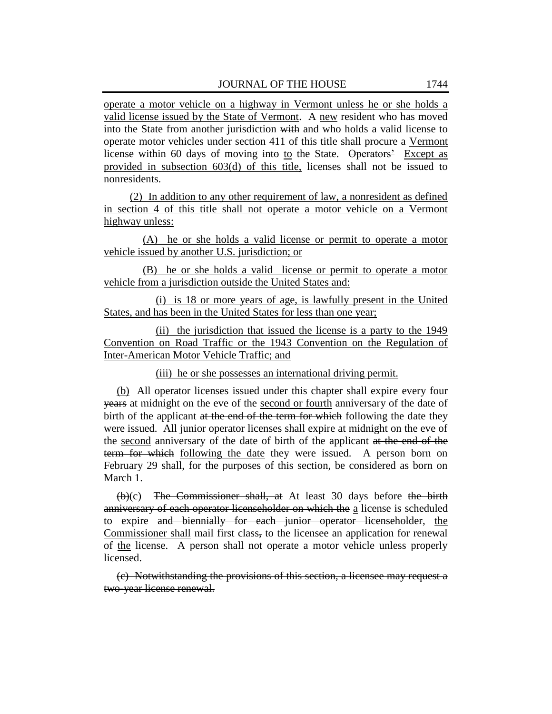operate a motor vehicle on a highway in Vermont unless he or she holds a valid license issued by the State of Vermont. A new resident who has moved into the State from another jurisdiction with and who holds a valid license to operate motor vehicles under section 411 of this title shall procure a Vermont license within 60 days of moving into to the State. Operators' Except as provided in subsection 603(d) of this title, licenses shall not be issued to nonresidents.

(2) In addition to any other requirement of law, a nonresident as defined in section 4 of this title shall not operate a motor vehicle on a Vermont highway unless:

(A) he or she holds a valid license or permit to operate a motor vehicle issued by another U.S. jurisdiction; or

(B) he or she holds a valid license or permit to operate a motor vehicle from a jurisdiction outside the United States and:

(i) is 18 or more years of age, is lawfully present in the United States, and has been in the United States for less than one year;

(ii) the jurisdiction that issued the license is a party to the 1949 Convention on Road Traffic or the 1943 Convention on the Regulation of Inter-American Motor Vehicle Traffic; and

(iii) he or she possesses an international driving permit.

(b) All operator licenses issued under this chapter shall expire every four years at midnight on the eve of the second or fourth anniversary of the date of birth of the applicant at the end of the term for which following the date they were issued. All junior operator licenses shall expire at midnight on the eve of the second anniversary of the date of birth of the applicant at the end of the term for which following the date they were issued. A person born on February 29 shall, for the purposes of this section, be considered as born on March 1.

(b)(c) The Commissioner shall, at At least 30 days before the birth anniversary of each operator licenseholder on which the a license is scheduled to expire and biennially for each junior operator licenseholder, the Commissioner shall mail first class, to the licensee an application for renewal of the license. A person shall not operate a motor vehicle unless properly licensed.

(c) Notwithstanding the provisions of this section, a licensee may request a two-year license renewal.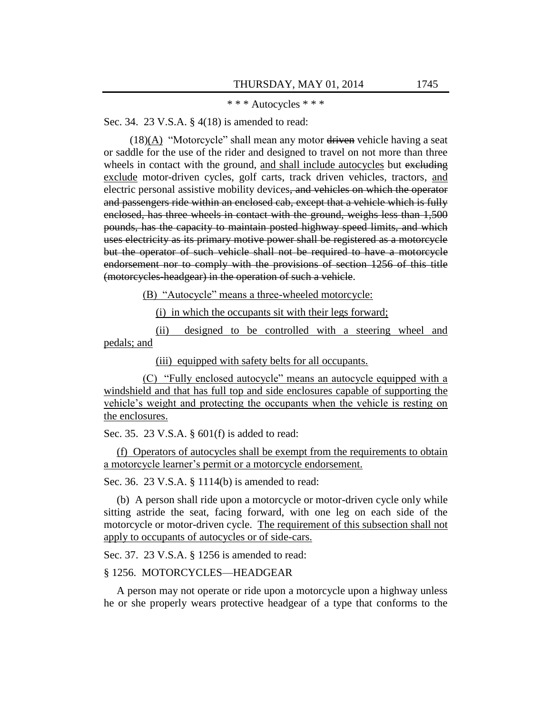### \* \* \* Autocycles \* \* \*

Sec. 34. 23 V.S.A. § 4(18) is amended to read:

 $(18)(A)$  "Motorcycle" shall mean any motor driven vehicle having a seat or saddle for the use of the rider and designed to travel on not more than three wheels in contact with the ground, and shall include autocycles but excluding exclude motor-driven cycles, golf carts, track driven vehicles, tractors, and electric personal assistive mobility devices, and vehicles on which the operator and passengers ride within an enclosed cab, except that a vehicle which is fully enclosed, has three wheels in contact with the ground, weighs less than 1,500 pounds, has the capacity to maintain posted highway speed limits, and which uses electricity as its primary motive power shall be registered as a motorcycle but the operator of such vehicle shall not be required to have a motorcycle endorsement nor to comply with the provisions of section 1256 of this title (motorcycles-headgear) in the operation of such a vehicle.

(B) "Autocycle" means a three-wheeled motorcycle:

(i) in which the occupants sit with their legs forward;

(ii) designed to be controlled with a steering wheel and pedals; and

(iii) equipped with safety belts for all occupants.

(C) "Fully enclosed autocycle" means an autocycle equipped with a windshield and that has full top and side enclosures capable of supporting the vehicle's weight and protecting the occupants when the vehicle is resting on the enclosures.

Sec. 35. 23 V.S.A. § 601(f) is added to read:

(f) Operators of autocycles shall be exempt from the requirements to obtain a motorcycle learner's permit or a motorcycle endorsement.

Sec. 36. 23 V.S.A. § 1114(b) is amended to read:

(b) A person shall ride upon a motorcycle or motor-driven cycle only while sitting astride the seat, facing forward, with one leg on each side of the motorcycle or motor-driven cycle. The requirement of this subsection shall not apply to occupants of autocycles or of side-cars.

Sec. 37. 23 V.S.A. § 1256 is amended to read:

§ 1256. MOTORCYCLES—HEADGEAR

A person may not operate or ride upon a motorcycle upon a highway unless he or she properly wears protective headgear of a type that conforms to the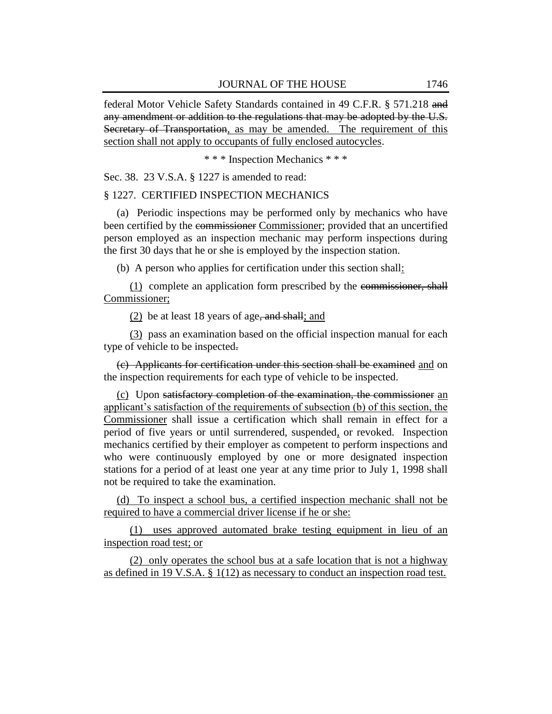federal Motor Vehicle Safety Standards contained in 49 C.F.R. § 571.218 and any amendment or addition to the regulations that may be adopted by the U.S. Secretary of Transportation, as may be amended. The requirement of this section shall not apply to occupants of fully enclosed autocycles.

\* \* \* Inspection Mechanics \* \* \*

Sec. 38. 23 V.S.A. § 1227 is amended to read:

### § 1227. CERTIFIED INSPECTION MECHANICS

(a) Periodic inspections may be performed only by mechanics who have been certified by the commissioner Commissioner; provided that an uncertified person employed as an inspection mechanic may perform inspections during the first 30 days that he or she is employed by the inspection station.

(b) A person who applies for certification under this section shall:

(1) complete an application form prescribed by the commissioner, shall Commissioner;

(2) be at least 18 years of age, and shall; and

(3) pass an examination based on the official inspection manual for each type of vehicle to be inspected.

(c) Applicants for certification under this section shall be examined and on the inspection requirements for each type of vehicle to be inspected.

(c) Upon satisfactory completion of the examination, the commissioner an applicant's satisfaction of the requirements of subsection (b) of this section, the Commissioner shall issue a certification which shall remain in effect for a period of five years or until surrendered, suspended, or revoked. Inspection mechanics certified by their employer as competent to perform inspections and who were continuously employed by one or more designated inspection stations for a period of at least one year at any time prior to July 1, 1998 shall not be required to take the examination.

(d) To inspect a school bus, a certified inspection mechanic shall not be required to have a commercial driver license if he or she:

(1) uses approved automated brake testing equipment in lieu of an inspection road test; or

(2) only operates the school bus at a safe location that is not a highway as defined in 19 V.S.A. § 1(12) as necessary to conduct an inspection road test.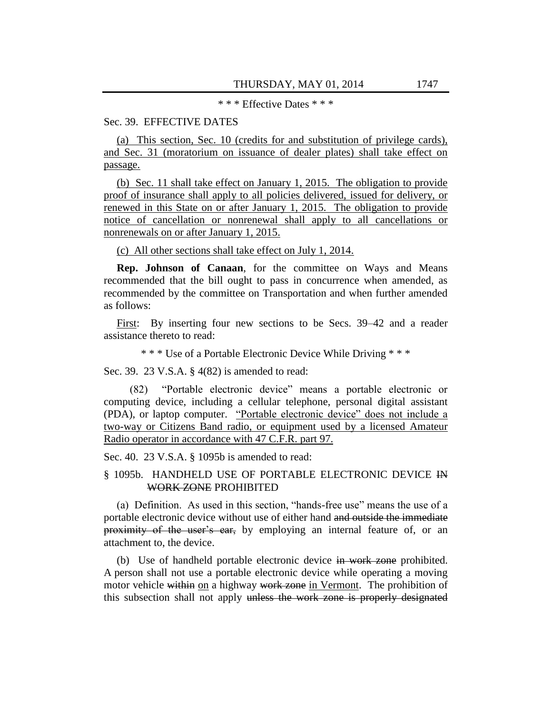\* \* \* Effective Dates \* \* \*

### Sec. 39. EFFECTIVE DATES

(a) This section, Sec. 10 (credits for and substitution of privilege cards), and Sec. 31 (moratorium on issuance of dealer plates) shall take effect on passage.

(b) Sec. 11 shall take effect on January 1, 2015. The obligation to provide proof of insurance shall apply to all policies delivered, issued for delivery, or renewed in this State on or after January 1, 2015. The obligation to provide notice of cancellation or nonrenewal shall apply to all cancellations or nonrenewals on or after January 1, 2015.

(c) All other sections shall take effect on July 1, 2014.

**Rep. Johnson of Canaan**, for the committee on Ways and Means recommended that the bill ought to pass in concurrence when amended, as recommended by the committee on Transportation and when further amended as follows:

First: By inserting four new sections to be Secs. 39–42 and a reader assistance thereto to read:

\* \* \* Use of a Portable Electronic Device While Driving \* \* \*

Sec. 39. 23 V.S.A. § 4(82) is amended to read:

(82) 
"Portable electronic device" means a portable electronic or computing device, including a cellular telephone, personal digital assistant (PDA), or laptop computer. "Portable electronic device" does not include a two-way or Citizens Band radio, or equipment used by a licensed Amateur Radio operator in accordance with 47 C.F.R. part 97.

Sec. 40. 23 V.S.A. § 1095b is amended to read:

# § 1095b. HANDHELD USE OF PORTABLE ELECTRONIC DEVICE IN WORK ZONE PROHIBITED

(a) Definition. As used in this section, "hands-free use" means the use of a portable electronic device without use of either hand and outside the immediate proximity of the user's ear, by employing an internal feature of, or an attachment to, the device.

(b) Use of handheld portable electronic device in work zone prohibited. A person shall not use a portable electronic device while operating a moving motor vehicle within on a highway work zone in Vermont. The prohibition of this subsection shall not apply unless the work zone is properly designated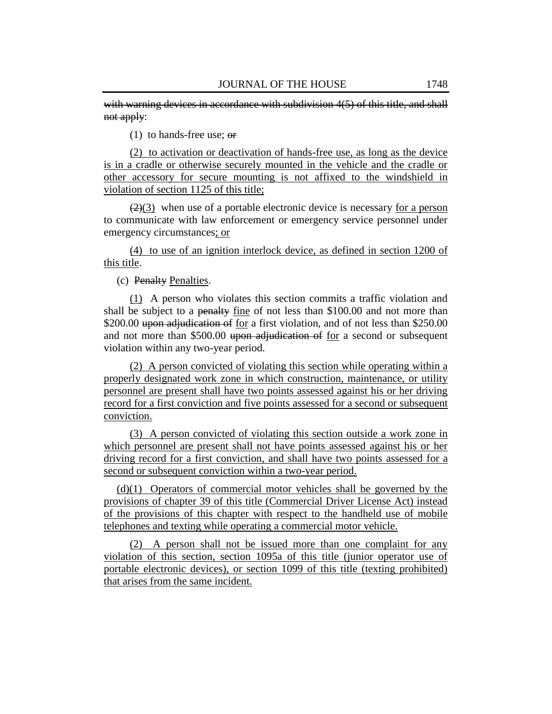with warning devices in accordance with subdivision 4(5) of this title, and shall not apply:

(1) to hands-free use;  $\Theta$ **r** 

(2) to activation or deactivation of hands-free use, as long as the device is in a cradle or otherwise securely mounted in the vehicle and the cradle or other accessory for secure mounting is not affixed to the windshield in violation of section 1125 of this title;

 $(2)(3)$  when use of a portable electronic device is necessary for a person to communicate with law enforcement or emergency service personnel under emergency circumstances; or

(4) to use of an ignition interlock device, as defined in section 1200 of this title.

(c) Penalty Penalties.

(1) A person who violates this section commits a traffic violation and shall be subject to a penalty fine of not less than \$100.00 and not more than \$200.00 upon adjudication of for a first violation, and of not less than \$250.00 and not more than \$500.00 upon adjudication of for a second or subsequent violation within any two-year period.

(2) A person convicted of violating this section while operating within a properly designated work zone in which construction, maintenance, or utility personnel are present shall have two points assessed against his or her driving record for a first conviction and five points assessed for a second or subsequent conviction.

(3) A person convicted of violating this section outside a work zone in which personnel are present shall not have points assessed against his or her driving record for a first conviction, and shall have two points assessed for a second or subsequent conviction within a two-year period.

(d)(1) Operators of commercial motor vehicles shall be governed by the provisions of chapter 39 of this title (Commercial Driver License Act) instead of the provisions of this chapter with respect to the handheld use of mobile telephones and texting while operating a commercial motor vehicle.

(2) A person shall not be issued more than one complaint for any violation of this section, section 1095a of this title (junior operator use of portable electronic devices), or section 1099 of this title (texting prohibited) that arises from the same incident.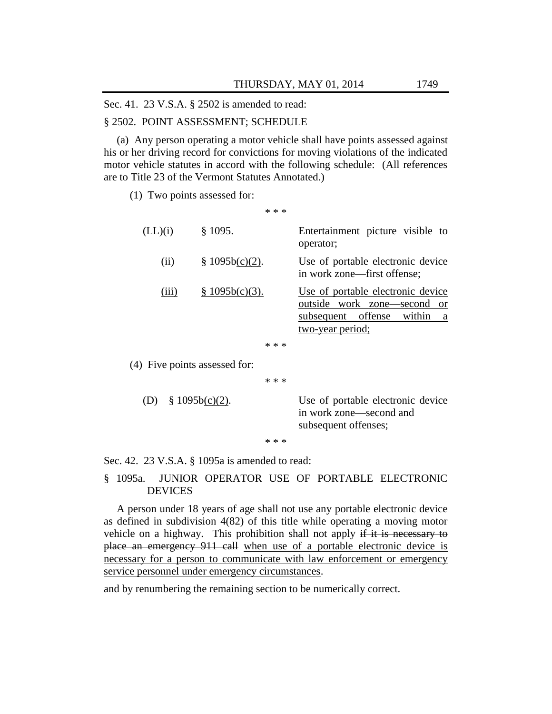Sec. 41. 23 V.S.A. § 2502 is amended to read:

### § 2502. POINT ASSESSMENT; SCHEDULE

(a) Any person operating a motor vehicle shall have points assessed against his or her driving record for convictions for moving violations of the indicated motor vehicle statutes in accord with the following schedule: (All references are to Title 23 of the Vermont Statutes Annotated.)

(1) Two points assessed for:

\* \* \*

| (LL)(i) | § 1095.        | Entertainment picture visible to<br>operator;                                                                                          |
|---------|----------------|----------------------------------------------------------------------------------------------------------------------------------------|
| (ii)    | \$1095b(c)(2). | Use of portable electronic device<br>in work zone—first offense;                                                                       |
| (iii)   | \$1095b(c)(3). | Use of portable electronic device<br>outside work zone-second<br><sub>or</sub><br>subsequent offense within<br>- a<br>two-year period; |
|         | * * *          |                                                                                                                                        |

(4) Five points assessed for:

\* \* \*

| (D) $\frac{8}{3}$ 1095b(c)(2). |       | Use of portable electronic device |
|--------------------------------|-------|-----------------------------------|
|                                |       | in work zone—second and           |
|                                |       | subsequent offenses;              |
|                                | * * * |                                   |

Sec. 42. 23 V.S.A. § 1095a is amended to read:

### § 1095a. JUNIOR OPERATOR USE OF PORTABLE ELECTRONIC DEVICES

A person under 18 years of age shall not use any portable electronic device as defined in subdivision 4(82) of this title while operating a moving motor vehicle on a highway. This prohibition shall not apply if it is necessary to place an emergency 911 call when use of a portable electronic device is necessary for a person to communicate with law enforcement or emergency service personnel under emergency circumstances.

and by renumbering the remaining section to be numerically correct.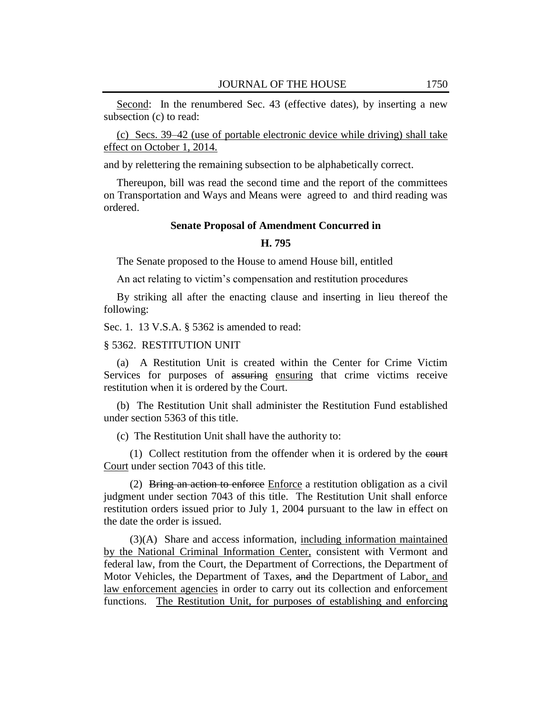Second: In the renumbered Sec. 43 (effective dates), by inserting a new subsection (c) to read:

(c) Secs. 39–42 (use of portable electronic device while driving) shall take effect on October 1, 2014.

and by relettering the remaining subsection to be alphabetically correct.

Thereupon, bill was read the second time and the report of the committees on Transportation and Ways and Means were agreed to and third reading was ordered.

### **Senate Proposal of Amendment Concurred in**

### **H. 795**

The Senate proposed to the House to amend House bill, entitled

An act relating to victim's compensation and restitution procedures

By striking all after the enacting clause and inserting in lieu thereof the following:

Sec. 1. 13 V.S.A. § 5362 is amended to read:

§ 5362. RESTITUTION UNIT

(a) A Restitution Unit is created within the Center for Crime Victim Services for purposes of assuring ensuring that crime victims receive restitution when it is ordered by the Court.

(b) The Restitution Unit shall administer the Restitution Fund established under section 5363 of this title.

(c) The Restitution Unit shall have the authority to:

(1) Collect restitution from the offender when it is ordered by the court Court under section 7043 of this title.

(2) Bring an action to enforce  $Enforce$  a restitution obligation as a civil judgment under section 7043 of this title. The Restitution Unit shall enforce restitution orders issued prior to July 1, 2004 pursuant to the law in effect on the date the order is issued.

(3)(A) Share and access information, including information maintained by the National Criminal Information Center, consistent with Vermont and federal law, from the Court, the Department of Corrections, the Department of Motor Vehicles, the Department of Taxes, and the Department of Labor, and law enforcement agencies in order to carry out its collection and enforcement functions. The Restitution Unit, for purposes of establishing and enforcing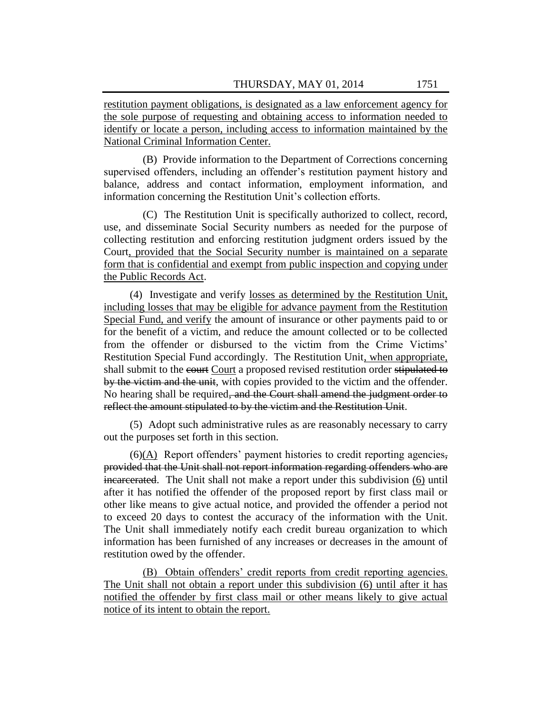restitution payment obligations, is designated as a law enforcement agency for the sole purpose of requesting and obtaining access to information needed to identify or locate a person, including access to information maintained by the National Criminal Information Center.

(B) Provide information to the Department of Corrections concerning supervised offenders, including an offender's restitution payment history and balance, address and contact information, employment information, and information concerning the Restitution Unit's collection efforts.

(C) The Restitution Unit is specifically authorized to collect, record, use, and disseminate Social Security numbers as needed for the purpose of collecting restitution and enforcing restitution judgment orders issued by the Court, provided that the Social Security number is maintained on a separate form that is confidential and exempt from public inspection and copying under the Public Records Act.

(4) Investigate and verify losses as determined by the Restitution Unit, including losses that may be eligible for advance payment from the Restitution Special Fund, and verify the amount of insurance or other payments paid to or for the benefit of a victim, and reduce the amount collected or to be collected from the offender or disbursed to the victim from the Crime Victims' Restitution Special Fund accordingly. The Restitution Unit, when appropriate, shall submit to the court Court a proposed revised restitution order stipulated to by the victim and the unit, with copies provided to the victim and the offender. No hearing shall be required, and the Court shall amend the judgment order to reflect the amount stipulated to by the victim and the Restitution Unit.

(5) Adopt such administrative rules as are reasonably necessary to carry out the purposes set forth in this section.

(6)(A) Report offenders' payment histories to credit reporting agencies, provided that the Unit shall not report information regarding offenders who are incarcerated. The Unit shall not make a report under this subdivision (6) until after it has notified the offender of the proposed report by first class mail or other like means to give actual notice, and provided the offender a period not to exceed 20 days to contest the accuracy of the information with the Unit. The Unit shall immediately notify each credit bureau organization to which information has been furnished of any increases or decreases in the amount of restitution owed by the offender.

(B) Obtain offenders' credit reports from credit reporting agencies. The Unit shall not obtain a report under this subdivision (6) until after it has notified the offender by first class mail or other means likely to give actual notice of its intent to obtain the report.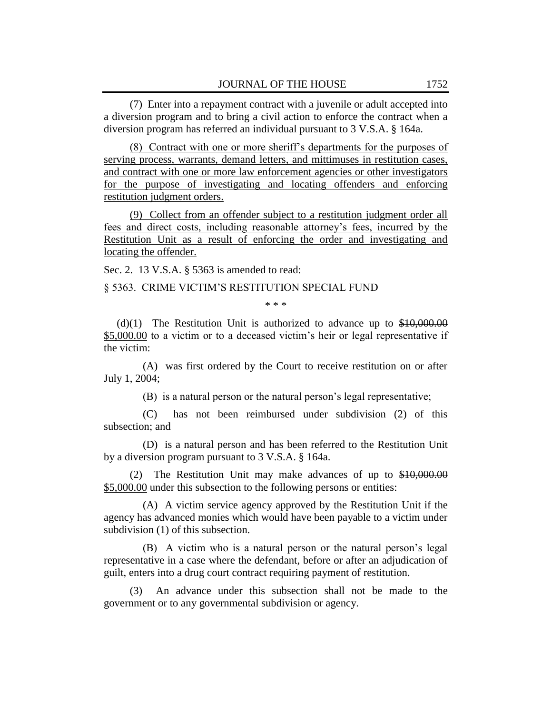(7) Enter into a repayment contract with a juvenile or adult accepted into a diversion program and to bring a civil action to enforce the contract when a diversion program has referred an individual pursuant to 3 V.S.A. § 164a.

(8) Contract with one or more sheriff's departments for the purposes of serving process, warrants, demand letters, and mittimuses in restitution cases, and contract with one or more law enforcement agencies or other investigators for the purpose of investigating and locating offenders and enforcing restitution judgment orders.

(9) Collect from an offender subject to a restitution judgment order all fees and direct costs, including reasonable attorney's fees, incurred by the Restitution Unit as a result of enforcing the order and investigating and locating the offender.

Sec. 2. 13 V.S.A. § 5363 is amended to read:

§ 5363. CRIME VICTIM'S RESTITUTION SPECIAL FUND

\* \* \*

(d)(1) The Restitution Unit is authorized to advance up to  $$10,000.00$ \$5,000.00 to a victim or to a deceased victim's heir or legal representative if the victim:

(A) was first ordered by the Court to receive restitution on or after July 1, 2004;

(B) is a natural person or the natural person's legal representative;

(C) has not been reimbursed under subdivision (2) of this subsection; and

(D) is a natural person and has been referred to the Restitution Unit by a diversion program pursuant to 3 V.S.A. § 164a.

(2) The Restitution Unit may make advances of up to \$10,000.00 \$5,000.00 under this subsection to the following persons or entities:

(A) A victim service agency approved by the Restitution Unit if the agency has advanced monies which would have been payable to a victim under subdivision (1) of this subsection.

(B) A victim who is a natural person or the natural person's legal representative in a case where the defendant, before or after an adjudication of guilt, enters into a drug court contract requiring payment of restitution.

(3) An advance under this subsection shall not be made to the government or to any governmental subdivision or agency.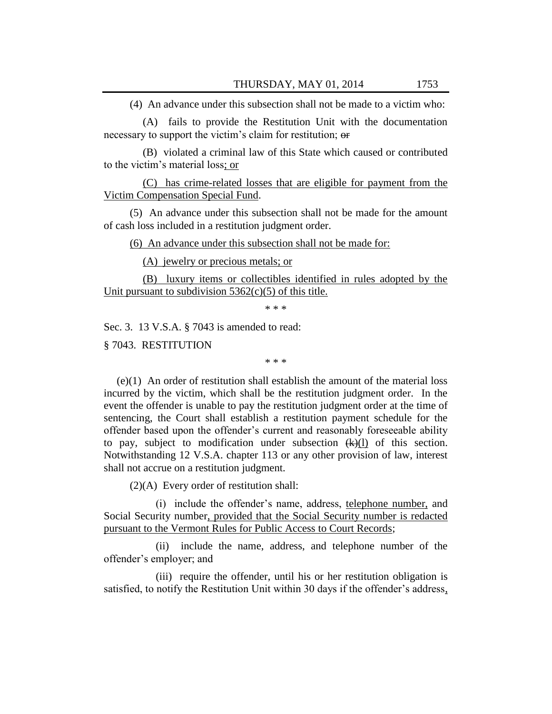(4) An advance under this subsection shall not be made to a victim who:

(A) fails to provide the Restitution Unit with the documentation necessary to support the victim's claim for restitution;  $\Theta$ 

(B) violated a criminal law of this State which caused or contributed to the victim's material loss; or

(C) has crime-related losses that are eligible for payment from the Victim Compensation Special Fund.

(5) An advance under this subsection shall not be made for the amount of cash loss included in a restitution judgment order.

(6) An advance under this subsection shall not be made for:

(A) jewelry or precious metals; or

(B) luxury items or collectibles identified in rules adopted by the Unit pursuant to subdivision  $5362(c)(5)$  of this title.

\* \* \*

Sec. 3. 13 V.S.A. § 7043 is amended to read:

§ 7043. RESTITUTION

\* \* \*

(e)(1) An order of restitution shall establish the amount of the material loss incurred by the victim, which shall be the restitution judgment order. In the event the offender is unable to pay the restitution judgment order at the time of sentencing, the Court shall establish a restitution payment schedule for the offender based upon the offender's current and reasonably foreseeable ability to pay, subject to modification under subsection  $(k)(l)$  of this section. Notwithstanding 12 V.S.A. chapter 113 or any other provision of law, interest shall not accrue on a restitution judgment.

(2)(A) Every order of restitution shall:

(i) include the offender's name, address, telephone number, and Social Security number, provided that the Social Security number is redacted pursuant to the Vermont Rules for Public Access to Court Records;

(ii) include the name, address, and telephone number of the offender's employer; and

(iii) require the offender, until his or her restitution obligation is satisfied, to notify the Restitution Unit within 30 days if the offender's address,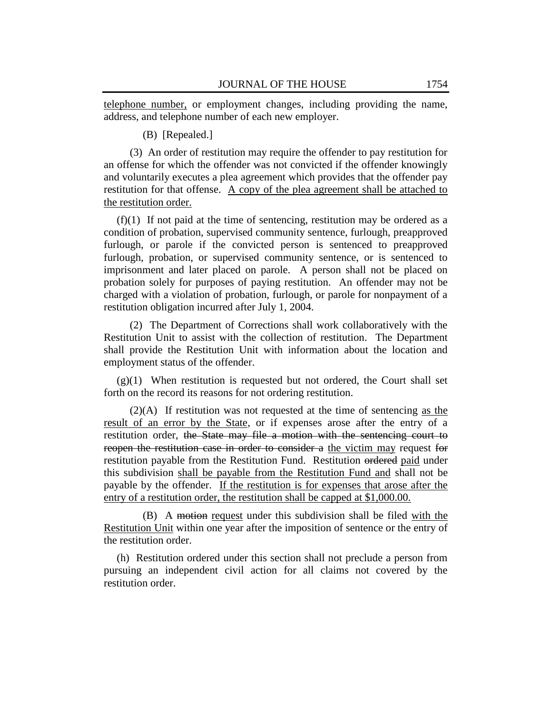telephone number, or employment changes, including providing the name, address, and telephone number of each new employer.

(B) [Repealed.]

(3) An order of restitution may require the offender to pay restitution for an offense for which the offender was not convicted if the offender knowingly and voluntarily executes a plea agreement which provides that the offender pay restitution for that offense. A copy of the plea agreement shall be attached to the restitution order.

(f)(1) If not paid at the time of sentencing, restitution may be ordered as a condition of probation, supervised community sentence, furlough, preapproved furlough, or parole if the convicted person is sentenced to preapproved furlough, probation, or supervised community sentence, or is sentenced to imprisonment and later placed on parole. A person shall not be placed on probation solely for purposes of paying restitution. An offender may not be charged with a violation of probation, furlough, or parole for nonpayment of a restitution obligation incurred after July 1, 2004.

(2) The Department of Corrections shall work collaboratively with the Restitution Unit to assist with the collection of restitution. The Department shall provide the Restitution Unit with information about the location and employment status of the offender.

(g)(1) When restitution is requested but not ordered, the Court shall set forth on the record its reasons for not ordering restitution.

(2)(A) If restitution was not requested at the time of sentencing as the result of an error by the State, or if expenses arose after the entry of a restitution order, the State may file a motion with the sentencing court to reopen the restitution case in order to consider a the victim may request for restitution payable from the Restitution Fund. Restitution ordered paid under this subdivision shall be payable from the Restitution Fund and shall not be payable by the offender. If the restitution is for expenses that arose after the entry of a restitution order, the restitution shall be capped at \$1,000.00.

(B) A motion request under this subdivision shall be filed with the Restitution Unit within one year after the imposition of sentence or the entry of the restitution order.

(h) Restitution ordered under this section shall not preclude a person from pursuing an independent civil action for all claims not covered by the restitution order.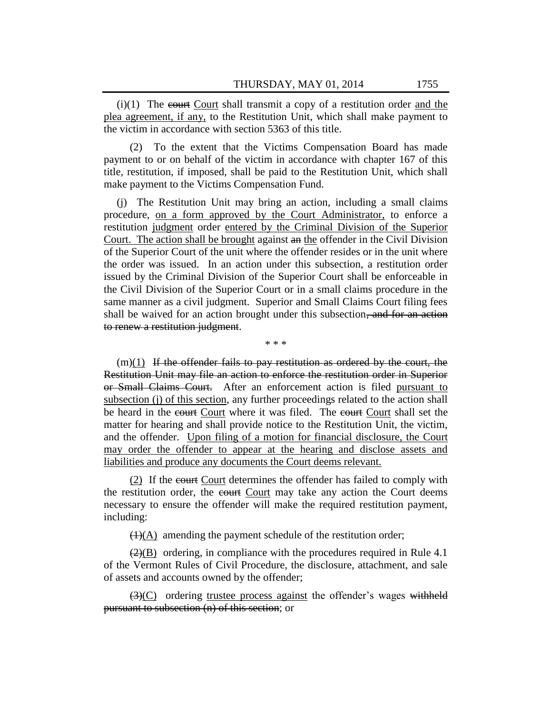$(i)(1)$  The court Court shall transmit a copy of a restitution order and the plea agreement, if any, to the Restitution Unit, which shall make payment to the victim in accordance with section 5363 of this title.

(2) To the extent that the Victims Compensation Board has made payment to or on behalf of the victim in accordance with chapter 167 of this title, restitution, if imposed, shall be paid to the Restitution Unit, which shall make payment to the Victims Compensation Fund.

(j) The Restitution Unit may bring an action, including a small claims procedure, on a form approved by the Court Administrator, to enforce a restitution judgment order entered by the Criminal Division of the Superior Court. The action shall be brought against an the offender in the Civil Division of the Superior Court of the unit where the offender resides or in the unit where the order was issued. In an action under this subsection, a restitution order issued by the Criminal Division of the Superior Court shall be enforceable in the Civil Division of the Superior Court or in a small claims procedure in the same manner as a civil judgment. Superior and Small Claims Court filing fees shall be waived for an action brought under this subsection, and for an action to renew a restitution judgment.

 $(m)(1)$  If the offender fails to pay restitution as ordered by the court, the Restitution Unit may file an action to enforce the restitution order in Superior or Small Claims Court. After an enforcement action is filed pursuant to subsection (j) of this section, any further proceedings related to the action shall be heard in the court Court where it was filed. The court Court shall set the matter for hearing and shall provide notice to the Restitution Unit, the victim, and the offender. Upon filing of a motion for financial disclosure, the Court may order the offender to appear at the hearing and disclose assets and liabilities and produce any documents the Court deems relevant.

\* \* \*

(2) If the court Court determines the offender has failed to comply with the restitution order, the court Court may take any action the Court deems necessary to ensure the offender will make the required restitution payment, including:

 $(1)(A)$  amending the payment schedule of the restitution order;

 $(2)(B)$  ordering, in compliance with the procedures required in Rule 4.1 of the Vermont Rules of Civil Procedure, the disclosure, attachment, and sale of assets and accounts owned by the offender;

 $(3)(C)$  ordering trustee process against the offender's wages withheld pursuant to subsection (n) of this section; or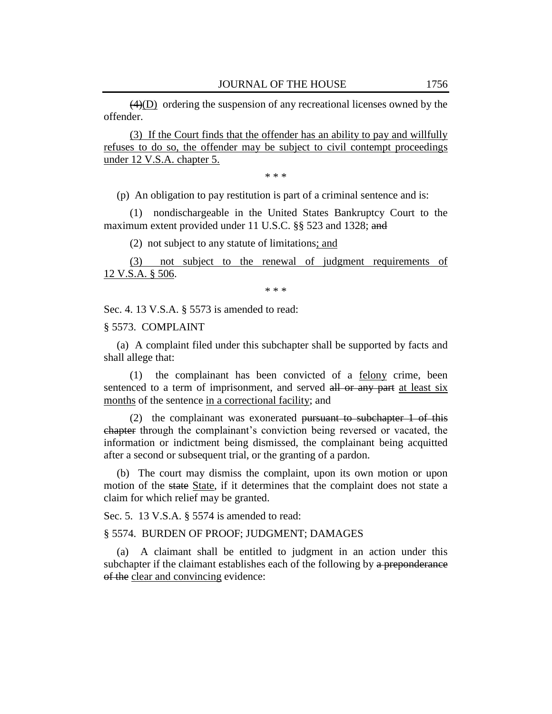$(4)(D)$  ordering the suspension of any recreational licenses owned by the offender.

(3) If the Court finds that the offender has an ability to pay and willfully refuses to do so, the offender may be subject to civil contempt proceedings under 12 V.S.A. chapter 5.

\* \* \*

(p) An obligation to pay restitution is part of a criminal sentence and is:

(1) nondischargeable in the United States Bankruptcy Court to the maximum extent provided under 11 U.S.C. §§ 523 and 1328; and

(2) not subject to any statute of limitations; and

(3) not subject to the renewal of judgment requirements of 12 V.S.A. § 506.

\* \* \*

Sec. 4. 13 V.S.A. § 5573 is amended to read:

§ 5573. COMPLAINT

(a) A complaint filed under this subchapter shall be supported by facts and shall allege that:

(1) the complainant has been convicted of a felony crime, been sentenced to a term of imprisonment, and served all or any part at least six months of the sentence in a correctional facility; and

(2) the complainant was exonerated pursuant to subchapter  $1$  of this chapter through the complainant's conviction being reversed or vacated, the information or indictment being dismissed, the complainant being acquitted after a second or subsequent trial, or the granting of a pardon.

(b) The court may dismiss the complaint, upon its own motion or upon motion of the state State, if it determines that the complaint does not state a claim for which relief may be granted.

Sec. 5. 13 V.S.A. § 5574 is amended to read:

§ 5574. BURDEN OF PROOF; JUDGMENT; DAMAGES

(a) A claimant shall be entitled to judgment in an action under this subchapter if the claimant establishes each of the following by a preponderance of the clear and convincing evidence: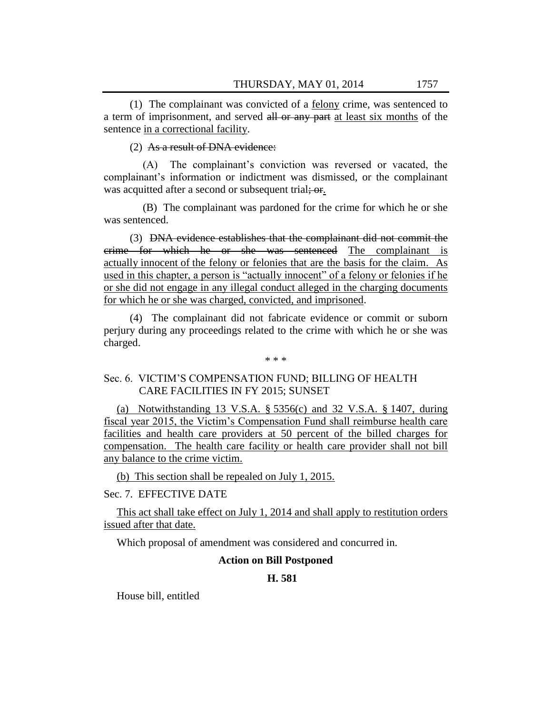(1) The complainant was convicted of a felony crime, was sentenced to a term of imprisonment, and served all or any part at least six months of the sentence in a correctional facility.

(2) As a result of DNA evidence:

(A) The complainant's conviction was reversed or vacated, the complainant's information or indictment was dismissed, or the complainant was acquitted after a second or subsequent trial; or.

(B) The complainant was pardoned for the crime for which he or she was sentenced.

(3) DNA evidence establishes that the complainant did not commit the crime for which he or she was sentenced The complainant is actually innocent of the felony or felonies that are the basis for the claim. As used in this chapter, a person is "actually innocent" of a felony or felonies if he or she did not engage in any illegal conduct alleged in the charging documents for which he or she was charged, convicted, and imprisoned.

(4) The complainant did not fabricate evidence or commit or suborn perjury during any proceedings related to the crime with which he or she was charged.

\* \* \*

# Sec. 6. VICTIM'S COMPENSATION FUND; BILLING OF HEALTH CARE FACILITIES IN FY 2015; SUNSET

(a) Notwithstanding 13 V.S.A. § 5356(c) and 32 V.S.A. § 1407, during fiscal year 2015, the Victim's Compensation Fund shall reimburse health care facilities and health care providers at 50 percent of the billed charges for compensation. The health care facility or health care provider shall not bill any balance to the crime victim.

(b) This section shall be repealed on July 1, 2015.

Sec. 7. EFFECTIVE DATE

This act shall take effect on July 1, 2014 and shall apply to restitution orders issued after that date.

Which proposal of amendment was considered and concurred in.

### **Action on Bill Postponed**

## **H. 581**

House bill, entitled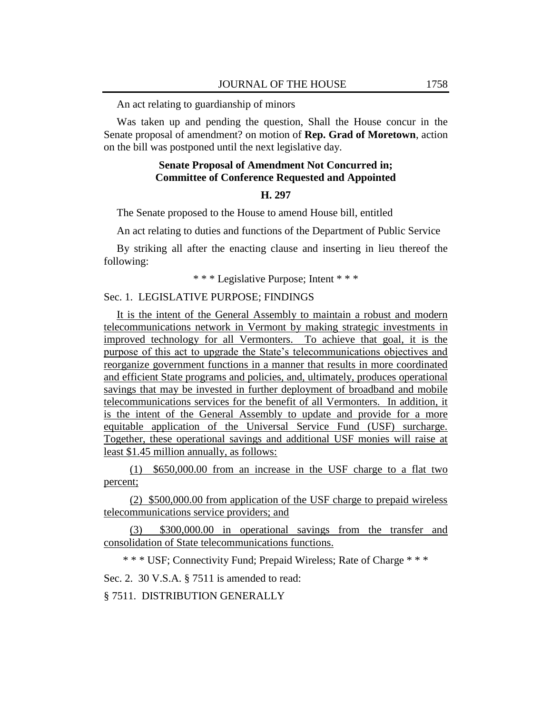An act relating to guardianship of minors

Was taken up and pending the question, Shall the House concur in the Senate proposal of amendment? on motion of **Rep. Grad of Moretown**, action on the bill was postponed until the next legislative day.

# **Senate Proposal of Amendment Not Concurred in; Committee of Conference Requested and Appointed**

### **H. 297**

The Senate proposed to the House to amend House bill, entitled

An act relating to duties and functions of the Department of Public Service

By striking all after the enacting clause and inserting in lieu thereof the following:

\* \* \* Legislative Purpose; Intent \* \* \*

### Sec. 1. LEGISLATIVE PURPOSE; FINDINGS

It is the intent of the General Assembly to maintain a robust and modern telecommunications network in Vermont by making strategic investments in improved technology for all Vermonters. To achieve that goal, it is the purpose of this act to upgrade the State's telecommunications objectives and reorganize government functions in a manner that results in more coordinated and efficient State programs and policies, and, ultimately, produces operational savings that may be invested in further deployment of broadband and mobile telecommunications services for the benefit of all Vermonters. In addition, it is the intent of the General Assembly to update and provide for a more equitable application of the Universal Service Fund (USF) surcharge. Together, these operational savings and additional USF monies will raise at least \$1.45 million annually, as follows:

(1) \$650,000.00 from an increase in the USF charge to a flat two percent;

(2) \$500,000.00 from application of the USF charge to prepaid wireless telecommunications service providers; and

\$300,000.00 in operational savings from the transfer and consolidation of State telecommunications functions.

\* \* \* USF; Connectivity Fund; Prepaid Wireless; Rate of Charge \* \* \*

Sec. 2. 30 V.S.A. § 7511 is amended to read:

§ 7511. DISTRIBUTION GENERALLY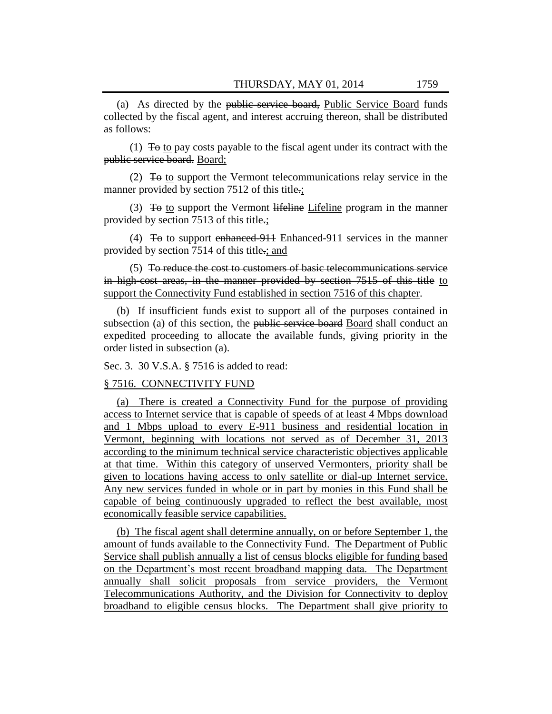(a) As directed by the public service board, Public Service Board funds collected by the fiscal agent, and interest accruing thereon, shall be distributed as follows:

(1)  $\overline{4}$  to pay costs payable to the fiscal agent under its contract with the public service board. Board;

(2) To to support the Vermont telecommunications relay service in the manner provided by section 7512 of this title.;

(3)  $\overline{10}$  to support the Vermont lifeline Lifeline program in the manner provided by section 7513 of this title.;

(4) To to support enhanced 911 Enhanced 911 services in the manner provided by section 7514 of this title.; and

(5) To reduce the cost to customers of basic telecommunications service in high-cost areas, in the manner provided by section 7515 of this title to support the Connectivity Fund established in section 7516 of this chapter.

(b) If insufficient funds exist to support all of the purposes contained in subsection (a) of this section, the public service board Board shall conduct an expedited proceeding to allocate the available funds, giving priority in the order listed in subsection (a).

Sec. 3. 30 V.S.A. § 7516 is added to read:

### § 7516. CONNECTIVITY FUND

(a) There is created a Connectivity Fund for the purpose of providing access to Internet service that is capable of speeds of at least 4 Mbps download and 1 Mbps upload to every E-911 business and residential location in Vermont, beginning with locations not served as of December 31, 2013 according to the minimum technical service characteristic objectives applicable at that time. Within this category of unserved Vermonters, priority shall be given to locations having access to only satellite or dial-up Internet service. Any new services funded in whole or in part by monies in this Fund shall be capable of being continuously upgraded to reflect the best available, most economically feasible service capabilities.

(b) The fiscal agent shall determine annually, on or before September 1, the amount of funds available to the Connectivity Fund. The Department of Public Service shall publish annually a list of census blocks eligible for funding based on the Department's most recent broadband mapping data. The Department annually shall solicit proposals from service providers, the Vermont Telecommunications Authority, and the Division for Connectivity to deploy broadband to eligible census blocks. The Department shall give priority to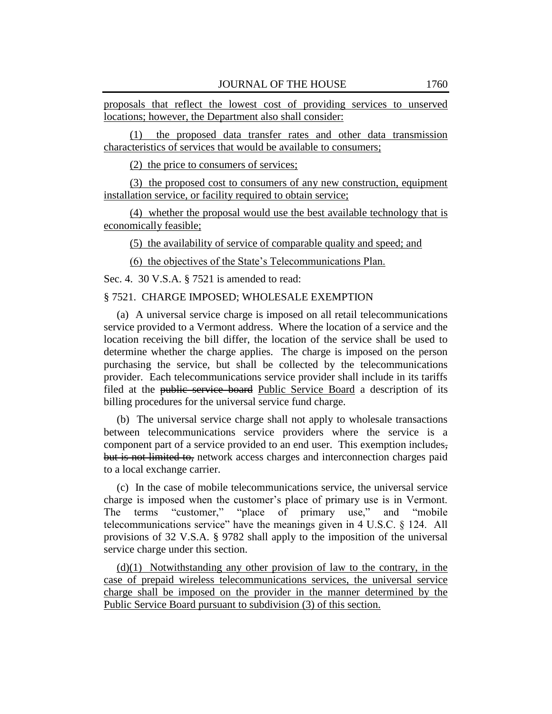proposals that reflect the lowest cost of providing services to unserved locations; however, the Department also shall consider:

(1) the proposed data transfer rates and other data transmission characteristics of services that would be available to consumers;

(2) the price to consumers of services;

(3) the proposed cost to consumers of any new construction, equipment installation service, or facility required to obtain service;

(4) whether the proposal would use the best available technology that is economically feasible;

(5) the availability of service of comparable quality and speed; and

(6) the objectives of the State's Telecommunications Plan.

Sec. 4. 30 V.S.A. § 7521 is amended to read:

### § 7521. CHARGE IMPOSED; WHOLESALE EXEMPTION

(a) A universal service charge is imposed on all retail telecommunications service provided to a Vermont address. Where the location of a service and the location receiving the bill differ, the location of the service shall be used to determine whether the charge applies. The charge is imposed on the person purchasing the service, but shall be collected by the telecommunications provider. Each telecommunications service provider shall include in its tariffs filed at the public service board Public Service Board a description of its billing procedures for the universal service fund charge.

(b) The universal service charge shall not apply to wholesale transactions between telecommunications service providers where the service is a component part of a service provided to an end user. This exemption includes, but is not limited to, network access charges and interconnection charges paid to a local exchange carrier.

(c) In the case of mobile telecommunications service, the universal service charge is imposed when the customer's place of primary use is in Vermont. The terms "customer," "place of primary use," and "mobile" telecommunications service" have the meanings given in  $4 \text{ U.S.C. }$  § 124. All provisions of 32 V.S.A. § 9782 shall apply to the imposition of the universal service charge under this section.

(d)(1) Notwithstanding any other provision of law to the contrary, in the case of prepaid wireless telecommunications services, the universal service charge shall be imposed on the provider in the manner determined by the Public Service Board pursuant to subdivision (3) of this section.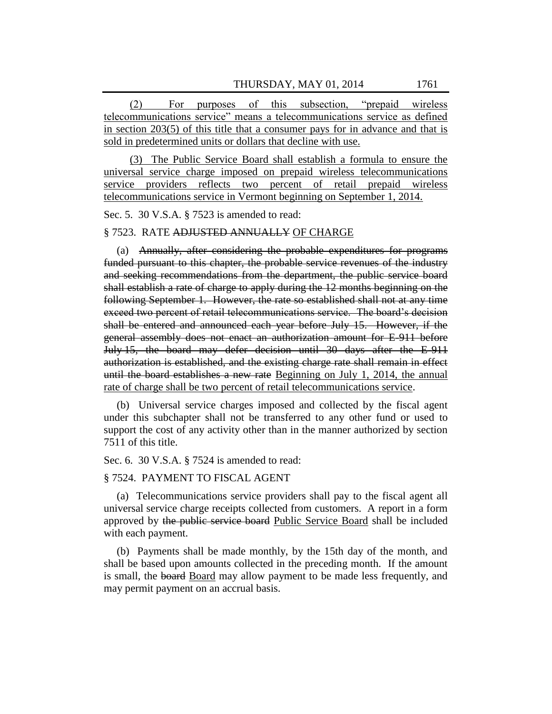(2) For purposes of this subsection, "prepaid wireless telecommunications service" means a telecommunications service as defined in section 203(5) of this title that a consumer pays for in advance and that is sold in predetermined units or dollars that decline with use.

(3) The Public Service Board shall establish a formula to ensure the universal service charge imposed on prepaid wireless telecommunications service providers reflects two percent of retail prepaid wireless telecommunications service in Vermont beginning on September 1, 2014.

Sec. 5. 30 V.S.A. § 7523 is amended to read:

### § 7523. RATE ADJUSTED ANNUALLY OF CHARGE

(a) Annually, after considering the probable expenditures for programs funded pursuant to this chapter, the probable service revenues of the industry and seeking recommendations from the department, the public service board shall establish a rate of charge to apply during the 12 months beginning on the following September 1. However, the rate so established shall not at any time exceed two percent of retail telecommunications service. The board's decision shall be entered and announced each year before July 15. However, if the general assembly does not enact an authorization amount for E-911 before July 15, the board may defer decision until 30 days after the E-911 authorization is established, and the existing charge rate shall remain in effect until the board establishes a new rate Beginning on July 1, 2014, the annual rate of charge shall be two percent of retail telecommunications service.

(b) Universal service charges imposed and collected by the fiscal agent under this subchapter shall not be transferred to any other fund or used to support the cost of any activity other than in the manner authorized by section 7511 of this title.

Sec. 6. 30 V.S.A. § 7524 is amended to read:

#### § 7524. PAYMENT TO FISCAL AGENT

(a) Telecommunications service providers shall pay to the fiscal agent all universal service charge receipts collected from customers. A report in a form approved by the public service board Public Service Board shall be included with each payment.

(b) Payments shall be made monthly, by the 15th day of the month, and shall be based upon amounts collected in the preceding month. If the amount is small, the board Board may allow payment to be made less frequently, and may permit payment on an accrual basis.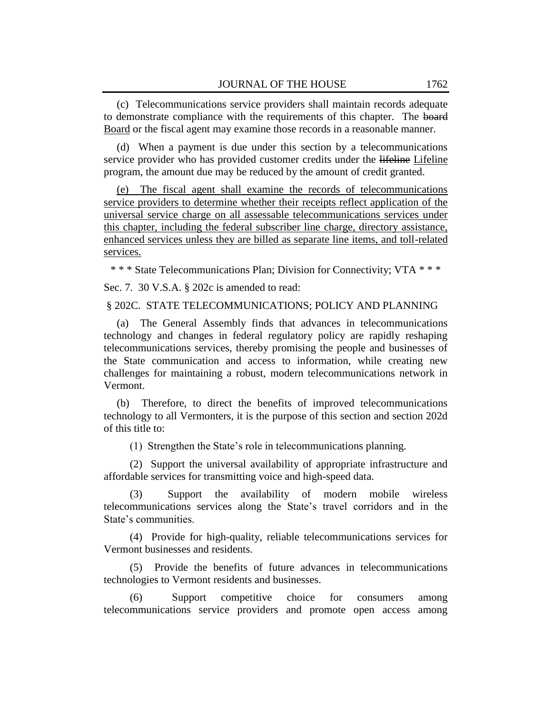(c) Telecommunications service providers shall maintain records adequate to demonstrate compliance with the requirements of this chapter. The board Board or the fiscal agent may examine those records in a reasonable manner.

(d) When a payment is due under this section by a telecommunications service provider who has provided customer credits under the lifeline Lifeline program, the amount due may be reduced by the amount of credit granted.

(e) The fiscal agent shall examine the records of telecommunications service providers to determine whether their receipts reflect application of the universal service charge on all assessable telecommunications services under this chapter, including the federal subscriber line charge, directory assistance, enhanced services unless they are billed as separate line items, and toll-related services.

\* \* \* State Telecommunications Plan; Division for Connectivity; VTA \* \* \*

Sec. 7. 30 V.S.A. § 202c is amended to read:

§ 202C. STATE TELECOMMUNICATIONS; POLICY AND PLANNING

(a) The General Assembly finds that advances in telecommunications technology and changes in federal regulatory policy are rapidly reshaping telecommunications services, thereby promising the people and businesses of the State communication and access to information, while creating new challenges for maintaining a robust, modern telecommunications network in Vermont.

(b) Therefore, to direct the benefits of improved telecommunications technology to all Vermonters, it is the purpose of this section and section 202d of this title to:

(1) Strengthen the State's role in telecommunications planning.

(2) Support the universal availability of appropriate infrastructure and affordable services for transmitting voice and high-speed data.

(3) Support the availability of modern mobile wireless telecommunications services along the State's travel corridors and in the State's communities.

(4) Provide for high-quality, reliable telecommunications services for Vermont businesses and residents.

(5) Provide the benefits of future advances in telecommunications technologies to Vermont residents and businesses.

(6) Support competitive choice for consumers among telecommunications service providers and promote open access among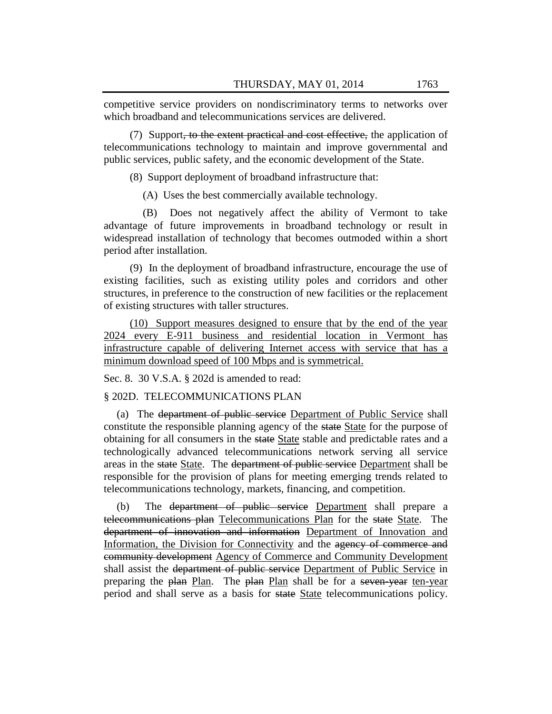competitive service providers on nondiscriminatory terms to networks over which broadband and telecommunications services are delivered.

(7) Support, to the extent practical and cost effective, the application of telecommunications technology to maintain and improve governmental and public services, public safety, and the economic development of the State.

(8) Support deployment of broadband infrastructure that:

(A) Uses the best commercially available technology.

(B) Does not negatively affect the ability of Vermont to take advantage of future improvements in broadband technology or result in widespread installation of technology that becomes outmoded within a short period after installation.

(9) In the deployment of broadband infrastructure, encourage the use of existing facilities, such as existing utility poles and corridors and other structures, in preference to the construction of new facilities or the replacement of existing structures with taller structures.

(10) Support measures designed to ensure that by the end of the year 2024 every E-911 business and residential location in Vermont has infrastructure capable of delivering Internet access with service that has a minimum download speed of 100 Mbps and is symmetrical.

Sec. 8. 30 V.S.A. § 202d is amended to read:

### § 202D. TELECOMMUNICATIONS PLAN

(a) The department of public service Department of Public Service shall constitute the responsible planning agency of the state State for the purpose of obtaining for all consumers in the state State stable and predictable rates and a technologically advanced telecommunications network serving all service areas in the state State. The department of public service Department shall be responsible for the provision of plans for meeting emerging trends related to telecommunications technology, markets, financing, and competition.

The department of public service Department shall prepare a telecommunications plan Telecommunications Plan for the state State. The department of innovation and information Department of Innovation and Information, the Division for Connectivity and the agency of commerce and community development Agency of Commerce and Community Development shall assist the department of public service Department of Public Service in preparing the plan Plan. The plan Plan shall be for a seven-year ten-year period and shall serve as a basis for state State telecommunications policy.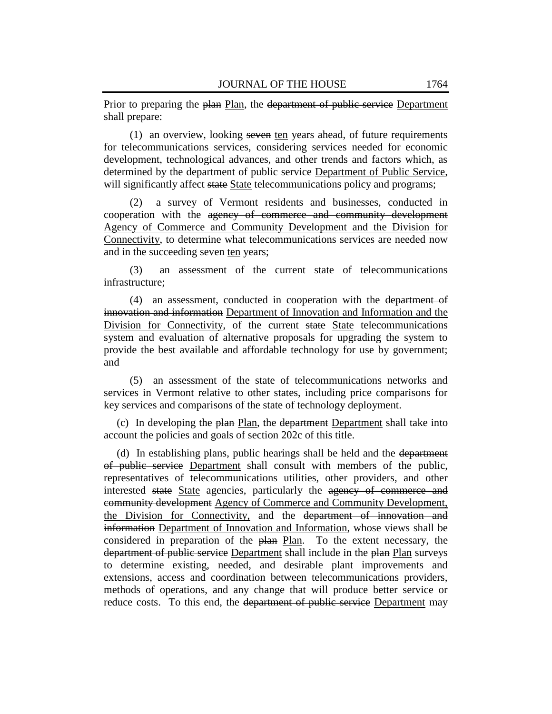Prior to preparing the plan Plan, the department of public service Department shall prepare:

(1) an overview, looking seven ten years ahead, of future requirements for telecommunications services, considering services needed for economic development, technological advances, and other trends and factors which, as determined by the department of public service Department of Public Service, will significantly affect state State telecommunications policy and programs;

a survey of Vermont residents and businesses, conducted in cooperation with the agency of commerce and community development Agency of Commerce and Community Development and the Division for Connectivity, to determine what telecommunications services are needed now and in the succeeding seven ten years;

(3) an assessment of the current state of telecommunications infrastructure;

(4) an assessment, conducted in cooperation with the department of innovation and information Department of Innovation and Information and the Division for Connectivity, of the current state State telecommunications system and evaluation of alternative proposals for upgrading the system to provide the best available and affordable technology for use by government; and

(5) an assessment of the state of telecommunications networks and services in Vermont relative to other states, including price comparisons for key services and comparisons of the state of technology deployment.

(c) In developing the plan Plan, the department Department shall take into account the policies and goals of section 202c of this title.

(d) In establishing plans, public hearings shall be held and the department of public service Department shall consult with members of the public, representatives of telecommunications utilities, other providers, and other interested state State agencies, particularly the agency of commerce and community development Agency of Commerce and Community Development, the Division for Connectivity, and the department of innovation and information Department of Innovation and Information, whose views shall be considered in preparation of the plan Plan. To the extent necessary, the department of public service Department shall include in the plan Plan surveys to determine existing, needed, and desirable plant improvements and extensions, access and coordination between telecommunications providers, methods of operations, and any change that will produce better service or reduce costs. To this end, the department of public service Department may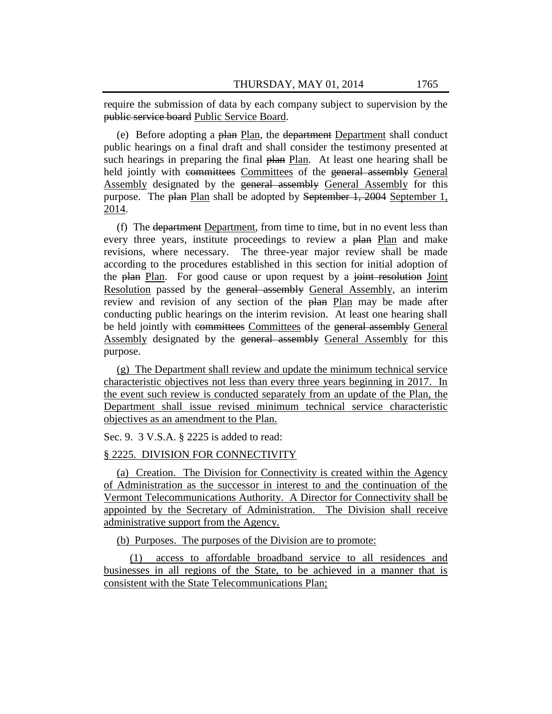require the submission of data by each company subject to supervision by the public service board Public Service Board.

(e) Before adopting a plan Plan, the department Department shall conduct public hearings on a final draft and shall consider the testimony presented at such hearings in preparing the final plan Plan. At least one hearing shall be held jointly with committees Committees of the general assembly General Assembly designated by the general assembly General Assembly for this purpose. The plan Plan shall be adopted by September 1, 2004 September 1, 2014.

(f) The department Department, from time to time, but in no event less than every three years, institute proceedings to review a plan Plan and make revisions, where necessary. The three-year major review shall be made according to the procedures established in this section for initial adoption of the plan Plan. For good cause or upon request by a joint resolution Joint Resolution passed by the general assembly General Assembly, an interim review and revision of any section of the plan Plan may be made after conducting public hearings on the interim revision. At least one hearing shall be held jointly with committees Committees of the general assembly General Assembly designated by the general assembly General Assembly for this purpose.

(g) The Department shall review and update the minimum technical service characteristic objectives not less than every three years beginning in 2017. In the event such review is conducted separately from an update of the Plan, the Department shall issue revised minimum technical service characteristic objectives as an amendment to the Plan.

Sec. 9. 3 V.S.A. § 2225 is added to read:

#### § 2225. DIVISION FOR CONNECTIVITY

(a) Creation. The Division for Connectivity is created within the Agency of Administration as the successor in interest to and the continuation of the Vermont Telecommunications Authority. A Director for Connectivity shall be appointed by the Secretary of Administration. The Division shall receive administrative support from the Agency.

(b) Purposes. The purposes of the Division are to promote:

(1) access to affordable broadband service to all residences and businesses in all regions of the State, to be achieved in a manner that is consistent with the State Telecommunications Plan;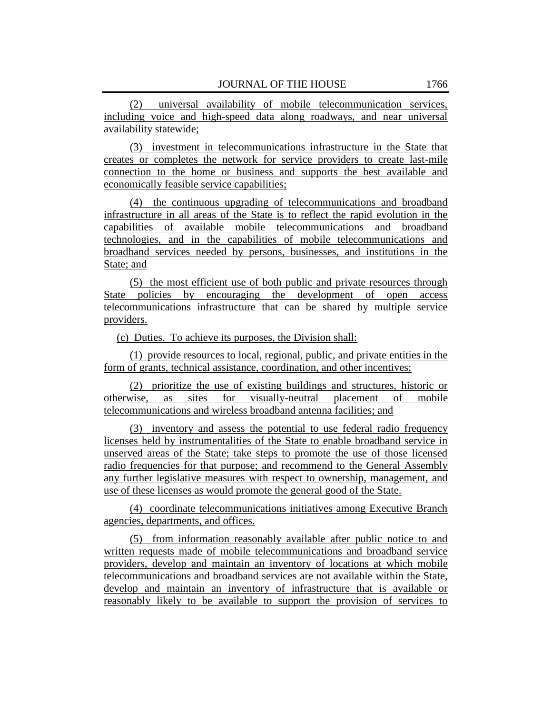(2) universal availability of mobile telecommunication services, including voice and high-speed data along roadways, and near universal availability statewide;

(3) investment in telecommunications infrastructure in the State that creates or completes the network for service providers to create last-mile connection to the home or business and supports the best available and economically feasible service capabilities;

(4) the continuous upgrading of telecommunications and broadband infrastructure in all areas of the State is to reflect the rapid evolution in the capabilities of available mobile telecommunications and broadband technologies, and in the capabilities of mobile telecommunications and broadband services needed by persons, businesses, and institutions in the State; and

(5) the most efficient use of both public and private resources through State policies by encouraging the development of open access telecommunications infrastructure that can be shared by multiple service providers.

(c) Duties. To achieve its purposes, the Division shall:

(1) provide resources to local, regional, public, and private entities in the form of grants, technical assistance, coordination, and other incentives;

(2) prioritize the use of existing buildings and structures, historic or otherwise, as sites for visually-neutral placement of mobile telecommunications and wireless broadband antenna facilities; and

(3) inventory and assess the potential to use federal radio frequency licenses held by instrumentalities of the State to enable broadband service in unserved areas of the State; take steps to promote the use of those licensed radio frequencies for that purpose; and recommend to the General Assembly any further legislative measures with respect to ownership, management, and use of these licenses as would promote the general good of the State.

(4) coordinate telecommunications initiatives among Executive Branch agencies, departments, and offices.

(5) from information reasonably available after public notice to and written requests made of mobile telecommunications and broadband service providers, develop and maintain an inventory of locations at which mobile telecommunications and broadband services are not available within the State, develop and maintain an inventory of infrastructure that is available or reasonably likely to be available to support the provision of services to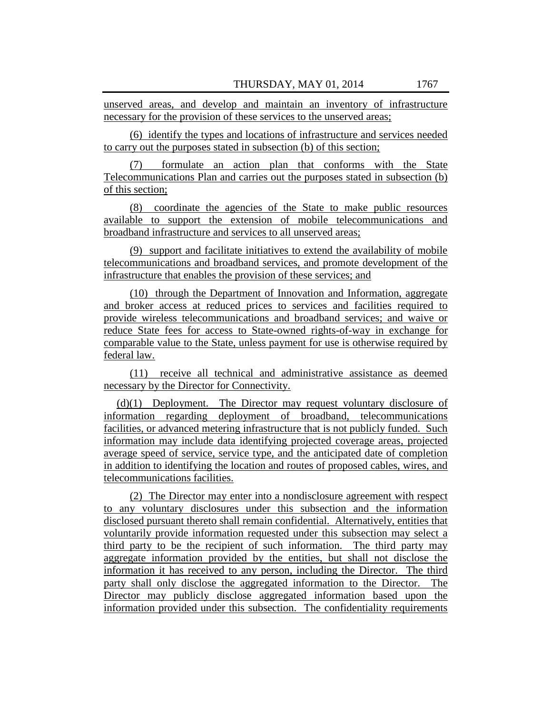unserved areas, and develop and maintain an inventory of infrastructure necessary for the provision of these services to the unserved areas;

(6) identify the types and locations of infrastructure and services needed to carry out the purposes stated in subsection (b) of this section;

(7) formulate an action plan that conforms with the State Telecommunications Plan and carries out the purposes stated in subsection (b) of this section;

(8) coordinate the agencies of the State to make public resources available to support the extension of mobile telecommunications and broadband infrastructure and services to all unserved areas;

(9) support and facilitate initiatives to extend the availability of mobile telecommunications and broadband services, and promote development of the infrastructure that enables the provision of these services; and

(10) through the Department of Innovation and Information, aggregate and broker access at reduced prices to services and facilities required to provide wireless telecommunications and broadband services; and waive or reduce State fees for access to State-owned rights-of-way in exchange for comparable value to the State, unless payment for use is otherwise required by federal law.

(11) receive all technical and administrative assistance as deemed necessary by the Director for Connectivity.

(d)(1) Deployment. The Director may request voluntary disclosure of information regarding deployment of broadband, telecommunications facilities, or advanced metering infrastructure that is not publicly funded. Such information may include data identifying projected coverage areas, projected average speed of service, service type, and the anticipated date of completion in addition to identifying the location and routes of proposed cables, wires, and telecommunications facilities.

(2) The Director may enter into a nondisclosure agreement with respect to any voluntary disclosures under this subsection and the information disclosed pursuant thereto shall remain confidential. Alternatively, entities that voluntarily provide information requested under this subsection may select a third party to be the recipient of such information. The third party may aggregate information provided by the entities, but shall not disclose the information it has received to any person, including the Director. The third party shall only disclose the aggregated information to the Director. The Director may publicly disclose aggregated information based upon the information provided under this subsection. The confidentiality requirements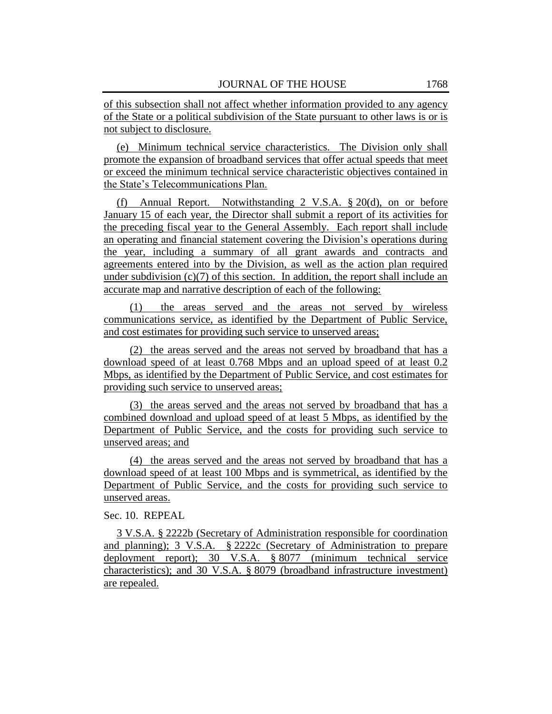of this subsection shall not affect whether information provided to any agency of the State or a political subdivision of the State pursuant to other laws is or is not subject to disclosure.

(e) Minimum technical service characteristics. The Division only shall promote the expansion of broadband services that offer actual speeds that meet or exceed the minimum technical service characteristic objectives contained in the State's Telecommunications Plan.

(f) Annual Report. Notwithstanding 2 V.S.A. § 20(d), on or before January 15 of each year, the Director shall submit a report of its activities for the preceding fiscal year to the General Assembly. Each report shall include an operating and financial statement covering the Division's operations during the year, including a summary of all grant awards and contracts and agreements entered into by the Division, as well as the action plan required under subdivision  $(c)(7)$  of this section. In addition, the report shall include an accurate map and narrative description of each of the following:

the areas served and the areas not served by wireless communications service, as identified by the Department of Public Service, and cost estimates for providing such service to unserved areas;

(2) the areas served and the areas not served by broadband that has a download speed of at least 0.768 Mbps and an upload speed of at least 0.2 Mbps, as identified by the Department of Public Service, and cost estimates for providing such service to unserved areas;

(3) the areas served and the areas not served by broadband that has a combined download and upload speed of at least 5 Mbps, as identified by the Department of Public Service, and the costs for providing such service to unserved areas; and

(4) the areas served and the areas not served by broadband that has a download speed of at least 100 Mbps and is symmetrical, as identified by the Department of Public Service, and the costs for providing such service to unserved areas.

### Sec. 10. REPEAL

3 V.S.A. § 2222b (Secretary of Administration responsible for coordination and planning); 3 V.S.A. § 2222c (Secretary of Administration to prepare deployment report); 30 V.S.A. § 8077 (minimum technical service characteristics); and 30 V.S.A. § 8079 (broadband infrastructure investment) are repealed.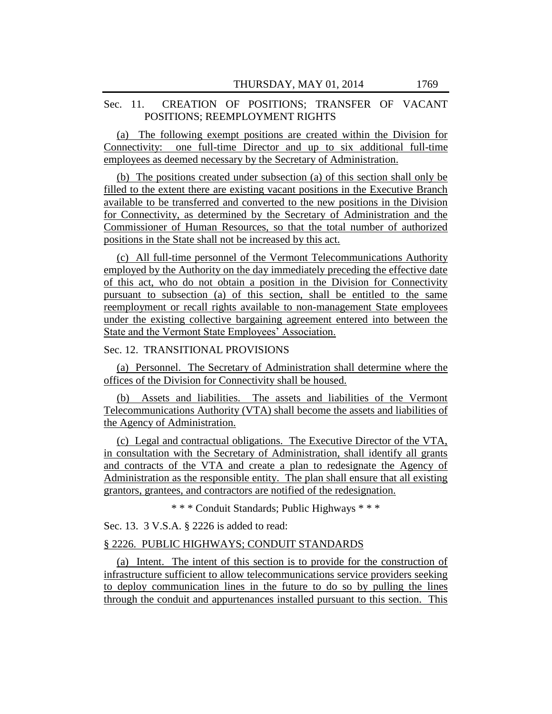# Sec. 11. CREATION OF POSITIONS; TRANSFER OF VACANT POSITIONS; REEMPLOYMENT RIGHTS

(a) The following exempt positions are created within the Division for Connectivity: one full-time Director and up to six additional full-time employees as deemed necessary by the Secretary of Administration.

(b) The positions created under subsection (a) of this section shall only be filled to the extent there are existing vacant positions in the Executive Branch available to be transferred and converted to the new positions in the Division for Connectivity, as determined by the Secretary of Administration and the Commissioner of Human Resources, so that the total number of authorized positions in the State shall not be increased by this act.

(c) All full-time personnel of the Vermont Telecommunications Authority employed by the Authority on the day immediately preceding the effective date of this act, who do not obtain a position in the Division for Connectivity pursuant to subsection (a) of this section, shall be entitled to the same reemployment or recall rights available to non-management State employees under the existing collective bargaining agreement entered into between the State and the Vermont State Employees' Association.

#### Sec. 12. TRANSITIONAL PROVISIONS

(a) Personnel. The Secretary of Administration shall determine where the offices of the Division for Connectivity shall be housed.

(b) Assets and liabilities. The assets and liabilities of the Vermont Telecommunications Authority (VTA) shall become the assets and liabilities of the Agency of Administration.

(c) Legal and contractual obligations. The Executive Director of the VTA, in consultation with the Secretary of Administration, shall identify all grants and contracts of the VTA and create a plan to redesignate the Agency of Administration as the responsible entity. The plan shall ensure that all existing grantors, grantees, and contractors are notified of the redesignation.

\* \* \* Conduit Standards; Public Highways \* \* \*

Sec. 13. 3 V.S.A. § 2226 is added to read:

#### § 2226. PUBLIC HIGHWAYS; CONDUIT STANDARDS

(a) Intent. The intent of this section is to provide for the construction of infrastructure sufficient to allow telecommunications service providers seeking to deploy communication lines in the future to do so by pulling the lines through the conduit and appurtenances installed pursuant to this section. This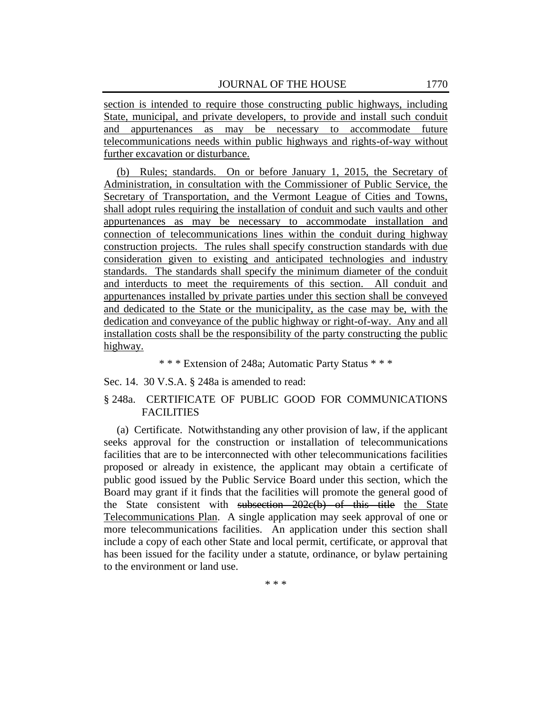section is intended to require those constructing public highways, including State, municipal, and private developers, to provide and install such conduit and appurtenances as may be necessary to accommodate future telecommunications needs within public highways and rights-of-way without further excavation or disturbance.

(b) Rules; standards. On or before January 1, 2015, the Secretary of Administration, in consultation with the Commissioner of Public Service, the Secretary of Transportation, and the Vermont League of Cities and Towns, shall adopt rules requiring the installation of conduit and such vaults and other appurtenances as may be necessary to accommodate installation and connection of telecommunications lines within the conduit during highway construction projects. The rules shall specify construction standards with due consideration given to existing and anticipated technologies and industry standards. The standards shall specify the minimum diameter of the conduit and interducts to meet the requirements of this section. All conduit and appurtenances installed by private parties under this section shall be conveyed and dedicated to the State or the municipality, as the case may be, with the dedication and conveyance of the public highway or right-of-way. Any and all installation costs shall be the responsibility of the party constructing the public highway.

### \* \* \* Extension of 248a; Automatic Party Status \* \* \*

Sec. 14. 30 V.S.A. § 248a is amended to read:

# § 248a. CERTIFICATE OF PUBLIC GOOD FOR COMMUNICATIONS **FACILITIES**

(a) Certificate. Notwithstanding any other provision of law, if the applicant seeks approval for the construction or installation of telecommunications facilities that are to be interconnected with other telecommunications facilities proposed or already in existence, the applicant may obtain a certificate of public good issued by the Public Service Board under this section, which the Board may grant if it finds that the facilities will promote the general good of the State consistent with subsection 202c(b) of this title the State Telecommunications Plan. A single application may seek approval of one or more telecommunications facilities. An application under this section shall include a copy of each other State and local permit, certificate, or approval that has been issued for the facility under a statute, ordinance, or bylaw pertaining to the environment or land use.

\* \* \*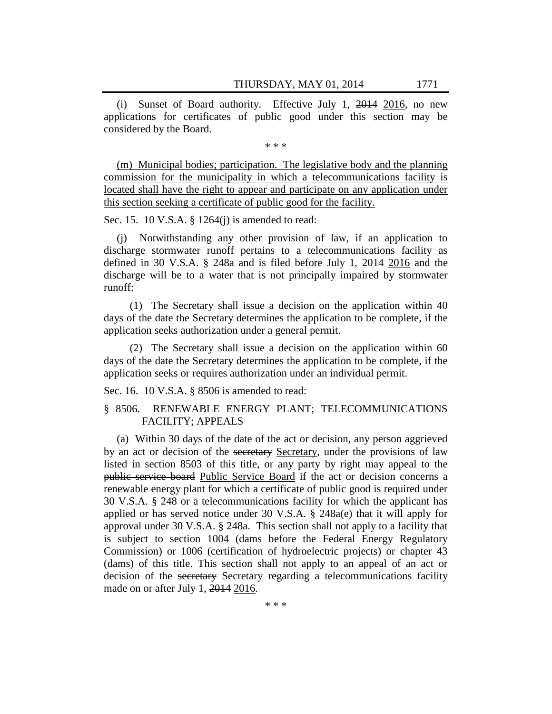(i) Sunset of Board authority. Effective July 1, 2014 2016, no new applications for certificates of public good under this section may be considered by the Board.

\* \* \*

(m) Municipal bodies; participation. The legislative body and the planning commission for the municipality in which a telecommunications facility is located shall have the right to appear and participate on any application under this section seeking a certificate of public good for the facility.

Sec. 15. 10 V.S.A. § 1264(j) is amended to read:

(j) Notwithstanding any other provision of law, if an application to discharge stormwater runoff pertains to a telecommunications facility as defined in 30 V.S.A. § 248a and is filed before July 1, 2014 2016 and the discharge will be to a water that is not principally impaired by stormwater runoff:

(1) The Secretary shall issue a decision on the application within 40 days of the date the Secretary determines the application to be complete, if the application seeks authorization under a general permit.

(2) The Secretary shall issue a decision on the application within 60 days of the date the Secretary determines the application to be complete, if the application seeks or requires authorization under an individual permit.

Sec. 16. 10 V.S.A. § 8506 is amended to read:

### § 8506. RENEWABLE ENERGY PLANT; TELECOMMUNICATIONS FACILITY; APPEALS

(a) Within 30 days of the date of the act or decision, any person aggrieved by an act or decision of the secretary Secretary, under the provisions of law listed in section 8503 of this title, or any party by right may appeal to the public service board Public Service Board if the act or decision concerns a renewable energy plant for which a certificate of public good is required under 30 V.S.A. § 248 or a telecommunications facility for which the applicant has applied or has served notice under 30 V.S.A. § 248a(e) that it will apply for approval under 30 V.S.A. § 248a. This section shall not apply to a facility that is subject to section 1004 (dams before the Federal Energy Regulatory Commission) or 1006 (certification of hydroelectric projects) or chapter 43 (dams) of this title. This section shall not apply to an appeal of an act or decision of the secretary Secretary regarding a telecommunications facility made on or after July 1, 2014 2016.

\* \* \*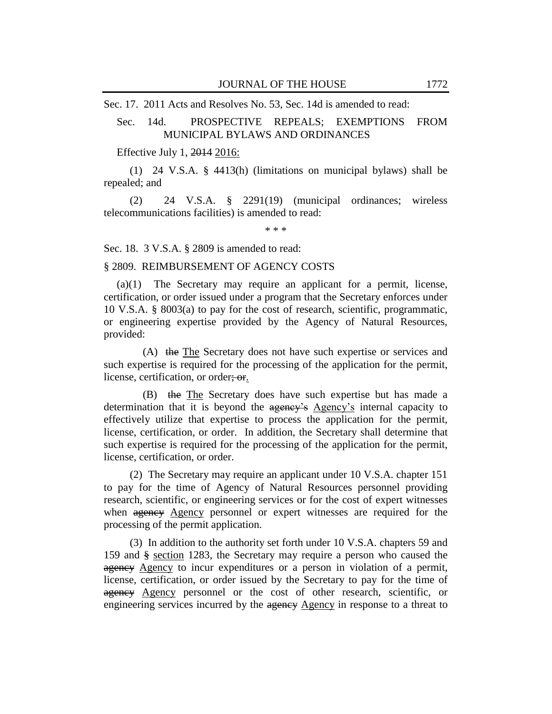Sec. 17. 2011 Acts and Resolves No. 53, Sec. 14d is amended to read:

### Sec. 14d. PROSPECTIVE REPEALS; EXEMPTIONS FROM MUNICIPAL BYLAWS AND ORDINANCES

Effective July 1, 2014 2016:

(1) 24 V.S.A. § 4413(h) (limitations on municipal bylaws) shall be repealed; and

(2) 24 V.S.A. § 2291(19) (municipal ordinances; wireless telecommunications facilities) is amended to read:

\* \* \*

Sec. 18. 3 V.S.A. § 2809 is amended to read:

### § 2809. REIMBURSEMENT OF AGENCY COSTS

(a)(1) The Secretary may require an applicant for a permit, license, certification, or order issued under a program that the Secretary enforces under 10 V.S.A. § 8003(a) to pay for the cost of research, scientific, programmatic, or engineering expertise provided by the Agency of Natural Resources, provided:

(A) the The Secretary does not have such expertise or services and such expertise is required for the processing of the application for the permit, license, certification, or order; or.

(B) the The Secretary does have such expertise but has made a determination that it is beyond the agency's Agency's internal capacity to effectively utilize that expertise to process the application for the permit, license, certification, or order. In addition, the Secretary shall determine that such expertise is required for the processing of the application for the permit, license, certification, or order.

(2) The Secretary may require an applicant under 10 V.S.A. chapter 151 to pay for the time of Agency of Natural Resources personnel providing research, scientific, or engineering services or for the cost of expert witnesses when agency Agency personnel or expert witnesses are required for the processing of the permit application.

(3) In addition to the authority set forth under 10 V.S.A. chapters 59 and 159 and § section 1283, the Secretary may require a person who caused the agency Agency to incur expenditures or a person in violation of a permit, license, certification, or order issued by the Secretary to pay for the time of agency Agency personnel or the cost of other research, scientific, or engineering services incurred by the agency Agency in response to a threat to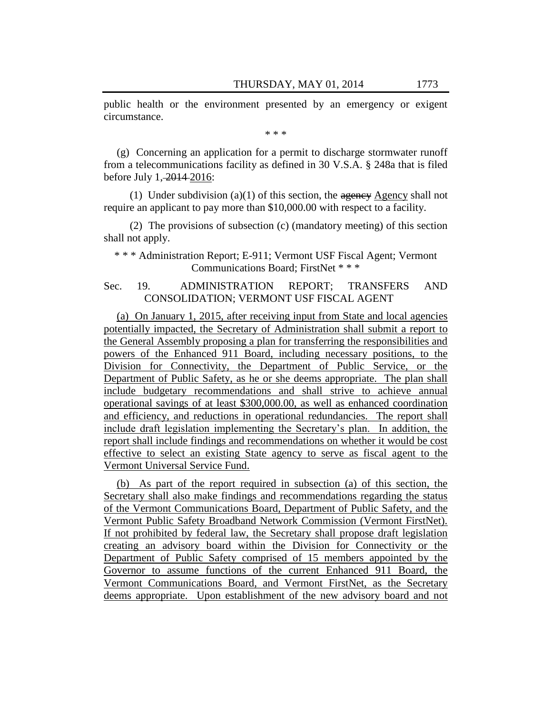public health or the environment presented by an emergency or exigent circumstance.

\* \* \*

(g) Concerning an application for a permit to discharge stormwater runoff from a telecommunications facility as defined in 30 V.S.A. § 248a that is filed before July 1, 2014 2016:

(1) Under subdivision (a)(1) of this section, the  $a$  generally Agency shall not require an applicant to pay more than \$10,000.00 with respect to a facility.

(2) The provisions of subsection (c) (mandatory meeting) of this section shall not apply.

\* \* \* Administration Report; E-911; Vermont USF Fiscal Agent; Vermont Communications Board; FirstNet \* \* \*

Sec. 19. ADMINISTRATION REPORT; TRANSFERS AND CONSOLIDATION; VERMONT USF FISCAL AGENT

(a) On January 1, 2015, after receiving input from State and local agencies potentially impacted, the Secretary of Administration shall submit a report to the General Assembly proposing a plan for transferring the responsibilities and powers of the Enhanced 911 Board, including necessary positions, to the Division for Connectivity, the Department of Public Service, or the Department of Public Safety, as he or she deems appropriate. The plan shall include budgetary recommendations and shall strive to achieve annual operational savings of at least \$300,000.00, as well as enhanced coordination and efficiency, and reductions in operational redundancies. The report shall include draft legislation implementing the Secretary's plan. In addition, the report shall include findings and recommendations on whether it would be cost effective to select an existing State agency to serve as fiscal agent to the Vermont Universal Service Fund.

(b) As part of the report required in subsection (a) of this section, the Secretary shall also make findings and recommendations regarding the status of the Vermont Communications Board, Department of Public Safety, and the Vermont Public Safety Broadband Network Commission (Vermont FirstNet). If not prohibited by federal law, the Secretary shall propose draft legislation creating an advisory board within the Division for Connectivity or the Department of Public Safety comprised of 15 members appointed by the Governor to assume functions of the current Enhanced 911 Board, the Vermont Communications Board, and Vermont FirstNet, as the Secretary deems appropriate. Upon establishment of the new advisory board and not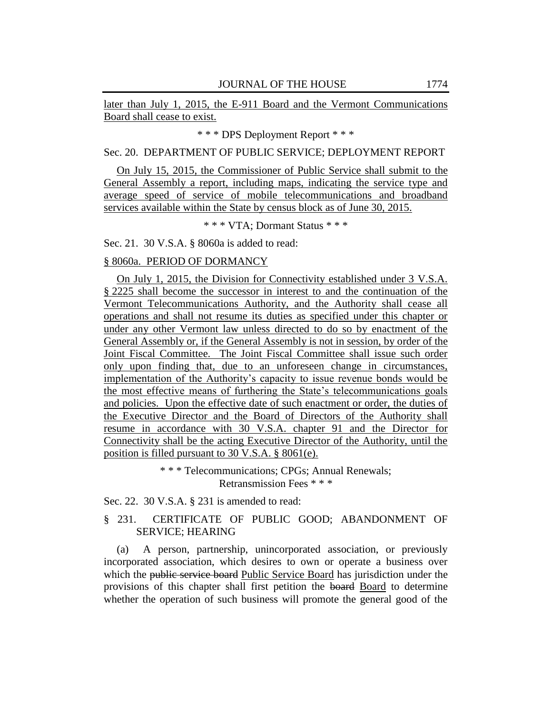later than July 1, 2015, the E-911 Board and the Vermont Communications Board shall cease to exist.

\* \* \* DPS Deployment Report \* \* \*

### Sec. 20. DEPARTMENT OF PUBLIC SERVICE; DEPLOYMENT REPORT

On July 15, 2015, the Commissioner of Public Service shall submit to the General Assembly a report, including maps, indicating the service type and average speed of service of mobile telecommunications and broadband services available within the State by census block as of June 30, 2015.

\* \* \* VTA; Dormant Status \* \* \*

Sec. 21. 30 V.S.A. § 8060a is added to read:

### § 8060a. PERIOD OF DORMANCY

On July 1, 2015, the Division for Connectivity established under 3 V.S.A. § 2225 shall become the successor in interest to and the continuation of the Vermont Telecommunications Authority, and the Authority shall cease all operations and shall not resume its duties as specified under this chapter or under any other Vermont law unless directed to do so by enactment of the General Assembly or, if the General Assembly is not in session, by order of the Joint Fiscal Committee. The Joint Fiscal Committee shall issue such order only upon finding that, due to an unforeseen change in circumstances, implementation of the Authority's capacity to issue revenue bonds would be the most effective means of furthering the State's telecommunications goals and policies. Upon the effective date of such enactment or order, the duties of the Executive Director and the Board of Directors of the Authority shall resume in accordance with 30 V.S.A. chapter 91 and the Director for Connectivity shall be the acting Executive Director of the Authority, until the position is filled pursuant to 30 V.S.A. § 8061(e).

> \* \* \* Telecommunications; CPGs; Annual Renewals; Retransmission Fees \* \* \*

Sec. 22. 30 V.S.A. § 231 is amended to read:

### § 231. CERTIFICATE OF PUBLIC GOOD; ABANDONMENT OF SERVICE; HEARING

(a) A person, partnership, unincorporated association, or previously incorporated association, which desires to own or operate a business over which the public service board Public Service Board has jurisdiction under the provisions of this chapter shall first petition the board Board to determine whether the operation of such business will promote the general good of the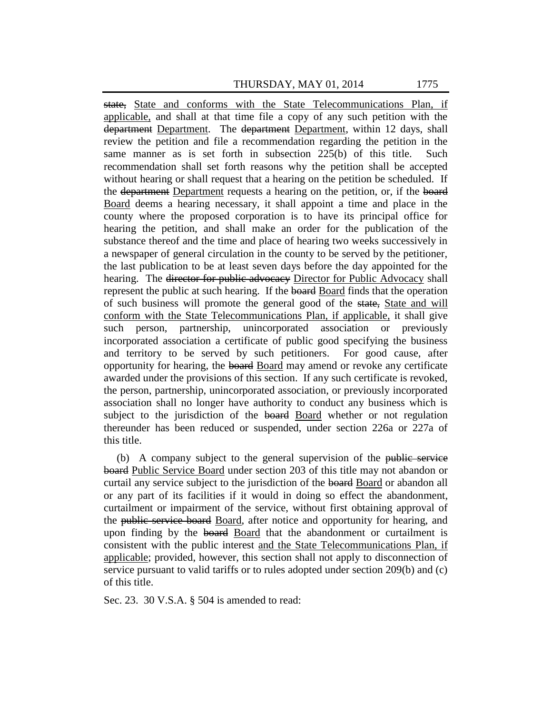state, State and conforms with the State Telecommunications Plan, if applicable, and shall at that time file a copy of any such petition with the department Department. The department Department, within 12 days, shall review the petition and file a recommendation regarding the petition in the same manner as is set forth in subsection 225(b) of this title. Such recommendation shall set forth reasons why the petition shall be accepted without hearing or shall request that a hearing on the petition be scheduled. If the department Department requests a hearing on the petition, or, if the board Board deems a hearing necessary, it shall appoint a time and place in the county where the proposed corporation is to have its principal office for hearing the petition, and shall make an order for the publication of the substance thereof and the time and place of hearing two weeks successively in a newspaper of general circulation in the county to be served by the petitioner, the last publication to be at least seven days before the day appointed for the hearing. The director for public advocacy Director for Public Advocacy shall represent the public at such hearing. If the board Board finds that the operation of such business will promote the general good of the state, State and will conform with the State Telecommunications Plan, if applicable, it shall give such person, partnership, unincorporated association or previously incorporated association a certificate of public good specifying the business and territory to be served by such petitioners. For good cause, after opportunity for hearing, the board Board may amend or revoke any certificate awarded under the provisions of this section. If any such certificate is revoked, the person, partnership, unincorporated association, or previously incorporated association shall no longer have authority to conduct any business which is subject to the jurisdiction of the board Board whether or not regulation thereunder has been reduced or suspended, under section 226a or 227a of this title.

(b) A company subject to the general supervision of the public service board Public Service Board under section 203 of this title may not abandon or curtail any service subject to the jurisdiction of the board Board or abandon all or any part of its facilities if it would in doing so effect the abandonment, curtailment or impairment of the service, without first obtaining approval of the public service board Board, after notice and opportunity for hearing, and upon finding by the board Board that the abandonment or curtailment is consistent with the public interest and the State Telecommunications Plan, if applicable; provided, however, this section shall not apply to disconnection of service pursuant to valid tariffs or to rules adopted under section 209(b) and (c) of this title.

Sec. 23. 30 V.S.A. § 504 is amended to read: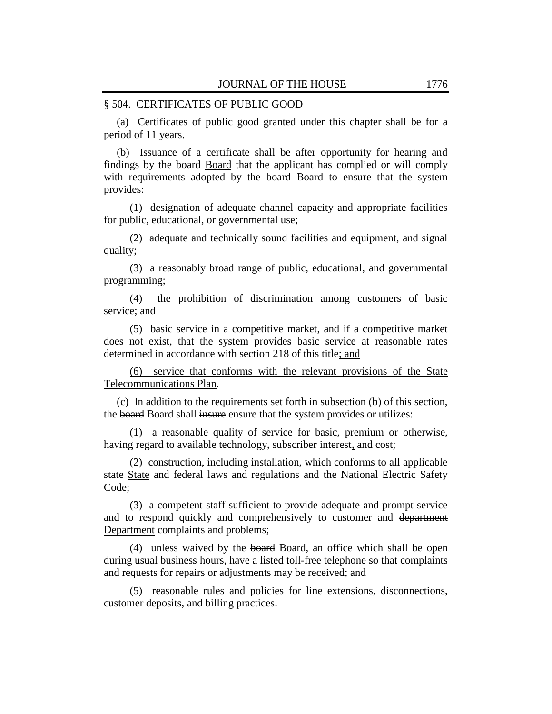### § 504. CERTIFICATES OF PUBLIC GOOD

(a) Certificates of public good granted under this chapter shall be for a period of 11 years.

(b) Issuance of a certificate shall be after opportunity for hearing and findings by the board Board that the applicant has complied or will comply with requirements adopted by the board Board to ensure that the system provides:

(1) designation of adequate channel capacity and appropriate facilities for public, educational, or governmental use;

(2) adequate and technically sound facilities and equipment, and signal quality;

(3) a reasonably broad range of public, educational, and governmental programming;

(4) the prohibition of discrimination among customers of basic service; and

(5) basic service in a competitive market, and if a competitive market does not exist, that the system provides basic service at reasonable rates determined in accordance with section 218 of this title; and

(6) service that conforms with the relevant provisions of the State Telecommunications Plan.

(c) In addition to the requirements set forth in subsection (b) of this section, the board Board shall insure ensure that the system provides or utilizes:

(1) a reasonable quality of service for basic, premium or otherwise, having regard to available technology, subscriber interest, and cost;

(2) construction, including installation, which conforms to all applicable state State and federal laws and regulations and the National Electric Safety Code;

(3) a competent staff sufficient to provide adequate and prompt service and to respond quickly and comprehensively to customer and department Department complaints and problems;

(4) unless waived by the board Board, an office which shall be open during usual business hours, have a listed toll-free telephone so that complaints and requests for repairs or adjustments may be received; and

(5) reasonable rules and policies for line extensions, disconnections, customer deposits, and billing practices.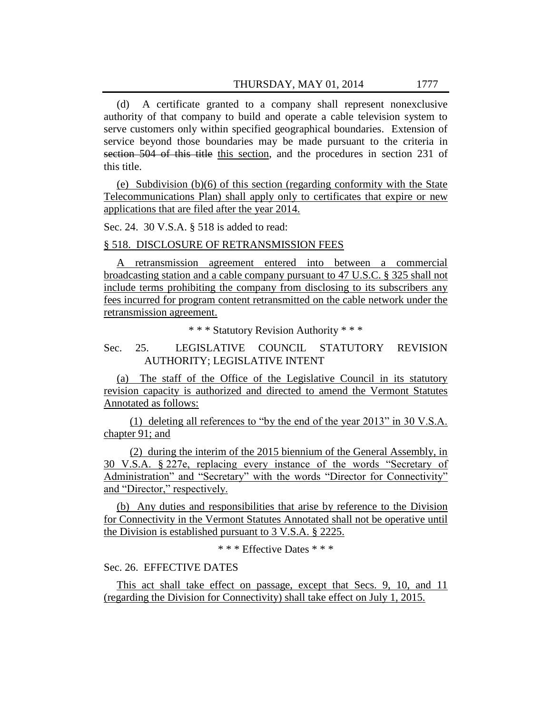(d) A certificate granted to a company shall represent nonexclusive authority of that company to build and operate a cable television system to serve customers only within specified geographical boundaries. Extension of service beyond those boundaries may be made pursuant to the criteria in section 504 of this title this section, and the procedures in section 231 of this title.

(e) Subdivision (b)(6) of this section (regarding conformity with the State Telecommunications Plan) shall apply only to certificates that expire or new applications that are filed after the year 2014.

Sec. 24. 30 V.S.A. § 518 is added to read:

#### § 518. DISCLOSURE OF RETRANSMISSION FEES

A retransmission agreement entered into between a commercial broadcasting station and a cable company pursuant to 47 U.S.C. § 325 shall not include terms prohibiting the company from disclosing to its subscribers any fees incurred for program content retransmitted on the cable network under the retransmission agreement.

\* \* \* Statutory Revision Authority \* \* \*

# Sec. 25. LEGISLATIVE COUNCIL STATUTORY REVISION AUTHORITY; LEGISLATIVE INTENT

(a) The staff of the Office of the Legislative Council in its statutory revision capacity is authorized and directed to amend the Vermont Statutes Annotated as follows:

(1) deleting all references to "by the end of the year  $2013$ " in 30 V.S.A. chapter 91; and

(2) during the interim of the 2015 biennium of the General Assembly, in 30 V.S.A. § 227e, replacing every instance of the words "Secretary of Administration" and "Secretary" with the words "Director for Connectivity" and "Director," respectively.

(b) Any duties and responsibilities that arise by reference to the Division for Connectivity in the Vermont Statutes Annotated shall not be operative until the Division is established pursuant to 3 V.S.A. § 2225.

\* \* \* Effective Dates \* \* \*

### Sec. 26. EFFECTIVE DATES

This act shall take effect on passage, except that Secs. 9, 10, and 11 (regarding the Division for Connectivity) shall take effect on July 1, 2015.